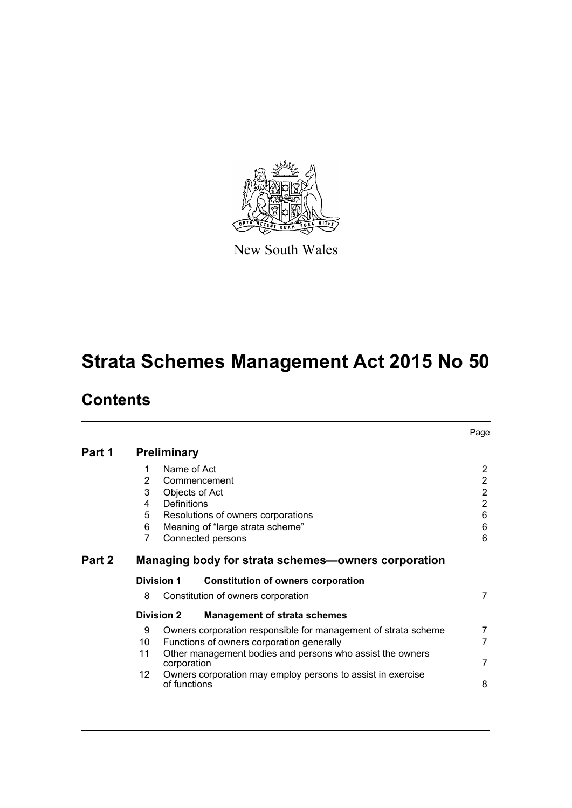

New South Wales

# **Strata Schemes Management Act 2015 No 50**

# **Contents**

|        |    |                    |                                                                | Page           |
|--------|----|--------------------|----------------------------------------------------------------|----------------|
| Part 1 |    | <b>Preliminary</b> |                                                                |                |
|        | 1  | Name of Act        |                                                                | 2              |
|        | 2  |                    | Commencement                                                   | $\overline{2}$ |
|        | 3  |                    | Objects of Act                                                 | $\overline{2}$ |
|        | 4  | <b>Definitions</b> |                                                                | $\overline{2}$ |
|        | 5  |                    | Resolutions of owners corporations                             | 6              |
|        | 6  |                    | Meaning of "large strata scheme"                               | 6              |
|        | 7  |                    | Connected persons                                              | 6              |
| Part 2 |    |                    | Managing body for strata schemes-owners corporation            |                |
|        |    | <b>Division 1</b>  | <b>Constitution of owners corporation</b>                      |                |
|        | 8  |                    | Constitution of owners corporation                             | 7              |
|        |    | <b>Division 2</b>  | <b>Management of strata schemes</b>                            |                |
|        | 9  |                    | Owners corporation responsible for management of strata scheme | 7              |
|        | 10 |                    | Functions of owners corporation generally                      | $\overline{7}$ |
|        | 11 | corporation        | Other management bodies and persons who assist the owners      | 7              |
|        | 12 | of functions       | Owners corporation may employ persons to assist in exercise    | 8              |
|        |    |                    |                                                                |                |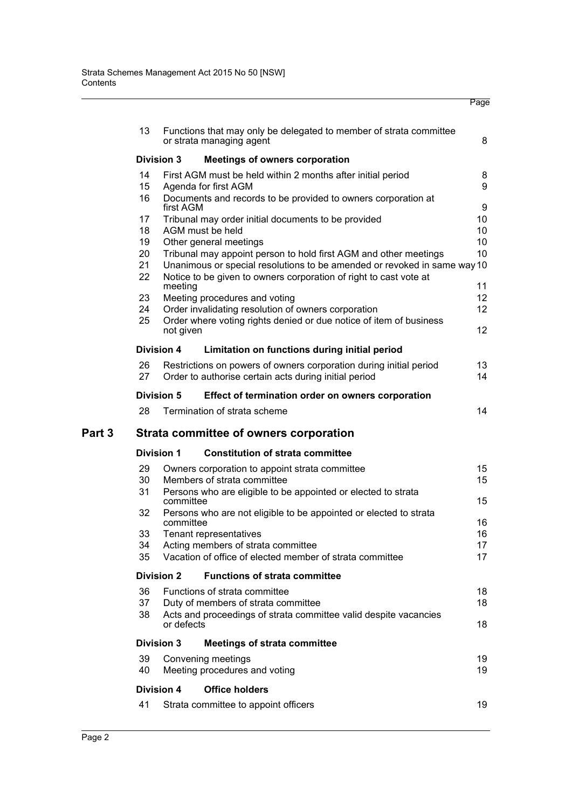|        | 13 |                                   | Functions that may only be delegated to member of strata committee<br>or strata managing agent | 8        |  |  |  |  |
|--------|----|-----------------------------------|------------------------------------------------------------------------------------------------|----------|--|--|--|--|
|        |    | <b>Division 3</b>                 | <b>Meetings of owners corporation</b>                                                          |          |  |  |  |  |
|        | 14 |                                   | First AGM must be held within 2 months after initial period                                    | 8        |  |  |  |  |
|        | 15 |                                   | Agenda for first AGM                                                                           | 9        |  |  |  |  |
|        | 16 | first AGM                         | Documents and records to be provided to owners corporation at                                  | 9        |  |  |  |  |
|        | 17 |                                   | Tribunal may order initial documents to be provided                                            | 10       |  |  |  |  |
|        | 18 |                                   | AGM must be held                                                                               | 10       |  |  |  |  |
|        | 19 |                                   | Other general meetings                                                                         | 10       |  |  |  |  |
|        | 20 |                                   | Tribunal may appoint person to hold first AGM and other meetings                               | 10       |  |  |  |  |
|        | 21 |                                   | Unanimous or special resolutions to be amended or revoked in same way 10                       |          |  |  |  |  |
|        | 22 | meeting                           | Notice to be given to owners corporation of right to cast vote at                              | 11       |  |  |  |  |
|        | 23 |                                   | Meeting procedures and voting                                                                  | 12       |  |  |  |  |
|        | 24 |                                   | Order invalidating resolution of owners corporation                                            | 12       |  |  |  |  |
|        | 25 |                                   | Order where voting rights denied or due notice of item of business                             |          |  |  |  |  |
|        |    | not given                         |                                                                                                | 12       |  |  |  |  |
|        |    | <b>Division 4</b>                 | Limitation on functions during initial period                                                  |          |  |  |  |  |
|        | 26 |                                   | Restrictions on powers of owners corporation during initial period                             | 13       |  |  |  |  |
|        | 27 |                                   | Order to authorise certain acts during initial period                                          | 14       |  |  |  |  |
|        |    | Division 5                        | Effect of termination order on owners corporation                                              |          |  |  |  |  |
|        | 28 |                                   | Termination of strata scheme                                                                   | 14       |  |  |  |  |
| Part 3 |    |                                   | Strata committee of owners corporation                                                         |          |  |  |  |  |
|        |    | Division 1                        | <b>Constitution of strata committee</b>                                                        |          |  |  |  |  |
|        |    |                                   |                                                                                                |          |  |  |  |  |
|        | 29 |                                   | Owners corporation to appoint strata committee                                                 | 15<br>15 |  |  |  |  |
|        |    | Members of strata committee<br>30 |                                                                                                |          |  |  |  |  |
|        | 31 | committee                         | Persons who are eligible to be appointed or elected to strata                                  | 15       |  |  |  |  |
|        | 32 |                                   | Persons who are not eligible to be appointed or elected to strata                              |          |  |  |  |  |
|        |    | committee                         |                                                                                                | 16       |  |  |  |  |
|        | 33 |                                   | Tenant representatives                                                                         | 16       |  |  |  |  |
|        | 34 |                                   | Acting members of strata committee                                                             | 17       |  |  |  |  |
|        | 35 |                                   | Vacation of office of elected member of strata committee                                       | 17       |  |  |  |  |
|        |    | <b>Division 2</b>                 | <b>Functions of strata committee</b>                                                           |          |  |  |  |  |
|        | 36 |                                   | Functions of strata committee                                                                  | 18       |  |  |  |  |
|        | 37 |                                   | Duty of members of strata committee                                                            | 18       |  |  |  |  |
|        | 38 | or defects                        | Acts and proceedings of strata committee valid despite vacancies                               | 18       |  |  |  |  |
|        |    | <b>Division 3</b>                 | <b>Meetings of strata committee</b>                                                            |          |  |  |  |  |
|        | 39 |                                   | Convening meetings                                                                             | 19       |  |  |  |  |
|        | 40 |                                   | Meeting procedures and voting                                                                  | 19       |  |  |  |  |
|        |    | <b>Division 4</b>                 | <b>Office holders</b>                                                                          |          |  |  |  |  |
|        | 41 |                                   | Strata committee to appoint officers                                                           | 19       |  |  |  |  |
|        |    |                                   |                                                                                                |          |  |  |  |  |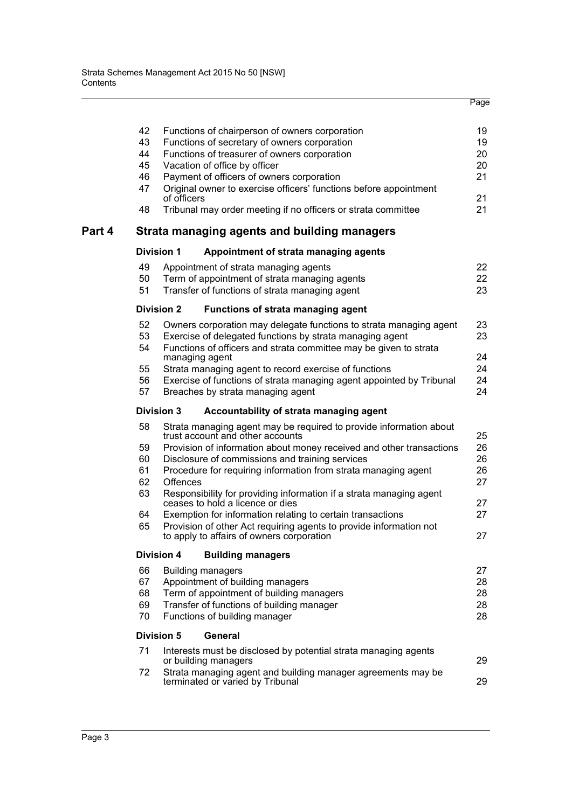|        | 42 | Functions of chairperson of owners corporation                                                          | 19 |
|--------|----|---------------------------------------------------------------------------------------------------------|----|
|        | 43 | Functions of secretary of owners corporation                                                            | 19 |
|        | 44 | Functions of treasurer of owners corporation                                                            | 20 |
|        | 45 | Vacation of office by officer                                                                           | 20 |
|        | 46 | Payment of officers of owners corporation                                                               | 21 |
|        | 47 | Original owner to exercise officers' functions before appointment<br>of officers                        | 21 |
|        | 48 | Tribunal may order meeting if no officers or strata committee                                           | 21 |
| Part 4 |    | Strata managing agents and building managers                                                            |    |
|        |    | <b>Division 1</b><br>Appointment of strata managing agents                                              |    |
|        | 49 | Appointment of strata managing agents                                                                   | 22 |
|        | 50 | Term of appointment of strata managing agents                                                           | 22 |
|        | 51 | Transfer of functions of strata managing agent                                                          | 23 |
|        |    | <b>Division 2</b><br><b>Functions of strata managing agent</b>                                          |    |
|        | 52 | Owners corporation may delegate functions to strata managing agent                                      | 23 |
|        | 53 | Exercise of delegated functions by strata managing agent                                                | 23 |
|        | 54 | Functions of officers and strata committee may be given to strata                                       |    |
|        |    | managing agent                                                                                          | 24 |
|        | 55 | Strata managing agent to record exercise of functions                                                   | 24 |
|        | 56 | Exercise of functions of strata managing agent appointed by Tribunal                                    | 24 |
|        | 57 | Breaches by strata managing agent                                                                       | 24 |
|        |    | <b>Division 3</b><br>Accountability of strata managing agent                                            |    |
|        | 58 | Strata managing agent may be required to provide information about<br>trust account and other accounts  | 25 |
|        | 59 | Provision of information about money received and other transactions                                    | 26 |
|        | 60 | Disclosure of commissions and training services                                                         | 26 |
|        | 61 | Procedure for requiring information from strata managing agent                                          | 26 |
|        | 62 | <b>Offences</b>                                                                                         | 27 |
|        | 63 | Responsibility for providing information if a strata managing agent<br>ceases to hold a licence or dies | 27 |
|        | 64 | Exemption for information relating to certain transactions                                              | 27 |
|        | 65 | Provision of other Act requiring agents to provide information not                                      |    |
|        |    | to apply to affairs of owners corporation                                                               | 27 |
|        |    | <b>Division 4</b><br><b>Building managers</b>                                                           |    |
|        | 66 | <b>Building managers</b>                                                                                | 27 |
|        | 67 | Appointment of building managers                                                                        | 28 |
|        | 68 | Term of appointment of building managers                                                                | 28 |
|        | 69 | Transfer of functions of building manager                                                               | 28 |
|        | 70 | Functions of building manager                                                                           | 28 |
|        |    | <b>Division 5</b><br>General                                                                            |    |
|        | 71 | Interests must be disclosed by potential strata managing agents<br>or building managers                 | 29 |
|        | 72 | Strata managing agent and building manager agreements may be                                            |    |
|        |    | terminated or varied by Tribunal                                                                        | 29 |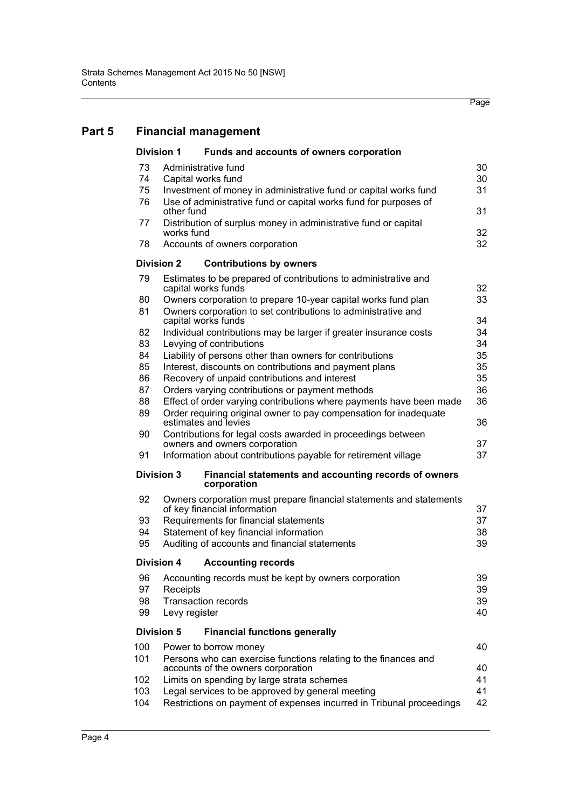# **[Part 5 Financial management](#page-39-0)**

|     | <b>Division 1</b> | Funds and accounts of owners corporation                                                            |    |
|-----|-------------------|-----------------------------------------------------------------------------------------------------|----|
| 73  |                   | Administrative fund                                                                                 | 30 |
| 74  |                   | Capital works fund                                                                                  | 30 |
| 75  |                   | Investment of money in administrative fund or capital works fund                                    | 31 |
| 76  | other fund        | Use of administrative fund or capital works fund for purposes of                                    | 31 |
| 77  | works fund        | Distribution of surplus money in administrative fund or capital                                     | 32 |
| 78  |                   | Accounts of owners corporation                                                                      | 32 |
|     | <b>Division 2</b> | <b>Contributions by owners</b>                                                                      |    |
| 79  |                   | Estimates to be prepared of contributions to administrative and<br>capital works funds              | 32 |
| 80  |                   | Owners corporation to prepare 10-year capital works fund plan                                       | 33 |
| 81  |                   | Owners corporation to set contributions to administrative and                                       |    |
|     |                   | capital works funds                                                                                 | 34 |
| 82  |                   | Individual contributions may be larger if greater insurance costs                                   | 34 |
| 83  |                   | Levying of contributions                                                                            | 34 |
| 84  |                   | Liability of persons other than owners for contributions                                            | 35 |
| 85  |                   | Interest, discounts on contributions and payment plans                                              | 35 |
| 86  |                   | Recovery of unpaid contributions and interest                                                       | 35 |
| 87  |                   | Orders varying contributions or payment methods                                                     | 36 |
| 88  |                   | Effect of order varying contributions where payments have been made                                 | 36 |
| 89  |                   | Order requiring original owner to pay compensation for inadequate<br>estimates and levies           | 36 |
| 90  |                   | Contributions for legal costs awarded in proceedings between                                        |    |
|     |                   | owners and owners corporation                                                                       | 37 |
| 91  |                   | Information about contributions payable for retirement village                                      | 37 |
|     | <b>Division 3</b> | Financial statements and accounting records of owners<br>corporation                                |    |
| 92  |                   | Owners corporation must prepare financial statements and statements<br>of key financial information | 37 |
| 93  |                   | Requirements for financial statements                                                               | 37 |
| 94  |                   | Statement of key financial information                                                              | 38 |
| 95  |                   | Auditing of accounts and financial statements                                                       | 39 |
|     | <b>Division 4</b> | <b>Accounting records</b>                                                                           |    |
| 96  |                   | Accounting records must be kept by owners corporation                                               | 39 |
| 97  | Receipts          |                                                                                                     | 39 |
| 98  |                   | <b>Transaction records</b>                                                                          | 39 |
| 99  | Levy register     |                                                                                                     | 40 |
|     | <b>Division 5</b> | <b>Financial functions generally</b>                                                                |    |
| 100 |                   | Power to borrow money                                                                               | 40 |
| 101 |                   | Persons who can exercise functions relating to the finances and                                     |    |
|     |                   | accounts of the owners corporation                                                                  | 40 |
| 102 |                   | Limits on spending by large strata schemes                                                          | 41 |
| 103 |                   | Legal services to be approved by general meeting                                                    | 41 |
| 104 |                   | Restrictions on payment of expenses incurred in Tribunal proceedings                                | 42 |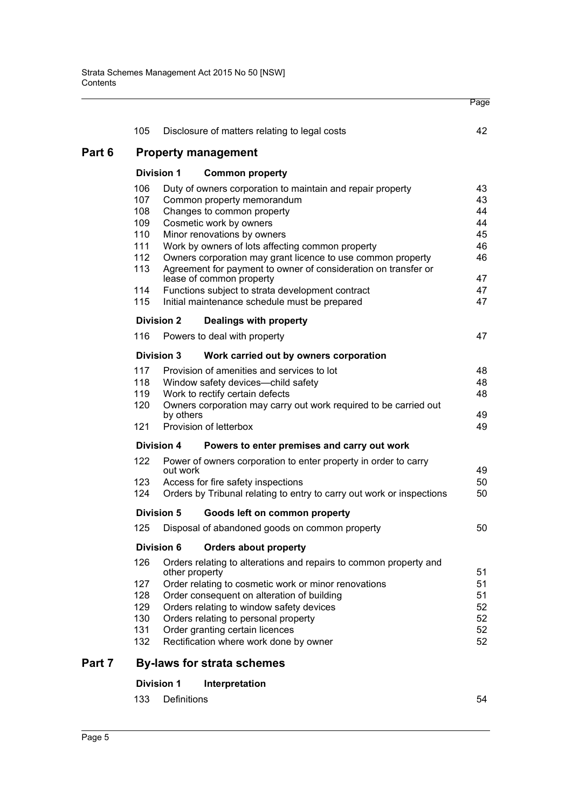|        | 105                                                           |                   | Disclosure of matters relating to legal costs                                                       | 42       |  |  |
|--------|---------------------------------------------------------------|-------------------|-----------------------------------------------------------------------------------------------------|----------|--|--|
| Part 6 |                                                               |                   | <b>Property management</b>                                                                          |          |  |  |
|        |                                                               | <b>Division 1</b> | <b>Common property</b>                                                                              |          |  |  |
|        | 106                                                           |                   | Duty of owners corporation to maintain and repair property                                          | 43       |  |  |
|        | 107                                                           |                   | Common property memorandum                                                                          | 43       |  |  |
|        | 108                                                           |                   | Changes to common property                                                                          | 44       |  |  |
|        | 109<br>110                                                    |                   | Cosmetic work by owners<br>Minor renovations by owners                                              | 44<br>45 |  |  |
|        | 111                                                           |                   | Work by owners of lots affecting common property                                                    | 46       |  |  |
|        | 112                                                           |                   | Owners corporation may grant licence to use common property                                         | 46       |  |  |
|        | 113                                                           |                   | Agreement for payment to owner of consideration on transfer or                                      |          |  |  |
|        |                                                               |                   | lease of common property                                                                            | 47       |  |  |
|        | 114                                                           |                   | Functions subject to strata development contract                                                    | 47       |  |  |
|        | 115                                                           |                   | Initial maintenance schedule must be prepared                                                       | 47       |  |  |
|        |                                                               | <b>Division 2</b> | Dealings with property                                                                              |          |  |  |
|        | 116                                                           |                   | Powers to deal with property                                                                        | 47       |  |  |
|        |                                                               | <b>Division 3</b> | Work carried out by owners corporation                                                              |          |  |  |
|        | 117<br>Provision of amenities and services to lot<br>48<br>48 |                   |                                                                                                     |          |  |  |
|        | 118<br>Window safety devices-child safety                     |                   |                                                                                                     |          |  |  |
|        | 119<br>120                                                    |                   | Work to rectify certain defects<br>Owners corporation may carry out work required to be carried out | 48       |  |  |
|        |                                                               | by others         |                                                                                                     | 49       |  |  |
|        | 121                                                           |                   | Provision of letterbox                                                                              | 49       |  |  |
|        |                                                               | <b>Division 4</b> | Powers to enter premises and carry out work                                                         |          |  |  |
|        | 122                                                           | out work          | Power of owners corporation to enter property in order to carry                                     | 49       |  |  |
|        | 123                                                           |                   | Access for fire safety inspections                                                                  | 50       |  |  |
|        | 124                                                           |                   | Orders by Tribunal relating to entry to carry out work or inspections                               | 50       |  |  |
|        |                                                               | <b>Division 5</b> | Goods left on common property                                                                       |          |  |  |
|        | 125                                                           |                   | Disposal of abandoned goods on common property                                                      | 50       |  |  |
|        |                                                               | <b>Division 6</b> | <b>Orders about property</b>                                                                        |          |  |  |
|        | 126                                                           | other property    | Orders relating to alterations and repairs to common property and                                   | 51       |  |  |
|        | 127<br>Order relating to cosmetic work or minor renovations   |                   |                                                                                                     |          |  |  |
|        | 128                                                           |                   | Order consequent on alteration of building                                                          | 51       |  |  |
|        | 129                                                           |                   | Orders relating to window safety devices                                                            | 52       |  |  |
|        | 130                                                           |                   | Orders relating to personal property                                                                | 52       |  |  |
|        | 131                                                           |                   | Order granting certain licences                                                                     | 52       |  |  |
|        | 132                                                           |                   | Rectification where work done by owner                                                              | 52       |  |  |
| Part 7 |                                                               |                   | <b>By-laws for strata schemes</b>                                                                   |          |  |  |
|        |                                                               | <b>Division 1</b> | Interpretation                                                                                      |          |  |  |
|        | 133                                                           | Definitions       |                                                                                                     | 54       |  |  |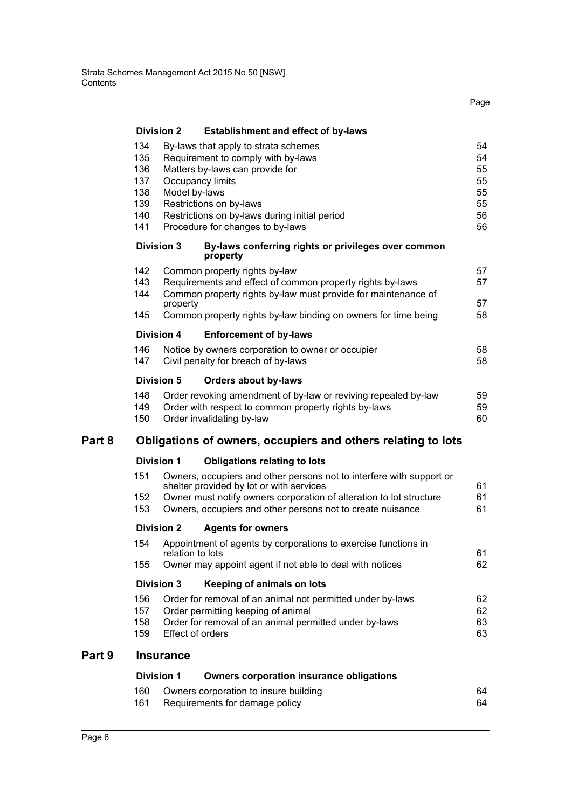|        |                                                                                                                                                                                                                                                                                                                            |                                                                                                                                                |                                                                                                                                                                                                                                                       | Page                 |  |  |  |
|--------|----------------------------------------------------------------------------------------------------------------------------------------------------------------------------------------------------------------------------------------------------------------------------------------------------------------------------|------------------------------------------------------------------------------------------------------------------------------------------------|-------------------------------------------------------------------------------------------------------------------------------------------------------------------------------------------------------------------------------------------------------|----------------------|--|--|--|
|        |                                                                                                                                                                                                                                                                                                                            | <b>Division 2</b>                                                                                                                              | <b>Establishment and effect of by-laws</b>                                                                                                                                                                                                            |                      |  |  |  |
|        | 134<br>By-laws that apply to strata schemes<br>135<br>Requirement to comply with by-laws<br>136<br>Matters by-laws can provide for<br>137<br>Occupancy limits<br>138<br>Model by-laws<br>139<br>Restrictions on by-laws<br>140<br>Restrictions on by-laws during initial period<br>141<br>Procedure for changes to by-laws |                                                                                                                                                |                                                                                                                                                                                                                                                       |                      |  |  |  |
|        |                                                                                                                                                                                                                                                                                                                            | <b>Division 3</b>                                                                                                                              | By-laws conferring rights or privileges over common<br>property                                                                                                                                                                                       |                      |  |  |  |
|        | 142<br>143<br>144                                                                                                                                                                                                                                                                                                          | property                                                                                                                                       | Common property rights by-law<br>Requirements and effect of common property rights by-laws<br>Common property rights by-law must provide for maintenance of                                                                                           | 57<br>57<br>57       |  |  |  |
|        | 145                                                                                                                                                                                                                                                                                                                        |                                                                                                                                                | Common property rights by-law binding on owners for time being                                                                                                                                                                                        | 58                   |  |  |  |
|        |                                                                                                                                                                                                                                                                                                                            | <b>Division 4</b>                                                                                                                              | <b>Enforcement of by-laws</b>                                                                                                                                                                                                                         |                      |  |  |  |
|        | 146<br>147                                                                                                                                                                                                                                                                                                                 |                                                                                                                                                | Notice by owners corporation to owner or occupier<br>Civil penalty for breach of by-laws                                                                                                                                                              | 58<br>58             |  |  |  |
|        |                                                                                                                                                                                                                                                                                                                            | <b>Division 5</b>                                                                                                                              | <b>Orders about by-laws</b>                                                                                                                                                                                                                           |                      |  |  |  |
|        | 148<br>149<br>150                                                                                                                                                                                                                                                                                                          |                                                                                                                                                | Order revoking amendment of by-law or reviving repealed by-law<br>Order with respect to common property rights by-laws<br>Order invalidating by-law                                                                                                   | 59<br>59<br>60       |  |  |  |
| Part 8 | Obligations of owners, occupiers and others relating to lots                                                                                                                                                                                                                                                               |                                                                                                                                                |                                                                                                                                                                                                                                                       |                      |  |  |  |
|        |                                                                                                                                                                                                                                                                                                                            | <b>Division 1</b>                                                                                                                              | <b>Obligations relating to lots</b>                                                                                                                                                                                                                   |                      |  |  |  |
|        | 151<br>152<br>153                                                                                                                                                                                                                                                                                                          |                                                                                                                                                | Owners, occupiers and other persons not to interfere with support or<br>shelter provided by lot or with services<br>Owner must notify owners corporation of alteration to lot structure<br>Owners, occupiers and other persons not to create nuisance | 61<br>61<br>61       |  |  |  |
|        |                                                                                                                                                                                                                                                                                                                            | <b>Division 2</b>                                                                                                                              | <b>Agents for owners</b>                                                                                                                                                                                                                              |                      |  |  |  |
|        | 154<br>155                                                                                                                                                                                                                                                                                                                 | Appointment of agents by corporations to exercise functions in<br>relation to lots<br>Owner may appoint agent if not able to deal with notices |                                                                                                                                                                                                                                                       |                      |  |  |  |
|        | <b>Division 3</b><br>Keeping of animals on lots                                                                                                                                                                                                                                                                            |                                                                                                                                                |                                                                                                                                                                                                                                                       |                      |  |  |  |
|        | 156<br>157<br>158<br>159                                                                                                                                                                                                                                                                                                   | Effect of orders                                                                                                                               | Order for removal of an animal not permitted under by-laws<br>Order permitting keeping of animal<br>Order for removal of an animal permitted under by-laws                                                                                            | 62<br>62<br>63<br>63 |  |  |  |
| Part 9 |                                                                                                                                                                                                                                                                                                                            | <b>Insurance</b>                                                                                                                               |                                                                                                                                                                                                                                                       |                      |  |  |  |
|        |                                                                                                                                                                                                                                                                                                                            | <b>Division 1</b>                                                                                                                              | <b>Owners corporation insurance obligations</b>                                                                                                                                                                                                       |                      |  |  |  |
|        | 160<br>161                                                                                                                                                                                                                                                                                                                 |                                                                                                                                                | Owners corporation to insure building<br>Requirements for damage policy                                                                                                                                                                               | 64<br>64             |  |  |  |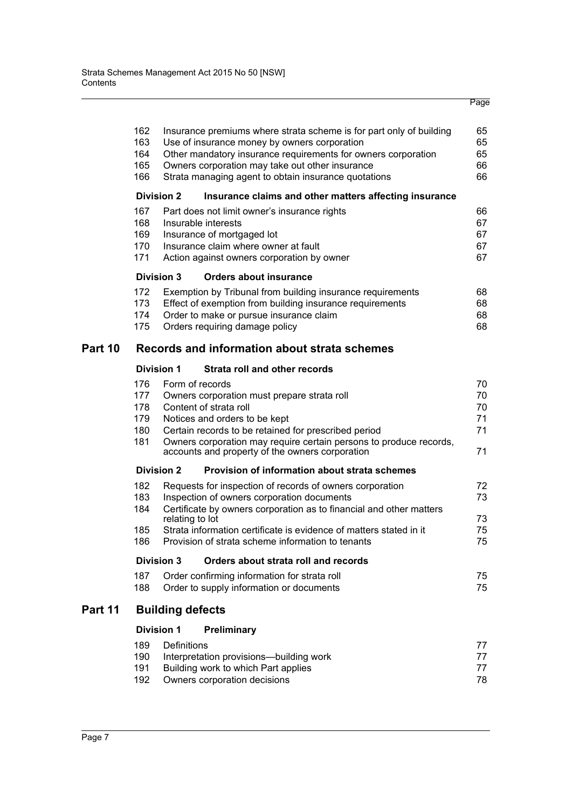|         |            |                         |                                                                                       | Page     |
|---------|------------|-------------------------|---------------------------------------------------------------------------------------|----------|
|         | 162        |                         | Insurance premiums where strata scheme is for part only of building                   | 65       |
|         | 163        |                         | Use of insurance money by owners corporation                                          | 65       |
|         | 164        |                         | Other mandatory insurance requirements for owners corporation                         | 65       |
|         | 165<br>166 |                         | Owners corporation may take out other insurance                                       | 66<br>66 |
|         |            |                         | Strata managing agent to obtain insurance quotations                                  |          |
|         |            | <b>Division 2</b>       | Insurance claims and other matters affecting insurance                                |          |
|         | 167<br>168 |                         | Part does not limit owner's insurance rights<br>Insurable interests                   | 66<br>67 |
|         | 169        |                         | Insurance of mortgaged lot                                                            | 67       |
|         | 170        |                         | Insurance claim where owner at fault                                                  | 67       |
|         | 171        |                         | Action against owners corporation by owner                                            | 67       |
|         |            | <b>Division 3</b>       | <b>Orders about insurance</b>                                                         |          |
|         | 172        |                         | Exemption by Tribunal from building insurance requirements                            | 68       |
|         | 173        |                         | Effect of exemption from building insurance requirements                              | 68       |
|         | 174        |                         | Order to make or pursue insurance claim                                               | 68       |
|         | 175        |                         | Orders requiring damage policy                                                        | 68       |
| Part 10 |            |                         | Records and information about strata schemes                                          |          |
|         |            | <b>Division 1</b>       | Strata roll and other records                                                         |          |
|         | 176        |                         | Form of records                                                                       | 70       |
|         | 177        |                         | Owners corporation must prepare strata roll                                           | 70       |
|         | 178        |                         | Content of strata roll                                                                | 70       |
|         | 179<br>180 |                         | Notices and orders to be kept<br>Certain records to be retained for prescribed period | 71<br>71 |
|         | 181        |                         | Owners corporation may require certain persons to produce records,                    |          |
|         |            |                         | accounts and property of the owners corporation                                       | 71       |
|         |            | <b>Division 2</b>       | Provision of information about strata schemes                                         |          |
|         | 182        |                         | Requests for inspection of records of owners corporation                              | 72       |
|         | 183        |                         | Inspection of owners corporation documents                                            | 73       |
|         | 184        | relating to lot         | Certificate by owners corporation as to financial and other matters                   | 73       |
|         | 185        |                         | Strata information certificate is evidence of matters stated in it                    | 75       |
|         | 186        |                         | Provision of strata scheme information to tenants                                     | 75       |
|         |            | <b>Division 3</b>       | Orders about strata roll and records                                                  |          |
|         | 187        |                         | Order confirming information for strata roll                                          | 75       |
|         | 188        |                         | Order to supply information or documents                                              | 75       |
| Part 11 |            | <b>Building defects</b> |                                                                                       |          |
|         |            | <b>Division 1</b>       | <b>Preliminary</b>                                                                    |          |
|         | 189        | Definitions             |                                                                                       | 77       |
|         | 190        |                         | Interpretation provisions-building work                                               | 77       |
|         | 191        |                         | Building work to which Part applies                                                   | 77       |
|         | 192        |                         | Owners corporation decisions                                                          | 78       |
|         |            |                         |                                                                                       |          |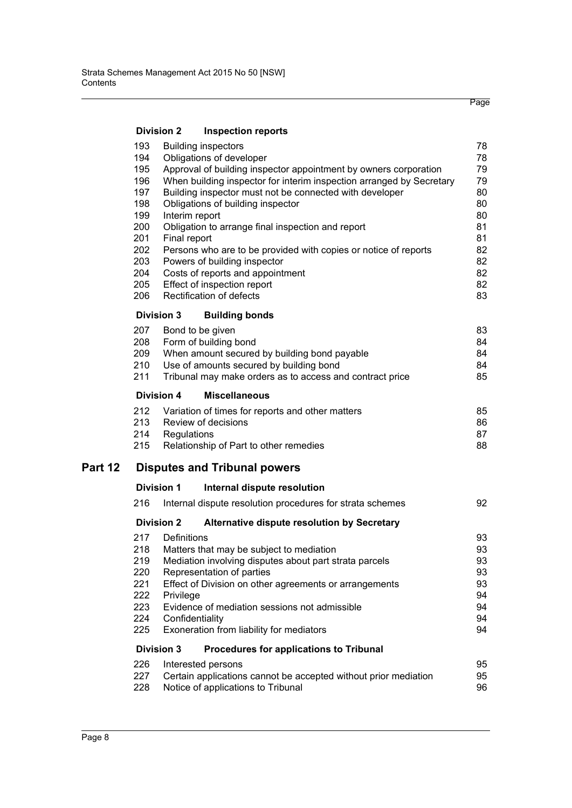|         |                                                                  | <b>Division 2</b> | <b>Inspection reports</b>                                                               |          |  |  |  |
|---------|------------------------------------------------------------------|-------------------|-----------------------------------------------------------------------------------------|----------|--|--|--|
|         | 193<br>194                                                       |                   | <b>Building inspectors</b><br>Obligations of developer                                  | 78<br>78 |  |  |  |
|         | 195                                                              |                   | Approval of building inspector appointment by owners corporation                        | 79       |  |  |  |
|         | 196                                                              |                   | When building inspector for interim inspection arranged by Secretary                    | 79       |  |  |  |
|         | 197                                                              |                   | Building inspector must not be connected with developer                                 | 80       |  |  |  |
|         | 198                                                              |                   | Obligations of building inspector                                                       | 80       |  |  |  |
|         | 199<br>200                                                       |                   | Interim report                                                                          | 80<br>81 |  |  |  |
|         | 201                                                              | Final report      | Obligation to arrange final inspection and report                                       | 81       |  |  |  |
|         | 202                                                              |                   | Persons who are to be provided with copies or notice of reports                         | 82       |  |  |  |
|         | 203                                                              |                   | Powers of building inspector                                                            | 82       |  |  |  |
|         | 204                                                              |                   | Costs of reports and appointment                                                        | 82       |  |  |  |
|         | 205                                                              |                   | Effect of inspection report                                                             | 82       |  |  |  |
|         | 206                                                              |                   | Rectification of defects                                                                | 83       |  |  |  |
|         |                                                                  | <b>Division 3</b> | <b>Building bonds</b>                                                                   |          |  |  |  |
|         | 207                                                              |                   | Bond to be given                                                                        | 83       |  |  |  |
|         | 208                                                              |                   | Form of building bond                                                                   | 84       |  |  |  |
|         | 209<br>210                                                       |                   | When amount secured by building bond payable<br>Use of amounts secured by building bond | 84<br>84 |  |  |  |
|         | 211                                                              |                   | Tribunal may make orders as to access and contract price                                | 85       |  |  |  |
|         | <b>Division 4</b><br><b>Miscellaneous</b>                        |                   |                                                                                         |          |  |  |  |
|         | 212                                                              |                   |                                                                                         | 85       |  |  |  |
|         | 213                                                              |                   | Variation of times for reports and other matters<br>Review of decisions                 | 86       |  |  |  |
|         | 214                                                              | Regulations       |                                                                                         | 87       |  |  |  |
|         | 215                                                              |                   | Relationship of Part to other remedies                                                  | 88       |  |  |  |
| Part 12 |                                                                  |                   | <b>Disputes and Tribunal powers</b>                                                     |          |  |  |  |
|         |                                                                  | <b>Division 1</b> | Internal dispute resolution                                                             |          |  |  |  |
|         | 216                                                              |                   | Internal dispute resolution procedures for strata schemes                               | 92       |  |  |  |
|         | <b>Division 2</b><br>Alternative dispute resolution by Secretary |                   |                                                                                         |          |  |  |  |
|         | 217                                                              | Definitions       |                                                                                         | 93       |  |  |  |
|         | 218                                                              |                   | Matters that may be subject to mediation                                                | 93       |  |  |  |
|         | 219                                                              |                   | Mediation involving disputes about part strata parcels                                  | 93       |  |  |  |
|         | 220<br>221                                                       |                   | Representation of parties<br>Effect of Division on other agreements or arrangements     | 93<br>93 |  |  |  |
|         | 222                                                              | Privilege         |                                                                                         | 94       |  |  |  |
|         | 223                                                              |                   | Evidence of mediation sessions not admissible                                           | 94       |  |  |  |
|         | 224                                                              |                   | Confidentiality                                                                         | 94       |  |  |  |
|         | 225                                                              |                   | Exoneration from liability for mediators                                                | 94       |  |  |  |
|         |                                                                  | <b>Division 3</b> | <b>Procedures for applications to Tribunal</b>                                          |          |  |  |  |
|         | 226                                                              |                   | Interested persons                                                                      | 95       |  |  |  |
|         | 227                                                              |                   | Certain applications cannot be accepted without prior mediation                         | 95       |  |  |  |
|         | 228                                                              |                   | Notice of applications to Tribunal                                                      | 96       |  |  |  |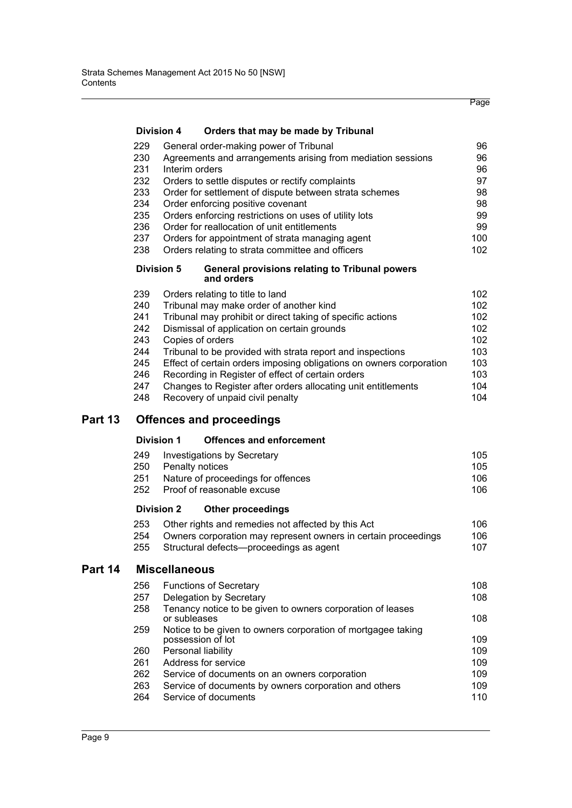|         |                                                                    | <b>Division 4</b>    | Orders that may be made by Tribunal                                                                                                                                                                                                                                                                                                                                                                                                                                                                         |                                                                    |
|---------|--------------------------------------------------------------------|----------------------|-------------------------------------------------------------------------------------------------------------------------------------------------------------------------------------------------------------------------------------------------------------------------------------------------------------------------------------------------------------------------------------------------------------------------------------------------------------------------------------------------------------|--------------------------------------------------------------------|
|         | 229<br>230<br>231<br>232<br>233<br>234<br>235<br>236<br>237<br>238 |                      | General order-making power of Tribunal<br>Agreements and arrangements arising from mediation sessions<br>Interim orders<br>Orders to settle disputes or rectify complaints<br>Order for settlement of dispute between strata schemes<br>Order enforcing positive covenant<br>Orders enforcing restrictions on uses of utility lots<br>Order for reallocation of unit entitlements<br>Orders for appointment of strata managing agent<br>Orders relating to strata committee and officers                    | 96<br>96<br>96<br>97<br>98<br>98<br>99<br>99<br>100<br>102         |
|         |                                                                    | <b>Division 5</b>    | <b>General provisions relating to Tribunal powers</b><br>and orders                                                                                                                                                                                                                                                                                                                                                                                                                                         |                                                                    |
|         | 239<br>240<br>241<br>242<br>243<br>244<br>245<br>246<br>247<br>248 |                      | Orders relating to title to land<br>Tribunal may make order of another kind<br>Tribunal may prohibit or direct taking of specific actions<br>Dismissal of application on certain grounds<br>Copies of orders<br>Tribunal to be provided with strata report and inspections<br>Effect of certain orders imposing obligations on owners corporation<br>Recording in Register of effect of certain orders<br>Changes to Register after orders allocating unit entitlements<br>Recovery of unpaid civil penalty | 102<br>102<br>102<br>102<br>102<br>103<br>103<br>103<br>104<br>104 |
| Part 13 |                                                                    |                      | <b>Offences and proceedings</b>                                                                                                                                                                                                                                                                                                                                                                                                                                                                             |                                                                    |
|         |                                                                    | <b>Division 1</b>    | <b>Offences and enforcement</b>                                                                                                                                                                                                                                                                                                                                                                                                                                                                             |                                                                    |
|         | 249<br>250<br>251<br>252                                           |                      | <b>Investigations by Secretary</b><br>Penalty notices<br>Nature of proceedings for offences<br>Proof of reasonable excuse                                                                                                                                                                                                                                                                                                                                                                                   | 105<br>105<br>106<br>106                                           |
|         |                                                                    | <b>Division 2</b>    | <b>Other proceedings</b>                                                                                                                                                                                                                                                                                                                                                                                                                                                                                    |                                                                    |
|         | 253<br>254<br>255                                                  |                      | Other rights and remedies not affected by this Act<br>Owners corporation may represent owners in certain proceedings<br>Structural defects-proceedings as agent                                                                                                                                                                                                                                                                                                                                             | 106<br>106<br>107                                                  |
| Part 14 |                                                                    | <b>Miscellaneous</b> |                                                                                                                                                                                                                                                                                                                                                                                                                                                                                                             |                                                                    |
|         | 256<br>257<br>258                                                  | or subleases         | <b>Functions of Secretary</b><br>Delegation by Secretary<br>Tenancy notice to be given to owners corporation of leases                                                                                                                                                                                                                                                                                                                                                                                      | 108<br>108<br>108                                                  |
|         | 259                                                                |                      | Notice to be given to owners corporation of mortgagee taking<br>possession of lot                                                                                                                                                                                                                                                                                                                                                                                                                           | 109                                                                |
|         | 260<br>261<br>262<br>263<br>264                                    |                      | Personal liability<br>Address for service<br>Service of documents on an owners corporation<br>Service of documents by owners corporation and others<br>Service of documents                                                                                                                                                                                                                                                                                                                                 | 109<br>109<br>109<br>109<br>110                                    |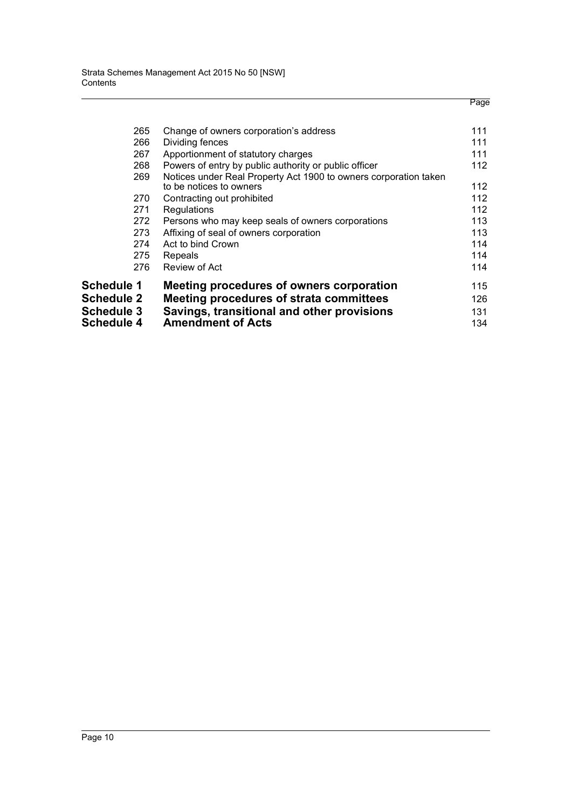| 115<br>126.<br>131 |
|--------------------|
| 114                |
| 114                |
| 114                |
| 113                |
| 113                |
| 112                |
| 112                |
| 112                |
| 112                |
| 111                |
| 111                |
| 111                |
|                    |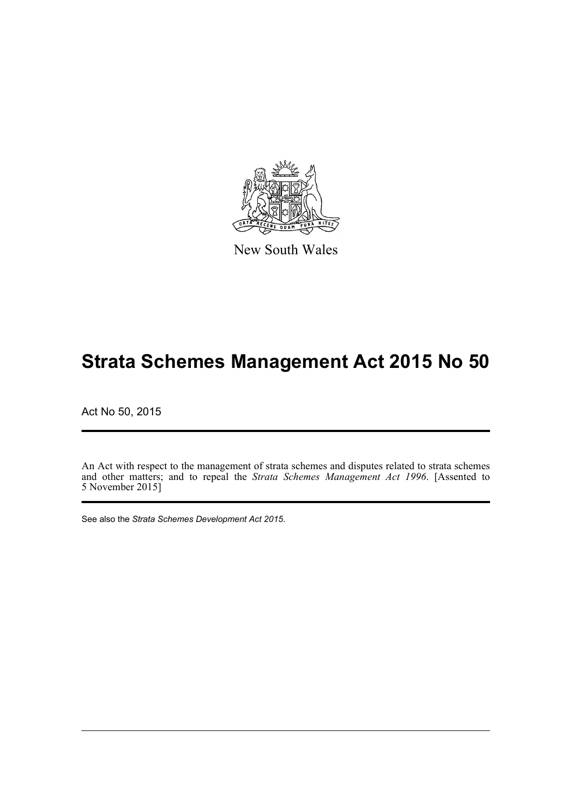

New South Wales

# **Strata Schemes Management Act 2015 No 50**

Act No 50, 2015

An Act with respect to the management of strata schemes and disputes related to strata schemes and other matters; and to repeal the *Strata Schemes Management Act 1996*. [Assented to 5 November 2015]

See also the *Strata Schemes Development Act 2015*.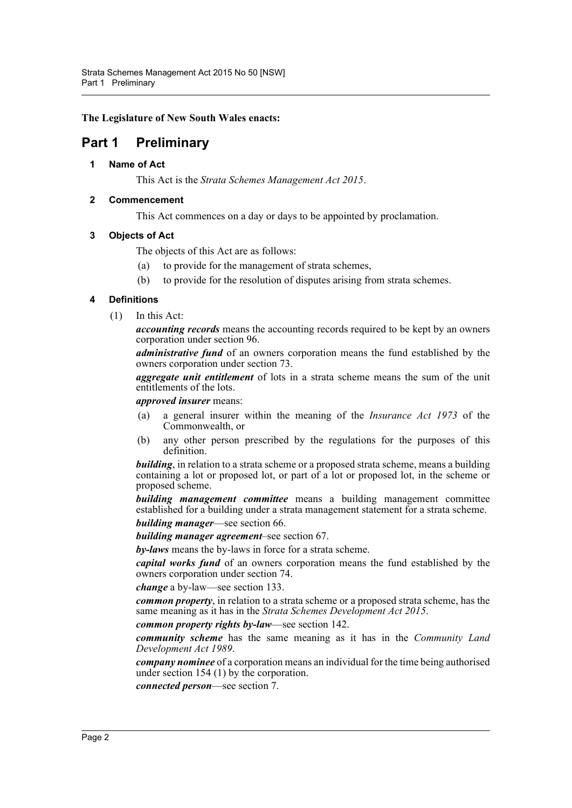**The Legislature of New South Wales enacts:**

# <span id="page-11-1"></span><span id="page-11-0"></span>**Part 1 Preliminary**

# **1 Name of Act**

This Act is the *Strata Schemes Management Act 2015*.

# <span id="page-11-2"></span>**2 Commencement**

This Act commences on a day or days to be appointed by proclamation.

# <span id="page-11-3"></span>**3 Objects of Act**

The objects of this Act are as follows:

- (a) to provide for the management of strata schemes,
- (b) to provide for the resolution of disputes arising from strata schemes.

# <span id="page-11-4"></span>**4 Definitions**

(1) In this Act:

*accounting records* means the accounting records required to be kept by an owners corporation under section 96.

*administrative fund* of an owners corporation means the fund established by the owners corporation under section 73.

*aggregate unit entitlement* of lots in a strata scheme means the sum of the unit entitlements of the lots.

*approved insurer* means:

- (a) a general insurer within the meaning of the *Insurance Act 1973* of the Commonwealth, or
- (b) any other person prescribed by the regulations for the purposes of this definition.

*building*, in relation to a strata scheme or a proposed strata scheme, means a building containing a lot or proposed lot, or part of a lot or proposed lot, in the scheme or proposed scheme.

*building management committee* means a building management committee established for a building under a strata management statement for a strata scheme.

*building manager*—see section 66.

*building manager agreement*–see section 67.

*by-laws* means the by-laws in force for a strata scheme.

*capital works fund* of an owners corporation means the fund established by the owners corporation under section 74.

*change* a by-law—see section 133.

*common property*, in relation to a strata scheme or a proposed strata scheme, has the same meaning as it has in the *Strata Schemes Development Act 2015*.

*common property rights by-law*—see section 142.

*community scheme* has the same meaning as it has in the *Community Land Development Act 1989*.

*company nominee* of a corporation means an individual for the time being authorised under section 154 (1) by the corporation.

*connected person*—see section 7.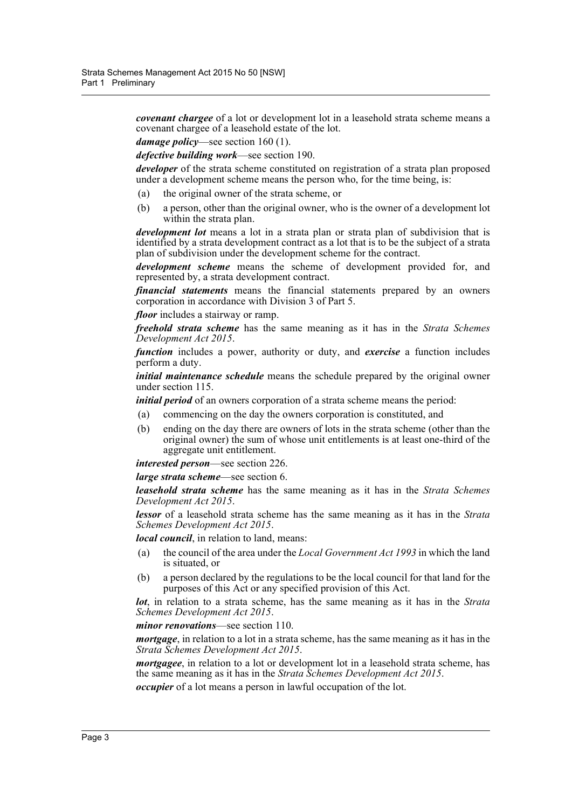*covenant chargee* of a lot or development lot in a leasehold strata scheme means a covenant chargee of a leasehold estate of the lot.

*damage policy*—see section 160 (1).

*defective building work*—see section 190.

*developer* of the strata scheme constituted on registration of a strata plan proposed under a development scheme means the person who, for the time being, is:

- (a) the original owner of the strata scheme, or
- (b) a person, other than the original owner, who is the owner of a development lot within the strata plan.

*development lot* means a lot in a strata plan or strata plan of subdivision that is identified by a strata development contract as a lot that is to be the subject of a strata plan of subdivision under the development scheme for the contract.

*development scheme* means the scheme of development provided for, and represented by, a strata development contract.

*financial statements* means the financial statements prepared by an owners corporation in accordance with Division 3 of Part 5.

*floor* includes a stairway or ramp.

*freehold strata scheme* has the same meaning as it has in the *Strata Schemes Development Act 2015*.

*function* includes a power, authority or duty, and *exercise* a function includes perform a duty.

*initial maintenance schedule* means the schedule prepared by the original owner under section 115.

*initial period* of an owners corporation of a strata scheme means the period:

- (a) commencing on the day the owners corporation is constituted, and
- (b) ending on the day there are owners of lots in the strata scheme (other than the original owner) the sum of whose unit entitlements is at least one-third of the aggregate unit entitlement.

*interested person*—see section 226.

*large strata scheme*—see section 6.

*leasehold strata scheme* has the same meaning as it has in the *Strata Schemes Development Act 2015*.

*lessor* of a leasehold strata scheme has the same meaning as it has in the *Strata Schemes Development Act 2015*.

*local council*, in relation to land, means:

- (a) the council of the area under the *Local Government Act 1993* in which the land is situated, or
- (b) a person declared by the regulations to be the local council for that land for the purposes of this Act or any specified provision of this Act.

*lot*, in relation to a strata scheme, has the same meaning as it has in the *Strata Schemes Development Act 2015*.

*minor renovations*—see section 110.

*mortgage*, in relation to a lot in a strata scheme, has the same meaning as it has in the *Strata Schemes Development Act 2015*.

*mortgagee*, in relation to a lot or development lot in a leasehold strata scheme, has the same meaning as it has in the *Strata Schemes Development Act 2015*.

*occupier* of a lot means a person in lawful occupation of the lot.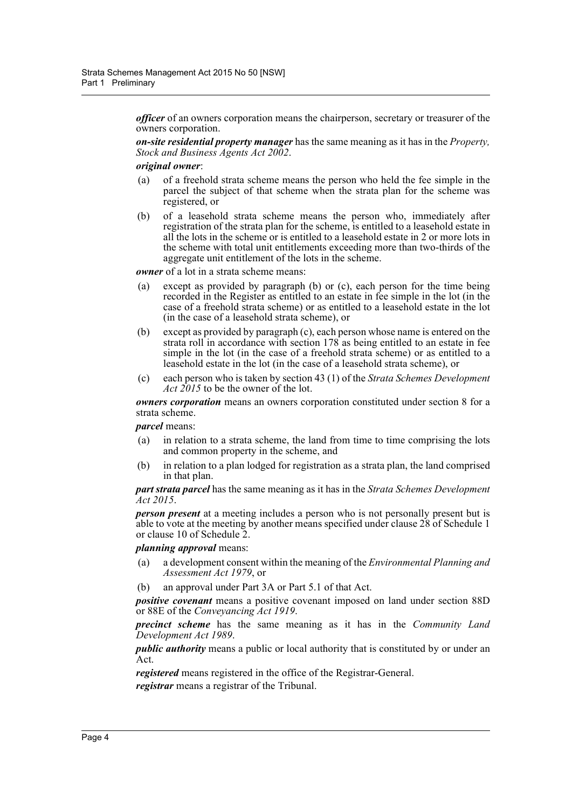*officer* of an owners corporation means the chairperson, secretary or treasurer of the owners corporation.

*on-site residential property manager* has the same meaning as it has in the *Property, Stock and Business Agents Act 2002*.

#### *original owner*:

- (a) of a freehold strata scheme means the person who held the fee simple in the parcel the subject of that scheme when the strata plan for the scheme was registered, or
- (b) of a leasehold strata scheme means the person who, immediately after registration of the strata plan for the scheme, is entitled to a leasehold estate in all the lots in the scheme or is entitled to a leasehold estate in 2 or more lots in the scheme with total unit entitlements exceeding more than two-thirds of the aggregate unit entitlement of the lots in the scheme.

*owner* of a lot in a strata scheme means:

- (a) except as provided by paragraph (b) or (c), each person for the time being recorded in the Register as entitled to an estate in fee simple in the lot (in the case of a freehold strata scheme) or as entitled to a leasehold estate in the lot (in the case of a leasehold strata scheme), or
- (b) except as provided by paragraph (c), each person whose name is entered on the strata roll in accordance with section 178 as being entitled to an estate in fee simple in the lot (in the case of a freehold strata scheme) or as entitled to a leasehold estate in the lot (in the case of a leasehold strata scheme), or
- (c) each person who is taken by section 43 (1) of the *Strata Schemes Development Act 2015* to be the owner of the lot.

*owners corporation* means an owners corporation constituted under section 8 for a strata scheme.

*parcel* means:

- (a) in relation to a strata scheme, the land from time to time comprising the lots and common property in the scheme, and
- (b) in relation to a plan lodged for registration as a strata plan, the land comprised in that plan.

*part strata parcel* has the same meaning as it has in the *Strata Schemes Development Act 2015*.

*person present* at a meeting includes a person who is not personally present but is able to vote at the meeting by another means specified under clause 28 of Schedule 1 or clause 10 of Schedule 2.

# *planning approval* means:

- (a) a development consent within the meaning of the *Environmental Planning and Assessment Act 1979*, or
- (b) an approval under Part 3A or Part 5.1 of that Act.

*positive covenant* means a positive covenant imposed on land under section 88D or 88E of the *Conveyancing Act 1919*.

*precinct scheme* has the same meaning as it has in the *Community Land Development Act 1989*.

*public authority* means a public or local authority that is constituted by or under an Act.

*registered* means registered in the office of the Registrar-General. *registrar* means a registrar of the Tribunal.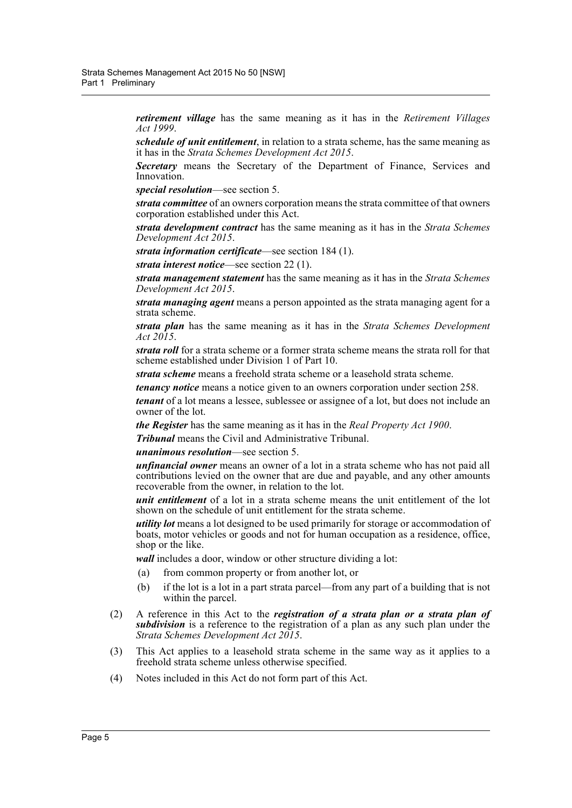*retirement village* has the same meaning as it has in the *Retirement Villages Act 1999*.

*schedule of unit entitlement*, in relation to a strata scheme, has the same meaning as it has in the *Strata Schemes Development Act 2015*.

*Secretary* means the Secretary of the Department of Finance, Services and Innovation.

*special resolution*—see section 5.

*strata committee* of an owners corporation means the strata committee of that owners corporation established under this Act.

*strata development contract* has the same meaning as it has in the *Strata Schemes Development Act 2015*.

*strata information certificate*—see section 184 (1).

*strata interest notice*—see section 22 (1).

*strata management statement* has the same meaning as it has in the *Strata Schemes Development Act 2015*.

*strata managing agent* means a person appointed as the strata managing agent for a strata scheme.

*strata plan* has the same meaning as it has in the *Strata Schemes Development Act 2015*.

*strata roll* for a strata scheme or a former strata scheme means the strata roll for that scheme established under Division 1 of Part 10.

*strata scheme* means a freehold strata scheme or a leasehold strata scheme.

*tenancy notice* means a notice given to an owners corporation under section 258.

*tenant* of a lot means a lessee, sublessee or assignee of a lot, but does not include an owner of the lot.

*the Register* has the same meaning as it has in the *Real Property Act 1900*.

*Tribunal* means the Civil and Administrative Tribunal.

*unanimous resolution*—see section 5.

*unfinancial owner* means an owner of a lot in a strata scheme who has not paid all contributions levied on the owner that are due and payable, and any other amounts recoverable from the owner, in relation to the lot.

*unit entitlement* of a lot in a strata scheme means the unit entitlement of the lot shown on the schedule of unit entitlement for the strata scheme.

*utility lot* means a lot designed to be used primarily for storage or accommodation of boats, motor vehicles or goods and not for human occupation as a residence, office, shop or the like.

*wall* includes a door, window or other structure dividing a lot:

- (a) from common property or from another lot, or
- (b) if the lot is a lot in a part strata parcel—from any part of a building that is not within the parcel.
- (2) A reference in this Act to the *registration of a strata plan or a strata plan of subdivision* is a reference to the registration of a plan as any such plan under the *Strata Schemes Development Act 2015*.
- (3) This Act applies to a leasehold strata scheme in the same way as it applies to a freehold strata scheme unless otherwise specified.
- (4) Notes included in this Act do not form part of this Act.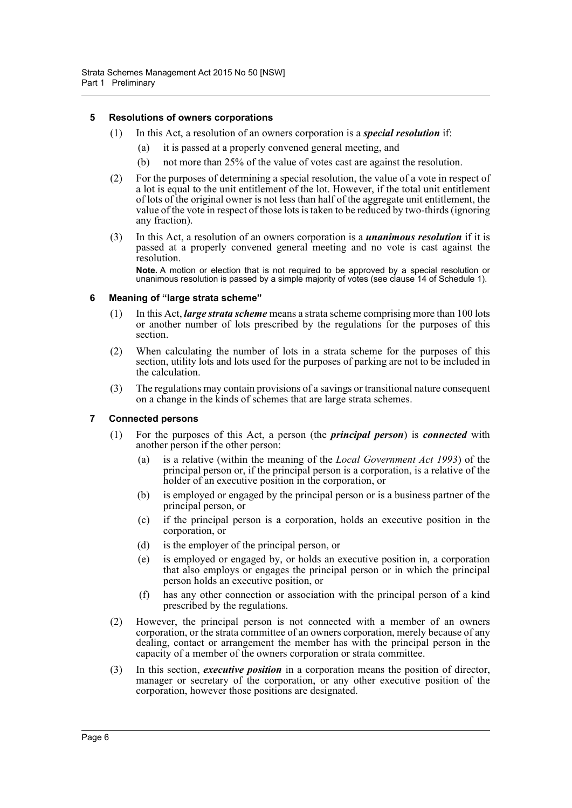# <span id="page-15-0"></span>**5 Resolutions of owners corporations**

- (1) In this Act, a resolution of an owners corporation is a *special resolution* if:
	- (a) it is passed at a properly convened general meeting, and
	- (b) not more than 25% of the value of votes cast are against the resolution.
- (2) For the purposes of determining a special resolution, the value of a vote in respect of a lot is equal to the unit entitlement of the lot. However, if the total unit entitlement of lots of the original owner is not less than half of the aggregate unit entitlement, the value of the vote in respect of those lots is taken to be reduced by two-thirds (ignoring any fraction).
- (3) In this Act, a resolution of an owners corporation is a *unanimous resolution* if it is passed at a properly convened general meeting and no vote is cast against the resolution.

**Note.** A motion or election that is not required to be approved by a special resolution or unanimous resolution is passed by a simple majority of votes (see clause 14 of Schedule 1).

#### <span id="page-15-1"></span>**6 Meaning of "large strata scheme"**

- (1) In this Act, *large strata scheme* means a strata scheme comprising more than 100 lots or another number of lots prescribed by the regulations for the purposes of this section.
- (2) When calculating the number of lots in a strata scheme for the purposes of this section, utility lots and lots used for the purposes of parking are not to be included in the calculation.
- (3) The regulations may contain provisions of a savings or transitional nature consequent on a change in the kinds of schemes that are large strata schemes.

# <span id="page-15-2"></span>**7 Connected persons**

- (1) For the purposes of this Act, a person (the *principal person*) is *connected* with another person if the other person:
	- (a) is a relative (within the meaning of the *Local Government Act 1993*) of the principal person or, if the principal person is a corporation, is a relative of the holder of an executive position in the corporation, or
	- (b) is employed or engaged by the principal person or is a business partner of the principal person, or
	- (c) if the principal person is a corporation, holds an executive position in the corporation, or
	- (d) is the employer of the principal person, or
	- (e) is employed or engaged by, or holds an executive position in, a corporation that also employs or engages the principal person or in which the principal person holds an executive position, or
	- (f) has any other connection or association with the principal person of a kind prescribed by the regulations.
- (2) However, the principal person is not connected with a member of an owners corporation, or the strata committee of an owners corporation, merely because of any dealing, contact or arrangement the member has with the principal person in the capacity of a member of the owners corporation or strata committee.
- (3) In this section, *executive position* in a corporation means the position of director, manager or secretary of the corporation, or any other executive position of the corporation, however those positions are designated.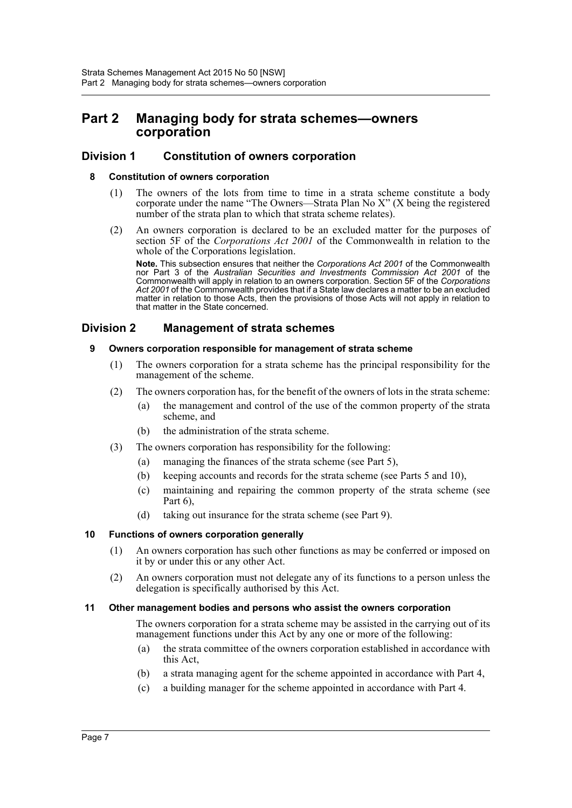# <span id="page-16-0"></span>**Part 2 Managing body for strata schemes—owners corporation**

# <span id="page-16-2"></span><span id="page-16-1"></span>**Division 1 Constitution of owners corporation**

# **8 Constitution of owners corporation**

- (1) The owners of the lots from time to time in a strata scheme constitute a body corporate under the name "The Owners—Strata Plan No X" (X being the registered number of the strata plan to which that strata scheme relates).
- (2) An owners corporation is declared to be an excluded matter for the purposes of section 5F of the *Corporations Act 2001* of the Commonwealth in relation to the whole of the Corporations legislation.

**Note.** This subsection ensures that neither the *Corporations Act 2001* of the Commonwealth nor Part 3 of the *Australian Securities and Investments Commission Act 2001* of the Commonwealth will apply in relation to an owners corporation. Section 5F of the *Corporations Act 2001* of the Commonwealth provides that if a State law declares a matter to be an excluded matter in relation to those Acts, then the provisions of those Acts will not apply in relation to that matter in the State concerned.

# <span id="page-16-4"></span><span id="page-16-3"></span>**Division 2 Management of strata schemes**

# **9 Owners corporation responsible for management of strata scheme**

- (1) The owners corporation for a strata scheme has the principal responsibility for the management of the scheme.
- (2) The owners corporation has, for the benefit of the owners of lots in the strata scheme:
	- (a) the management and control of the use of the common property of the strata scheme, and
	- (b) the administration of the strata scheme.
- (3) The owners corporation has responsibility for the following:
	- (a) managing the finances of the strata scheme (see Part 5),
	- (b) keeping accounts and records for the strata scheme (see Parts 5 and 10),
	- (c) maintaining and repairing the common property of the strata scheme (see Part 6),
	- (d) taking out insurance for the strata scheme (see Part 9).

# <span id="page-16-5"></span>**10 Functions of owners corporation generally**

- (1) An owners corporation has such other functions as may be conferred or imposed on it by or under this or any other Act.
- (2) An owners corporation must not delegate any of its functions to a person unless the delegation is specifically authorised by this Act.

# <span id="page-16-6"></span>**11 Other management bodies and persons who assist the owners corporation**

The owners corporation for a strata scheme may be assisted in the carrying out of its management functions under this Act by any one or more of the following:

- (a) the strata committee of the owners corporation established in accordance with this Act,
- (b) a strata managing agent for the scheme appointed in accordance with Part 4,
- (c) a building manager for the scheme appointed in accordance with Part 4.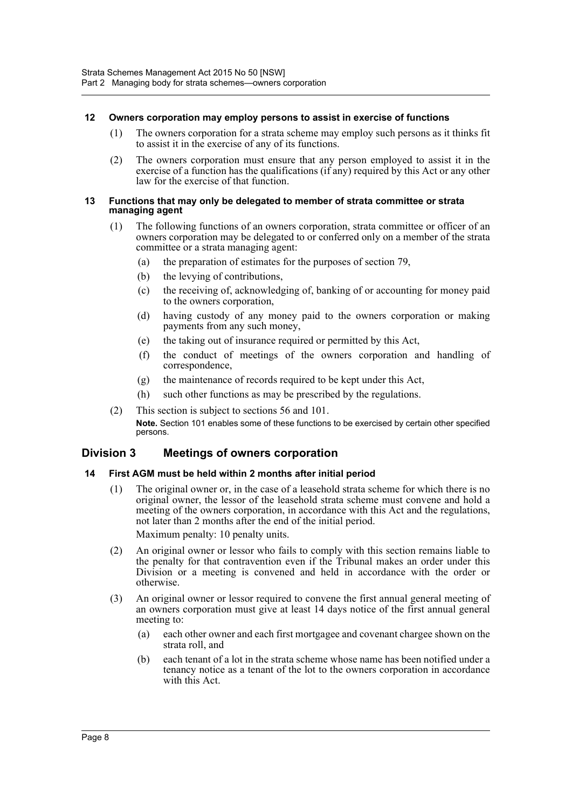# <span id="page-17-0"></span>**12 Owners corporation may employ persons to assist in exercise of functions**

- (1) The owners corporation for a strata scheme may employ such persons as it thinks fit to assist it in the exercise of any of its functions.
- (2) The owners corporation must ensure that any person employed to assist it in the exercise of a function has the qualifications (if any) required by this Act or any other law for the exercise of that function.

#### <span id="page-17-1"></span>**13 Functions that may only be delegated to member of strata committee or strata managing agent**

- (1) The following functions of an owners corporation, strata committee or officer of an owners corporation may be delegated to or conferred only on a member of the strata committee or a strata managing agent:
	- (a) the preparation of estimates for the purposes of section 79,
	- (b) the levying of contributions,
	- (c) the receiving of, acknowledging of, banking of or accounting for money paid to the owners corporation,
	- (d) having custody of any money paid to the owners corporation or making payments from any such money,
	- (e) the taking out of insurance required or permitted by this Act,
	- (f) the conduct of meetings of the owners corporation and handling of correspondence,
	- (g) the maintenance of records required to be kept under this Act,
	- (h) such other functions as may be prescribed by the regulations.
- (2) This section is subject to sections 56 and 101. **Note.** Section 101 enables some of these functions to be exercised by certain other specified persons.

# <span id="page-17-2"></span>**Division 3 Meetings of owners corporation**

# <span id="page-17-3"></span>**14 First AGM must be held within 2 months after initial period**

(1) The original owner or, in the case of a leasehold strata scheme for which there is no original owner, the lessor of the leasehold strata scheme must convene and hold a meeting of the owners corporation, in accordance with this Act and the regulations, not later than 2 months after the end of the initial period.

Maximum penalty: 10 penalty units.

- (2) An original owner or lessor who fails to comply with this section remains liable to the penalty for that contravention even if the Tribunal makes an order under this Division or a meeting is convened and held in accordance with the order or otherwise.
- (3) An original owner or lessor required to convene the first annual general meeting of an owners corporation must give at least 14 days notice of the first annual general meeting to:
	- (a) each other owner and each first mortgagee and covenant chargee shown on the strata roll, and
	- (b) each tenant of a lot in the strata scheme whose name has been notified under a tenancy notice as a tenant of the lot to the owners corporation in accordance with this Act.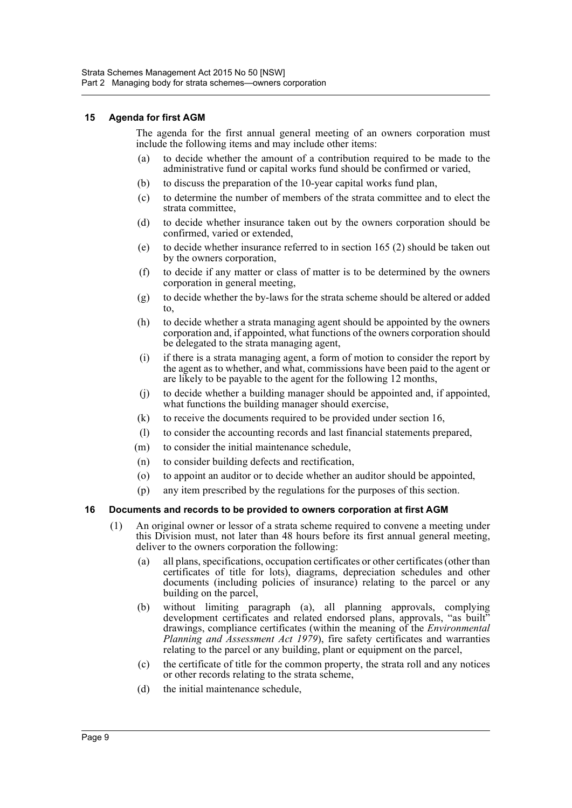# <span id="page-18-0"></span>**15 Agenda for first AGM**

The agenda for the first annual general meeting of an owners corporation must include the following items and may include other items:

- (a) to decide whether the amount of a contribution required to be made to the administrative fund or capital works fund should be confirmed or varied,
- (b) to discuss the preparation of the 10-year capital works fund plan,
- (c) to determine the number of members of the strata committee and to elect the strata committee,
- (d) to decide whether insurance taken out by the owners corporation should be confirmed, varied or extended,
- (e) to decide whether insurance referred to in section 165 (2) should be taken out by the owners corporation,
- (f) to decide if any matter or class of matter is to be determined by the owners corporation in general meeting,
- (g) to decide whether the by-laws for the strata scheme should be altered or added to,
- (h) to decide whether a strata managing agent should be appointed by the owners corporation and, if appointed, what functions of the owners corporation should be delegated to the strata managing agent,
- (i) if there is a strata managing agent, a form of motion to consider the report by the agent as to whether, and what, commissions have been paid to the agent or are likely to be payable to the agent for the following 12 months,
- (j) to decide whether a building manager should be appointed and, if appointed, what functions the building manager should exercise,
- (k) to receive the documents required to be provided under section 16,
- (l) to consider the accounting records and last financial statements prepared,
- (m) to consider the initial maintenance schedule,
- (n) to consider building defects and rectification,
- (o) to appoint an auditor or to decide whether an auditor should be appointed,
- (p) any item prescribed by the regulations for the purposes of this section.

# <span id="page-18-1"></span>**16 Documents and records to be provided to owners corporation at first AGM**

- (1) An original owner or lessor of a strata scheme required to convene a meeting under this Division must, not later than 48 hours before its first annual general meeting, deliver to the owners corporation the following:
	- (a) all plans, specifications, occupation certificates or other certificates (other than certificates of title for lots), diagrams, depreciation schedules and other documents (including policies of insurance) relating to the parcel or any building on the parcel,
	- (b) without limiting paragraph (a), all planning approvals, complying development certificates and related endorsed plans, approvals, "as built" drawings, compliance certificates (within the meaning of the *Environmental Planning and Assessment Act 1979*), fire safety certificates and warranties relating to the parcel or any building, plant or equipment on the parcel,
	- (c) the certificate of title for the common property, the strata roll and any notices or other records relating to the strata scheme,
	- (d) the initial maintenance schedule,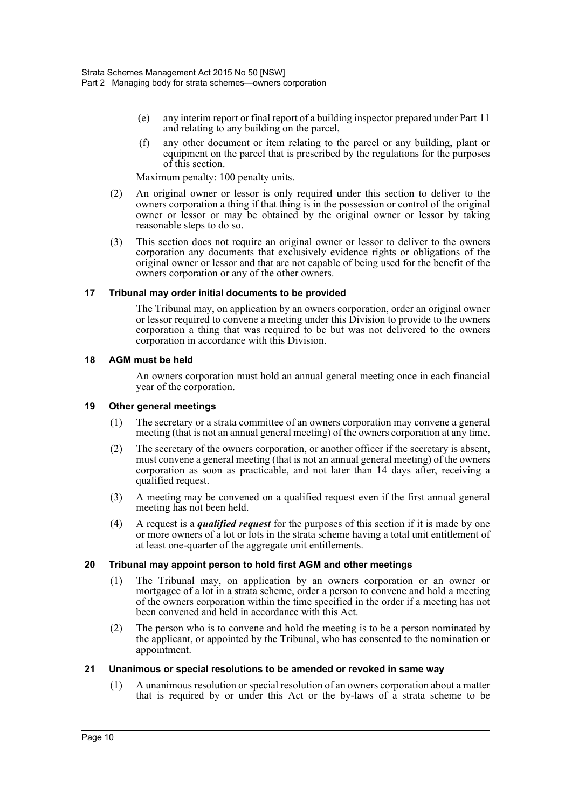- (e) any interim report or final report of a building inspector prepared under Part 11 and relating to any building on the parcel,
- (f) any other document or item relating to the parcel or any building, plant or equipment on the parcel that is prescribed by the regulations for the purposes of this section.

Maximum penalty: 100 penalty units.

- (2) An original owner or lessor is only required under this section to deliver to the owners corporation a thing if that thing is in the possession or control of the original owner or lessor or may be obtained by the original owner or lessor by taking reasonable steps to do so.
- (3) This section does not require an original owner or lessor to deliver to the owners corporation any documents that exclusively evidence rights or obligations of the original owner or lessor and that are not capable of being used for the benefit of the owners corporation or any of the other owners.

# <span id="page-19-0"></span>**17 Tribunal may order initial documents to be provided**

The Tribunal may, on application by an owners corporation, order an original owner or lessor required to convene a meeting under this Division to provide to the owners corporation a thing that was required to be but was not delivered to the owners corporation in accordance with this Division.

#### <span id="page-19-1"></span>**18 AGM must be held**

An owners corporation must hold an annual general meeting once in each financial year of the corporation.

#### <span id="page-19-2"></span>**19 Other general meetings**

- (1) The secretary or a strata committee of an owners corporation may convene a general meeting (that is not an annual general meeting) of the owners corporation at any time.
- (2) The secretary of the owners corporation, or another officer if the secretary is absent, must convene a general meeting (that is not an annual general meeting) of the owners corporation as soon as practicable, and not later than 14 days after, receiving a qualified request.
- (3) A meeting may be convened on a qualified request even if the first annual general meeting has not been held.
- (4) A request is a *qualified request* for the purposes of this section if it is made by one or more owners of a lot or lots in the strata scheme having a total unit entitlement of at least one-quarter of the aggregate unit entitlements.

# <span id="page-19-3"></span>**20 Tribunal may appoint person to hold first AGM and other meetings**

- (1) The Tribunal may, on application by an owners corporation or an owner or mortgagee of a lot in a strata scheme, order a person to convene and hold a meeting of the owners corporation within the time specified in the order if a meeting has not been convened and held in accordance with this Act.
- (2) The person who is to convene and hold the meeting is to be a person nominated by the applicant, or appointed by the Tribunal, who has consented to the nomination or appointment.

# <span id="page-19-4"></span>**21 Unanimous or special resolutions to be amended or revoked in same way**

(1) A unanimous resolution or special resolution of an owners corporation about a matter that is required by or under this Act or the by-laws of a strata scheme to be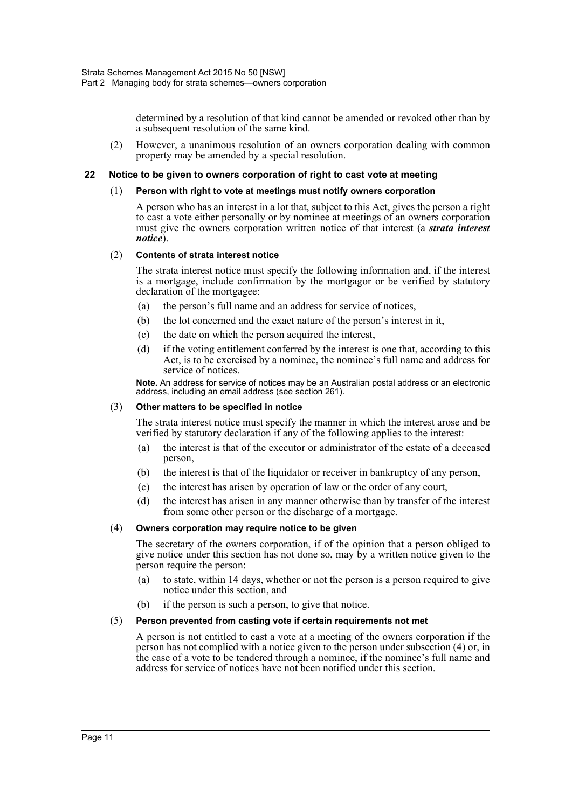determined by a resolution of that kind cannot be amended or revoked other than by a subsequent resolution of the same kind.

(2) However, a unanimous resolution of an owners corporation dealing with common property may be amended by a special resolution.

#### <span id="page-20-0"></span>**22 Notice to be given to owners corporation of right to cast vote at meeting**

#### (1) **Person with right to vote at meetings must notify owners corporation**

A person who has an interest in a lot that, subject to this Act, gives the person a right to cast a vote either personally or by nominee at meetings of an owners corporation must give the owners corporation written notice of that interest (a *strata interest notice*).

#### (2) **Contents of strata interest notice**

The strata interest notice must specify the following information and, if the interest is a mortgage, include confirmation by the mortgagor or be verified by statutory declaration of the mortgagee:

- (a) the person's full name and an address for service of notices,
- (b) the lot concerned and the exact nature of the person's interest in it,
- (c) the date on which the person acquired the interest,
- (d) if the voting entitlement conferred by the interest is one that, according to this Act, is to be exercised by a nominee, the nominee's full name and address for service of notices.

**Note.** An address for service of notices may be an Australian postal address or an electronic address, including an email address (see section 261).

#### (3) **Other matters to be specified in notice**

The strata interest notice must specify the manner in which the interest arose and be verified by statutory declaration if any of the following applies to the interest:

- (a) the interest is that of the executor or administrator of the estate of a deceased person,
- (b) the interest is that of the liquidator or receiver in bankruptcy of any person,
- (c) the interest has arisen by operation of law or the order of any court,
- (d) the interest has arisen in any manner otherwise than by transfer of the interest from some other person or the discharge of a mortgage.

# (4) **Owners corporation may require notice to be given**

The secretary of the owners corporation, if of the opinion that a person obliged to give notice under this section has not done so, may by a written notice given to the person require the person:

- (a) to state, within 14 days, whether or not the person is a person required to give notice under this section, and
- (b) if the person is such a person, to give that notice.

#### (5) **Person prevented from casting vote if certain requirements not met**

A person is not entitled to cast a vote at a meeting of the owners corporation if the person has not complied with a notice given to the person under subsection (4) or, in the case of a vote to be tendered through a nominee, if the nominee's full name and address for service of notices have not been notified under this section.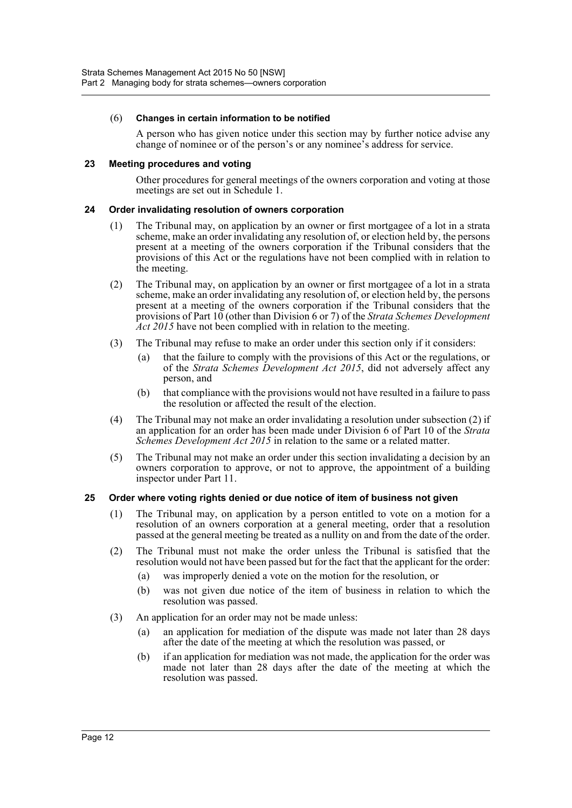#### (6) **Changes in certain information to be notified**

A person who has given notice under this section may by further notice advise any change of nominee or of the person's or any nominee's address for service.

#### <span id="page-21-0"></span>**23 Meeting procedures and voting**

Other procedures for general meetings of the owners corporation and voting at those meetings are set out in Schedule 1.

#### <span id="page-21-1"></span>**24 Order invalidating resolution of owners corporation**

- (1) The Tribunal may, on application by an owner or first mortgagee of a lot in a strata scheme, make an order invalidating any resolution of, or election held by, the persons present at a meeting of the owners corporation if the Tribunal considers that the provisions of this Act or the regulations have not been complied with in relation to the meeting.
- (2) The Tribunal may, on application by an owner or first mortgagee of a lot in a strata scheme, make an order invalidating any resolution of, or election held by, the persons present at a meeting of the owners corporation if the Tribunal considers that the provisions of Part 10 (other than Division 6 or 7) of the *Strata Schemes Development Act 2015* have not been complied with in relation to the meeting.
- (3) The Tribunal may refuse to make an order under this section only if it considers:
	- (a) that the failure to comply with the provisions of this Act or the regulations, or of the *Strata Schemes Development Act 2015*, did not adversely affect any person, and
	- (b) that compliance with the provisions would not have resulted in a failure to pass the resolution or affected the result of the election.
- (4) The Tribunal may not make an order invalidating a resolution under subsection (2) if an application for an order has been made under Division 6 of Part 10 of the *Strata Schemes Development Act 2015* in relation to the same or a related matter.
- (5) The Tribunal may not make an order under this section invalidating a decision by an owners corporation to approve, or not to approve, the appointment of a building inspector under Part 11.

# <span id="page-21-2"></span>**25 Order where voting rights denied or due notice of item of business not given**

- (1) The Tribunal may, on application by a person entitled to vote on a motion for a resolution of an owners corporation at a general meeting, order that a resolution passed at the general meeting be treated as a nullity on and from the date of the order.
- (2) The Tribunal must not make the order unless the Tribunal is satisfied that the resolution would not have been passed but for the fact that the applicant for the order:
	- (a) was improperly denied a vote on the motion for the resolution, or
	- (b) was not given due notice of the item of business in relation to which the resolution was passed.
- (3) An application for an order may not be made unless:
	- (a) an application for mediation of the dispute was made not later than 28 days after the date of the meeting at which the resolution was passed, or
	- (b) if an application for mediation was not made, the application for the order was made not later than 28 days after the date of the meeting at which the resolution was passed.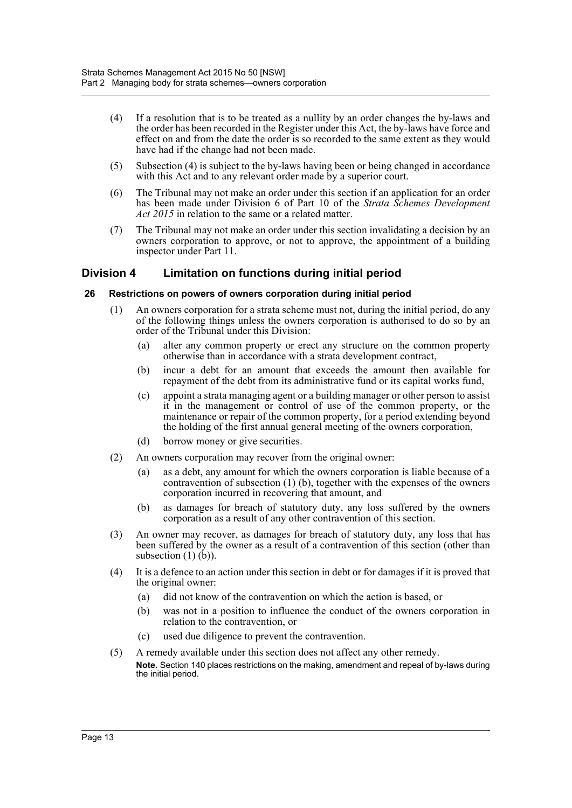- (4) If a resolution that is to be treated as a nullity by an order changes the by-laws and the order has been recorded in the Register under this Act, the by-laws have force and effect on and from the date the order is so recorded to the same extent as they would have had if the change had not been made.
- (5) Subsection (4) is subject to the by-laws having been or being changed in accordance with this Act and to any relevant order made by a superior court.
- (6) The Tribunal may not make an order under this section if an application for an order has been made under Division 6 of Part 10 of the *Strata Schemes Development Act 2015* in relation to the same or a related matter.
- (7) The Tribunal may not make an order under this section invalidating a decision by an owners corporation to approve, or not to approve, the appointment of a building inspector under Part 11.

# <span id="page-22-0"></span>**Division 4 Limitation on functions during initial period**

# <span id="page-22-1"></span>**26 Restrictions on powers of owners corporation during initial period**

- (1) An owners corporation for a strata scheme must not, during the initial period, do any of the following things unless the owners corporation is authorised to do so by an order of the Tribunal under this Division:
	- (a) alter any common property or erect any structure on the common property otherwise than in accordance with a strata development contract,
	- (b) incur a debt for an amount that exceeds the amount then available for repayment of the debt from its administrative fund or its capital works fund,
	- (c) appoint a strata managing agent or a building manager or other person to assist it in the management or control of use of the common property, or the maintenance or repair of the common property, for a period extending beyond the holding of the first annual general meeting of the owners corporation,
	- (d) borrow money or give securities.
- (2) An owners corporation may recover from the original owner:
	- (a) as a debt, any amount for which the owners corporation is liable because of a contravention of subsection (1) (b), together with the expenses of the owners corporation incurred in recovering that amount, and
	- (b) as damages for breach of statutory duty, any loss suffered by the owners corporation as a result of any other contravention of this section.
- (3) An owner may recover, as damages for breach of statutory duty, any loss that has been suffered by the owner as a result of a contravention of this section (other than subsection  $(1)$  $(b)$ ).
- (4) It is a defence to an action under this section in debt or for damages if it is proved that the original owner:
	- (a) did not know of the contravention on which the action is based, or
	- (b) was not in a position to influence the conduct of the owners corporation in relation to the contravention, or
	- (c) used due diligence to prevent the contravention.
- (5) A remedy available under this section does not affect any other remedy. **Note.** Section 140 places restrictions on the making, amendment and repeal of by-laws during the initial period.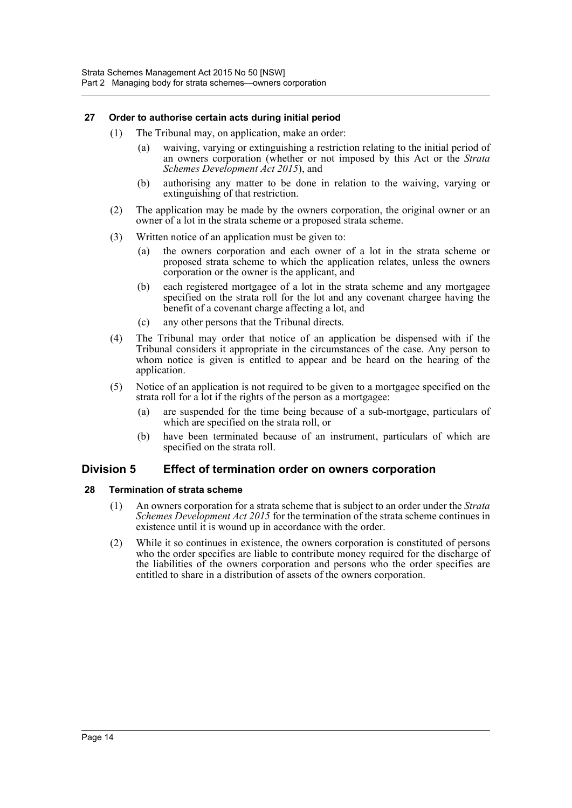# <span id="page-23-0"></span>**27 Order to authorise certain acts during initial period**

- (1) The Tribunal may, on application, make an order:
	- (a) waiving, varying or extinguishing a restriction relating to the initial period of an owners corporation (whether or not imposed by this Act or the *Strata Schemes Development Act 2015*), and
	- (b) authorising any matter to be done in relation to the waiving, varying or extinguishing of that restriction.
- (2) The application may be made by the owners corporation, the original owner or an owner of a lot in the strata scheme or a proposed strata scheme.
- (3) Written notice of an application must be given to:
	- (a) the owners corporation and each owner of a lot in the strata scheme or proposed strata scheme to which the application relates, unless the owners corporation or the owner is the applicant, and
	- (b) each registered mortgagee of a lot in the strata scheme and any mortgagee specified on the strata roll for the lot and any covenant chargee having the benefit of a covenant charge affecting a lot, and
	- (c) any other persons that the Tribunal directs.
- (4) The Tribunal may order that notice of an application be dispensed with if the Tribunal considers it appropriate in the circumstances of the case. Any person to whom notice is given is entitled to appear and be heard on the hearing of the application.
- (5) Notice of an application is not required to be given to a mortgagee specified on the strata roll for a lot if the rights of the person as a mortgagee:
	- (a) are suspended for the time being because of a sub-mortgage, particulars of which are specified on the strata roll, or
	- (b) have been terminated because of an instrument, particulars of which are specified on the strata roll.

# <span id="page-23-1"></span>**Division 5 Effect of termination order on owners corporation**

# <span id="page-23-2"></span>**28 Termination of strata scheme**

- (1) An owners corporation for a strata scheme that is subject to an order under the *Strata Schemes Development Act 2015* for the termination of the strata scheme continues in existence until it is wound up in accordance with the order.
- (2) While it so continues in existence, the owners corporation is constituted of persons who the order specifies are liable to contribute money required for the discharge of the liabilities of the owners corporation and persons who the order specifies are entitled to share in a distribution of assets of the owners corporation.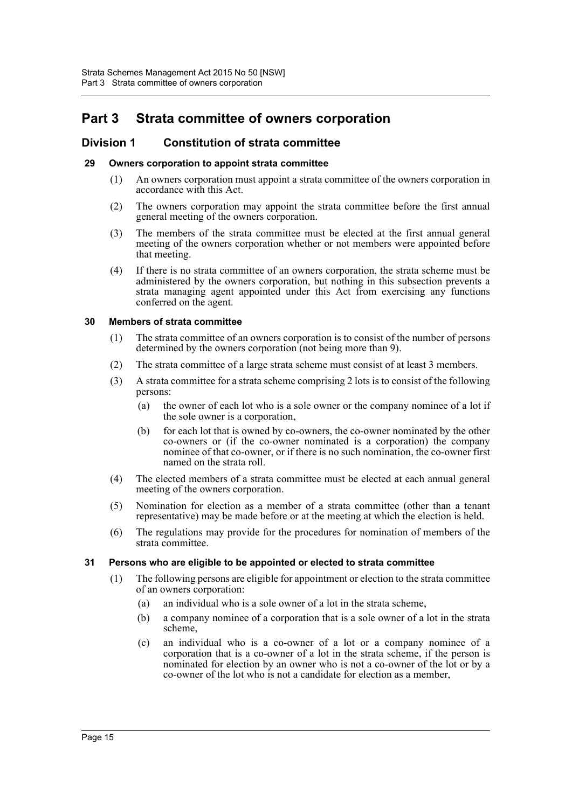# <span id="page-24-0"></span>**Part 3 Strata committee of owners corporation**

# <span id="page-24-1"></span>**Division 1 Constitution of strata committee**

#### <span id="page-24-2"></span>**29 Owners corporation to appoint strata committee**

- (1) An owners corporation must appoint a strata committee of the owners corporation in accordance with this Act.
- (2) The owners corporation may appoint the strata committee before the first annual general meeting of the owners corporation.
- (3) The members of the strata committee must be elected at the first annual general meeting of the owners corporation whether or not members were appointed before that meeting.
- (4) If there is no strata committee of an owners corporation, the strata scheme must be administered by the owners corporation, but nothing in this subsection prevents a strata managing agent appointed under this Act from exercising any functions conferred on the agent.

#### <span id="page-24-3"></span>**30 Members of strata committee**

- (1) The strata committee of an owners corporation is to consist of the number of persons determined by the owners corporation (not being more than 9).
- (2) The strata committee of a large strata scheme must consist of at least 3 members.
- (3) A strata committee for a strata scheme comprising 2 lots is to consist of the following persons:
	- (a) the owner of each lot who is a sole owner or the company nominee of a lot if the sole owner is a corporation,
	- (b) for each lot that is owned by co-owners, the co-owner nominated by the other co-owners or (if the co-owner nominated is a corporation) the company nominee of that co-owner, or if there is no such nomination, the co-owner first named on the strata roll.
- (4) The elected members of a strata committee must be elected at each annual general meeting of the owners corporation.
- (5) Nomination for election as a member of a strata committee (other than a tenant representative) may be made before or at the meeting at which the election is held.
- (6) The regulations may provide for the procedures for nomination of members of the strata committee.

# <span id="page-24-4"></span>**31 Persons who are eligible to be appointed or elected to strata committee**

- (1) The following persons are eligible for appointment or election to the strata committee of an owners corporation:
	- (a) an individual who is a sole owner of a lot in the strata scheme,
	- (b) a company nominee of a corporation that is a sole owner of a lot in the strata scheme,
	- (c) an individual who is a co-owner of a lot or a company nominee of a corporation that is a co-owner of a lot in the strata scheme, if the person is nominated for election by an owner who is not a co-owner of the lot or by a co-owner of the lot who is not a candidate for election as a member,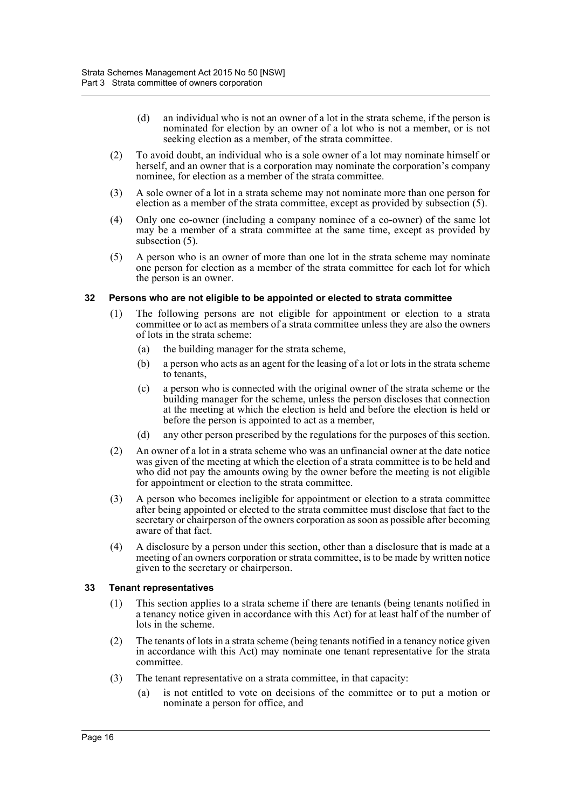- (d) an individual who is not an owner of a lot in the strata scheme, if the person is nominated for election by an owner of a lot who is not a member, or is not seeking election as a member, of the strata committee.
- (2) To avoid doubt, an individual who is a sole owner of a lot may nominate himself or herself, and an owner that is a corporation may nominate the corporation's company nominee, for election as a member of the strata committee.
- (3) A sole owner of a lot in a strata scheme may not nominate more than one person for election as a member of the strata committee, except as provided by subsection (5).
- (4) Only one co-owner (including a company nominee of a co-owner) of the same lot may be a member of a strata committee at the same time, except as provided by subsection  $(5)$ .
- (5) A person who is an owner of more than one lot in the strata scheme may nominate one person for election as a member of the strata committee for each lot for which the person is an owner.

# <span id="page-25-0"></span>**32 Persons who are not eligible to be appointed or elected to strata committee**

- (1) The following persons are not eligible for appointment or election to a strata committee or to act as members of a strata committee unless they are also the owners of lots in the strata scheme:
	- (a) the building manager for the strata scheme,
	- (b) a person who acts as an agent for the leasing of a lot or lots in the strata scheme to tenants,
	- (c) a person who is connected with the original owner of the strata scheme or the building manager for the scheme, unless the person discloses that connection at the meeting at which the election is held and before the election is held or before the person is appointed to act as a member,
	- (d) any other person prescribed by the regulations for the purposes of this section.
- (2) An owner of a lot in a strata scheme who was an unfinancial owner at the date notice was given of the meeting at which the election of a strata committee is to be held and who did not pay the amounts owing by the owner before the meeting is not eligible for appointment or election to the strata committee.
- (3) A person who becomes ineligible for appointment or election to a strata committee after being appointed or elected to the strata committee must disclose that fact to the secretary or chairperson of the owners corporation as soon as possible after becoming aware of that fact.
- (4) A disclosure by a person under this section, other than a disclosure that is made at a meeting of an owners corporation or strata committee, is to be made by written notice given to the secretary or chairperson.

# <span id="page-25-1"></span>**33 Tenant representatives**

- (1) This section applies to a strata scheme if there are tenants (being tenants notified in a tenancy notice given in accordance with this Act) for at least half of the number of lots in the scheme.
- (2) The tenants of lots in a strata scheme (being tenants notified in a tenancy notice given in accordance with this Act) may nominate one tenant representative for the strata committee.
- (3) The tenant representative on a strata committee, in that capacity:
	- (a) is not entitled to vote on decisions of the committee or to put a motion or nominate a person for office, and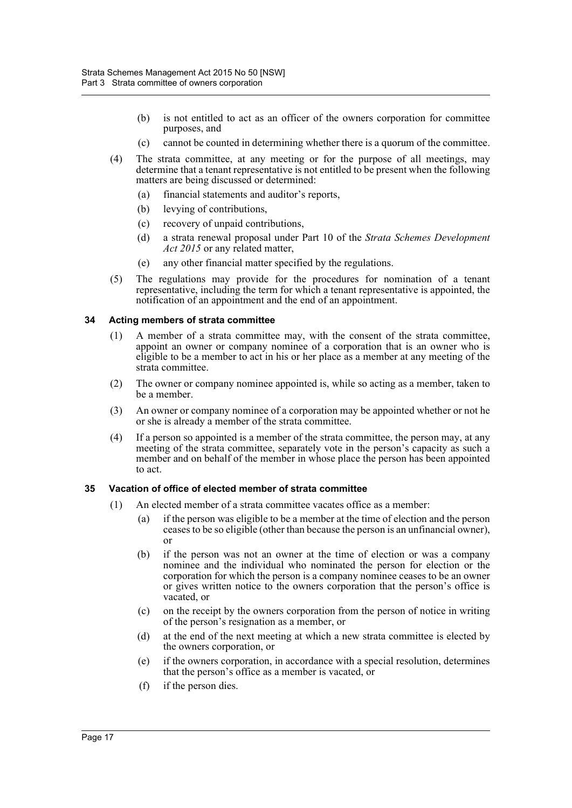- (b) is not entitled to act as an officer of the owners corporation for committee purposes, and
- (c) cannot be counted in determining whether there is a quorum of the committee.
- (4) The strata committee, at any meeting or for the purpose of all meetings, may determine that a tenant representative is not entitled to be present when the following matters are being discussed or determined:
	- (a) financial statements and auditor's reports,
	- (b) levying of contributions,
	- (c) recovery of unpaid contributions,
	- (d) a strata renewal proposal under Part 10 of the *Strata Schemes Development Act 2015* or any related matter,
	- (e) any other financial matter specified by the regulations.
- (5) The regulations may provide for the procedures for nomination of a tenant representative, including the term for which a tenant representative is appointed, the notification of an appointment and the end of an appointment.

#### <span id="page-26-0"></span>**34 Acting members of strata committee**

- (1) A member of a strata committee may, with the consent of the strata committee, appoint an owner or company nominee of a corporation that is an owner who is eligible to be a member to act in his or her place as a member at any meeting of the strata committee.
- (2) The owner or company nominee appointed is, while so acting as a member, taken to be a member.
- (3) An owner or company nominee of a corporation may be appointed whether or not he or she is already a member of the strata committee.
- (4) If a person so appointed is a member of the strata committee, the person may, at any meeting of the strata committee, separately vote in the person's capacity as such a member and on behalf of the member in whose place the person has been appointed to act.

# <span id="page-26-1"></span>**35 Vacation of office of elected member of strata committee**

- (1) An elected member of a strata committee vacates office as a member:
	- (a) if the person was eligible to be a member at the time of election and the person ceases to be so eligible (other than because the person is an unfinancial owner), or
	- (b) if the person was not an owner at the time of election or was a company nominee and the individual who nominated the person for election or the corporation for which the person is a company nominee ceases to be an owner or gives written notice to the owners corporation that the person's office is vacated, or
	- (c) on the receipt by the owners corporation from the person of notice in writing of the person's resignation as a member, or
	- (d) at the end of the next meeting at which a new strata committee is elected by the owners corporation, or
	- (e) if the owners corporation, in accordance with a special resolution, determines that the person's office as a member is vacated, or
	- (f) if the person dies.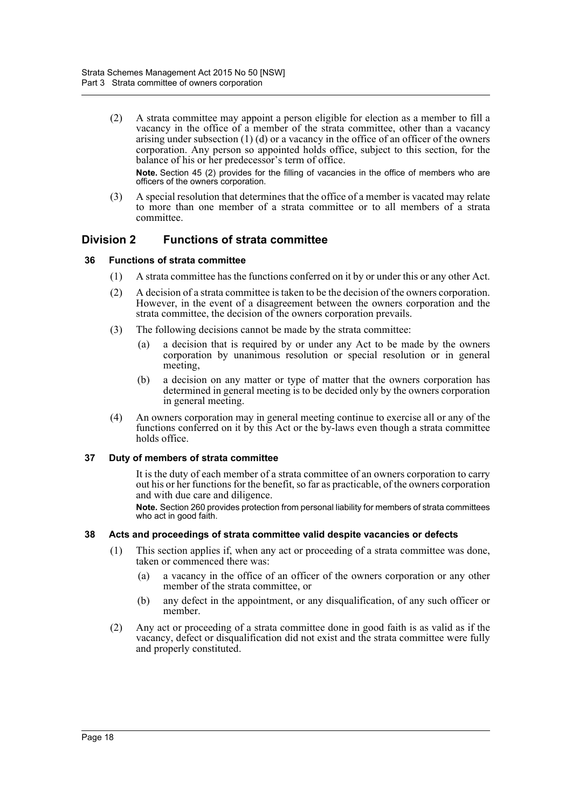(2) A strata committee may appoint a person eligible for election as a member to fill a vacancy in the office of a member of the strata committee, other than a vacancy arising under subsection (1) (d) or a vacancy in the office of an officer of the owners corporation. Any person so appointed holds office, subject to this section, for the balance of his or her predecessor's term of office.

**Note.** Section 45 (2) provides for the filling of vacancies in the office of members who are officers of the owners corporation.

(3) A special resolution that determines that the office of a member is vacated may relate to more than one member of a strata committee or to all members of a strata committee.

# <span id="page-27-0"></span>**Division 2 Functions of strata committee**

# <span id="page-27-1"></span>**36 Functions of strata committee**

- (1) A strata committee has the functions conferred on it by or under this or any other Act.
- (2) A decision of a strata committee is taken to be the decision of the owners corporation. However, in the event of a disagreement between the owners corporation and the strata committee, the decision of the owners corporation prevails.
- (3) The following decisions cannot be made by the strata committee:
	- (a) a decision that is required by or under any Act to be made by the owners corporation by unanimous resolution or special resolution or in general meeting,
	- (b) a decision on any matter or type of matter that the owners corporation has determined in general meeting is to be decided only by the owners corporation in general meeting.
- (4) An owners corporation may in general meeting continue to exercise all or any of the functions conferred on it by this Act or the by-laws even though a strata committee holds office.

# <span id="page-27-2"></span>**37 Duty of members of strata committee**

It is the duty of each member of a strata committee of an owners corporation to carry out his or her functions for the benefit, so far as practicable, of the owners corporation and with due care and diligence.

**Note.** Section 260 provides protection from personal liability for members of strata committees who act in good faith.

# <span id="page-27-3"></span>**38 Acts and proceedings of strata committee valid despite vacancies or defects**

- (1) This section applies if, when any act or proceeding of a strata committee was done, taken or commenced there was:
	- (a) a vacancy in the office of an officer of the owners corporation or any other member of the strata committee, or
	- (b) any defect in the appointment, or any disqualification, of any such officer or member.
- (2) Any act or proceeding of a strata committee done in good faith is as valid as if the vacancy, defect or disqualification did not exist and the strata committee were fully and properly constituted.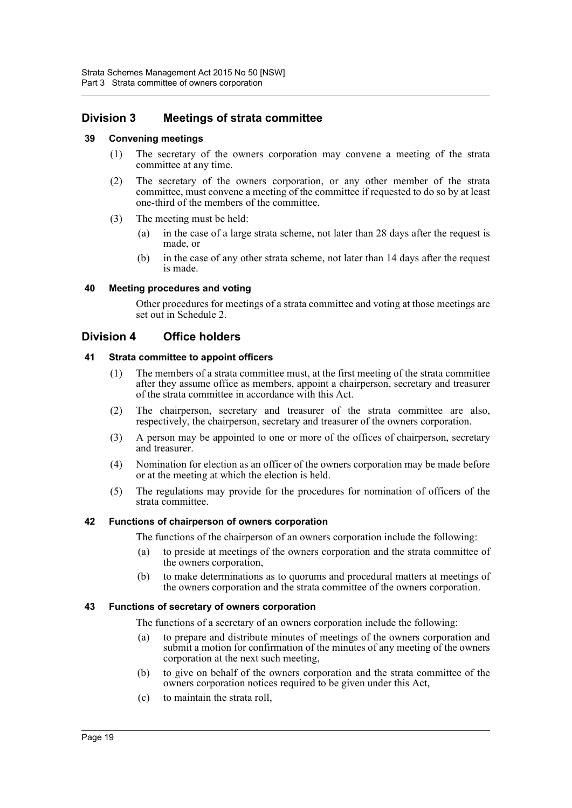# <span id="page-28-0"></span>**Division 3 Meetings of strata committee**

# <span id="page-28-1"></span>**39 Convening meetings**

- (1) The secretary of the owners corporation may convene a meeting of the strata committee at any time.
- (2) The secretary of the owners corporation, or any other member of the strata committee, must convene a meeting of the committee if requested to do so by at least one-third of the members of the committee.
- (3) The meeting must be held:
	- (a) in the case of a large strata scheme, not later than 28 days after the request is made, or
	- (b) in the case of any other strata scheme, not later than 14 days after the request is made.

# <span id="page-28-2"></span>**40 Meeting procedures and voting**

Other procedures for meetings of a strata committee and voting at those meetings are set out in Schedule 2.

# <span id="page-28-3"></span>**Division 4 Office holders**

# <span id="page-28-4"></span>**41 Strata committee to appoint officers**

- (1) The members of a strata committee must, at the first meeting of the strata committee after they assume office as members, appoint a chairperson, secretary and treasurer of the strata committee in accordance with this Act.
- (2) The chairperson, secretary and treasurer of the strata committee are also, respectively, the chairperson, secretary and treasurer of the owners corporation.
- (3) A person may be appointed to one or more of the offices of chairperson, secretary and treasurer.
- (4) Nomination for election as an officer of the owners corporation may be made before or at the meeting at which the election is held.
- (5) The regulations may provide for the procedures for nomination of officers of the strata committee.

# <span id="page-28-5"></span>**42 Functions of chairperson of owners corporation**

The functions of the chairperson of an owners corporation include the following:

- (a) to preside at meetings of the owners corporation and the strata committee of the owners corporation,
- (b) to make determinations as to quorums and procedural matters at meetings of the owners corporation and the strata committee of the owners corporation.

# <span id="page-28-6"></span>**43 Functions of secretary of owners corporation**

The functions of a secretary of an owners corporation include the following:

- (a) to prepare and distribute minutes of meetings of the owners corporation and submit a motion for confirmation of the minutes of any meeting of the owners corporation at the next such meeting,
- (b) to give on behalf of the owners corporation and the strata committee of the owners corporation notices required to be given under this Act,
- (c) to maintain the strata roll,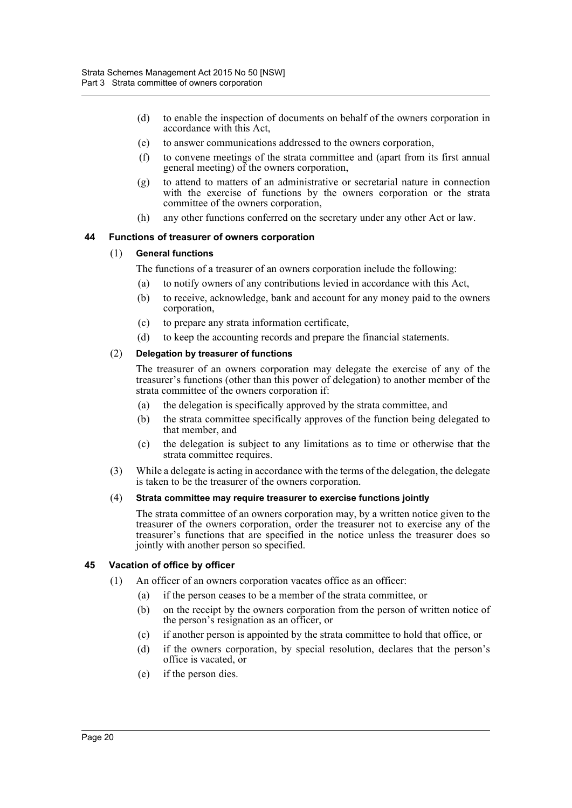- (d) to enable the inspection of documents on behalf of the owners corporation in accordance with this Act,
- (e) to answer communications addressed to the owners corporation,
- (f) to convene meetings of the strata committee and (apart from its first annual general meeting) of the owners corporation,
- (g) to attend to matters of an administrative or secretarial nature in connection with the exercise of functions by the owners corporation or the strata committee of the owners corporation,
- (h) any other functions conferred on the secretary under any other Act or law.

# <span id="page-29-0"></span>**44 Functions of treasurer of owners corporation**

# (1) **General functions**

The functions of a treasurer of an owners corporation include the following:

- (a) to notify owners of any contributions levied in accordance with this Act,
- (b) to receive, acknowledge, bank and account for any money paid to the owners corporation,
- (c) to prepare any strata information certificate,
- (d) to keep the accounting records and prepare the financial statements.

# (2) **Delegation by treasurer of functions**

The treasurer of an owners corporation may delegate the exercise of any of the treasurer's functions (other than this power of delegation) to another member of the strata committee of the owners corporation if:

- (a) the delegation is specifically approved by the strata committee, and
- (b) the strata committee specifically approves of the function being delegated to that member, and
- (c) the delegation is subject to any limitations as to time or otherwise that the strata committee requires.
- (3) While a delegate is acting in accordance with the terms of the delegation, the delegate is taken to be the treasurer of the owners corporation.

# (4) **Strata committee may require treasurer to exercise functions jointly**

The strata committee of an owners corporation may, by a written notice given to the treasurer of the owners corporation, order the treasurer not to exercise any of the treasurer's functions that are specified in the notice unless the treasurer does so jointly with another person so specified.

# <span id="page-29-1"></span>**45 Vacation of office by officer**

- (1) An officer of an owners corporation vacates office as an officer:
	- (a) if the person ceases to be a member of the strata committee, or
	- (b) on the receipt by the owners corporation from the person of written notice of the person's resignation as an officer, or
	- (c) if another person is appointed by the strata committee to hold that office, or
	- (d) if the owners corporation, by special resolution, declares that the person's office is vacated, or
	- (e) if the person dies.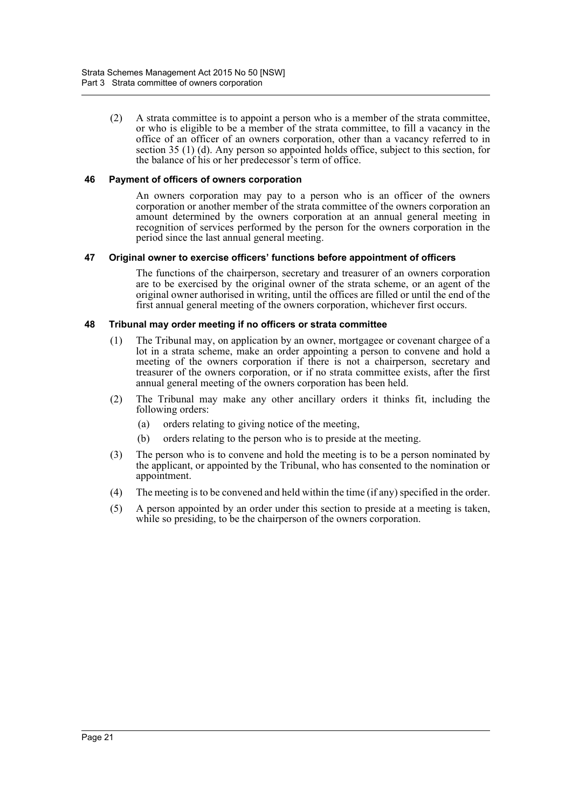(2) A strata committee is to appoint a person who is a member of the strata committee, or who is eligible to be a member of the strata committee, to fill a vacancy in the office of an officer of an owners corporation, other than a vacancy referred to in section 35 (1) (d). Any person so appointed holds office, subject to this section, for the balance of his or her predecessor's term of office.

# <span id="page-30-0"></span>**46 Payment of officers of owners corporation**

An owners corporation may pay to a person who is an officer of the owners corporation or another member of the strata committee of the owners corporation an amount determined by the owners corporation at an annual general meeting in recognition of services performed by the person for the owners corporation in the period since the last annual general meeting.

#### <span id="page-30-1"></span>**47 Original owner to exercise officers' functions before appointment of officers**

The functions of the chairperson, secretary and treasurer of an owners corporation are to be exercised by the original owner of the strata scheme, or an agent of the original owner authorised in writing, until the offices are filled or until the end of the first annual general meeting of the owners corporation, whichever first occurs.

#### <span id="page-30-2"></span>**48 Tribunal may order meeting if no officers or strata committee**

- (1) The Tribunal may, on application by an owner, mortgagee or covenant chargee of a lot in a strata scheme, make an order appointing a person to convene and hold a meeting of the owners corporation if there is not a chairperson, secretary and treasurer of the owners corporation, or if no strata committee exists, after the first annual general meeting of the owners corporation has been held.
- (2) The Tribunal may make any other ancillary orders it thinks fit, including the following orders:
	- (a) orders relating to giving notice of the meeting,
	- (b) orders relating to the person who is to preside at the meeting.
- (3) The person who is to convene and hold the meeting is to be a person nominated by the applicant, or appointed by the Tribunal, who has consented to the nomination or appointment.
- (4) The meeting is to be convened and held within the time (if any) specified in the order.
- (5) A person appointed by an order under this section to preside at a meeting is taken, while so presiding, to be the chairperson of the owners corporation.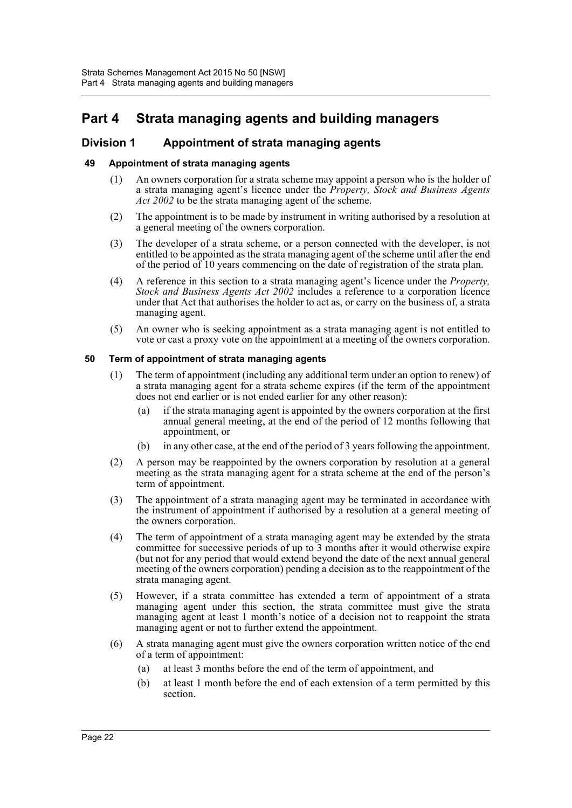# <span id="page-31-0"></span>**Part 4 Strata managing agents and building managers**

# <span id="page-31-1"></span>**Division 1 Appointment of strata managing agents**

# <span id="page-31-2"></span>**49 Appointment of strata managing agents**

- (1) An owners corporation for a strata scheme may appoint a person who is the holder of a strata managing agent's licence under the *Property, Stock and Business Agents Act 2002* to be the strata managing agent of the scheme.
- (2) The appointment is to be made by instrument in writing authorised by a resolution at a general meeting of the owners corporation.
- (3) The developer of a strata scheme, or a person connected with the developer, is not entitled to be appointed as the strata managing agent of the scheme until after the end of the period of 10 years commencing on the date of registration of the strata plan.
- (4) A reference in this section to a strata managing agent's licence under the *Property, Stock and Business Agents Act 2002* includes a reference to a corporation licence under that Act that authorises the holder to act as, or carry on the business of, a strata managing agent.
- (5) An owner who is seeking appointment as a strata managing agent is not entitled to vote or cast a proxy vote on the appointment at a meeting of the owners corporation.

# <span id="page-31-3"></span>**50 Term of appointment of strata managing agents**

- (1) The term of appointment (including any additional term under an option to renew) of a strata managing agent for a strata scheme expires (if the term of the appointment does not end earlier or is not ended earlier for any other reason):
	- (a) if the strata managing agent is appointed by the owners corporation at the first annual general meeting, at the end of the period of 12 months following that appointment, or
	- (b) in any other case, at the end of the period of 3 years following the appointment.
- (2) A person may be reappointed by the owners corporation by resolution at a general meeting as the strata managing agent for a strata scheme at the end of the person's term of appointment.
- (3) The appointment of a strata managing agent may be terminated in accordance with the instrument of appointment if authorised by a resolution at a general meeting of the owners corporation.
- (4) The term of appointment of a strata managing agent may be extended by the strata committee for successive periods of up to 3 months after it would otherwise expire (but not for any period that would extend beyond the date of the next annual general meeting of the owners corporation) pending a decision as to the reappointment of the strata managing agent.
- (5) However, if a strata committee has extended a term of appointment of a strata managing agent under this section, the strata committee must give the strata managing agent at least 1 month's notice of a decision not to reappoint the strata managing agent or not to further extend the appointment.
- (6) A strata managing agent must give the owners corporation written notice of the end of a term of appointment:
	- (a) at least 3 months before the end of the term of appointment, and
	- (b) at least 1 month before the end of each extension of a term permitted by this section.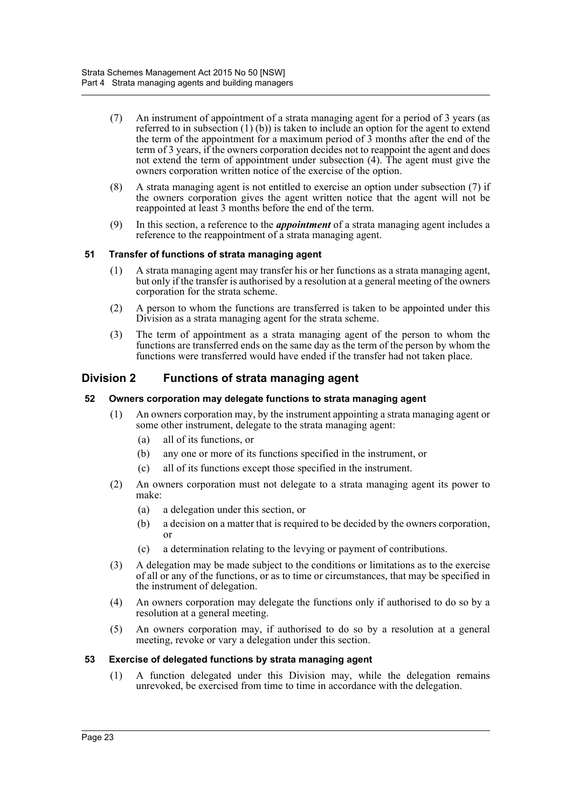- (7) An instrument of appointment of a strata managing agent for a period of 3 years (as referred to in subsection  $(1)$  (b)) is taken to include an option for the agent to extend the term of the appointment for a maximum period of 3 months after the end of the term of 3 years, if the owners corporation decides not to reappoint the agent and does not extend the term of appointment under subsection (4). The agent must give the owners corporation written notice of the exercise of the option.
- (8) A strata managing agent is not entitled to exercise an option under subsection (7) if the owners corporation gives the agent written notice that the agent will not be reappointed at least 3 months before the end of the term.
- (9) In this section, a reference to the *appointment* of a strata managing agent includes a reference to the reappointment of a strata managing agent.

# <span id="page-32-0"></span>**51 Transfer of functions of strata managing agent**

- (1) A strata managing agent may transfer his or her functions as a strata managing agent, but only if the transfer is authorised by a resolution at a general meeting of the owners corporation for the strata scheme.
- (2) A person to whom the functions are transferred is taken to be appointed under this Division as a strata managing agent for the strata scheme.
- (3) The term of appointment as a strata managing agent of the person to whom the functions are transferred ends on the same day as the term of the person by whom the functions were transferred would have ended if the transfer had not taken place.

# <span id="page-32-1"></span>**Division 2 Functions of strata managing agent**

# <span id="page-32-2"></span>**52 Owners corporation may delegate functions to strata managing agent**

- (1) An owners corporation may, by the instrument appointing a strata managing agent or some other instrument, delegate to the strata managing agent:
	- (a) all of its functions, or
	- (b) any one or more of its functions specified in the instrument, or
	- (c) all of its functions except those specified in the instrument.
- (2) An owners corporation must not delegate to a strata managing agent its power to make:
	- (a) a delegation under this section, or
	- (b) a decision on a matter that is required to be decided by the owners corporation, or
	- (c) a determination relating to the levying or payment of contributions.
- (3) A delegation may be made subject to the conditions or limitations as to the exercise of all or any of the functions, or as to time or circumstances, that may be specified in the instrument of delegation.
- (4) An owners corporation may delegate the functions only if authorised to do so by a resolution at a general meeting.
- (5) An owners corporation may, if authorised to do so by a resolution at a general meeting, revoke or vary a delegation under this section.

# <span id="page-32-3"></span>**53 Exercise of delegated functions by strata managing agent**

(1) A function delegated under this Division may, while the delegation remains unrevoked, be exercised from time to time in accordance with the delegation.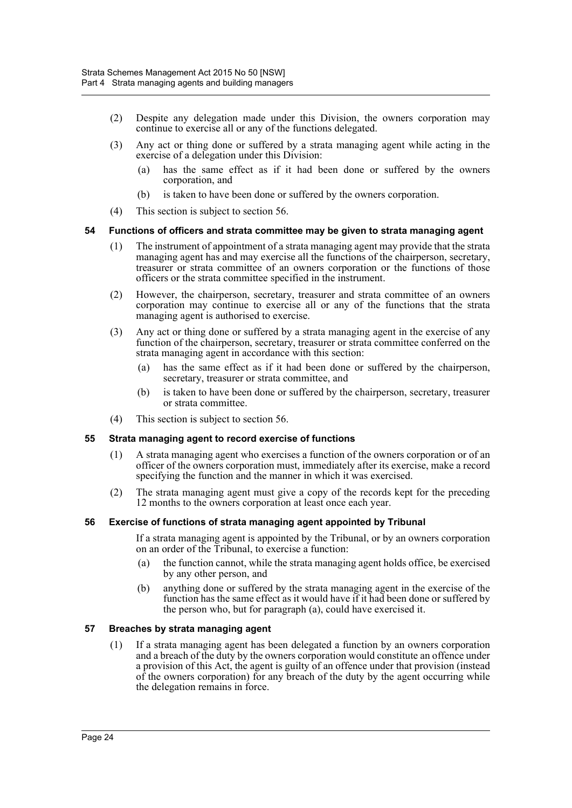- (2) Despite any delegation made under this Division, the owners corporation may continue to exercise all or any of the functions delegated.
- (3) Any act or thing done or suffered by a strata managing agent while acting in the exercise of a delegation under this Division:
	- (a) has the same effect as if it had been done or suffered by the owners corporation, and
	- (b) is taken to have been done or suffered by the owners corporation.
- (4) This section is subject to section 56.

#### <span id="page-33-0"></span>**54 Functions of officers and strata committee may be given to strata managing agent**

- (1) The instrument of appointment of a strata managing agent may provide that the strata managing agent has and may exercise all the functions of the chairperson, secretary, treasurer or strata committee of an owners corporation or the functions of those officers or the strata committee specified in the instrument.
- (2) However, the chairperson, secretary, treasurer and strata committee of an owners corporation may continue to exercise all or any of the functions that the strata managing agent is authorised to exercise.
- (3) Any act or thing done or suffered by a strata managing agent in the exercise of any function of the chairperson, secretary, treasurer or strata committee conferred on the strata managing agent in accordance with this section:
	- (a) has the same effect as if it had been done or suffered by the chairperson, secretary, treasurer or strata committee, and
	- (b) is taken to have been done or suffered by the chairperson, secretary, treasurer or strata committee.
- (4) This section is subject to section 56.

#### <span id="page-33-1"></span>**55 Strata managing agent to record exercise of functions**

- (1) A strata managing agent who exercises a function of the owners corporation or of an officer of the owners corporation must, immediately after its exercise, make a record specifying the function and the manner in which it was exercised.
- (2) The strata managing agent must give a copy of the records kept for the preceding 12 months to the owners corporation at least once each year.

# <span id="page-33-2"></span>**56 Exercise of functions of strata managing agent appointed by Tribunal**

If a strata managing agent is appointed by the Tribunal, or by an owners corporation on an order of the Tribunal, to exercise a function:

- (a) the function cannot, while the strata managing agent holds office, be exercised by any other person, and
- (b) anything done or suffered by the strata managing agent in the exercise of the function has the same effect as it would have if it had been done or suffered by the person who, but for paragraph (a), could have exercised it.

# <span id="page-33-3"></span>**57 Breaches by strata managing agent**

(1) If a strata managing agent has been delegated a function by an owners corporation and a breach of the duty by the owners corporation would constitute an offence under a provision of this Act, the agent is guilty of an offence under that provision (instead of the owners corporation) for any breach of the duty by the agent occurring while the delegation remains in force.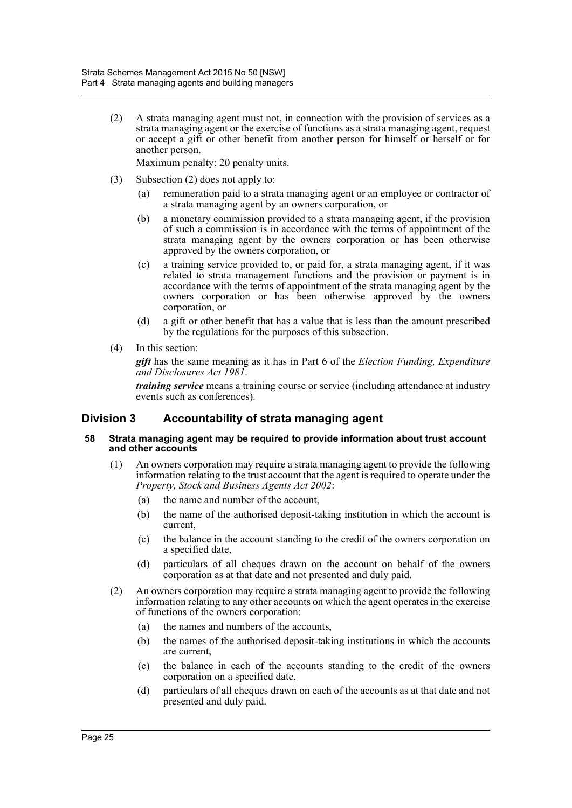(2) A strata managing agent must not, in connection with the provision of services as a strata managing agent or the exercise of functions as a strata managing agent, request or accept a gift or other benefit from another person for himself or herself or for another person.

Maximum penalty: 20 penalty units.

- (3) Subsection (2) does not apply to:
	- (a) remuneration paid to a strata managing agent or an employee or contractor of a strata managing agent by an owners corporation, or
	- (b) a monetary commission provided to a strata managing agent, if the provision of such a commission is in accordance with the terms of appointment of the strata managing agent by the owners corporation or has been otherwise approved by the owners corporation, or
	- (c) a training service provided to, or paid for, a strata managing agent, if it was related to strata management functions and the provision or payment is in accordance with the terms of appointment of the strata managing agent by the owners corporation or has been otherwise approved by the owners corporation, or
	- (d) a gift or other benefit that has a value that is less than the amount prescribed by the regulations for the purposes of this subsection.
- (4) In this section:

*gift* has the same meaning as it has in Part 6 of the *Election Funding, Expenditure and Disclosures Act 1981*.

*training service* means a training course or service (including attendance at industry events such as conferences).

# <span id="page-34-0"></span>**Division 3 Accountability of strata managing agent**

#### <span id="page-34-1"></span>**58 Strata managing agent may be required to provide information about trust account and other accounts**

- (1) An owners corporation may require a strata managing agent to provide the following information relating to the trust account that the agent is required to operate under the *Property, Stock and Business Agents Act 2002*:
	- (a) the name and number of the account,
	- (b) the name of the authorised deposit-taking institution in which the account is current,
	- (c) the balance in the account standing to the credit of the owners corporation on a specified date,
	- (d) particulars of all cheques drawn on the account on behalf of the owners corporation as at that date and not presented and duly paid.
- (2) An owners corporation may require a strata managing agent to provide the following information relating to any other accounts on which the agent operates in the exercise of functions of the owners corporation:
	- (a) the names and numbers of the accounts,
	- (b) the names of the authorised deposit-taking institutions in which the accounts are current,
	- (c) the balance in each of the accounts standing to the credit of the owners corporation on a specified date,
	- (d) particulars of all cheques drawn on each of the accounts as at that date and not presented and duly paid.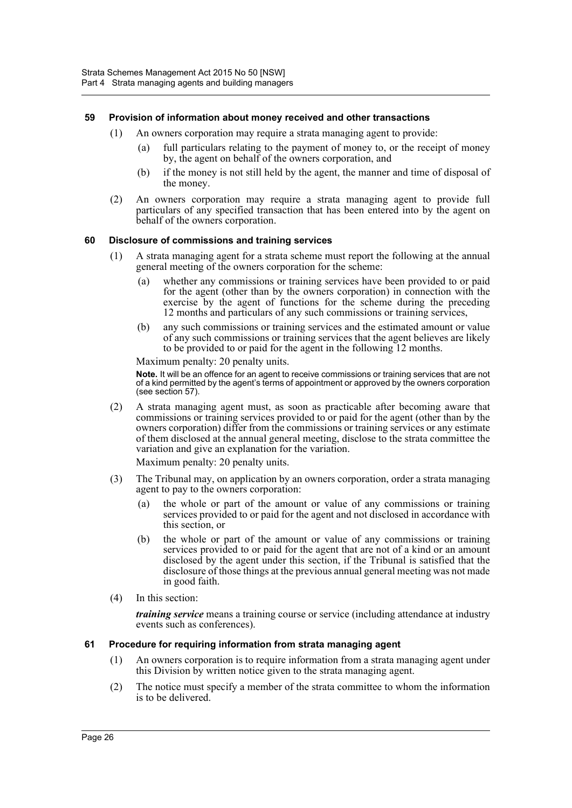# <span id="page-35-0"></span>**59 Provision of information about money received and other transactions**

- (1) An owners corporation may require a strata managing agent to provide:
	- (a) full particulars relating to the payment of money to, or the receipt of money by, the agent on behalf of the owners corporation, and
	- (b) if the money is not still held by the agent, the manner and time of disposal of the money.
- (2) An owners corporation may require a strata managing agent to provide full particulars of any specified transaction that has been entered into by the agent on behalf of the owners corporation.

#### <span id="page-35-1"></span>**60 Disclosure of commissions and training services**

- (1) A strata managing agent for a strata scheme must report the following at the annual general meeting of the owners corporation for the scheme:
	- (a) whether any commissions or training services have been provided to or paid for the agent (other than by the owners corporation) in connection with the exercise by the agent of functions for the scheme during the preceding 12 months and particulars of any such commissions or training services,
	- (b) any such commissions or training services and the estimated amount or value of any such commissions or training services that the agent believes are likely to be provided to or paid for the agent in the following 12 months.

Maximum penalty: 20 penalty units.

**Note.** It will be an offence for an agent to receive commissions or training services that are not of a kind permitted by the agent's terms of appointment or approved by the owners corporation (see section 57).

(2) A strata managing agent must, as soon as practicable after becoming aware that commissions or training services provided to or paid for the agent (other than by the owners corporation) differ from the commissions or training services or any estimate of them disclosed at the annual general meeting, disclose to the strata committee the variation and give an explanation for the variation.

Maximum penalty: 20 penalty units.

- (3) The Tribunal may, on application by an owners corporation, order a strata managing agent to pay to the owners corporation:
	- (a) the whole or part of the amount or value of any commissions or training services provided to or paid for the agent and not disclosed in accordance with this section, or
	- (b) the whole or part of the amount or value of any commissions or training services provided to or paid for the agent that are not of a kind or an amount disclosed by the agent under this section, if the Tribunal is satisfied that the disclosure of those things at the previous annual general meeting was not made in good faith.
- (4) In this section:

*training service* means a training course or service (including attendance at industry events such as conferences).

# <span id="page-35-2"></span>**61 Procedure for requiring information from strata managing agent**

- (1) An owners corporation is to require information from a strata managing agent under this Division by written notice given to the strata managing agent.
- (2) The notice must specify a member of the strata committee to whom the information is to be delivered.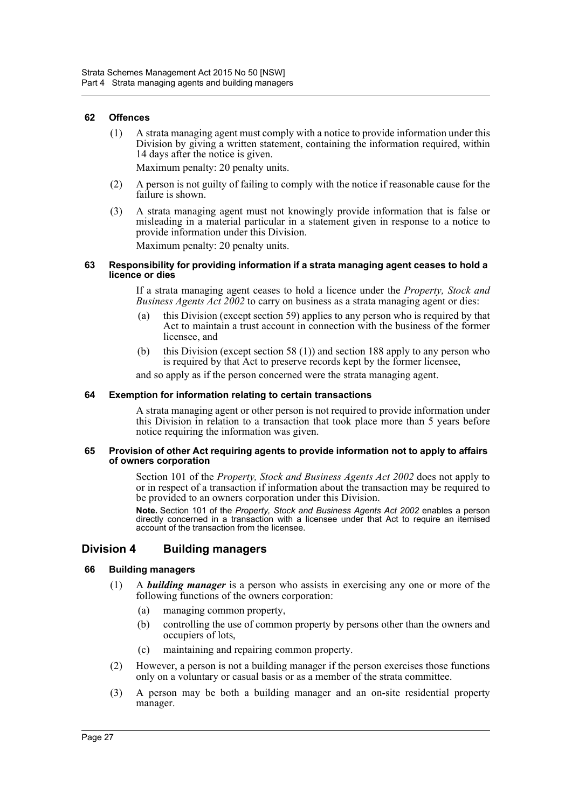#### **62 Offences**

(1) A strata managing agent must comply with a notice to provide information under this Division by giving a written statement, containing the information required, within 14 days after the notice is given.

Maximum penalty: 20 penalty units.

- (2) A person is not guilty of failing to comply with the notice if reasonable cause for the failure is shown.
- (3) A strata managing agent must not knowingly provide information that is false or misleading in a material particular in a statement given in response to a notice to provide information under this Division.

Maximum penalty: 20 penalty units.

#### **63 Responsibility for providing information if a strata managing agent ceases to hold a licence or dies**

If a strata managing agent ceases to hold a licence under the *Property, Stock and Business Agents Act 2002* to carry on business as a strata managing agent or dies:

- (a) this Division (except section 59) applies to any person who is required by that Act to maintain a trust account in connection with the business of the former licensee, and
- (b) this Division (except section 58 (1)) and section 188 apply to any person who is required by that Act to preserve records kept by the former licensee,

and so apply as if the person concerned were the strata managing agent.

#### **64 Exemption for information relating to certain transactions**

A strata managing agent or other person is not required to provide information under this Division in relation to a transaction that took place more than 5 years before notice requiring the information was given.

#### **65 Provision of other Act requiring agents to provide information not to apply to affairs of owners corporation**

Section 101 of the *Property, Stock and Business Agents Act 2002* does not apply to or in respect of a transaction if information about the transaction may be required to be provided to an owners corporation under this Division.

**Note.** Section 101 of the *Property, Stock and Business Agents Act 2002* enables a person directly concerned in a transaction with a licensee under that Act to require an itemised account of the transaction from the licensee.

### **Division 4 Building managers**

## **66 Building managers**

- (1) A *building manager* is a person who assists in exercising any one or more of the following functions of the owners corporation:
	- (a) managing common property,
	- (b) controlling the use of common property by persons other than the owners and occupiers of lots,
	- (c) maintaining and repairing common property.
- (2) However, a person is not a building manager if the person exercises those functions only on a voluntary or casual basis or as a member of the strata committee.
- (3) A person may be both a building manager and an on-site residential property manager.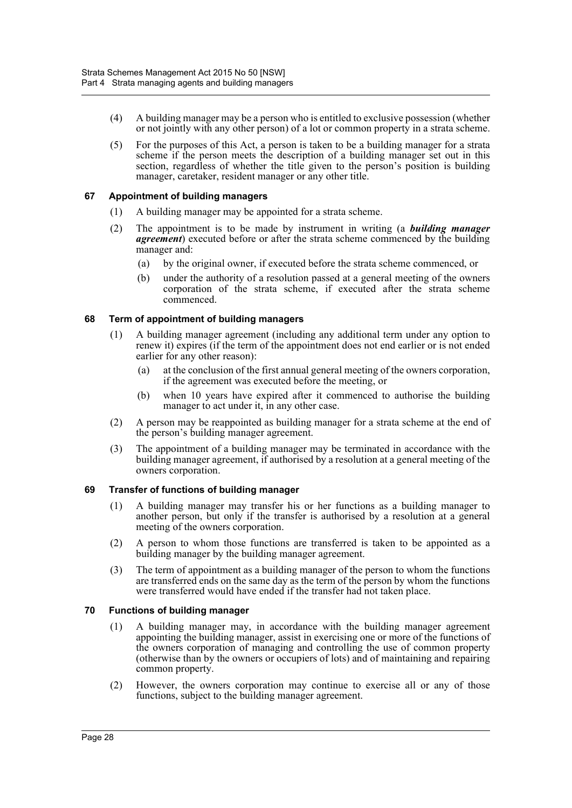- (4) A building manager may be a person who is entitled to exclusive possession (whether or not jointly with any other person) of a lot or common property in a strata scheme.
- (5) For the purposes of this Act, a person is taken to be a building manager for a strata scheme if the person meets the description of a building manager set out in this section, regardless of whether the title given to the person's position is building manager, caretaker, resident manager or any other title.

## **67 Appointment of building managers**

- (1) A building manager may be appointed for a strata scheme.
- (2) The appointment is to be made by instrument in writing (a *building manager agreement*) executed before or after the strata scheme commenced by the building manager and:
	- (a) by the original owner, if executed before the strata scheme commenced, or
	- (b) under the authority of a resolution passed at a general meeting of the owners corporation of the strata scheme, if executed after the strata scheme commenced.

## **68 Term of appointment of building managers**

- (1) A building manager agreement (including any additional term under any option to renew it) expires (if the term of the appointment does not end earlier or is not ended earlier for any other reason):
	- (a) at the conclusion of the first annual general meeting of the owners corporation, if the agreement was executed before the meeting, or
	- (b) when 10 years have expired after it commenced to authorise the building manager to act under it, in any other case.
- (2) A person may be reappointed as building manager for a strata scheme at the end of the person's building manager agreement.
- (3) The appointment of a building manager may be terminated in accordance with the building manager agreement, if authorised by a resolution at a general meeting of the owners corporation.

### **69 Transfer of functions of building manager**

- (1) A building manager may transfer his or her functions as a building manager to another person, but only if the transfer is authorised by a resolution at a general meeting of the owners corporation.
- (2) A person to whom those functions are transferred is taken to be appointed as a building manager by the building manager agreement.
- (3) The term of appointment as a building manager of the person to whom the functions are transferred ends on the same day as the term of the person by whom the functions were transferred would have ended if the transfer had not taken place.

## **70 Functions of building manager**

- (1) A building manager may, in accordance with the building manager agreement appointing the building manager, assist in exercising one or more of the functions of the owners corporation of managing and controlling the use of common property (otherwise than by the owners or occupiers of lots) and of maintaining and repairing common property.
- (2) However, the owners corporation may continue to exercise all or any of those functions, subject to the building manager agreement.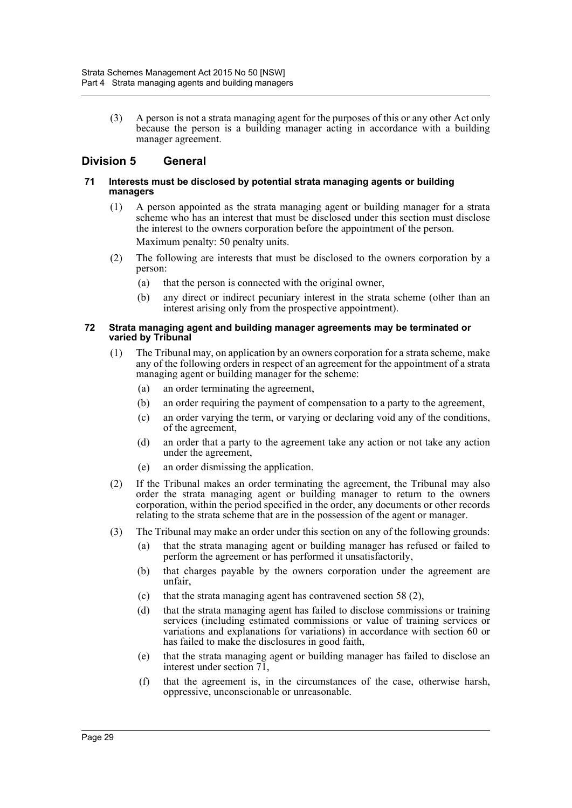(3) A person is not a strata managing agent for the purposes of this or any other Act only because the person is a building manager acting in accordance with a building manager agreement.

## **Division 5 General**

#### **71 Interests must be disclosed by potential strata managing agents or building managers**

- (1) A person appointed as the strata managing agent or building manager for a strata scheme who has an interest that must be disclosed under this section must disclose the interest to the owners corporation before the appointment of the person. Maximum penalty: 50 penalty units.
- (2) The following are interests that must be disclosed to the owners corporation by a person:
	- (a) that the person is connected with the original owner,
	- (b) any direct or indirect pecuniary interest in the strata scheme (other than an interest arising only from the prospective appointment).

#### **72 Strata managing agent and building manager agreements may be terminated or varied by Tribunal**

- (1) The Tribunal may, on application by an owners corporation for a strata scheme, make any of the following orders in respect of an agreement for the appointment of a strata managing agent or building manager for the scheme:
	- (a) an order terminating the agreement,
	- (b) an order requiring the payment of compensation to a party to the agreement,
	- (c) an order varying the term, or varying or declaring void any of the conditions, of the agreement,
	- (d) an order that a party to the agreement take any action or not take any action under the agreement,
	- (e) an order dismissing the application.
- (2) If the Tribunal makes an order terminating the agreement, the Tribunal may also order the strata managing agent or building manager to return to the owners corporation, within the period specified in the order, any documents or other records relating to the strata scheme that are in the possession of the agent or manager.
- (3) The Tribunal may make an order under this section on any of the following grounds:
	- (a) that the strata managing agent or building manager has refused or failed to perform the agreement or has performed it unsatisfactorily,
	- (b) that charges payable by the owners corporation under the agreement are unfair,
	- (c) that the strata managing agent has contravened section 58 (2),
	- (d) that the strata managing agent has failed to disclose commissions or training services (including estimated commissions or value of training services or variations and explanations for variations) in accordance with section 60 or has failed to make the disclosures in good faith,
	- (e) that the strata managing agent or building manager has failed to disclose an interest under section 71,
	- (f) that the agreement is, in the circumstances of the case, otherwise harsh, oppressive, unconscionable or unreasonable.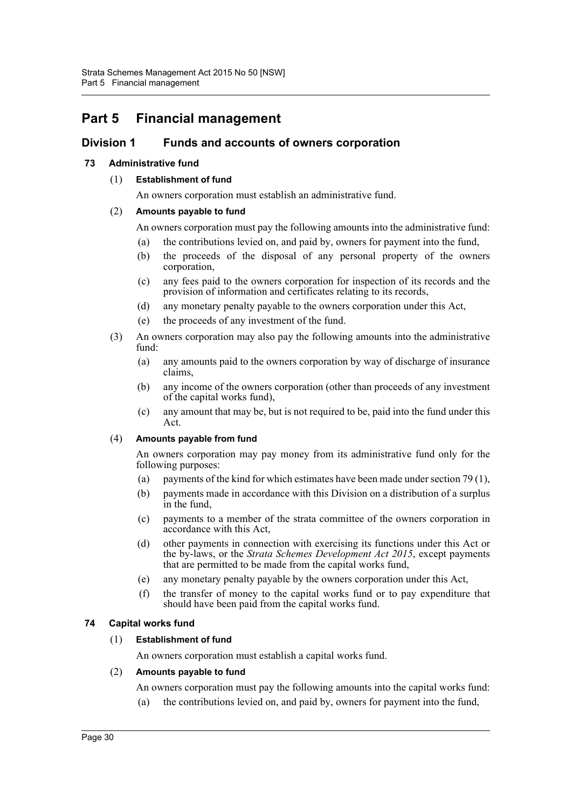# **Part 5 Financial management**

## **Division 1 Funds and accounts of owners corporation**

## **73 Administrative fund**

## (1) **Establishment of fund**

An owners corporation must establish an administrative fund.

## (2) **Amounts payable to fund**

An owners corporation must pay the following amounts into the administrative fund:

- (a) the contributions levied on, and paid by, owners for payment into the fund,
- (b) the proceeds of the disposal of any personal property of the owners corporation,
- (c) any fees paid to the owners corporation for inspection of its records and the provision of information and certificates relating to its records,
- (d) any monetary penalty payable to the owners corporation under this Act,
- (e) the proceeds of any investment of the fund.
- (3) An owners corporation may also pay the following amounts into the administrative fund:
	- (a) any amounts paid to the owners corporation by way of discharge of insurance claims,
	- (b) any income of the owners corporation (other than proceeds of any investment of the capital works fund),
	- (c) any amount that may be, but is not required to be, paid into the fund under this Act.

### (4) **Amounts payable from fund**

An owners corporation may pay money from its administrative fund only for the following purposes:

- (a) payments of the kind for which estimates have been made under section 79 (1),
- (b) payments made in accordance with this Division on a distribution of a surplus in the fund,
- (c) payments to a member of the strata committee of the owners corporation in accordance with this Act,
- (d) other payments in connection with exercising its functions under this Act or the by-laws, or the *Strata Schemes Development Act 2015*, except payments that are permitted to be made from the capital works fund,
- (e) any monetary penalty payable by the owners corporation under this Act,
- (f) the transfer of money to the capital works fund or to pay expenditure that should have been paid from the capital works fund.

## **74 Capital works fund**

## (1) **Establishment of fund**

An owners corporation must establish a capital works fund.

## (2) **Amounts payable to fund**

- An owners corporation must pay the following amounts into the capital works fund:
- (a) the contributions levied on, and paid by, owners for payment into the fund,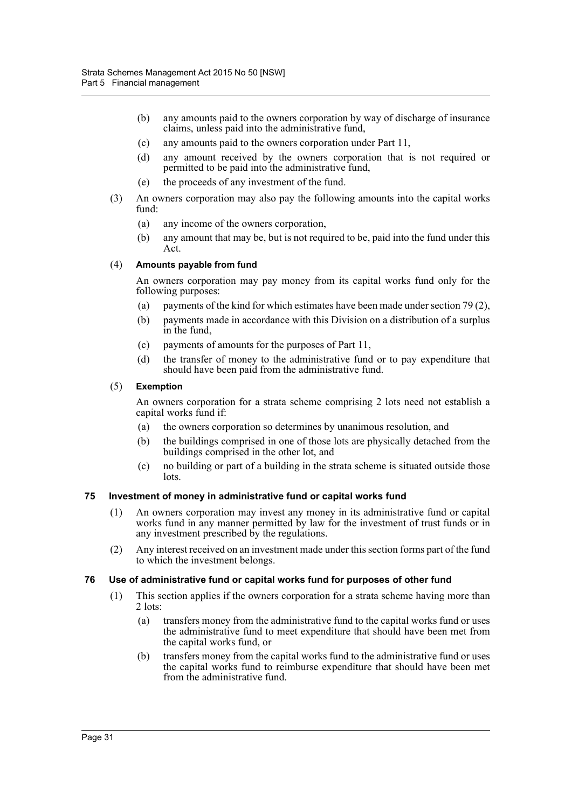- (b) any amounts paid to the owners corporation by way of discharge of insurance claims, unless paid into the administrative fund,
- (c) any amounts paid to the owners corporation under Part 11,
- (d) any amount received by the owners corporation that is not required or permitted to be paid into the administrative fund,
- (e) the proceeds of any investment of the fund.
- (3) An owners corporation may also pay the following amounts into the capital works fund:
	- (a) any income of the owners corporation,
	- (b) any amount that may be, but is not required to be, paid into the fund under this Act.

## (4) **Amounts payable from fund**

An owners corporation may pay money from its capital works fund only for the following purposes:

- (a) payments of the kind for which estimates have been made under section 79 (2),
- (b) payments made in accordance with this Division on a distribution of a surplus in the fund,
- (c) payments of amounts for the purposes of Part 11,
- (d) the transfer of money to the administrative fund or to pay expenditure that should have been paid from the administrative fund.

### (5) **Exemption**

An owners corporation for a strata scheme comprising 2 lots need not establish a capital works fund if:

- (a) the owners corporation so determines by unanimous resolution, and
- (b) the buildings comprised in one of those lots are physically detached from the buildings comprised in the other lot, and
- (c) no building or part of a building in the strata scheme is situated outside those lots.

### **75 Investment of money in administrative fund or capital works fund**

- (1) An owners corporation may invest any money in its administrative fund or capital works fund in any manner permitted by law for the investment of trust funds or in any investment prescribed by the regulations.
- (2) Any interest received on an investment made under this section forms part of the fund to which the investment belongs.

## **76 Use of administrative fund or capital works fund for purposes of other fund**

- (1) This section applies if the owners corporation for a strata scheme having more than 2 lots:
	- (a) transfers money from the administrative fund to the capital works fund or uses the administrative fund to meet expenditure that should have been met from the capital works fund, or
	- (b) transfers money from the capital works fund to the administrative fund or uses the capital works fund to reimburse expenditure that should have been met from the administrative fund.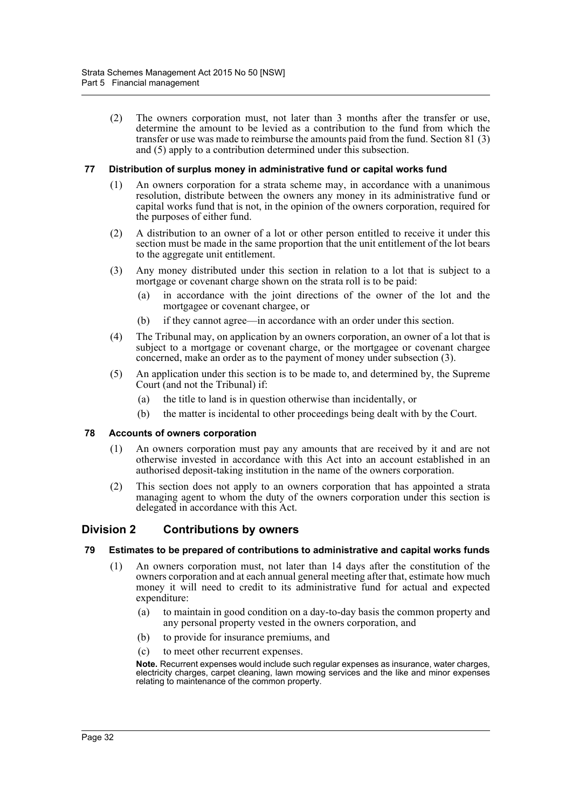(2) The owners corporation must, not later than 3 months after the transfer or use, determine the amount to be levied as a contribution to the fund from which the transfer or use was made to reimburse the amounts paid from the fund. Section 81 (3) and (5) apply to a contribution determined under this subsection.

#### **77 Distribution of surplus money in administrative fund or capital works fund**

- (1) An owners corporation for a strata scheme may, in accordance with a unanimous resolution, distribute between the owners any money in its administrative fund or capital works fund that is not, in the opinion of the owners corporation, required for the purposes of either fund.
- (2) A distribution to an owner of a lot or other person entitled to receive it under this section must be made in the same proportion that the unit entitlement of the lot bears to the aggregate unit entitlement.
- (3) Any money distributed under this section in relation to a lot that is subject to a mortgage or covenant charge shown on the strata roll is to be paid:
	- (a) in accordance with the joint directions of the owner of the lot and the mortgagee or covenant chargee, or
	- (b) if they cannot agree—in accordance with an order under this section.
- (4) The Tribunal may, on application by an owners corporation, an owner of a lot that is subject to a mortgage or covenant charge, or the mortgagee or covenant chargee concerned, make an order as to the payment of money under subsection (3).
- (5) An application under this section is to be made to, and determined by, the Supreme Court (and not the Tribunal) if:
	- (a) the title to land is in question otherwise than incidentally, or
	- (b) the matter is incidental to other proceedings being dealt with by the Court.

### **78 Accounts of owners corporation**

- (1) An owners corporation must pay any amounts that are received by it and are not otherwise invested in accordance with this Act into an account established in an authorised deposit-taking institution in the name of the owners corporation.
- (2) This section does not apply to an owners corporation that has appointed a strata managing agent to whom the duty of the owners corporation under this section is delegated in accordance with this Act.

## **Division 2 Contributions by owners**

#### **79 Estimates to be prepared of contributions to administrative and capital works funds**

- (1) An owners corporation must, not later than 14 days after the constitution of the owners corporation and at each annual general meeting after that, estimate how much money it will need to credit to its administrative fund for actual and expected expenditure:
	- (a) to maintain in good condition on a day-to-day basis the common property and any personal property vested in the owners corporation, and
	- (b) to provide for insurance premiums, and
	- (c) to meet other recurrent expenses.

**Note.** Recurrent expenses would include such regular expenses as insurance, water charges, electricity charges, carpet cleaning, lawn mowing services and the like and minor expenses relating to maintenance of the common property.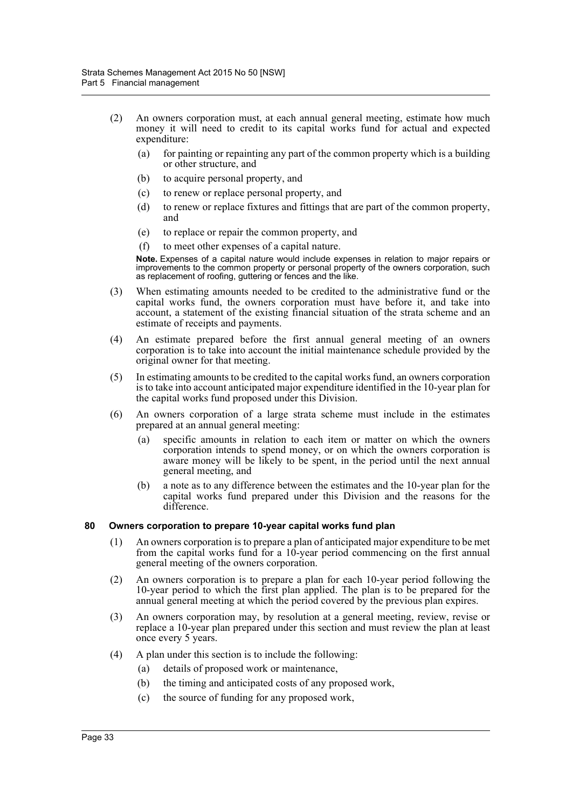- (2) An owners corporation must, at each annual general meeting, estimate how much money it will need to credit to its capital works fund for actual and expected expenditure:
	- (a) for painting or repainting any part of the common property which is a building or other structure, and
	- (b) to acquire personal property, and
	- (c) to renew or replace personal property, and
	- (d) to renew or replace fixtures and fittings that are part of the common property, and
	- (e) to replace or repair the common property, and
	- (f) to meet other expenses of a capital nature.

**Note.** Expenses of a capital nature would include expenses in relation to major repairs or improvements to the common property or personal property of the owners corporation, such as replacement of roofing, guttering or fences and the like.

- (3) When estimating amounts needed to be credited to the administrative fund or the capital works fund, the owners corporation must have before it, and take into account, a statement of the existing financial situation of the strata scheme and an estimate of receipts and payments.
- (4) An estimate prepared before the first annual general meeting of an owners corporation is to take into account the initial maintenance schedule provided by the original owner for that meeting.
- (5) In estimating amounts to be credited to the capital works fund, an owners corporation is to take into account anticipated major expenditure identified in the 10-year plan for the capital works fund proposed under this Division.
- (6) An owners corporation of a large strata scheme must include in the estimates prepared at an annual general meeting:
	- (a) specific amounts in relation to each item or matter on which the owners corporation intends to spend money, or on which the owners corporation is aware money will be likely to be spent, in the period until the next annual general meeting, and
	- (b) a note as to any difference between the estimates and the 10-year plan for the capital works fund prepared under this Division and the reasons for the difference.

### **80 Owners corporation to prepare 10-year capital works fund plan**

- (1) An owners corporation is to prepare a plan of anticipated major expenditure to be met from the capital works fund for a 10-year period commencing on the first annual general meeting of the owners corporation.
- (2) An owners corporation is to prepare a plan for each 10-year period following the 10-year period to which the first plan applied. The plan is to be prepared for the annual general meeting at which the period covered by the previous plan expires.
- (3) An owners corporation may, by resolution at a general meeting, review, revise or replace a 10-year plan prepared under this section and must review the plan at least once every 5 years.
- (4) A plan under this section is to include the following:
	- (a) details of proposed work or maintenance,
	- (b) the timing and anticipated costs of any proposed work,
	- (c) the source of funding for any proposed work,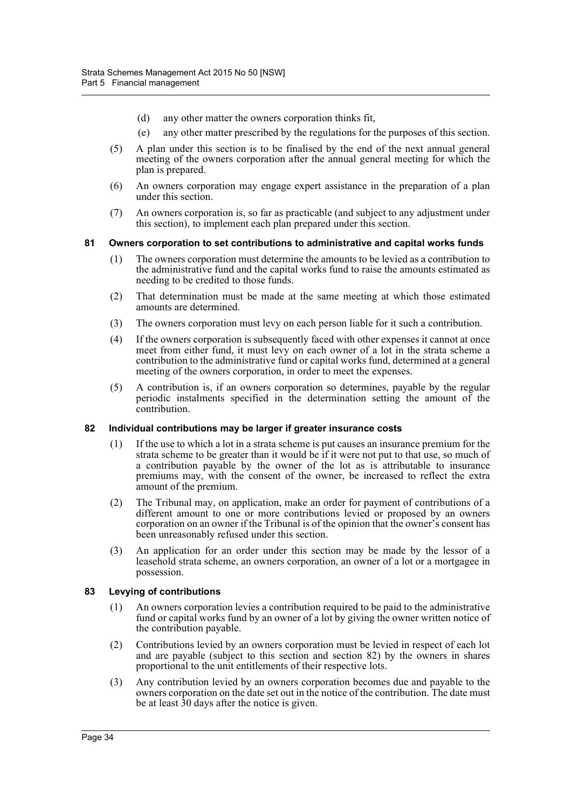- (d) any other matter the owners corporation thinks fit,
- (e) any other matter prescribed by the regulations for the purposes of this section.
- (5) A plan under this section is to be finalised by the end of the next annual general meeting of the owners corporation after the annual general meeting for which the plan is prepared.
- (6) An owners corporation may engage expert assistance in the preparation of a plan under this section.
- (7) An owners corporation is, so far as practicable (and subject to any adjustment under this section), to implement each plan prepared under this section.

#### **81 Owners corporation to set contributions to administrative and capital works funds**

- (1) The owners corporation must determine the amounts to be levied as a contribution to the administrative fund and the capital works fund to raise the amounts estimated as needing to be credited to those funds.
- (2) That determination must be made at the same meeting at which those estimated amounts are determined.
- (3) The owners corporation must levy on each person liable for it such a contribution.
- (4) If the owners corporation is subsequently faced with other expenses it cannot at once meet from either fund, it must levy on each owner of a lot in the strata scheme a contribution to the administrative fund or capital works fund, determined at a general meeting of the owners corporation, in order to meet the expenses.
- (5) A contribution is, if an owners corporation so determines, payable by the regular periodic instalments specified in the determination setting the amount of the contribution.

#### **82 Individual contributions may be larger if greater insurance costs**

- (1) If the use to which a lot in a strata scheme is put causes an insurance premium for the strata scheme to be greater than it would be if it were not put to that use, so much of a contribution payable by the owner of the lot as is attributable to insurance premiums may, with the consent of the owner, be increased to reflect the extra amount of the premium.
- (2) The Tribunal may, on application, make an order for payment of contributions of a different amount to one or more contributions levied or proposed by an owners corporation on an owner if the Tribunal is of the opinion that the owner's consent has been unreasonably refused under this section.
- (3) An application for an order under this section may be made by the lessor of a leasehold strata scheme, an owners corporation, an owner of a lot or a mortgagee in possession.

#### **83 Levying of contributions**

- (1) An owners corporation levies a contribution required to be paid to the administrative fund or capital works fund by an owner of a lot by giving the owner written notice of the contribution payable.
- (2) Contributions levied by an owners corporation must be levied in respect of each lot and are payable (subject to this section and section 82) by the owners in shares proportional to the unit entitlements of their respective lots.
- (3) Any contribution levied by an owners corporation becomes due and payable to the owners corporation on the date set out in the notice of the contribution. The date must be at least 30 days after the notice is given.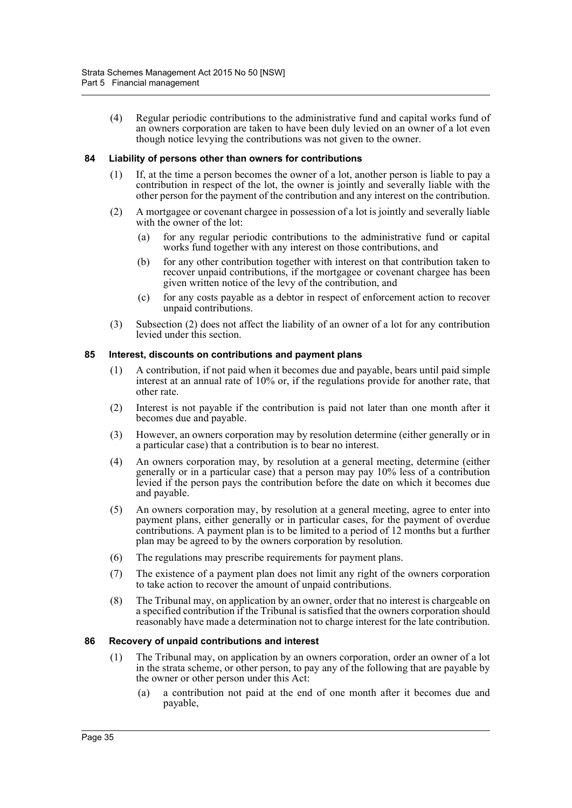(4) Regular periodic contributions to the administrative fund and capital works fund of an owners corporation are taken to have been duly levied on an owner of a lot even though notice levying the contributions was not given to the owner.

#### **84 Liability of persons other than owners for contributions**

- (1) If, at the time a person becomes the owner of a lot, another person is liable to pay a contribution in respect of the lot, the owner is jointly and severally liable with the other person for the payment of the contribution and any interest on the contribution.
- (2) A mortgagee or covenant chargee in possession of a lot is jointly and severally liable with the owner of the lot:
	- (a) for any regular periodic contributions to the administrative fund or capital works fund together with any interest on those contributions, and
	- (b) for any other contribution together with interest on that contribution taken to recover unpaid contributions, if the mortgagee or covenant chargee has been given written notice of the levy of the contribution, and
	- (c) for any costs payable as a debtor in respect of enforcement action to recover unpaid contributions.
- (3) Subsection (2) does not affect the liability of an owner of a lot for any contribution levied under this section.

#### **85 Interest, discounts on contributions and payment plans**

- (1) A contribution, if not paid when it becomes due and payable, bears until paid simple interest at an annual rate of 10% or, if the regulations provide for another rate, that other rate.
- (2) Interest is not payable if the contribution is paid not later than one month after it becomes due and payable.
- (3) However, an owners corporation may by resolution determine (either generally or in a particular case) that a contribution is to bear no interest.
- (4) An owners corporation may, by resolution at a general meeting, determine (either generally or in a particular case) that a person may pay 10% less of a contribution levied if the person pays the contribution before the date on which it becomes due and payable.
- (5) An owners corporation may, by resolution at a general meeting, agree to enter into payment plans, either generally or in particular cases, for the payment of overdue contributions. A payment plan is to be limited to a period of 12 months but a further plan may be agreed to by the owners corporation by resolution.
- (6) The regulations may prescribe requirements for payment plans.
- (7) The existence of a payment plan does not limit any right of the owners corporation to take action to recover the amount of unpaid contributions.
- (8) The Tribunal may, on application by an owner, order that no interest is chargeable on a specified contribution if the Tribunal is satisfied that the owners corporation should reasonably have made a determination not to charge interest for the late contribution.

#### **86 Recovery of unpaid contributions and interest**

- (1) The Tribunal may, on application by an owners corporation, order an owner of a lot in the strata scheme, or other person, to pay any of the following that are payable by the owner or other person under this Act:
	- (a) a contribution not paid at the end of one month after it becomes due and payable,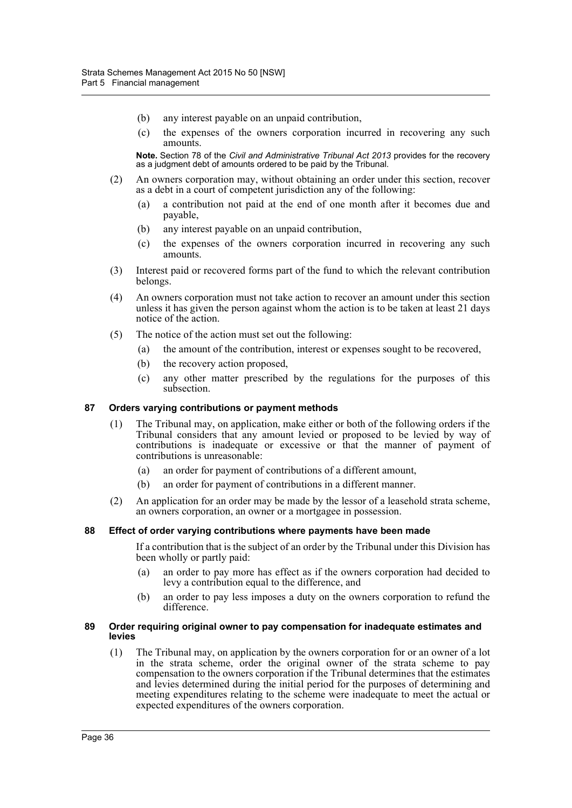- (b) any interest payable on an unpaid contribution,
- (c) the expenses of the owners corporation incurred in recovering any such amounts.

**Note.** Section 78 of the *Civil and Administrative Tribunal Act 2013* provides for the recovery as a judgment debt of amounts ordered to be paid by the Tribunal.

- (2) An owners corporation may, without obtaining an order under this section, recover as a debt in a court of competent jurisdiction any of the following:
	- (a) a contribution not paid at the end of one month after it becomes due and payable,
	- (b) any interest payable on an unpaid contribution,
	- (c) the expenses of the owners corporation incurred in recovering any such amounts.
- (3) Interest paid or recovered forms part of the fund to which the relevant contribution belongs.
- (4) An owners corporation must not take action to recover an amount under this section unless it has given the person against whom the action is to be taken at least 21 days notice of the action.
- (5) The notice of the action must set out the following:
	- (a) the amount of the contribution, interest or expenses sought to be recovered,
	- (b) the recovery action proposed,
	- (c) any other matter prescribed by the regulations for the purposes of this subsection.

#### **87 Orders varying contributions or payment methods**

- (1) The Tribunal may, on application, make either or both of the following orders if the Tribunal considers that any amount levied or proposed to be levied by way of contributions is inadequate or excessive or that the manner of payment of contributions is unreasonable:
	- (a) an order for payment of contributions of a different amount,
	- (b) an order for payment of contributions in a different manner.
- (2) An application for an order may be made by the lessor of a leasehold strata scheme, an owners corporation, an owner or a mortgagee in possession.

#### **88 Effect of order varying contributions where payments have been made**

If a contribution that is the subject of an order by the Tribunal under this Division has been wholly or partly paid:

- (a) an order to pay more has effect as if the owners corporation had decided to levy a contribution equal to the difference, and
- (b) an order to pay less imposes a duty on the owners corporation to refund the difference.

#### **89 Order requiring original owner to pay compensation for inadequate estimates and levies**

(1) The Tribunal may, on application by the owners corporation for or an owner of a lot in the strata scheme, order the original owner of the strata scheme to pay compensation to the owners corporation if the Tribunal determines that the estimates and levies determined during the initial period for the purposes of determining and meeting expenditures relating to the scheme were inadequate to meet the actual or expected expenditures of the owners corporation.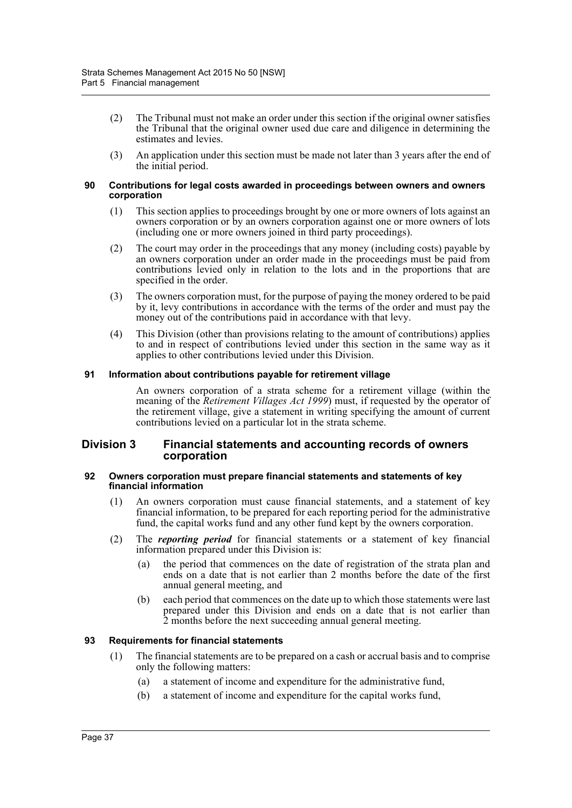- (2) The Tribunal must not make an order under this section if the original owner satisfies the Tribunal that the original owner used due care and diligence in determining the estimates and levies.
- (3) An application under this section must be made not later than 3 years after the end of the initial period.

#### **90 Contributions for legal costs awarded in proceedings between owners and owners corporation**

- (1) This section applies to proceedings brought by one or more owners of lots against an owners corporation or by an owners corporation against one or more owners of lots (including one or more owners joined in third party proceedings).
- (2) The court may order in the proceedings that any money (including costs) payable by an owners corporation under an order made in the proceedings must be paid from contributions levied only in relation to the lots and in the proportions that are specified in the order.
- (3) The owners corporation must, for the purpose of paying the money ordered to be paid by it, levy contributions in accordance with the terms of the order and must pay the money out of the contributions paid in accordance with that levy.
- (4) This Division (other than provisions relating to the amount of contributions) applies to and in respect of contributions levied under this section in the same way as it applies to other contributions levied under this Division.

### **91 Information about contributions payable for retirement village**

An owners corporation of a strata scheme for a retirement village (within the meaning of the *Retirement Villages Act 1999*) must, if requested by the operator of the retirement village, give a statement in writing specifying the amount of current contributions levied on a particular lot in the strata scheme.

### **Division 3 Financial statements and accounting records of owners corporation**

#### **92 Owners corporation must prepare financial statements and statements of key financial information**

- (1) An owners corporation must cause financial statements, and a statement of key financial information, to be prepared for each reporting period for the administrative fund, the capital works fund and any other fund kept by the owners corporation.
- (2) The *reporting period* for financial statements or a statement of key financial information prepared under this Division is:
	- (a) the period that commences on the date of registration of the strata plan and ends on a date that is not earlier than 2 months before the date of the first annual general meeting, and
	- (b) each period that commences on the date up to which those statements were last prepared under this Division and ends on a date that is not earlier than 2 months before the next succeeding annual general meeting.

### **93 Requirements for financial statements**

- (1) The financial statements are to be prepared on a cash or accrual basis and to comprise only the following matters:
	- (a) a statement of income and expenditure for the administrative fund,
	- (b) a statement of income and expenditure for the capital works fund,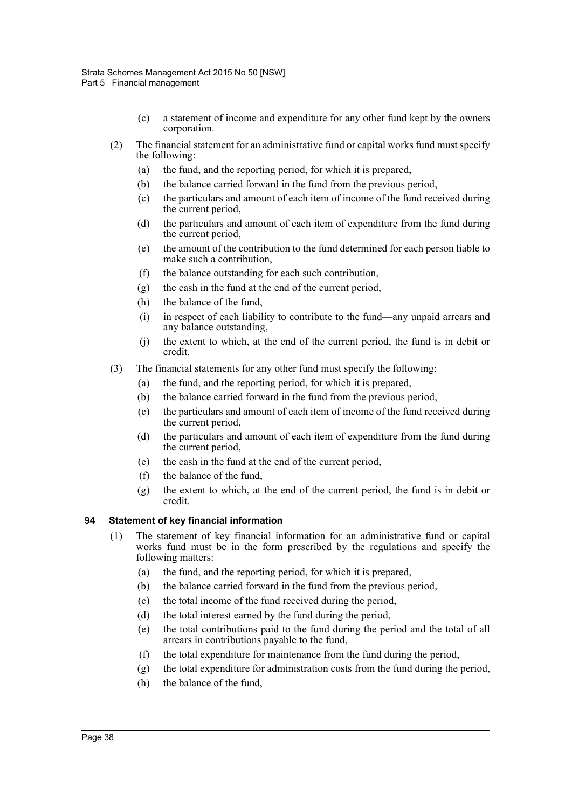- (c) a statement of income and expenditure for any other fund kept by the owners corporation.
- (2) The financial statement for an administrative fund or capital works fund must specify the following:
	- (a) the fund, and the reporting period, for which it is prepared,
	- (b) the balance carried forward in the fund from the previous period,
	- (c) the particulars and amount of each item of income of the fund received during the current period,
	- (d) the particulars and amount of each item of expenditure from the fund during the current period,
	- (e) the amount of the contribution to the fund determined for each person liable to make such a contribution,
	- (f) the balance outstanding for each such contribution,
	- (g) the cash in the fund at the end of the current period,
	- (h) the balance of the fund,
	- (i) in respect of each liability to contribute to the fund—any unpaid arrears and any balance outstanding,
	- (j) the extent to which, at the end of the current period, the fund is in debit or credit.
- (3) The financial statements for any other fund must specify the following:
	- (a) the fund, and the reporting period, for which it is prepared,
	- (b) the balance carried forward in the fund from the previous period,
	- (c) the particulars and amount of each item of income of the fund received during the current period,
	- (d) the particulars and amount of each item of expenditure from the fund during the current period,
	- (e) the cash in the fund at the end of the current period,
	- (f) the balance of the fund,
	- (g) the extent to which, at the end of the current period, the fund is in debit or credit.

### **94 Statement of key financial information**

- (1) The statement of key financial information for an administrative fund or capital works fund must be in the form prescribed by the regulations and specify the following matters:
	- (a) the fund, and the reporting period, for which it is prepared,
	- (b) the balance carried forward in the fund from the previous period,
	- (c) the total income of the fund received during the period,
	- (d) the total interest earned by the fund during the period,
	- (e) the total contributions paid to the fund during the period and the total of all arrears in contributions payable to the fund,
	- (f) the total expenditure for maintenance from the fund during the period,
	- (g) the total expenditure for administration costs from the fund during the period,
	- (h) the balance of the fund,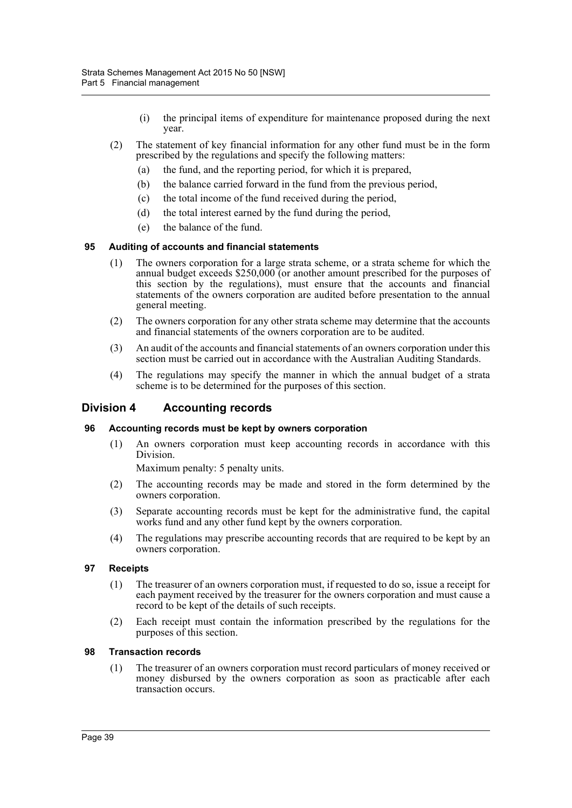- (i) the principal items of expenditure for maintenance proposed during the next year.
- (2) The statement of key financial information for any other fund must be in the form prescribed by the regulations and specify the following matters:
	- (a) the fund, and the reporting period, for which it is prepared,
	- (b) the balance carried forward in the fund from the previous period,
	- (c) the total income of the fund received during the period,
	- (d) the total interest earned by the fund during the period,
	- (e) the balance of the fund.

## **95 Auditing of accounts and financial statements**

- (1) The owners corporation for a large strata scheme, or a strata scheme for which the annual budget exceeds \$250,000 (or another amount prescribed for the purposes of this section by the regulations), must ensure that the accounts and financial statements of the owners corporation are audited before presentation to the annual general meeting.
- (2) The owners corporation for any other strata scheme may determine that the accounts and financial statements of the owners corporation are to be audited.
- (3) An audit of the accounts and financial statements of an owners corporation under this section must be carried out in accordance with the Australian Auditing Standards.
- (4) The regulations may specify the manner in which the annual budget of a strata scheme is to be determined for the purposes of this section.

## **Division 4 Accounting records**

### **96 Accounting records must be kept by owners corporation**

(1) An owners corporation must keep accounting records in accordance with this Division.

Maximum penalty: 5 penalty units.

- (2) The accounting records may be made and stored in the form determined by the owners corporation.
- (3) Separate accounting records must be kept for the administrative fund, the capital works fund and any other fund kept by the owners corporation.
- (4) The regulations may prescribe accounting records that are required to be kept by an owners corporation.

### **97 Receipts**

- (1) The treasurer of an owners corporation must, if requested to do so, issue a receipt for each payment received by the treasurer for the owners corporation and must cause a record to be kept of the details of such receipts.
- (2) Each receipt must contain the information prescribed by the regulations for the purposes of this section.

### **98 Transaction records**

(1) The treasurer of an owners corporation must record particulars of money received or money disbursed by the owners corporation as soon as practicable after each transaction occurs.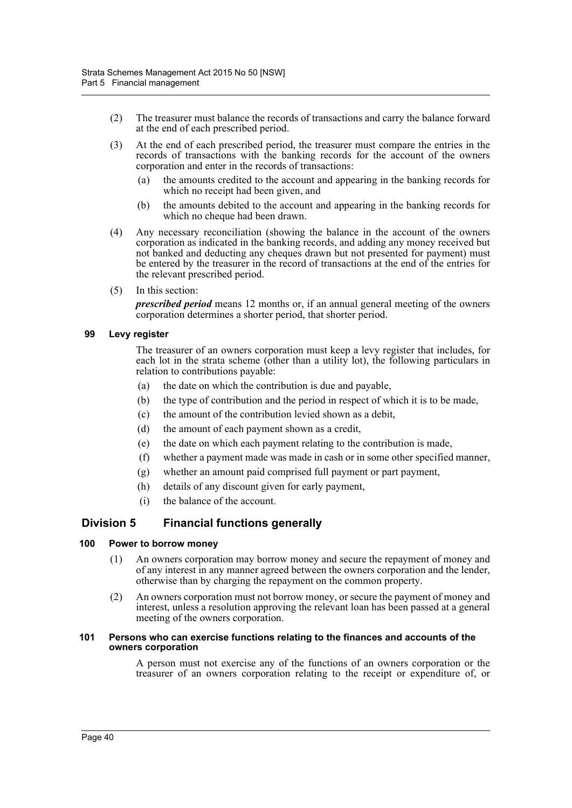- (2) The treasurer must balance the records of transactions and carry the balance forward at the end of each prescribed period.
- (3) At the end of each prescribed period, the treasurer must compare the entries in the records of transactions with the banking records for the account of the owners corporation and enter in the records of transactions:
	- (a) the amounts credited to the account and appearing in the banking records for which no receipt had been given, and
	- (b) the amounts debited to the account and appearing in the banking records for which no cheque had been drawn.
- (4) Any necessary reconciliation (showing the balance in the account of the owners corporation as indicated in the banking records, and adding any money received but not banked and deducting any cheques drawn but not presented for payment) must be entered by the treasurer in the record of transactions at the end of the entries for the relevant prescribed period.
- (5) In this section:

*prescribed period* means 12 months or, if an annual general meeting of the owners corporation determines a shorter period, that shorter period.

#### **99 Levy register**

The treasurer of an owners corporation must keep a levy register that includes, for each lot in the strata scheme (other than a utility lot), the following particulars in relation to contributions payable:

- (a) the date on which the contribution is due and payable,
- (b) the type of contribution and the period in respect of which it is to be made,
- (c) the amount of the contribution levied shown as a debit,
- (d) the amount of each payment shown as a credit,
- (e) the date on which each payment relating to the contribution is made,
- (f) whether a payment made was made in cash or in some other specified manner,
- (g) whether an amount paid comprised full payment or part payment,
- (h) details of any discount given for early payment,
- (i) the balance of the account.

## **Division 5 Financial functions generally**

#### **100 Power to borrow money**

- (1) An owners corporation may borrow money and secure the repayment of money and of any interest in any manner agreed between the owners corporation and the lender, otherwise than by charging the repayment on the common property.
- (2) An owners corporation must not borrow money, or secure the payment of money and interest, unless a resolution approving the relevant loan has been passed at a general meeting of the owners corporation.

#### **101 Persons who can exercise functions relating to the finances and accounts of the owners corporation**

A person must not exercise any of the functions of an owners corporation or the treasurer of an owners corporation relating to the receipt or expenditure of, or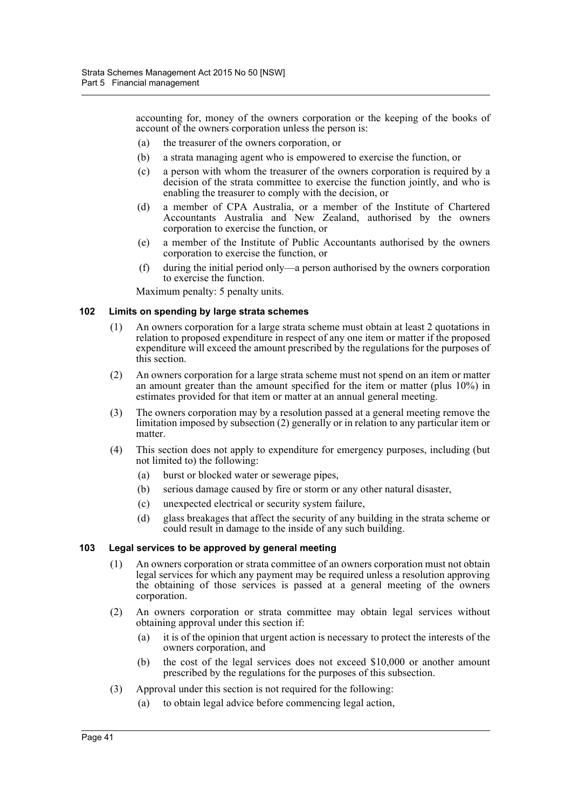accounting for, money of the owners corporation or the keeping of the books of account of the owners corporation unless the person is:

- (a) the treasurer of the owners corporation, or
- (b) a strata managing agent who is empowered to exercise the function, or
- (c) a person with whom the treasurer of the owners corporation is required by a decision of the strata committee to exercise the function jointly, and who is enabling the treasurer to comply with the decision, or
- (d) a member of CPA Australia, or a member of the Institute of Chartered Accountants Australia and New Zealand, authorised by the owners corporation to exercise the function, or
- (e) a member of the Institute of Public Accountants authorised by the owners corporation to exercise the function, or
- (f) during the initial period only—a person authorised by the owners corporation to exercise the function.

Maximum penalty: 5 penalty units.

### **102 Limits on spending by large strata schemes**

- (1) An owners corporation for a large strata scheme must obtain at least 2 quotations in relation to proposed expenditure in respect of any one item or matter if the proposed expenditure will exceed the amount prescribed by the regulations for the purposes of this section.
- (2) An owners corporation for a large strata scheme must not spend on an item or matter an amount greater than the amount specified for the item or matter (plus 10%) in estimates provided for that item or matter at an annual general meeting.
- (3) The owners corporation may by a resolution passed at a general meeting remove the limitation imposed by subsection (2) generally or in relation to any particular item or matter.
- (4) This section does not apply to expenditure for emergency purposes, including (but not limited to) the following:
	- (a) burst or blocked water or sewerage pipes,
	- (b) serious damage caused by fire or storm or any other natural disaster,
	- (c) unexpected electrical or security system failure,
	- (d) glass breakages that affect the security of any building in the strata scheme or could result in damage to the inside of any such building.

#### **103 Legal services to be approved by general meeting**

- (1) An owners corporation or strata committee of an owners corporation must not obtain legal services for which any payment may be required unless a resolution approving the obtaining of those services is passed at a general meeting of the owners corporation.
- (2) An owners corporation or strata committee may obtain legal services without obtaining approval under this section if:
	- (a) it is of the opinion that urgent action is necessary to protect the interests of the owners corporation, and
	- (b) the cost of the legal services does not exceed \$10,000 or another amount prescribed by the regulations for the purposes of this subsection.
- (3) Approval under this section is not required for the following:
	- (a) to obtain legal advice before commencing legal action,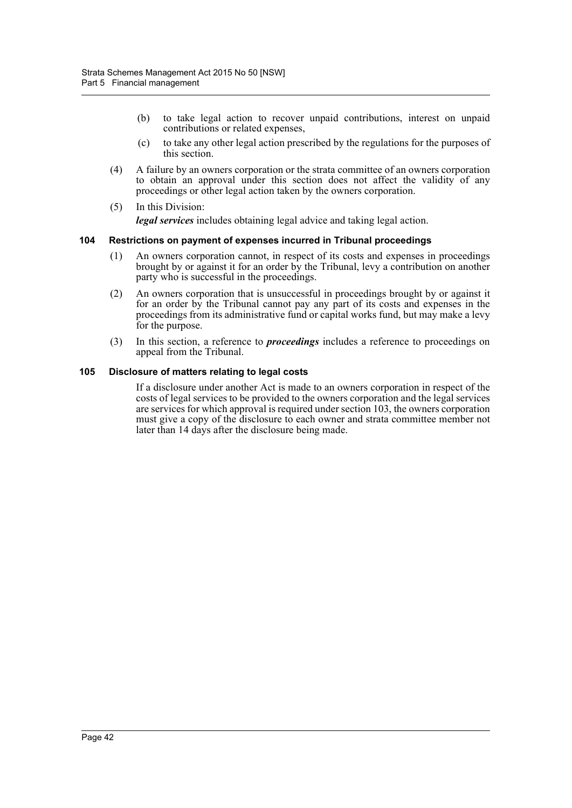- (b) to take legal action to recover unpaid contributions, interest on unpaid contributions or related expenses,
- (c) to take any other legal action prescribed by the regulations for the purposes of this section.
- (4) A failure by an owners corporation or the strata committee of an owners corporation to obtain an approval under this section does not affect the validity of any proceedings or other legal action taken by the owners corporation.
- (5) In this Division: *legal services* includes obtaining legal advice and taking legal action.

#### **104 Restrictions on payment of expenses incurred in Tribunal proceedings**

- (1) An owners corporation cannot, in respect of its costs and expenses in proceedings brought by or against it for an order by the Tribunal, levy a contribution on another party who is successful in the proceedings.
- (2) An owners corporation that is unsuccessful in proceedings brought by or against it for an order by the Tribunal cannot pay any part of its costs and expenses in the proceedings from its administrative fund or capital works fund, but may make a levy for the purpose.
- (3) In this section, a reference to *proceedings* includes a reference to proceedings on appeal from the Tribunal.

#### **105 Disclosure of matters relating to legal costs**

If a disclosure under another Act is made to an owners corporation in respect of the costs of legal services to be provided to the owners corporation and the legal services are services for which approval is required under section 103, the owners corporation must give a copy of the disclosure to each owner and strata committee member not later than 14 days after the disclosure being made.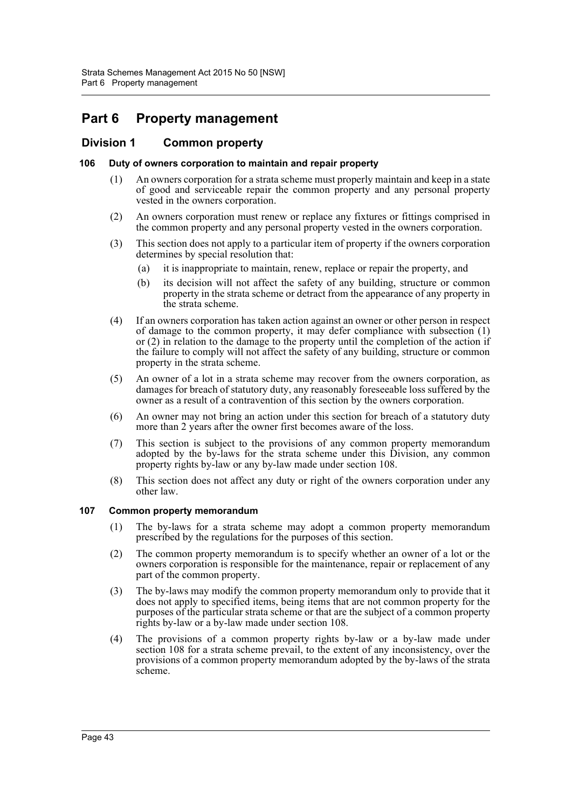# **Part 6 Property management**

## **Division 1 Common property**

### **106 Duty of owners corporation to maintain and repair property**

- (1) An owners corporation for a strata scheme must properly maintain and keep in a state of good and serviceable repair the common property and any personal property vested in the owners corporation.
- (2) An owners corporation must renew or replace any fixtures or fittings comprised in the common property and any personal property vested in the owners corporation.
- (3) This section does not apply to a particular item of property if the owners corporation determines by special resolution that:
	- (a) it is inappropriate to maintain, renew, replace or repair the property, and
	- (b) its decision will not affect the safety of any building, structure or common property in the strata scheme or detract from the appearance of any property in the strata scheme.
- (4) If an owners corporation has taken action against an owner or other person in respect of damage to the common property, it may defer compliance with subsection (1) or (2) in relation to the damage to the property until the completion of the action if the failure to comply will not affect the safety of any building, structure or common property in the strata scheme.
- (5) An owner of a lot in a strata scheme may recover from the owners corporation, as damages for breach of statutory duty, any reasonably foreseeable loss suffered by the owner as a result of a contravention of this section by the owners corporation.
- (6) An owner may not bring an action under this section for breach of a statutory duty more than 2 years after the owner first becomes aware of the loss.
- (7) This section is subject to the provisions of any common property memorandum adopted by the by-laws for the strata scheme under this Division, any common property rights by-law or any by-law made under section 108.
- (8) This section does not affect any duty or right of the owners corporation under any other law.

### **107 Common property memorandum**

- (1) The by-laws for a strata scheme may adopt a common property memorandum prescribed by the regulations for the purposes of this section.
- (2) The common property memorandum is to specify whether an owner of a lot or the owners corporation is responsible for the maintenance, repair or replacement of any part of the common property.
- (3) The by-laws may modify the common property memorandum only to provide that it does not apply to specified items, being items that are not common property for the purposes of the particular strata scheme or that are the subject of a common property rights by-law or a by-law made under section 108.
- (4) The provisions of a common property rights by-law or a by-law made under section 108 for a strata scheme prevail, to the extent of any inconsistency, over the provisions of a common property memorandum adopted by the by-laws of the strata scheme.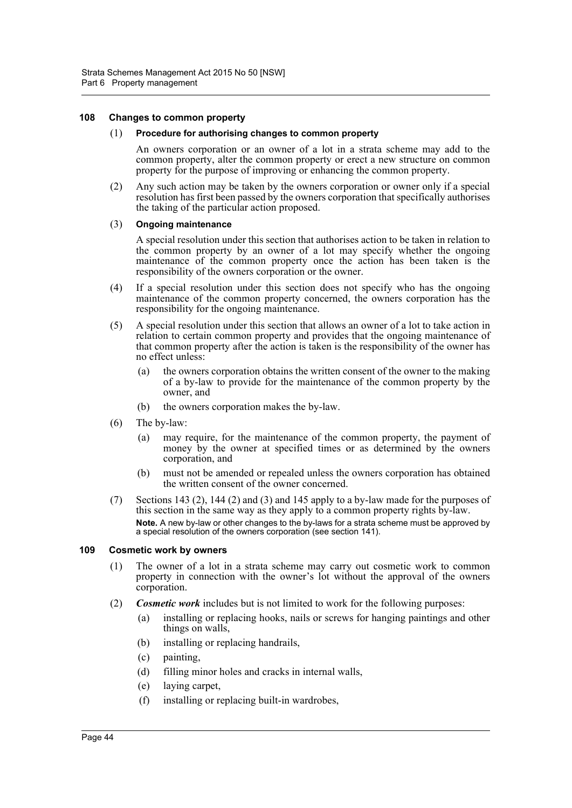#### **108 Changes to common property**

#### (1) **Procedure for authorising changes to common property**

An owners corporation or an owner of a lot in a strata scheme may add to the common property, alter the common property or erect a new structure on common property for the purpose of improving or enhancing the common property.

(2) Any such action may be taken by the owners corporation or owner only if a special resolution has first been passed by the owners corporation that specifically authorises the taking of the particular action proposed.

#### (3) **Ongoing maintenance**

A special resolution under this section that authorises action to be taken in relation to the common property by an owner of a lot may specify whether the ongoing maintenance of the common property once the action has been taken is the responsibility of the owners corporation or the owner.

- (4) If a special resolution under this section does not specify who has the ongoing maintenance of the common property concerned, the owners corporation has the responsibility for the ongoing maintenance.
- (5) A special resolution under this section that allows an owner of a lot to take action in relation to certain common property and provides that the ongoing maintenance of that common property after the action is taken is the responsibility of the owner has no effect unless:
	- (a) the owners corporation obtains the written consent of the owner to the making of a by-law to provide for the maintenance of the common property by the owner, and
	- (b) the owners corporation makes the by-law.
- (6) The by-law:
	- (a) may require, for the maintenance of the common property, the payment of money by the owner at specified times or as determined by the owners corporation, and
	- (b) must not be amended or repealed unless the owners corporation has obtained the written consent of the owner concerned.
- (7) Sections 143 (2), 144 (2) and (3) and 145 apply to a by-law made for the purposes of this section in the same way as they apply to a common property rights by-law. **Note.** A new by-law or other changes to the by-laws for a strata scheme must be approved by a special resolution of the owners corporation (see section 141).

#### **109 Cosmetic work by owners**

- (1) The owner of a lot in a strata scheme may carry out cosmetic work to common property in connection with the owner's lot without the approval of the owners corporation.
- (2) *Cosmetic work* includes but is not limited to work for the following purposes:
	- (a) installing or replacing hooks, nails or screws for hanging paintings and other things on walls,
	- (b) installing or replacing handrails,
	- (c) painting,
	- (d) filling minor holes and cracks in internal walls,
	- (e) laying carpet,
	- (f) installing or replacing built-in wardrobes,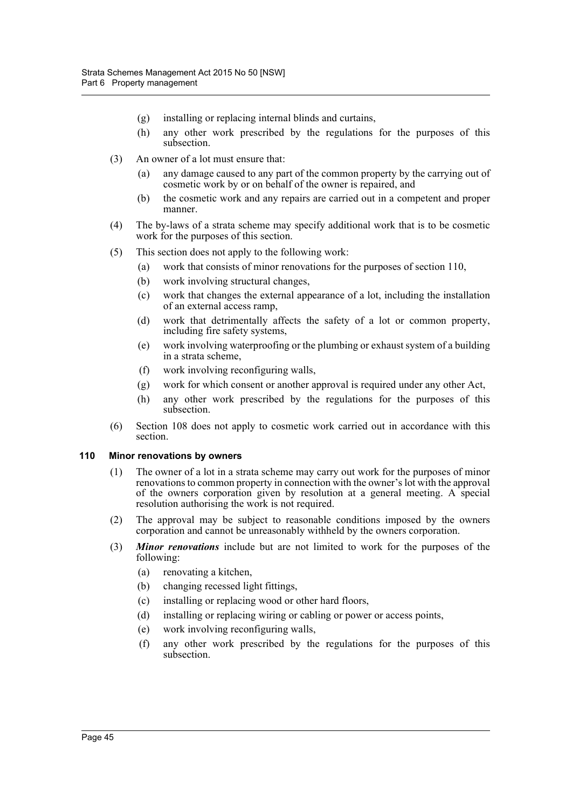- (g) installing or replacing internal blinds and curtains,
- (h) any other work prescribed by the regulations for the purposes of this subsection.
- (3) An owner of a lot must ensure that:
	- (a) any damage caused to any part of the common property by the carrying out of cosmetic work by or on behalf of the owner is repaired, and
	- (b) the cosmetic work and any repairs are carried out in a competent and proper manner.
- (4) The by-laws of a strata scheme may specify additional work that is to be cosmetic work for the purposes of this section.
- (5) This section does not apply to the following work:
	- (a) work that consists of minor renovations for the purposes of section 110,
		- (b) work involving structural changes,
		- (c) work that changes the external appearance of a lot, including the installation of an external access ramp,
		- (d) work that detrimentally affects the safety of a lot or common property, including fire safety systems,
		- (e) work involving waterproofing or the plumbing or exhaust system of a building in a strata scheme,
		- (f) work involving reconfiguring walls,
		- (g) work for which consent or another approval is required under any other Act,
		- (h) any other work prescribed by the regulations for the purposes of this subsection.
- (6) Section 108 does not apply to cosmetic work carried out in accordance with this section.

## **110 Minor renovations by owners**

- (1) The owner of a lot in a strata scheme may carry out work for the purposes of minor renovations to common property in connection with the owner's lot with the approval of the owners corporation given by resolution at a general meeting. A special resolution authorising the work is not required.
- (2) The approval may be subject to reasonable conditions imposed by the owners corporation and cannot be unreasonably withheld by the owners corporation.
- (3) *Minor renovations* include but are not limited to work for the purposes of the following:
	- (a) renovating a kitchen,
	- (b) changing recessed light fittings,
	- (c) installing or replacing wood or other hard floors,
	- (d) installing or replacing wiring or cabling or power or access points,
	- (e) work involving reconfiguring walls,
	- (f) any other work prescribed by the regulations for the purposes of this subsection.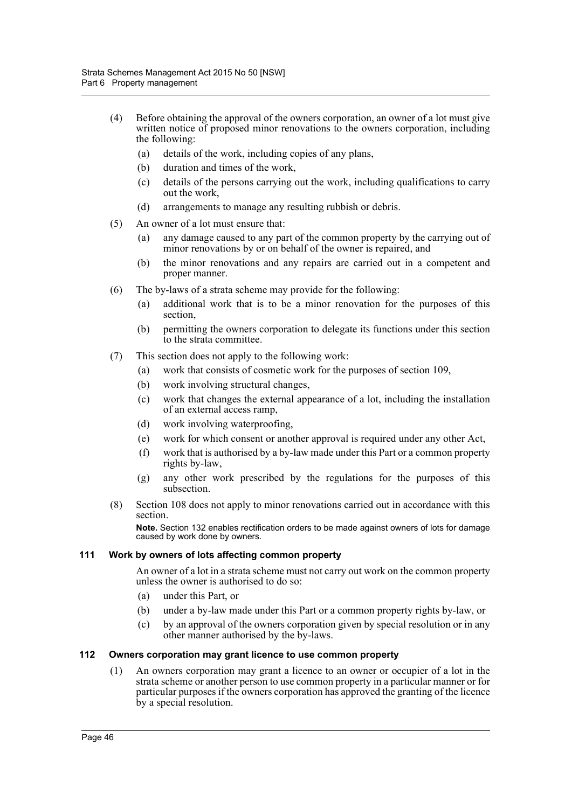- (4) Before obtaining the approval of the owners corporation, an owner of a lot must give written notice of proposed minor renovations to the owners corporation, including the following:
	- (a) details of the work, including copies of any plans,
	- (b) duration and times of the work,
	- (c) details of the persons carrying out the work, including qualifications to carry out the work,
	- (d) arrangements to manage any resulting rubbish or debris.
- (5) An owner of a lot must ensure that:
	- (a) any damage caused to any part of the common property by the carrying out of minor renovations by or on behalf of the owner is repaired, and
	- (b) the minor renovations and any repairs are carried out in a competent and proper manner.
- (6) The by-laws of a strata scheme may provide for the following:
	- (a) additional work that is to be a minor renovation for the purposes of this section,
	- (b) permitting the owners corporation to delegate its functions under this section to the strata committee.
- (7) This section does not apply to the following work:
	- (a) work that consists of cosmetic work for the purposes of section 109,
	- (b) work involving structural changes,
	- (c) work that changes the external appearance of a lot, including the installation of an external access ramp,
	- (d) work involving waterproofing,
	- (e) work for which consent or another approval is required under any other Act,
	- (f) work that is authorised by a by-law made under this Part or a common property rights by-law,
	- (g) any other work prescribed by the regulations for the purposes of this subsection.
- (8) Section 108 does not apply to minor renovations carried out in accordance with this section.

**Note.** Section 132 enables rectification orders to be made against owners of lots for damage caused by work done by owners.

#### **111 Work by owners of lots affecting common property**

An owner of a lot in a strata scheme must not carry out work on the common property unless the owner is authorised to do so:

- (a) under this Part, or
- (b) under a by-law made under this Part or a common property rights by-law, or
- (c) by an approval of the owners corporation given by special resolution or in any other manner authorised by the by-laws.

### **112 Owners corporation may grant licence to use common property**

(1) An owners corporation may grant a licence to an owner or occupier of a lot in the strata scheme or another person to use common property in a particular manner or for particular purposes if the owners corporation has approved the granting of the licence by a special resolution.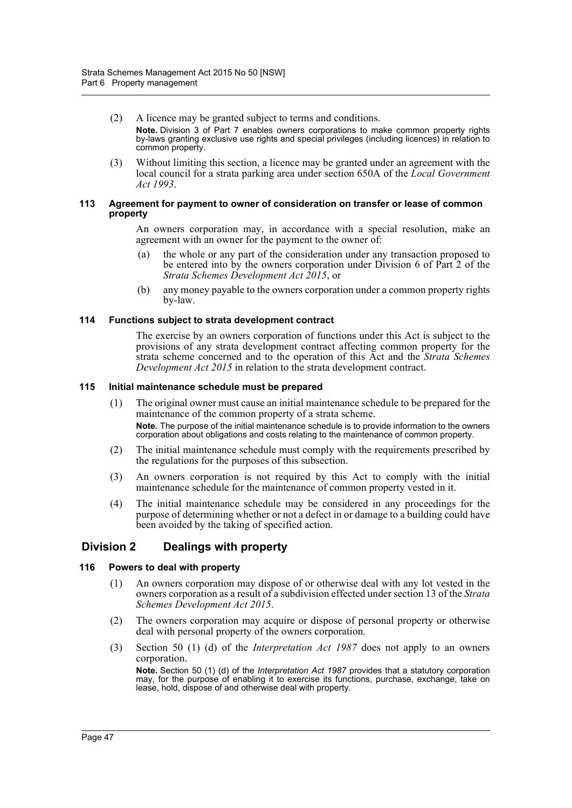- (2) A licence may be granted subject to terms and conditions. **Note.** Division 3 of Part 7 enables owners corporations to make common property rights by-laws granting exclusive use rights and special privileges (including licences) in relation to common property.
- (3) Without limiting this section, a licence may be granted under an agreement with the local council for a strata parking area under section 650A of the *Local Government Act 1993*.

#### **113 Agreement for payment to owner of consideration on transfer or lease of common property**

An owners corporation may, in accordance with a special resolution, make an agreement with an owner for the payment to the owner of:

- (a) the whole or any part of the consideration under any transaction proposed to be entered into by the owners corporation under Division 6 of Part 2 of the *Strata Schemes Development Act 2015*, or
- (b) any money payable to the owners corporation under a common property rights by-law.

### **114 Functions subject to strata development contract**

The exercise by an owners corporation of functions under this Act is subject to the provisions of any strata development contract affecting common property for the strata scheme concerned and to the operation of this Act and the *Strata Schemes Development Act 2015* in relation to the strata development contract.

#### **115 Initial maintenance schedule must be prepared**

- (1) The original owner must cause an initial maintenance schedule to be prepared for the maintenance of the common property of a strata scheme. **Note.** The purpose of the initial maintenance schedule is to provide information to the owners corporation about obligations and costs relating to the maintenance of common property.
- (2) The initial maintenance schedule must comply with the requirements prescribed by the regulations for the purposes of this subsection.
- (3) An owners corporation is not required by this Act to comply with the initial maintenance schedule for the maintenance of common property vested in it.
- (4) The initial maintenance schedule may be considered in any proceedings for the purpose of determining whether or not a defect in or damage to a building could have been avoided by the taking of specified action.

## **Division 2 Dealings with property**

### **116 Powers to deal with property**

- (1) An owners corporation may dispose of or otherwise deal with any lot vested in the owners corporation as a result of a subdivision effected under section 13 of the *Strata Schemes Development Act 2015*.
- (2) The owners corporation may acquire or dispose of personal property or otherwise deal with personal property of the owners corporation.
- (3) Section 50 (1) (d) of the *Interpretation Act 1987* does not apply to an owners corporation.

**Note.** Section 50 (1) (d) of the *Interpretation Act 1987* provides that a statutory corporation may, for the purpose of enabling it to exercise its functions, purchase, exchange, take on lease, hold, dispose of and otherwise deal with property.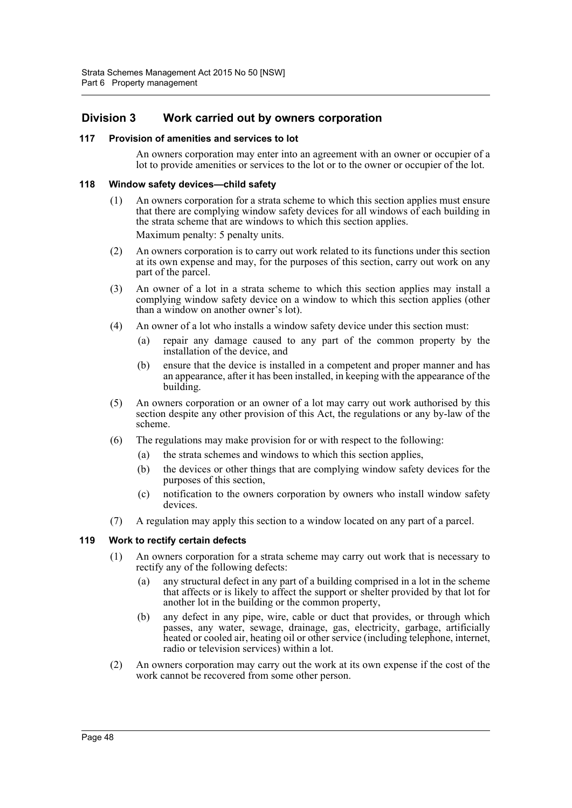## **Division 3 Work carried out by owners corporation**

#### **117 Provision of amenities and services to lot**

An owners corporation may enter into an agreement with an owner or occupier of a lot to provide amenities or services to the lot or to the owner or occupier of the lot.

#### **118 Window safety devices—child safety**

- (1) An owners corporation for a strata scheme to which this section applies must ensure that there are complying window safety devices for all windows of each building in the strata scheme that are windows to which this section applies. Maximum penalty: 5 penalty units.
- (2) An owners corporation is to carry out work related to its functions under this section at its own expense and may, for the purposes of this section, carry out work on any part of the parcel.
- (3) An owner of a lot in a strata scheme to which this section applies may install a complying window safety device on a window to which this section applies (other than a window on another owner's lot).
- (4) An owner of a lot who installs a window safety device under this section must:
	- (a) repair any damage caused to any part of the common property by the installation of the device, and
	- (b) ensure that the device is installed in a competent and proper manner and has an appearance, after it has been installed, in keeping with the appearance of the building.
- (5) An owners corporation or an owner of a lot may carry out work authorised by this section despite any other provision of this Act, the regulations or any by-law of the scheme.
- (6) The regulations may make provision for or with respect to the following:
	- (a) the strata schemes and windows to which this section applies,
	- (b) the devices or other things that are complying window safety devices for the purposes of this section,
	- (c) notification to the owners corporation by owners who install window safety devices.
- (7) A regulation may apply this section to a window located on any part of a parcel.

### **119 Work to rectify certain defects**

- (1) An owners corporation for a strata scheme may carry out work that is necessary to rectify any of the following defects:
	- (a) any structural defect in any part of a building comprised in a lot in the scheme that affects or is likely to affect the support or shelter provided by that lot for another lot in the building or the common property,
	- (b) any defect in any pipe, wire, cable or duct that provides, or through which passes, any water, sewage, drainage, gas, electricity, garbage, artificially heated or cooled air, heating oil or other service (including telephone, internet, radio or television services) within a lot.
- (2) An owners corporation may carry out the work at its own expense if the cost of the work cannot be recovered from some other person.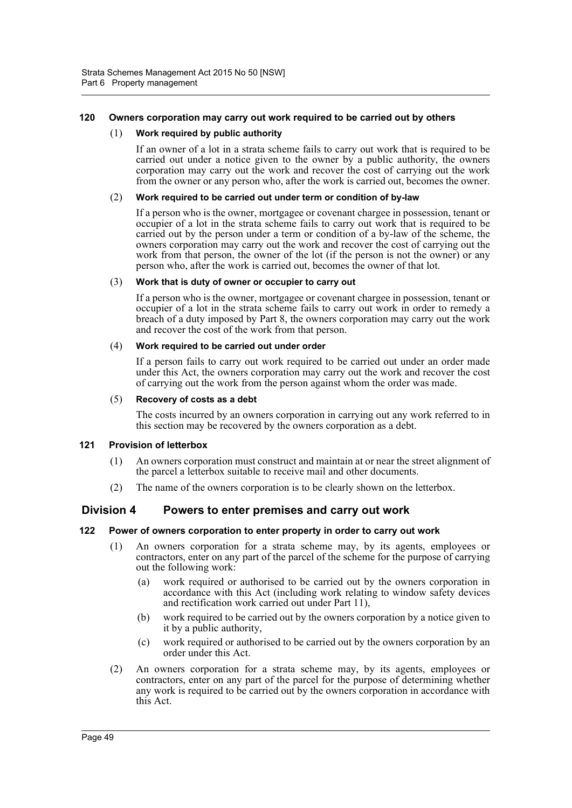## **120 Owners corporation may carry out work required to be carried out by others**

#### (1) **Work required by public authority**

If an owner of a lot in a strata scheme fails to carry out work that is required to be carried out under a notice given to the owner by a public authority, the owners corporation may carry out the work and recover the cost of carrying out the work from the owner or any person who, after the work is carried out, becomes the owner.

#### (2) **Work required to be carried out under term or condition of by-law**

If a person who is the owner, mortgagee or covenant chargee in possession, tenant or occupier of a lot in the strata scheme fails to carry out work that is required to be carried out by the person under a term or condition of a by-law of the scheme, the owners corporation may carry out the work and recover the cost of carrying out the work from that person, the owner of the lot (if the person is not the owner) or any person who, after the work is carried out, becomes the owner of that lot.

#### (3) **Work that is duty of owner or occupier to carry out**

If a person who is the owner, mortgagee or covenant chargee in possession, tenant or occupier of a lot in the strata scheme fails to carry out work in order to remedy a breach of a duty imposed by Part 8, the owners corporation may carry out the work and recover the cost of the work from that person.

#### (4) **Work required to be carried out under order**

If a person fails to carry out work required to be carried out under an order made under this Act, the owners corporation may carry out the work and recover the cost of carrying out the work from the person against whom the order was made.

#### (5) **Recovery of costs as a debt**

The costs incurred by an owners corporation in carrying out any work referred to in this section may be recovered by the owners corporation as a debt.

### **121 Provision of letterbox**

- (1) An owners corporation must construct and maintain at or near the street alignment of the parcel a letterbox suitable to receive mail and other documents.
- (2) The name of the owners corporation is to be clearly shown on the letterbox.

## **Division 4 Powers to enter premises and carry out work**

### **122 Power of owners corporation to enter property in order to carry out work**

- (1) An owners corporation for a strata scheme may, by its agents, employees or contractors, enter on any part of the parcel of the scheme for the purpose of carrying out the following work:
	- (a) work required or authorised to be carried out by the owners corporation in accordance with this Act (including work relating to window safety devices and rectification work carried out under Part 11),
	- (b) work required to be carried out by the owners corporation by a notice given to it by a public authority,
	- (c) work required or authorised to be carried out by the owners corporation by an order under this Act.
- (2) An owners corporation for a strata scheme may, by its agents, employees or contractors, enter on any part of the parcel for the purpose of determining whether any work is required to be carried out by the owners corporation in accordance with this Act.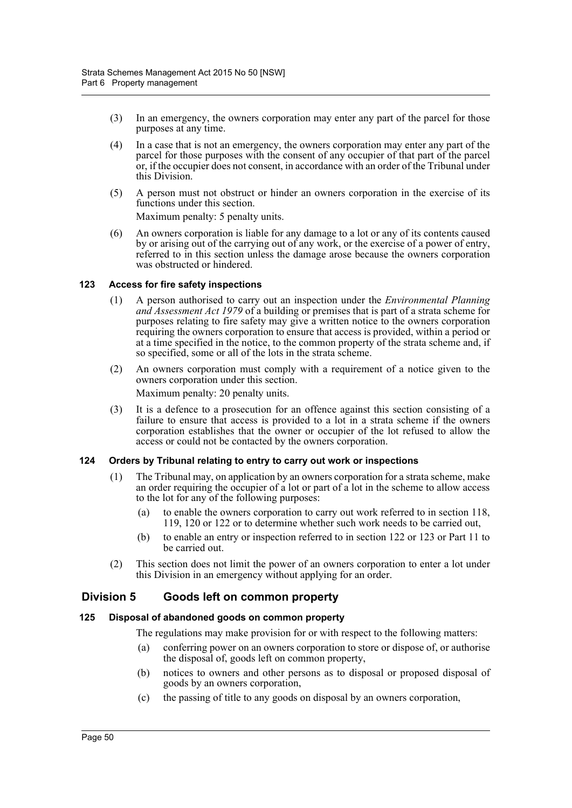- (3) In an emergency, the owners corporation may enter any part of the parcel for those purposes at any time.
- (4) In a case that is not an emergency, the owners corporation may enter any part of the parcel for those purposes with the consent of any occupier of that part of the parcel or, if the occupier does not consent, in accordance with an order of the Tribunal under this Division.
- (5) A person must not obstruct or hinder an owners corporation in the exercise of its functions under this section.

Maximum penalty: 5 penalty units.

(6) An owners corporation is liable for any damage to a lot or any of its contents caused by or arising out of the carrying out of any work, or the exercise of a power of entry, referred to in this section unless the damage arose because the owners corporation was obstructed or hindered.

### **123 Access for fire safety inspections**

- (1) A person authorised to carry out an inspection under the *Environmental Planning and Assessment Act 1979* of a building or premises that is part of a strata scheme for purposes relating to fire safety may give a written notice to the owners corporation requiring the owners corporation to ensure that access is provided, within a period or at a time specified in the notice, to the common property of the strata scheme and, if so specified, some or all of the lots in the strata scheme.
- (2) An owners corporation must comply with a requirement of a notice given to the owners corporation under this section.

Maximum penalty: 20 penalty units.

(3) It is a defence to a prosecution for an offence against this section consisting of a failure to ensure that access is provided to a lot in a strata scheme if the owners corporation establishes that the owner or occupier of the lot refused to allow the access or could not be contacted by the owners corporation.

### **124 Orders by Tribunal relating to entry to carry out work or inspections**

- (1) The Tribunal may, on application by an owners corporation for a strata scheme, make an order requiring the occupier of a lot or part of a lot in the scheme to allow access to the lot for any of the following purposes:
	- (a) to enable the owners corporation to carry out work referred to in section 118, 119, 120 or 122 or to determine whether such work needs to be carried out,
	- (b) to enable an entry or inspection referred to in section 122 or 123 or Part 11 to be carried out.
- (2) This section does not limit the power of an owners corporation to enter a lot under this Division in an emergency without applying for an order.

## **Division 5 Goods left on common property**

### **125 Disposal of abandoned goods on common property**

The regulations may make provision for or with respect to the following matters:

- (a) conferring power on an owners corporation to store or dispose of, or authorise the disposal of, goods left on common property,
- (b) notices to owners and other persons as to disposal or proposed disposal of goods by an owners corporation,
- (c) the passing of title to any goods on disposal by an owners corporation,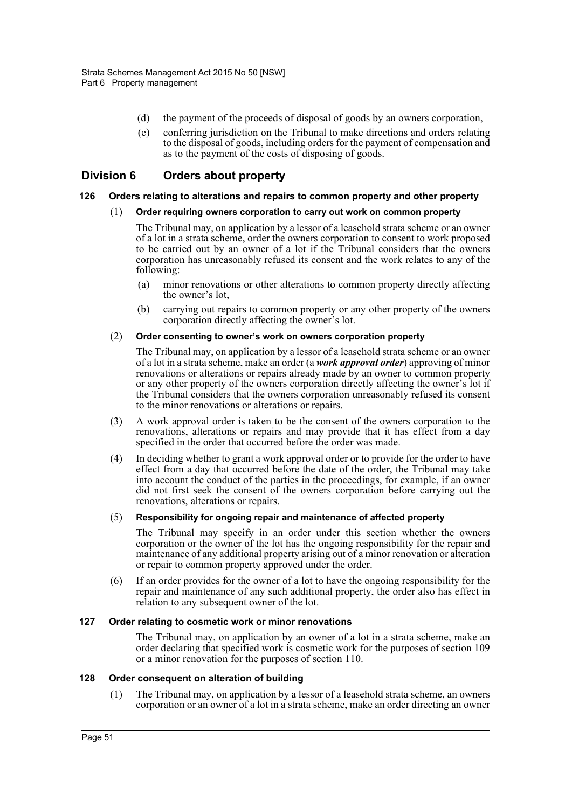- (d) the payment of the proceeds of disposal of goods by an owners corporation,
- (e) conferring jurisdiction on the Tribunal to make directions and orders relating to the disposal of goods, including orders for the payment of compensation and as to the payment of the costs of disposing of goods.

## **Division 6 Orders about property**

#### **126 Orders relating to alterations and repairs to common property and other property**

#### (1) **Order requiring owners corporation to carry out work on common property**

The Tribunal may, on application by a lessor of a leasehold strata scheme or an owner of a lot in a strata scheme, order the owners corporation to consent to work proposed to be carried out by an owner of a lot if the Tribunal considers that the owners corporation has unreasonably refused its consent and the work relates to any of the following:

- (a) minor renovations or other alterations to common property directly affecting the owner's lot,
- (b) carrying out repairs to common property or any other property of the owners corporation directly affecting the owner's lot.

#### (2) **Order consenting to owner's work on owners corporation property**

The Tribunal may, on application by a lessor of a leasehold strata scheme or an owner of a lot in a strata scheme, make an order (a *work approval order*) approving of minor renovations or alterations or repairs already made by an owner to common property or any other property of the owners corporation directly affecting the owner's lot if the Tribunal considers that the owners corporation unreasonably refused its consent to the minor renovations or alterations or repairs.

- (3) A work approval order is taken to be the consent of the owners corporation to the renovations, alterations or repairs and may provide that it has effect from a day specified in the order that occurred before the order was made.
- (4) In deciding whether to grant a work approval order or to provide for the order to have effect from a day that occurred before the date of the order, the Tribunal may take into account the conduct of the parties in the proceedings, for example, if an owner did not first seek the consent of the owners corporation before carrying out the renovations, alterations or repairs.

#### (5) **Responsibility for ongoing repair and maintenance of affected property**

The Tribunal may specify in an order under this section whether the owners corporation or the owner of the lot has the ongoing responsibility for the repair and maintenance of any additional property arising out of a minor renovation or alteration or repair to common property approved under the order.

(6) If an order provides for the owner of a lot to have the ongoing responsibility for the repair and maintenance of any such additional property, the order also has effect in relation to any subsequent owner of the lot.

### **127 Order relating to cosmetic work or minor renovations**

The Tribunal may, on application by an owner of a lot in a strata scheme, make an order declaring that specified work is cosmetic work for the purposes of section 109 or a minor renovation for the purposes of section 110.

## **128 Order consequent on alteration of building**

(1) The Tribunal may, on application by a lessor of a leasehold strata scheme, an owners corporation or an owner of a lot in a strata scheme, make an order directing an owner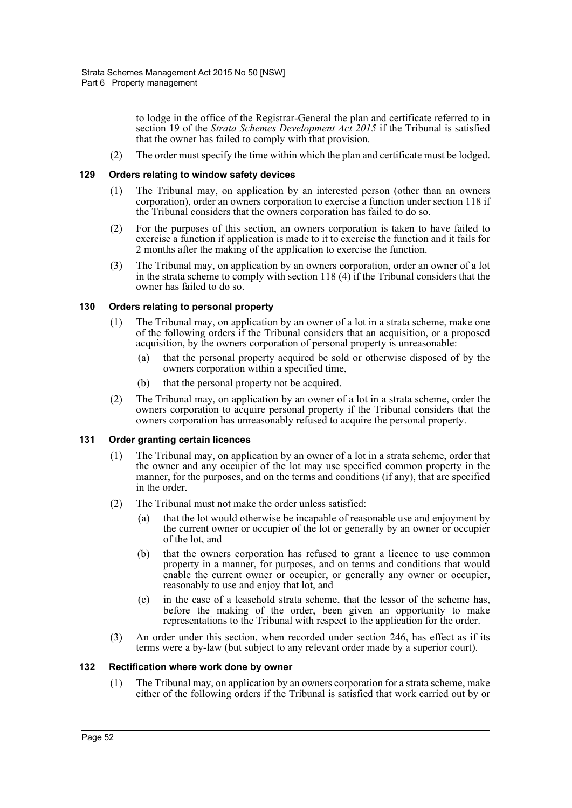to lodge in the office of the Registrar-General the plan and certificate referred to in section 19 of the *Strata Schemes Development Act 2015* if the Tribunal is satisfied that the owner has failed to comply with that provision.

(2) The order must specify the time within which the plan and certificate must be lodged.

#### **129 Orders relating to window safety devices**

- (1) The Tribunal may, on application by an interested person (other than an owners corporation), order an owners corporation to exercise a function under section 118 if the Tribunal considers that the owners corporation has failed to do so.
- (2) For the purposes of this section, an owners corporation is taken to have failed to exercise a function if application is made to it to exercise the function and it fails for 2 months after the making of the application to exercise the function.
- (3) The Tribunal may, on application by an owners corporation, order an owner of a lot in the strata scheme to comply with section 118 (4) if the Tribunal considers that the owner has failed to do so.

#### **130 Orders relating to personal property**

- (1) The Tribunal may, on application by an owner of a lot in a strata scheme, make one of the following orders if the Tribunal considers that an acquisition, or a proposed acquisition, by the owners corporation of personal property is unreasonable:
	- (a) that the personal property acquired be sold or otherwise disposed of by the owners corporation within a specified time,
	- (b) that the personal property not be acquired.
- (2) The Tribunal may, on application by an owner of a lot in a strata scheme, order the owners corporation to acquire personal property if the Tribunal considers that the owners corporation has unreasonably refused to acquire the personal property.

#### **131 Order granting certain licences**

- (1) The Tribunal may, on application by an owner of a lot in a strata scheme, order that the owner and any occupier of the lot may use specified common property in the manner, for the purposes, and on the terms and conditions (if any), that are specified in the order.
- (2) The Tribunal must not make the order unless satisfied:
	- (a) that the lot would otherwise be incapable of reasonable use and enjoyment by the current owner or occupier of the lot or generally by an owner or occupier of the lot, and
	- (b) that the owners corporation has refused to grant a licence to use common property in a manner, for purposes, and on terms and conditions that would enable the current owner or occupier, or generally any owner or occupier, reasonably to use and enjoy that lot, and
	- (c) in the case of a leasehold strata scheme, that the lessor of the scheme has, before the making of the order, been given an opportunity to make representations to the Tribunal with respect to the application for the order.
- (3) An order under this section, when recorded under section 246, has effect as if its terms were a by-law (but subject to any relevant order made by a superior court).

#### **132 Rectification where work done by owner**

(1) The Tribunal may, on application by an owners corporation for a strata scheme, make either of the following orders if the Tribunal is satisfied that work carried out by or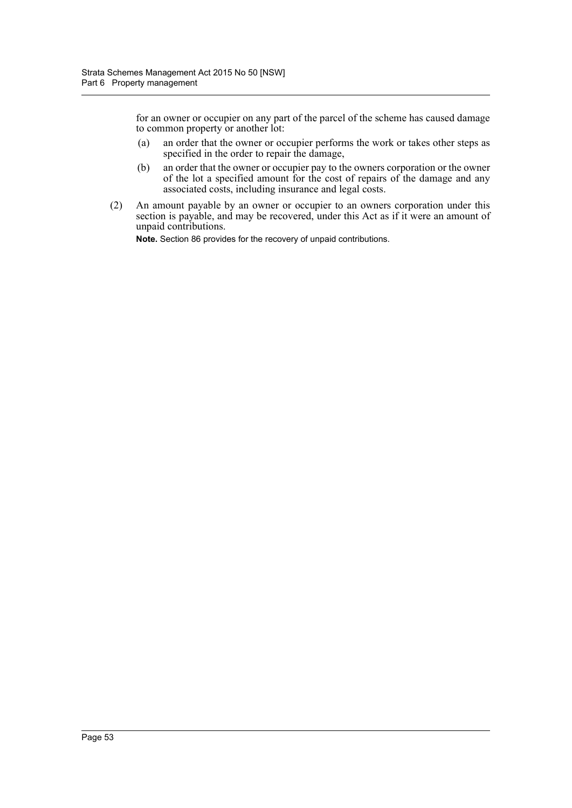for an owner or occupier on any part of the parcel of the scheme has caused damage to common property or another lot:

- (a) an order that the owner or occupier performs the work or takes other steps as specified in the order to repair the damage,
- (b) an order that the owner or occupier pay to the owners corporation or the owner of the lot a specified amount for the cost of repairs of the damage and any associated costs, including insurance and legal costs.
- (2) An amount payable by an owner or occupier to an owners corporation under this section is payable, and may be recovered, under this Act as if it were an amount of unpaid contributions.

**Note.** Section 86 provides for the recovery of unpaid contributions.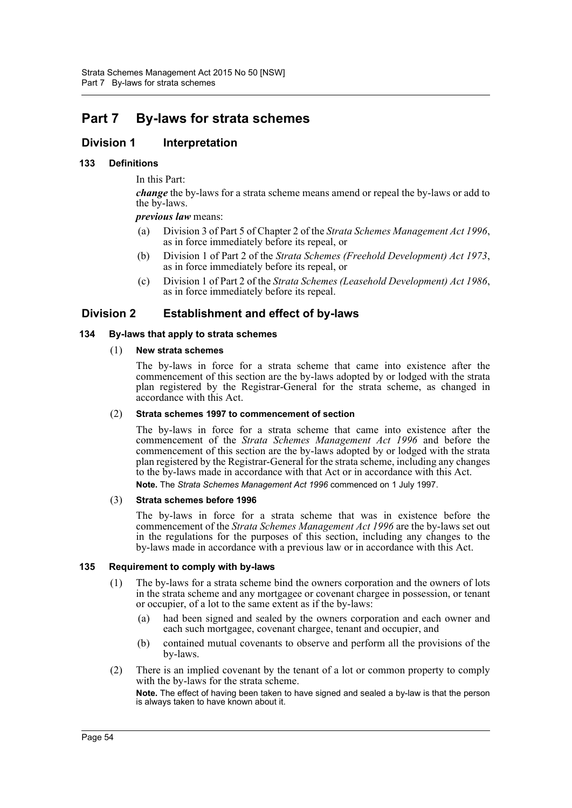# **Part 7 By-laws for strata schemes**

## **Division 1 Interpretation**

## **133 Definitions**

In this Part:

*change* the by-laws for a strata scheme means amend or repeal the by-laws or add to the by-laws.

*previous law* means:

- (a) Division 3 of Part 5 of Chapter 2 of the *Strata Schemes Management Act 1996*, as in force immediately before its repeal, or
- (b) Division 1 of Part 2 of the *Strata Schemes (Freehold Development) Act 1973*, as in force immediately before its repeal, or
- (c) Division 1 of Part 2 of the *Strata Schemes (Leasehold Development) Act 1986*, as in force immediately before its repeal.

## **Division 2 Establishment and effect of by-laws**

## **134 By-laws that apply to strata schemes**

(1) **New strata schemes**

The by-laws in force for a strata scheme that came into existence after the commencement of this section are the by-laws adopted by or lodged with the strata plan registered by the Registrar-General for the strata scheme, as changed in accordance with this Act.

### (2) **Strata schemes 1997 to commencement of section**

The by-laws in force for a strata scheme that came into existence after the commencement of the *Strata Schemes Management Act 1996* and before the commencement of this section are the by-laws adopted by or lodged with the strata plan registered by the Registrar-General for the strata scheme, including any changes to the by-laws made in accordance with that Act or in accordance with this Act. **Note.** The *Strata Schemes Management Act 1996* commenced on 1 July 1997.

### (3) **Strata schemes before 1996**

The by-laws in force for a strata scheme that was in existence before the commencement of the *Strata Schemes Management Act 1996* are the by-laws set out in the regulations for the purposes of this section, including any changes to the by-laws made in accordance with a previous law or in accordance with this Act.

### **135 Requirement to comply with by-laws**

- (1) The by-laws for a strata scheme bind the owners corporation and the owners of lots in the strata scheme and any mortgagee or covenant chargee in possession, or tenant or occupier, of a lot to the same extent as if the by-laws:
	- (a) had been signed and sealed by the owners corporation and each owner and each such mortgagee, covenant chargee, tenant and occupier, and
	- (b) contained mutual covenants to observe and perform all the provisions of the by-laws.
- (2) There is an implied covenant by the tenant of a lot or common property to comply with the by-laws for the strata scheme.

**Note.** The effect of having been taken to have signed and sealed a by-law is that the person is always taken to have known about it.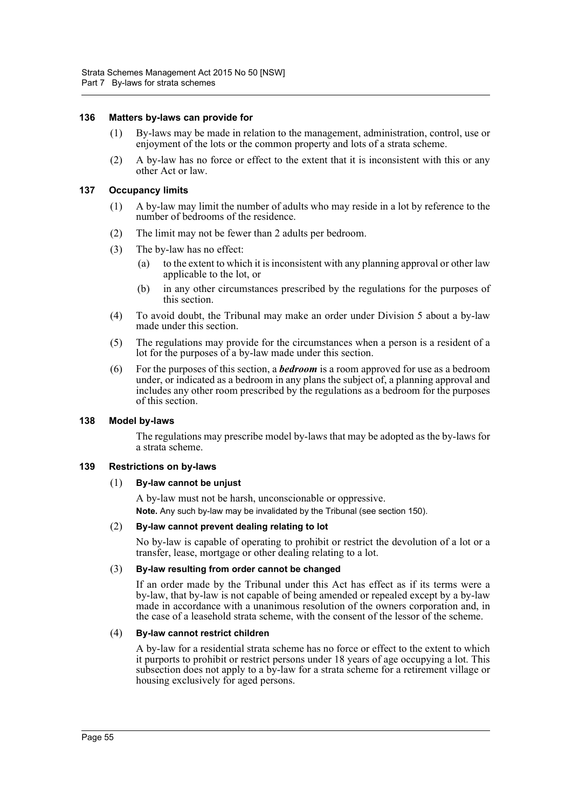#### **136 Matters by-laws can provide for**

- (1) By-laws may be made in relation to the management, administration, control, use or enjoyment of the lots or the common property and lots of a strata scheme.
- (2) A by-law has no force or effect to the extent that it is inconsistent with this or any other Act or law.

#### **137 Occupancy limits**

- (1) A by-law may limit the number of adults who may reside in a lot by reference to the number of bedrooms of the residence.
- (2) The limit may not be fewer than 2 adults per bedroom.
- (3) The by-law has no effect:
	- (a) to the extent to which it is inconsistent with any planning approval or other law applicable to the lot, or
	- (b) in any other circumstances prescribed by the regulations for the purposes of this section.
- (4) To avoid doubt, the Tribunal may make an order under Division 5 about a by-law made under this section.
- (5) The regulations may provide for the circumstances when a person is a resident of a lot for the purposes of a by-law made under this section.
- (6) For the purposes of this section, a *bedroom* is a room approved for use as a bedroom under, or indicated as a bedroom in any plans the subject of, a planning approval and includes any other room prescribed by the regulations as a bedroom for the purposes of this section.

#### **138 Model by-laws**

The regulations may prescribe model by-laws that may be adopted as the by-laws for a strata scheme.

### **139 Restrictions on by-laws**

#### (1) **By-law cannot be unjust**

A by-law must not be harsh, unconscionable or oppressive. **Note.** Any such by-law may be invalidated by the Tribunal (see section 150).

#### (2) **By-law cannot prevent dealing relating to lot**

No by-law is capable of operating to prohibit or restrict the devolution of a lot or a transfer, lease, mortgage or other dealing relating to a lot.

#### (3) **By-law resulting from order cannot be changed**

If an order made by the Tribunal under this Act has effect as if its terms were a by-law, that by-law is not capable of being amended or repealed except by a by-law made in accordance with a unanimous resolution of the owners corporation and, in the case of a leasehold strata scheme, with the consent of the lessor of the scheme.

#### (4) **By-law cannot restrict children**

A by-law for a residential strata scheme has no force or effect to the extent to which it purports to prohibit or restrict persons under 18 years of age occupying a lot. This subsection does not apply to a by-law for a strata scheme for a retirement village or housing exclusively for aged persons.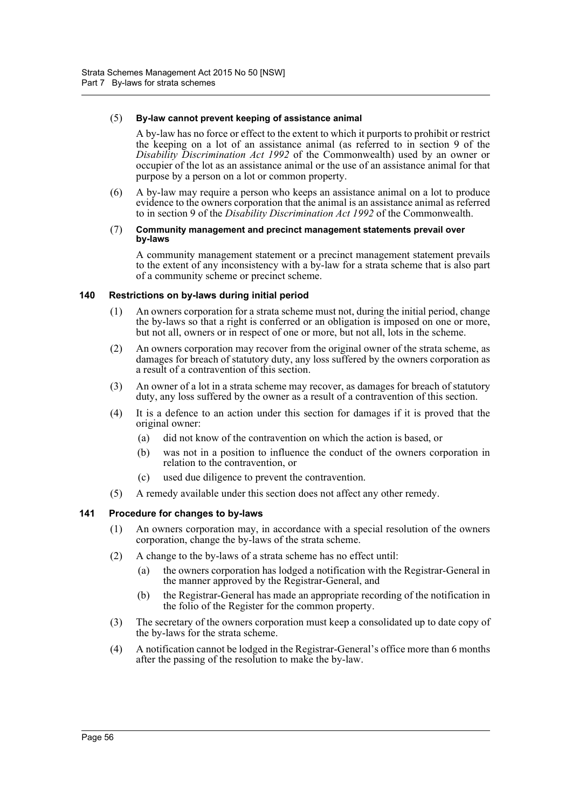#### (5) **By-law cannot prevent keeping of assistance animal**

A by-law has no force or effect to the extent to which it purports to prohibit or restrict the keeping on a lot of an assistance animal (as referred to in section 9 of the *Disability Discrimination Act 1992* of the Commonwealth) used by an owner or occupier of the lot as an assistance animal or the use of an assistance animal for that purpose by a person on a lot or common property.

(6) A by-law may require a person who keeps an assistance animal on a lot to produce evidence to the owners corporation that the animal is an assistance animal as referred to in section 9 of the *Disability Discrimination Act 1992* of the Commonwealth.

#### (7) **Community management and precinct management statements prevail over by-laws**

A community management statement or a precinct management statement prevails to the extent of any inconsistency with a by-law for a strata scheme that is also part of a community scheme or precinct scheme.

#### **140 Restrictions on by-laws during initial period**

- (1) An owners corporation for a strata scheme must not, during the initial period, change the by-laws so that a right is conferred or an obligation is imposed on one or more, but not all, owners or in respect of one or more, but not all, lots in the scheme.
- (2) An owners corporation may recover from the original owner of the strata scheme, as damages for breach of statutory duty, any loss suffered by the owners corporation as a result of a contravention of this section.
- (3) An owner of a lot in a strata scheme may recover, as damages for breach of statutory duty, any loss suffered by the owner as a result of a contravention of this section.
- (4) It is a defence to an action under this section for damages if it is proved that the original owner:
	- (a) did not know of the contravention on which the action is based, or
	- (b) was not in a position to influence the conduct of the owners corporation in relation to the contravention, or
	- (c) used due diligence to prevent the contravention.
- (5) A remedy available under this section does not affect any other remedy.

### **141 Procedure for changes to by-laws**

- (1) An owners corporation may, in accordance with a special resolution of the owners corporation, change the by-laws of the strata scheme.
- (2) A change to the by-laws of a strata scheme has no effect until:
	- (a) the owners corporation has lodged a notification with the Registrar-General in the manner approved by the Registrar-General, and
	- (b) the Registrar-General has made an appropriate recording of the notification in the folio of the Register for the common property.
- (3) The secretary of the owners corporation must keep a consolidated up to date copy of the by-laws for the strata scheme.
- (4) A notification cannot be lodged in the Registrar-General's office more than 6 months after the passing of the resolution to make the by-law.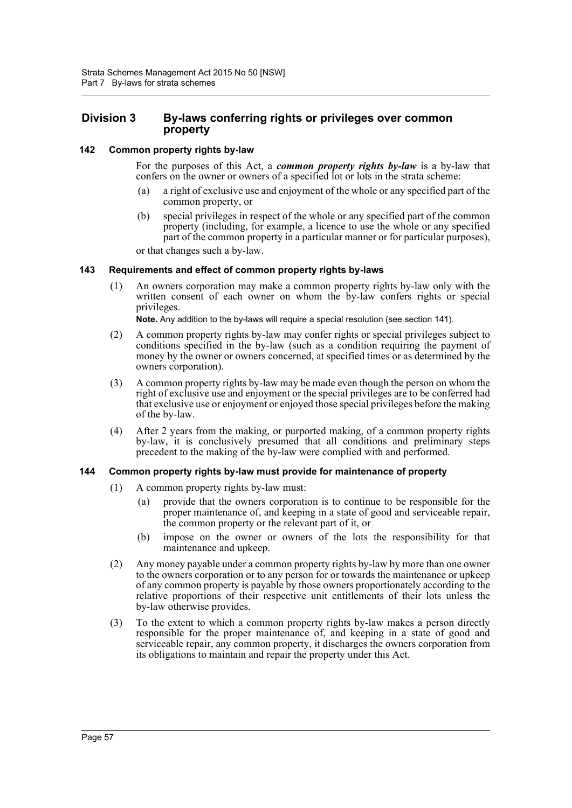## **Division 3 By-laws conferring rights or privileges over common property**

### **142 Common property rights by-law**

For the purposes of this Act, a *common property rights by-law* is a by-law that confers on the owner or owners of a specified lot or lots in the strata scheme:

- (a) a right of exclusive use and enjoyment of the whole or any specified part of the common property, or
- (b) special privileges in respect of the whole or any specified part of the common property (including, for example, a licence to use the whole or any specified part of the common property in a particular manner or for particular purposes),

or that changes such a by-law.

### **143 Requirements and effect of common property rights by-laws**

(1) An owners corporation may make a common property rights by-law only with the written consent of each owner on whom the by-law confers rights or special privileges.

**Note.** Any addition to the by-laws will require a special resolution (see section 141).

- (2) A common property rights by-law may confer rights or special privileges subject to conditions specified in the by-law (such as a condition requiring the payment of money by the owner or owners concerned, at specified times or as determined by the owners corporation).
- (3) A common property rights by-law may be made even though the person on whom the right of exclusive use and enjoyment or the special privileges are to be conferred had that exclusive use or enjoyment or enjoyed those special privileges before the making of the by-law.
- (4) After 2 years from the making, or purported making, of a common property rights by-law, it is conclusively presumed that all conditions and preliminary steps precedent to the making of the by-law were complied with and performed.

### **144 Common property rights by-law must provide for maintenance of property**

- (1) A common property rights by-law must:
	- (a) provide that the owners corporation is to continue to be responsible for the proper maintenance of, and keeping in a state of good and serviceable repair, the common property or the relevant part of it, or
	- (b) impose on the owner or owners of the lots the responsibility for that maintenance and upkeep.
- (2) Any money payable under a common property rights by-law by more than one owner to the owners corporation or to any person for or towards the maintenance or upkeep of any common property is payable by those owners proportionately according to the relative proportions of their respective unit entitlements of their lots unless the by-law otherwise provides.
- (3) To the extent to which a common property rights by-law makes a person directly responsible for the proper maintenance of, and keeping in a state of good and serviceable repair, any common property, it discharges the owners corporation from its obligations to maintain and repair the property under this Act.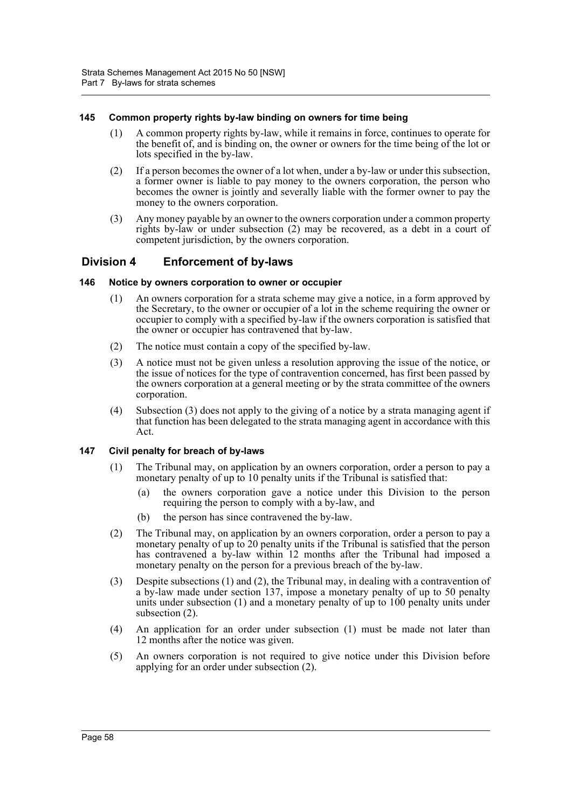### **145 Common property rights by-law binding on owners for time being**

- (1) A common property rights by-law, while it remains in force, continues to operate for the benefit of, and is binding on, the owner or owners for the time being of the lot or lots specified in the by-law.
- (2) If a person becomes the owner of a lot when, under a by-law or under this subsection, a former owner is liable to pay money to the owners corporation, the person who becomes the owner is jointly and severally liable with the former owner to pay the money to the owners corporation.
- (3) Any money payable by an owner to the owners corporation under a common property rights by-law or under subsection (2) may be recovered, as a debt in a court of competent jurisdiction, by the owners corporation.

## **Division 4 Enforcement of by-laws**

### **146 Notice by owners corporation to owner or occupier**

- (1) An owners corporation for a strata scheme may give a notice, in a form approved by the Secretary, to the owner or occupier of a lot in the scheme requiring the owner or occupier to comply with a specified by-law if the owners corporation is satisfied that the owner or occupier has contravened that by-law.
- (2) The notice must contain a copy of the specified by-law.
- (3) A notice must not be given unless a resolution approving the issue of the notice, or the issue of notices for the type of contravention concerned, has first been passed by the owners corporation at a general meeting or by the strata committee of the owners corporation.
- (4) Subsection (3) does not apply to the giving of a notice by a strata managing agent if that function has been delegated to the strata managing agent in accordance with this Act.

## **147 Civil penalty for breach of by-laws**

- (1) The Tribunal may, on application by an owners corporation, order a person to pay a monetary penalty of up to 10 penalty units if the Tribunal is satisfied that:
	- (a) the owners corporation gave a notice under this Division to the person requiring the person to comply with a by-law, and
	- (b) the person has since contravened the by-law.
- (2) The Tribunal may, on application by an owners corporation, order a person to pay a monetary penalty of up to 20 penalty units if the Tribunal is satisfied that the person has contravened a by-law within 12 months after the Tribunal had imposed a monetary penalty on the person for a previous breach of the by-law.
- (3) Despite subsections (1) and (2), the Tribunal may, in dealing with a contravention of a by-law made under section 137, impose a monetary penalty of up to 50 penalty units under subsection (1) and a monetary penalty of up to 100 penalty units under subsection (2).
- (4) An application for an order under subsection (1) must be made not later than 12 months after the notice was given.
- (5) An owners corporation is not required to give notice under this Division before applying for an order under subsection (2).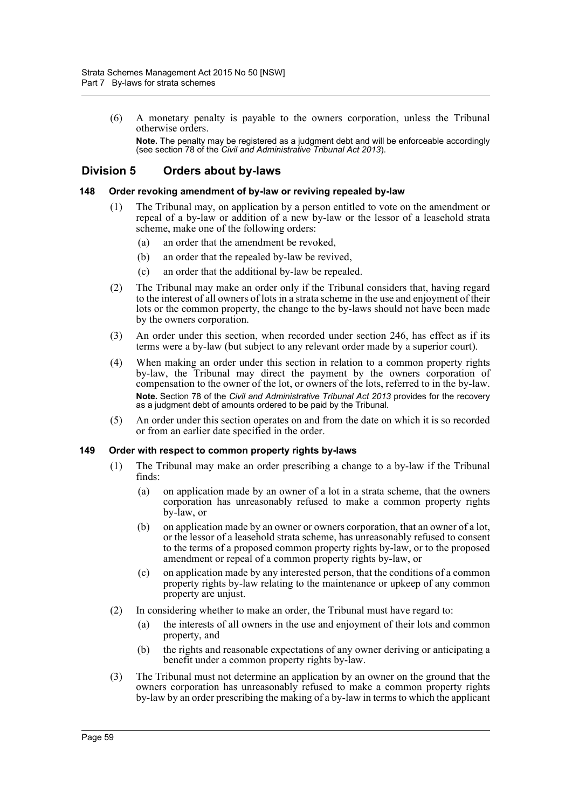(6) A monetary penalty is payable to the owners corporation, unless the Tribunal otherwise orders.

**Note.** The penalty may be registered as a judgment debt and will be enforceable accordingly (see section 78 of the *Civil and Administrative Tribunal Act 2013*).

## **Division 5 Orders about by-laws**

#### **148 Order revoking amendment of by-law or reviving repealed by-law**

- (1) The Tribunal may, on application by a person entitled to vote on the amendment or repeal of a by-law or addition of a new by-law or the lessor of a leasehold strata scheme, make one of the following orders:
	- (a) an order that the amendment be revoked,
	- (b) an order that the repealed by-law be revived,
	- (c) an order that the additional by-law be repealed.
- (2) The Tribunal may make an order only if the Tribunal considers that, having regard to the interest of all owners of lots in a strata scheme in the use and enjoyment of their lots or the common property, the change to the by-laws should not have been made by the owners corporation.
- (3) An order under this section, when recorded under section 246, has effect as if its terms were a by-law (but subject to any relevant order made by a superior court).
- (4) When making an order under this section in relation to a common property rights by-law, the Tribunal may direct the payment by the owners corporation of compensation to the owner of the lot, or owners of the lots, referred to in the by-law. **Note.** Section 78 of the *Civil and Administrative Tribunal Act 2013* provides for the recovery as a judgment debt of amounts ordered to be paid by the Tribunal.
- (5) An order under this section operates on and from the date on which it is so recorded or from an earlier date specified in the order.

### **149 Order with respect to common property rights by-laws**

- (1) The Tribunal may make an order prescribing a change to a by-law if the Tribunal finds:
	- (a) on application made by an owner of a lot in a strata scheme, that the owners corporation has unreasonably refused to make a common property rights by-law, or
	- (b) on application made by an owner or owners corporation, that an owner of a lot, or the lessor of a leasehold strata scheme, has unreasonably refused to consent to the terms of a proposed common property rights by-law, or to the proposed amendment or repeal of a common property rights by-law, or
	- (c) on application made by any interested person, that the conditions of a common property rights by-law relating to the maintenance or upkeep of any common property are unjust.
- (2) In considering whether to make an order, the Tribunal must have regard to:
	- (a) the interests of all owners in the use and enjoyment of their lots and common property, and
	- (b) the rights and reasonable expectations of any owner deriving or anticipating a benefit under a common property rights by-law.
- (3) The Tribunal must not determine an application by an owner on the ground that the owners corporation has unreasonably refused to make a common property rights by-law by an order prescribing the making of a by-law in terms to which the applicant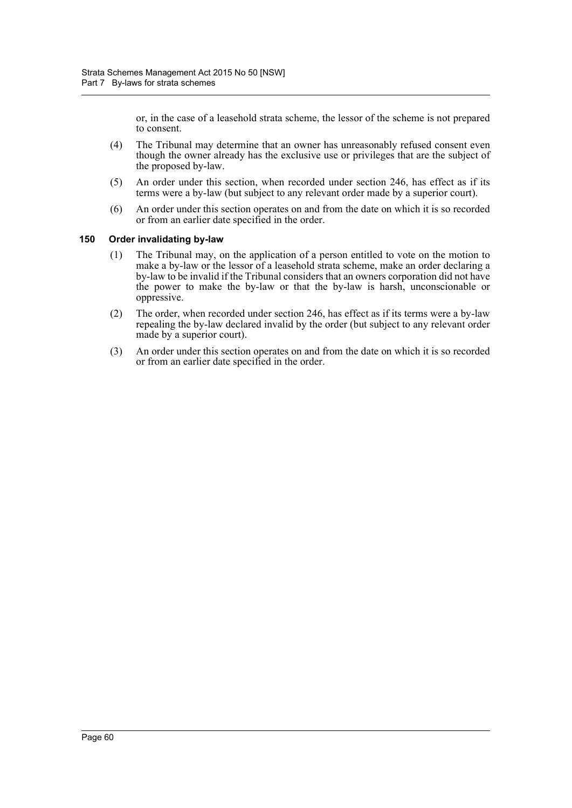or, in the case of a leasehold strata scheme, the lessor of the scheme is not prepared to consent.

- (4) The Tribunal may determine that an owner has unreasonably refused consent even though the owner already has the exclusive use or privileges that are the subject of the proposed by-law.
- (5) An order under this section, when recorded under section 246, has effect as if its terms were a by-law (but subject to any relevant order made by a superior court).
- (6) An order under this section operates on and from the date on which it is so recorded or from an earlier date specified in the order.

#### **150 Order invalidating by-law**

- (1) The Tribunal may, on the application of a person entitled to vote on the motion to make a by-law or the lessor of a leasehold strata scheme, make an order declaring a by-law to be invalid if the Tribunal considers that an owners corporation did not have the power to make the by-law or that the by-law is harsh, unconscionable or oppressive.
- (2) The order, when recorded under section 246, has effect as if its terms were a by-law repealing the by-law declared invalid by the order (but subject to any relevant order made by a superior court).
- (3) An order under this section operates on and from the date on which it is so recorded or from an earlier date specified in the order.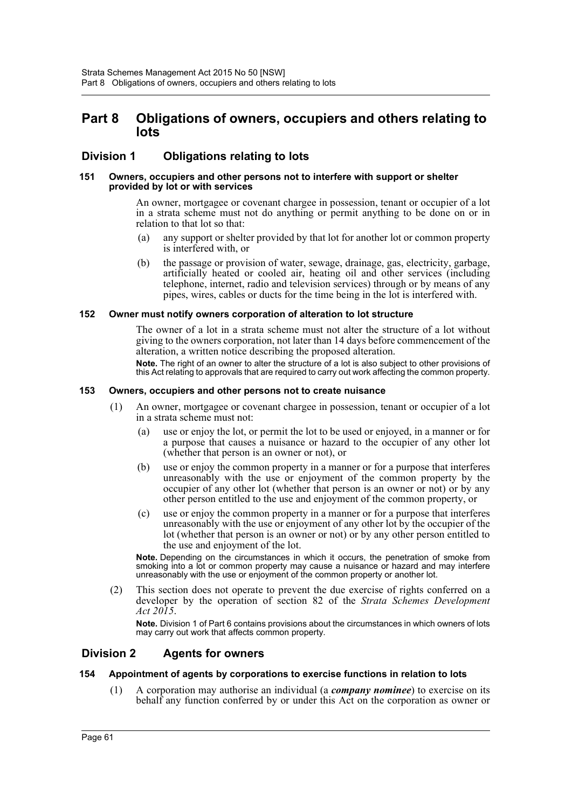## **Part 8 Obligations of owners, occupiers and others relating to lots**

## **Division 1 Obligations relating to lots**

#### **151 Owners, occupiers and other persons not to interfere with support or shelter provided by lot or with services**

An owner, mortgagee or covenant chargee in possession, tenant or occupier of a lot in a strata scheme must not do anything or permit anything to be done on or in relation to that lot so that:

- (a) any support or shelter provided by that lot for another lot or common property is interfered with, or
- (b) the passage or provision of water, sewage, drainage, gas, electricity, garbage, artificially heated or cooled air, heating oil and other services (including telephone, internet, radio and television services) through or by means of any pipes, wires, cables or ducts for the time being in the lot is interfered with.

### **152 Owner must notify owners corporation of alteration to lot structure**

The owner of a lot in a strata scheme must not alter the structure of a lot without giving to the owners corporation, not later than 14 days before commencement of the alteration, a written notice describing the proposed alteration.

**Note.** The right of an owner to alter the structure of a lot is also subject to other provisions of this Act relating to approvals that are required to carry out work affecting the common property.

#### **153 Owners, occupiers and other persons not to create nuisance**

- (1) An owner, mortgagee or covenant chargee in possession, tenant or occupier of a lot in a strata scheme must not:
	- (a) use or enjoy the lot, or permit the lot to be used or enjoyed, in a manner or for a purpose that causes a nuisance or hazard to the occupier of any other lot (whether that person is an owner or not), or
	- (b) use or enjoy the common property in a manner or for a purpose that interferes unreasonably with the use or enjoyment of the common property by the occupier of any other lot (whether that person is an owner or not) or by any other person entitled to the use and enjoyment of the common property, or
	- (c) use or enjoy the common property in a manner or for a purpose that interferes unreasonably with the use or enjoyment of any other lot by the occupier of the lot (whether that person is an owner or not) or by any other person entitled to the use and enjoyment of the lot.

**Note.** Depending on the circumstances in which it occurs, the penetration of smoke from smoking into a lot or common property may cause a nuisance or hazard and may interfere unreasonably with the use or enjoyment of the common property or another lot.

(2) This section does not operate to prevent the due exercise of rights conferred on a developer by the operation of section 82 of the *Strata Schemes Development Act 2015*.

**Note.** Division 1 of Part 6 contains provisions about the circumstances in which owners of lots may carry out work that affects common property.

## **Division 2 Agents for owners**

### **154 Appointment of agents by corporations to exercise functions in relation to lots**

(1) A corporation may authorise an individual (a *company nominee*) to exercise on its behalf any function conferred by or under this Act on the corporation as owner or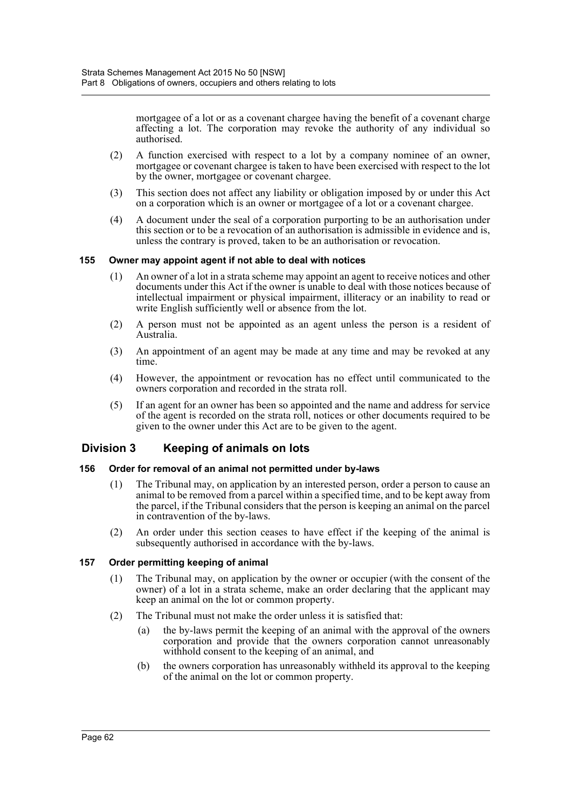mortgagee of a lot or as a covenant chargee having the benefit of a covenant charge affecting a lot. The corporation may revoke the authority of any individual so authorised.

- (2) A function exercised with respect to a lot by a company nominee of an owner, mortgagee or covenant chargee is taken to have been exercised with respect to the lot by the owner, mortgagee or covenant chargee.
- (3) This section does not affect any liability or obligation imposed by or under this Act on a corporation which is an owner or mortgagee of a lot or a covenant chargee.
- (4) A document under the seal of a corporation purporting to be an authorisation under this section or to be a revocation of an authorisation is admissible in evidence and is, unless the contrary is proved, taken to be an authorisation or revocation.

### **155 Owner may appoint agent if not able to deal with notices**

- (1) An owner of a lot in a strata scheme may appoint an agent to receive notices and other documents under this Act if the owner is unable to deal with those notices because of intellectual impairment or physical impairment, illiteracy or an inability to read or write English sufficiently well or absence from the lot.
- (2) A person must not be appointed as an agent unless the person is a resident of Australia.
- (3) An appointment of an agent may be made at any time and may be revoked at any time.
- (4) However, the appointment or revocation has no effect until communicated to the owners corporation and recorded in the strata roll.
- (5) If an agent for an owner has been so appointed and the name and address for service of the agent is recorded on the strata roll, notices or other documents required to be given to the owner under this Act are to be given to the agent.

## **Division 3 Keeping of animals on lots**

### **156 Order for removal of an animal not permitted under by-laws**

- (1) The Tribunal may, on application by an interested person, order a person to cause an animal to be removed from a parcel within a specified time, and to be kept away from the parcel, if the Tribunal considers that the person is keeping an animal on the parcel in contravention of the by-laws.
- (2) An order under this section ceases to have effect if the keeping of the animal is subsequently authorised in accordance with the by-laws.

### **157 Order permitting keeping of animal**

- (1) The Tribunal may, on application by the owner or occupier (with the consent of the owner) of a lot in a strata scheme, make an order declaring that the applicant may keep an animal on the lot or common property.
- (2) The Tribunal must not make the order unless it is satisfied that:
	- (a) the by-laws permit the keeping of an animal with the approval of the owners corporation and provide that the owners corporation cannot unreasonably withhold consent to the keeping of an animal, and
	- (b) the owners corporation has unreasonably withheld its approval to the keeping of the animal on the lot or common property.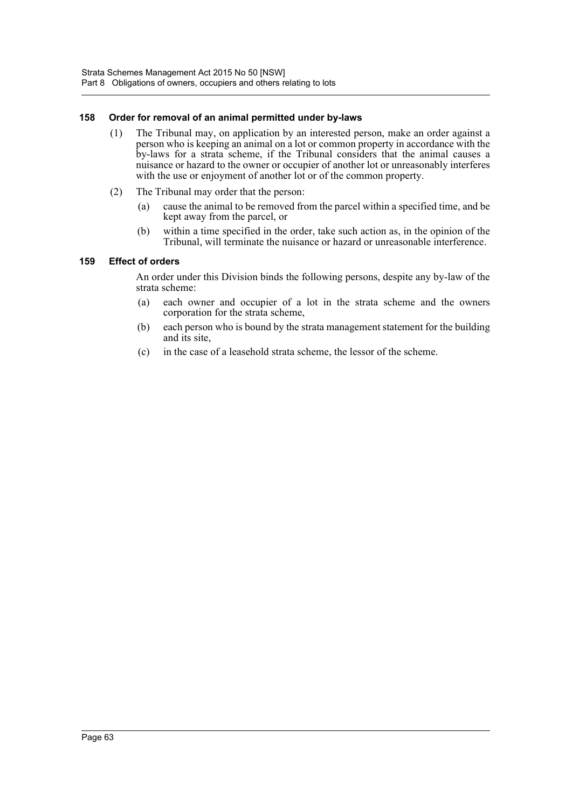# **158 Order for removal of an animal permitted under by-laws**

- (1) The Tribunal may, on application by an interested person, make an order against a person who is keeping an animal on a lot or common property in accordance with the by-laws for a strata scheme, if the Tribunal considers that the animal causes a nuisance or hazard to the owner or occupier of another lot or unreasonably interferes with the use or enjoyment of another lot or of the common property.
- (2) The Tribunal may order that the person:
	- (a) cause the animal to be removed from the parcel within a specified time, and be kept away from the parcel, or
	- (b) within a time specified in the order, take such action as, in the opinion of the Tribunal, will terminate the nuisance or hazard or unreasonable interference.

# **159 Effect of orders**

An order under this Division binds the following persons, despite any by-law of the strata scheme:

- (a) each owner and occupier of a lot in the strata scheme and the owners corporation for the strata scheme,
- (b) each person who is bound by the strata management statement for the building and its site,
- (c) in the case of a leasehold strata scheme, the lessor of the scheme.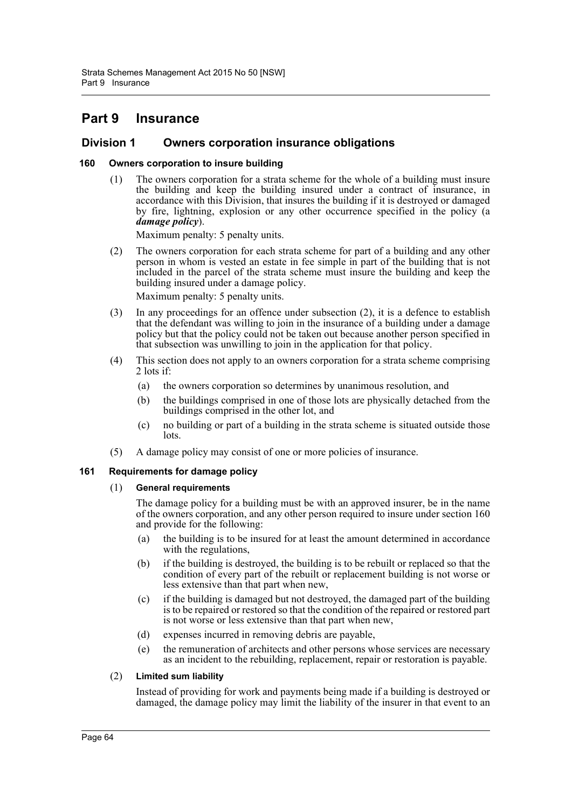# **Part 9 Insurance**

# **Division 1 Owners corporation insurance obligations**

# **160 Owners corporation to insure building**

(1) The owners corporation for a strata scheme for the whole of a building must insure the building and keep the building insured under a contract of insurance, in accordance with this Division, that insures the building if it is destroyed or damaged by fire, lightning, explosion or any other occurrence specified in the policy (a *damage policy*).

Maximum penalty: 5 penalty units.

(2) The owners corporation for each strata scheme for part of a building and any other person in whom is vested an estate in fee simple in part of the building that is not included in the parcel of the strata scheme must insure the building and keep the building insured under a damage policy.

Maximum penalty: 5 penalty units.

- (3) In any proceedings for an offence under subsection (2), it is a defence to establish that the defendant was willing to join in the insurance of a building under a damage policy but that the policy could not be taken out because another person specified in that subsection was unwilling to join in the application for that policy.
- (4) This section does not apply to an owners corporation for a strata scheme comprising 2 lots if:
	- (a) the owners corporation so determines by unanimous resolution, and
	- (b) the buildings comprised in one of those lots are physically detached from the buildings comprised in the other lot, and
	- (c) no building or part of a building in the strata scheme is situated outside those lots.
- (5) A damage policy may consist of one or more policies of insurance.

# **161 Requirements for damage policy**

# (1) **General requirements**

The damage policy for a building must be with an approved insurer, be in the name of the owners corporation, and any other person required to insure under section 160 and provide for the following:

- (a) the building is to be insured for at least the amount determined in accordance with the regulations,
- (b) if the building is destroyed, the building is to be rebuilt or replaced so that the condition of every part of the rebuilt or replacement building is not worse or less extensive than that part when new,
- (c) if the building is damaged but not destroyed, the damaged part of the building is to be repaired or restored so that the condition of the repaired or restored part is not worse or less extensive than that part when new,
- (d) expenses incurred in removing debris are payable,
- (e) the remuneration of architects and other persons whose services are necessary as an incident to the rebuilding, replacement, repair or restoration is payable.

# (2) **Limited sum liability**

Instead of providing for work and payments being made if a building is destroyed or damaged, the damage policy may limit the liability of the insurer in that event to an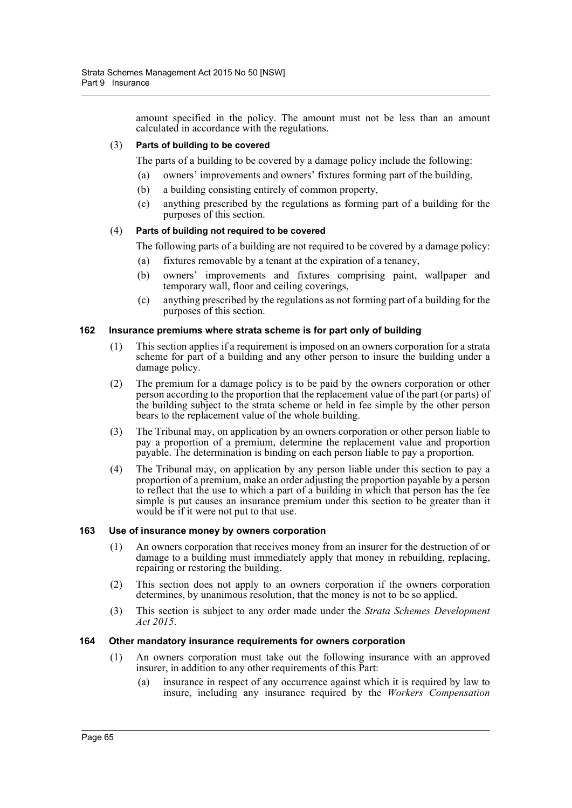amount specified in the policy. The amount must not be less than an amount calculated in accordance with the regulations.

# (3) **Parts of building to be covered**

The parts of a building to be covered by a damage policy include the following:

- (a) owners' improvements and owners' fixtures forming part of the building,
- (b) a building consisting entirely of common property,
- (c) anything prescribed by the regulations as forming part of a building for the purposes of this section.

# (4) **Parts of building not required to be covered**

The following parts of a building are not required to be covered by a damage policy:

- (a) fixtures removable by a tenant at the expiration of a tenancy,
- (b) owners' improvements and fixtures comprising paint, wallpaper and temporary wall, floor and ceiling coverings,
- (c) anything prescribed by the regulations as not forming part of a building for the purposes of this section.

#### **162 Insurance premiums where strata scheme is for part only of building**

- (1) This section applies if a requirement is imposed on an owners corporation for a strata scheme for part of a building and any other person to insure the building under a damage policy.
- (2) The premium for a damage policy is to be paid by the owners corporation or other person according to the proportion that the replacement value of the part (or parts) of the building subject to the strata scheme or held in fee simple by the other person bears to the replacement value of the whole building.
- (3) The Tribunal may, on application by an owners corporation or other person liable to pay a proportion of a premium, determine the replacement value and proportion payable. The determination is binding on each person liable to pay a proportion.
- (4) The Tribunal may, on application by any person liable under this section to pay a proportion of a premium, make an order adjusting the proportion payable by a person to reflect that the use to which a part of a building in which that person has the fee simple is put causes an insurance premium under this section to be greater than it would be if it were not put to that use.

#### **163 Use of insurance money by owners corporation**

- (1) An owners corporation that receives money from an insurer for the destruction of or damage to a building must immediately apply that money in rebuilding, replacing, repairing or restoring the building.
- (2) This section does not apply to an owners corporation if the owners corporation determines, by unanimous resolution, that the money is not to be so applied.
- (3) This section is subject to any order made under the *Strata Schemes Development Act 2015*.

#### **164 Other mandatory insurance requirements for owners corporation**

- (1) An owners corporation must take out the following insurance with an approved insurer, in addition to any other requirements of this Part:
	- (a) insurance in respect of any occurrence against which it is required by law to insure, including any insurance required by the *Workers Compensation*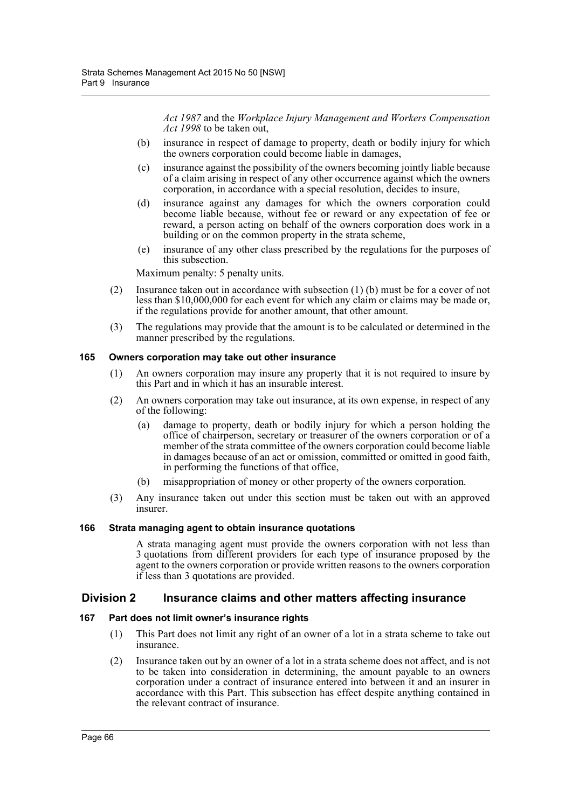*Act 1987* and the *Workplace Injury Management and Workers Compensation Act 1998* to be taken out,

- (b) insurance in respect of damage to property, death or bodily injury for which the owners corporation could become liable in damages,
- (c) insurance against the possibility of the owners becoming jointly liable because of a claim arising in respect of any other occurrence against which the owners corporation, in accordance with a special resolution, decides to insure,
- (d) insurance against any damages for which the owners corporation could become liable because, without fee or reward or any expectation of fee or reward, a person acting on behalf of the owners corporation does work in a building or on the common property in the strata scheme,
- (e) insurance of any other class prescribed by the regulations for the purposes of this subsection.

Maximum penalty: 5 penalty units.

- (2) Insurance taken out in accordance with subsection (1) (b) must be for a cover of not less than \$10,000,000 for each event for which any claim or claims may be made or, if the regulations provide for another amount, that other amount.
- (3) The regulations may provide that the amount is to be calculated or determined in the manner prescribed by the regulations.

# **165 Owners corporation may take out other insurance**

- (1) An owners corporation may insure any property that it is not required to insure by this Part and in which it has an insurable interest.
- (2) An owners corporation may take out insurance, at its own expense, in respect of any of the following:
	- (a) damage to property, death or bodily injury for which a person holding the office of chairperson, secretary or treasurer of the owners corporation or of a member of the strata committee of the owners corporation could become liable in damages because of an act or omission, committed or omitted in good faith, in performing the functions of that office,
	- (b) misappropriation of money or other property of the owners corporation.
- (3) Any insurance taken out under this section must be taken out with an approved insurer.

# **166 Strata managing agent to obtain insurance quotations**

A strata managing agent must provide the owners corporation with not less than 3 quotations from different providers for each type of insurance proposed by the agent to the owners corporation or provide written reasons to the owners corporation if less than 3 quotations are provided.

# **Division 2 Insurance claims and other matters affecting insurance**

# **167 Part does not limit owner's insurance rights**

- (1) This Part does not limit any right of an owner of a lot in a strata scheme to take out insurance.
- (2) Insurance taken out by an owner of a lot in a strata scheme does not affect, and is not to be taken into consideration in determining, the amount payable to an owners corporation under a contract of insurance entered into between it and an insurer in accordance with this Part. This subsection has effect despite anything contained in the relevant contract of insurance.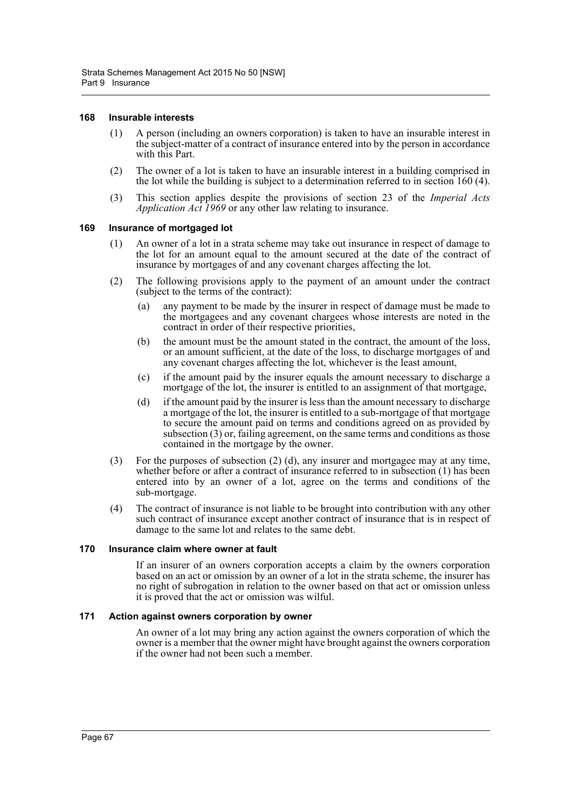#### **168 Insurable interests**

- (1) A person (including an owners corporation) is taken to have an insurable interest in the subject-matter of a contract of insurance entered into by the person in accordance with this Part.
- (2) The owner of a lot is taken to have an insurable interest in a building comprised in the lot while the building is subject to a determination referred to in section 160 (4).
- (3) This section applies despite the provisions of section 23 of the *Imperial Acts Application Act 1969* or any other law relating to insurance.

## **169 Insurance of mortgaged lot**

- (1) An owner of a lot in a strata scheme may take out insurance in respect of damage to the lot for an amount equal to the amount secured at the date of the contract of insurance by mortgages of and any covenant charges affecting the lot.
- (2) The following provisions apply to the payment of an amount under the contract (subject to the terms of the contract):
	- (a) any payment to be made by the insurer in respect of damage must be made to the mortgagees and any covenant chargees whose interests are noted in the contract in order of their respective priorities,
	- (b) the amount must be the amount stated in the contract, the amount of the loss, or an amount sufficient, at the date of the loss, to discharge mortgages of and any covenant charges affecting the lot, whichever is the least amount,
	- (c) if the amount paid by the insurer equals the amount necessary to discharge a mortgage of the lot, the insurer is entitled to an assignment of that mortgage,
	- (d) if the amount paid by the insurer is less than the amount necessary to discharge a mortgage of the lot, the insurer is entitled to a sub-mortgage of that mortgage to secure the amount paid on terms and conditions agreed on as provided by subsection (3) or, failing agreement, on the same terms and conditions as those contained in the mortgage by the owner.
- (3) For the purposes of subsection (2) (d), any insurer and mortgagee may at any time, whether before or after a contract of insurance referred to in subsection (1) has been entered into by an owner of a lot, agree on the terms and conditions of the sub-mortgage.
- (4) The contract of insurance is not liable to be brought into contribution with any other such contract of insurance except another contract of insurance that is in respect of damage to the same lot and relates to the same debt.

#### **170 Insurance claim where owner at fault**

If an insurer of an owners corporation accepts a claim by the owners corporation based on an act or omission by an owner of a lot in the strata scheme, the insurer has no right of subrogation in relation to the owner based on that act or omission unless it is proved that the act or omission was wilful.

#### **171 Action against owners corporation by owner**

An owner of a lot may bring any action against the owners corporation of which the owner is a member that the owner might have brought against the owners corporation if the owner had not been such a member.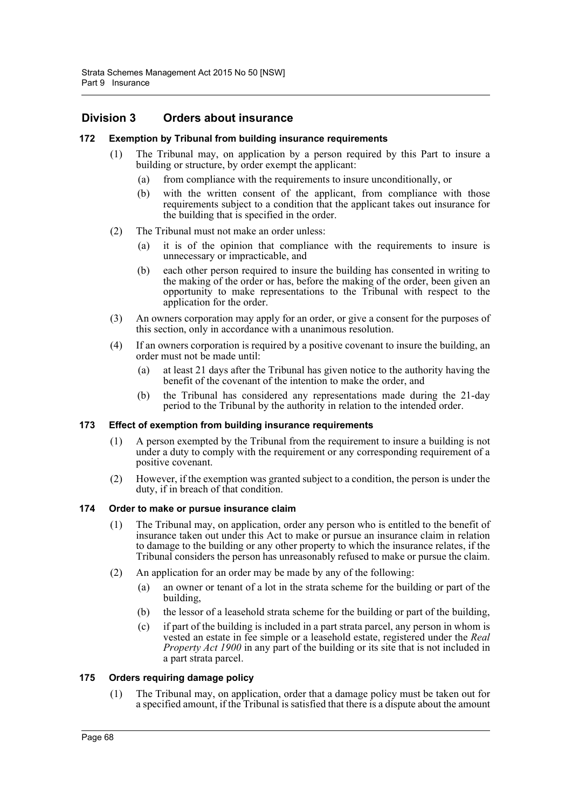# **Division 3 Orders about insurance**

#### **172 Exemption by Tribunal from building insurance requirements**

- (1) The Tribunal may, on application by a person required by this Part to insure a building or structure, by order exempt the applicant:
	- (a) from compliance with the requirements to insure unconditionally, or
	- (b) with the written consent of the applicant, from compliance with those requirements subject to a condition that the applicant takes out insurance for the building that is specified in the order.
- (2) The Tribunal must not make an order unless:
	- (a) it is of the opinion that compliance with the requirements to insure is unnecessary or impracticable, and
	- (b) each other person required to insure the building has consented in writing to the making of the order or has, before the making of the order, been given an opportunity to make representations to the Tribunal with respect to the application for the order.
- (3) An owners corporation may apply for an order, or give a consent for the purposes of this section, only in accordance with a unanimous resolution.
- (4) If an owners corporation is required by a positive covenant to insure the building, an order must not be made until:
	- (a) at least 21 days after the Tribunal has given notice to the authority having the benefit of the covenant of the intention to make the order, and
	- (b) the Tribunal has considered any representations made during the 21-day period to the Tribunal by the authority in relation to the intended order.

#### **173 Effect of exemption from building insurance requirements**

- (1) A person exempted by the Tribunal from the requirement to insure a building is not under a duty to comply with the requirement or any corresponding requirement of a positive covenant.
- (2) However, if the exemption was granted subject to a condition, the person is under the duty, if in breach of that condition.

#### **174 Order to make or pursue insurance claim**

- (1) The Tribunal may, on application, order any person who is entitled to the benefit of insurance taken out under this Act to make or pursue an insurance claim in relation to damage to the building or any other property to which the insurance relates, if the Tribunal considers the person has unreasonably refused to make or pursue the claim.
- (2) An application for an order may be made by any of the following:
	- (a) an owner or tenant of a lot in the strata scheme for the building or part of the building,
	- (b) the lessor of a leasehold strata scheme for the building or part of the building,
	- (c) if part of the building is included in a part strata parcel, any person in whom is vested an estate in fee simple or a leasehold estate, registered under the *Real Property Act 1900* in any part of the building or its site that is not included in a part strata parcel.

#### **175 Orders requiring damage policy**

(1) The Tribunal may, on application, order that a damage policy must be taken out for a specified amount, if the Tribunal is satisfied that there is a dispute about the amount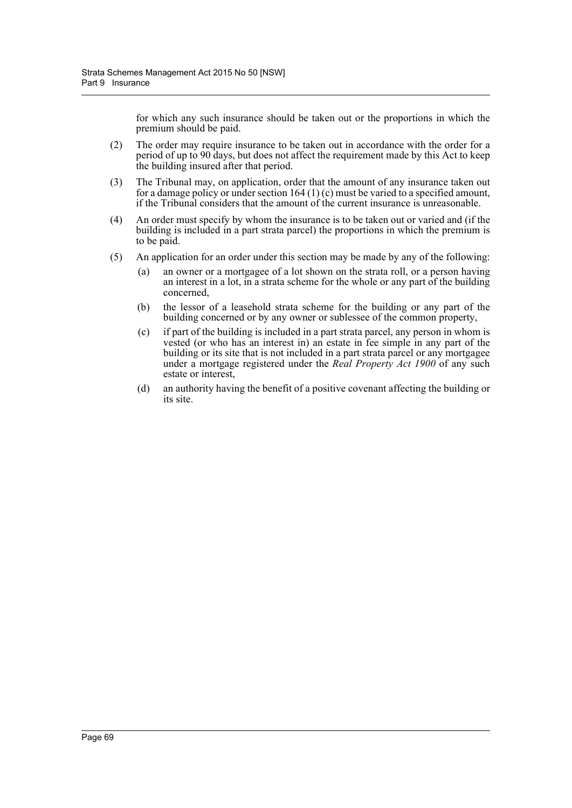for which any such insurance should be taken out or the proportions in which the premium should be paid.

- (2) The order may require insurance to be taken out in accordance with the order for a period of up to 90 days, but does not affect the requirement made by this Act to keep the building insured after that period.
- (3) The Tribunal may, on application, order that the amount of any insurance taken out for a damage policy or under section 164 (1) (c) must be varied to a specified amount, if the Tribunal considers that the amount of the current insurance is unreasonable.
- (4) An order must specify by whom the insurance is to be taken out or varied and (if the building is included in a part strata parcel) the proportions in which the premium is to be paid.
- (5) An application for an order under this section may be made by any of the following:
	- an owner or a mortgagee of a lot shown on the strata roll, or a person having an interest in a lot, in a strata scheme for the whole or any part of the building concerned,
	- (b) the lessor of a leasehold strata scheme for the building or any part of the building concerned or by any owner or sublessee of the common property,
	- (c) if part of the building is included in a part strata parcel, any person in whom is vested (or who has an interest in) an estate in fee simple in any part of the building or its site that is not included in a part strata parcel or any mortgagee under a mortgage registered under the *Real Property Act 1900* of any such estate or interest,
	- (d) an authority having the benefit of a positive covenant affecting the building or its site.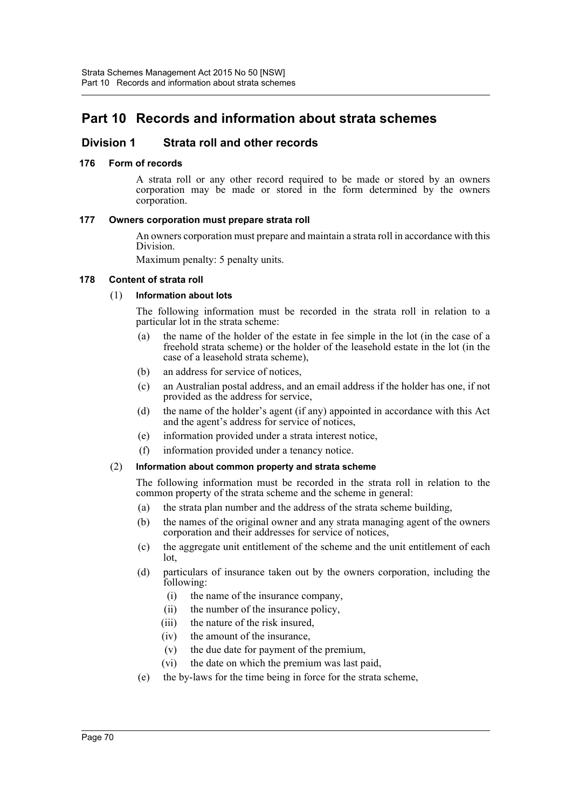# **Part 10 Records and information about strata schemes**

# **Division 1 Strata roll and other records**

# **176 Form of records**

A strata roll or any other record required to be made or stored by an owners corporation may be made or stored in the form determined by the owners corporation.

# **177 Owners corporation must prepare strata roll**

An owners corporation must prepare and maintain a strata roll in accordance with this Division.

Maximum penalty: 5 penalty units.

#### **178 Content of strata roll**

# (1) **Information about lots**

The following information must be recorded in the strata roll in relation to a particular lot in the strata scheme:

- (a) the name of the holder of the estate in fee simple in the lot (in the case of a freehold strata scheme) or the holder of the leasehold estate in the lot (in the case of a leasehold strata scheme),
- (b) an address for service of notices,
- (c) an Australian postal address, and an email address if the holder has one, if not provided as the address for service,
- (d) the name of the holder's agent (if any) appointed in accordance with this Act and the agent's address for service of notices,
- (e) information provided under a strata interest notice,
- (f) information provided under a tenancy notice.

# (2) **Information about common property and strata scheme**

The following information must be recorded in the strata roll in relation to the common property of the strata scheme and the scheme in general:

- (a) the strata plan number and the address of the strata scheme building,
- (b) the names of the original owner and any strata managing agent of the owners corporation and their addresses for service of notices,
- (c) the aggregate unit entitlement of the scheme and the unit entitlement of each lot,
- (d) particulars of insurance taken out by the owners corporation, including the following:
	- (i) the name of the insurance company,
	- (ii) the number of the insurance policy,
	- (iii) the nature of the risk insured,
	- (iv) the amount of the insurance,
	- (v) the due date for payment of the premium,
	- (vi) the date on which the premium was last paid,
- (e) the by-laws for the time being in force for the strata scheme,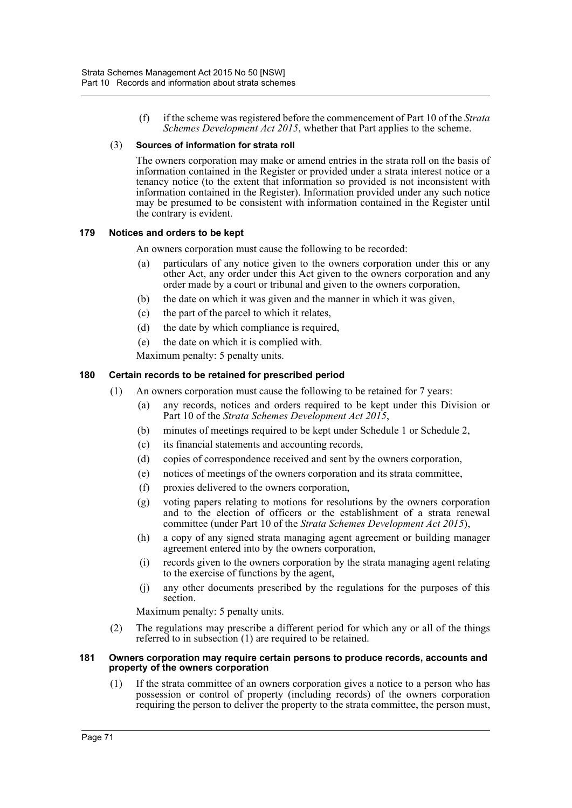(f) if the scheme was registered before the commencement of Part 10 of the *Strata Schemes Development Act 2015*, whether that Part applies to the scheme.

# (3) **Sources of information for strata roll**

The owners corporation may make or amend entries in the strata roll on the basis of information contained in the Register or provided under a strata interest notice or a tenancy notice (to the extent that information so provided is not inconsistent with information contained in the Register). Information provided under any such notice may be presumed to be consistent with information contained in the Register until the contrary is evident.

# **179 Notices and orders to be kept**

An owners corporation must cause the following to be recorded:

- (a) particulars of any notice given to the owners corporation under this or any other Act, any order under this Act given to the owners corporation and any order made by a court or tribunal and given to the owners corporation,
- (b) the date on which it was given and the manner in which it was given,
- (c) the part of the parcel to which it relates,
- (d) the date by which compliance is required,
- (e) the date on which it is complied with.

Maximum penalty: 5 penalty units.

# **180 Certain records to be retained for prescribed period**

- (1) An owners corporation must cause the following to be retained for 7 years:
	- (a) any records, notices and orders required to be kept under this Division or Part 10 of the *Strata Schemes Development Act 2015*,
	- (b) minutes of meetings required to be kept under Schedule 1 or Schedule 2,
	- (c) its financial statements and accounting records,
	- (d) copies of correspondence received and sent by the owners corporation,
	- (e) notices of meetings of the owners corporation and its strata committee,
	- (f) proxies delivered to the owners corporation,
	- (g) voting papers relating to motions for resolutions by the owners corporation and to the election of officers or the establishment of a strata renewal committee (under Part 10 of the *Strata Schemes Development Act 2015*),
	- (h) a copy of any signed strata managing agent agreement or building manager agreement entered into by the owners corporation,
	- (i) records given to the owners corporation by the strata managing agent relating to the exercise of functions by the agent,
	- (j) any other documents prescribed by the regulations for the purposes of this section.

Maximum penalty: 5 penalty units.

(2) The regulations may prescribe a different period for which any or all of the things referred to in subsection (1) are required to be retained.

#### **181 Owners corporation may require certain persons to produce records, accounts and property of the owners corporation**

(1) If the strata committee of an owners corporation gives a notice to a person who has possession or control of property (including records) of the owners corporation requiring the person to deliver the property to the strata committee, the person must,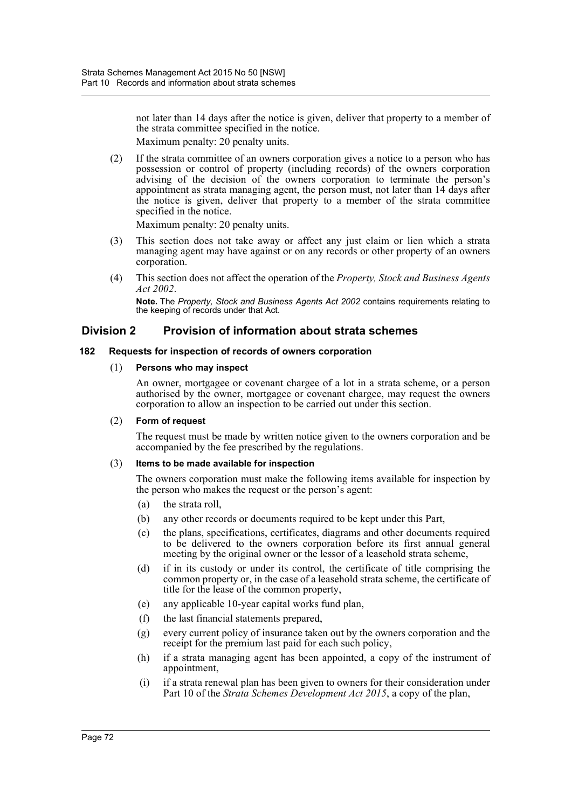not later than 14 days after the notice is given, deliver that property to a member of the strata committee specified in the notice.

Maximum penalty: 20 penalty units.

(2) If the strata committee of an owners corporation gives a notice to a person who has possession or control of property (including records) of the owners corporation advising of the decision of the owners corporation to terminate the person's appointment as strata managing agent, the person must, not later than 14 days after the notice is given, deliver that property to a member of the strata committee specified in the notice.

Maximum penalty: 20 penalty units.

- (3) This section does not take away or affect any just claim or lien which a strata managing agent may have against or on any records or other property of an owners corporation.
- (4) This section does not affect the operation of the *Property, Stock and Business Agents Act 2002*.

**Note.** The *Property, Stock and Business Agents Act 2002* contains requirements relating to the keeping of records under that Act.

# **Division 2 Provision of information about strata schemes**

# **182 Requests for inspection of records of owners corporation**

# (1) **Persons who may inspect**

An owner, mortgagee or covenant chargee of a lot in a strata scheme, or a person authorised by the owner, mortgagee or covenant chargee, may request the owners corporation to allow an inspection to be carried out under this section.

# (2) **Form of request**

The request must be made by written notice given to the owners corporation and be accompanied by the fee prescribed by the regulations.

# (3) **Items to be made available for inspection**

The owners corporation must make the following items available for inspection by the person who makes the request or the person's agent:

- (a) the strata roll,
- (b) any other records or documents required to be kept under this Part,
- (c) the plans, specifications, certificates, diagrams and other documents required to be delivered to the owners corporation before its first annual general meeting by the original owner or the lessor of a leasehold strata scheme,
- (d) if in its custody or under its control, the certificate of title comprising the common property or, in the case of a leasehold strata scheme, the certificate of title for the lease of the common property,
- (e) any applicable 10-year capital works fund plan,
- (f) the last financial statements prepared,
- (g) every current policy of insurance taken out by the owners corporation and the receipt for the premium last paid for each such policy,
- (h) if a strata managing agent has been appointed, a copy of the instrument of appointment,
- (i) if a strata renewal plan has been given to owners for their consideration under Part 10 of the *Strata Schemes Development Act 2015*, a copy of the plan,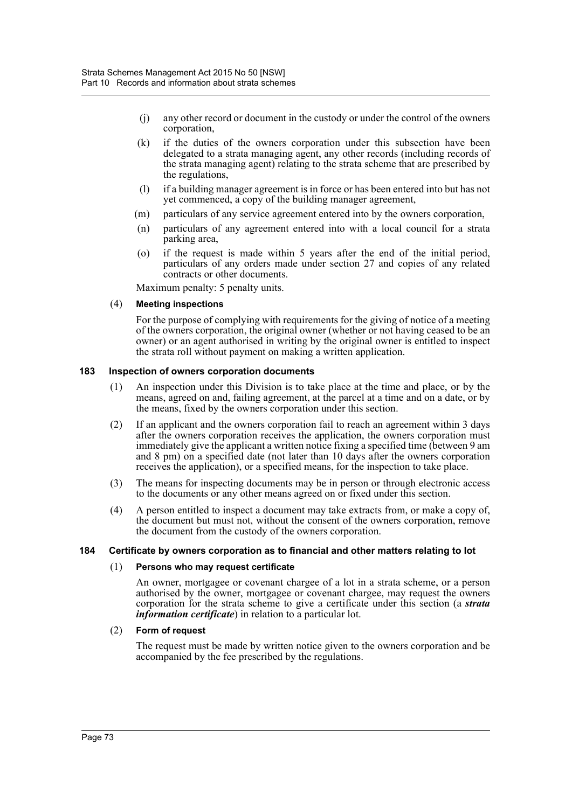- (j) any other record or document in the custody or under the control of the owners corporation,
- (k) if the duties of the owners corporation under this subsection have been delegated to a strata managing agent, any other records (including records of the strata managing agent) relating to the strata scheme that are prescribed by the regulations,
- (l) if a building manager agreement is in force or has been entered into but has not yet commenced, a copy of the building manager agreement,
- (m) particulars of any service agreement entered into by the owners corporation,
- (n) particulars of any agreement entered into with a local council for a strata parking area,
- (o) if the request is made within 5 years after the end of the initial period, particulars of any orders made under section 27 and copies of any related contracts or other documents.

Maximum penalty: 5 penalty units.

#### (4) **Meeting inspections**

For the purpose of complying with requirements for the giving of notice of a meeting of the owners corporation, the original owner (whether or not having ceased to be an owner) or an agent authorised in writing by the original owner is entitled to inspect the strata roll without payment on making a written application.

#### **183 Inspection of owners corporation documents**

- (1) An inspection under this Division is to take place at the time and place, or by the means, agreed on and, failing agreement, at the parcel at a time and on a date, or by the means, fixed by the owners corporation under this section.
- (2) If an applicant and the owners corporation fail to reach an agreement within 3 days after the owners corporation receives the application, the owners corporation must immediately give the applicant a written notice fixing a specified time (between 9 am and 8 pm) on a specified date (not later than 10 days after the owners corporation receives the application), or a specified means, for the inspection to take place.
- (3) The means for inspecting documents may be in person or through electronic access to the documents or any other means agreed on or fixed under this section.
- (4) A person entitled to inspect a document may take extracts from, or make a copy of, the document but must not, without the consent of the owners corporation, remove the document from the custody of the owners corporation.

# **184 Certificate by owners corporation as to financial and other matters relating to lot**

#### (1) **Persons who may request certificate**

An owner, mortgagee or covenant chargee of a lot in a strata scheme, or a person authorised by the owner, mortgagee or covenant chargee, may request the owners corporation for the strata scheme to give a certificate under this section (a *strata information certificate*) in relation to a particular lot.

# (2) **Form of request**

The request must be made by written notice given to the owners corporation and be accompanied by the fee prescribed by the regulations.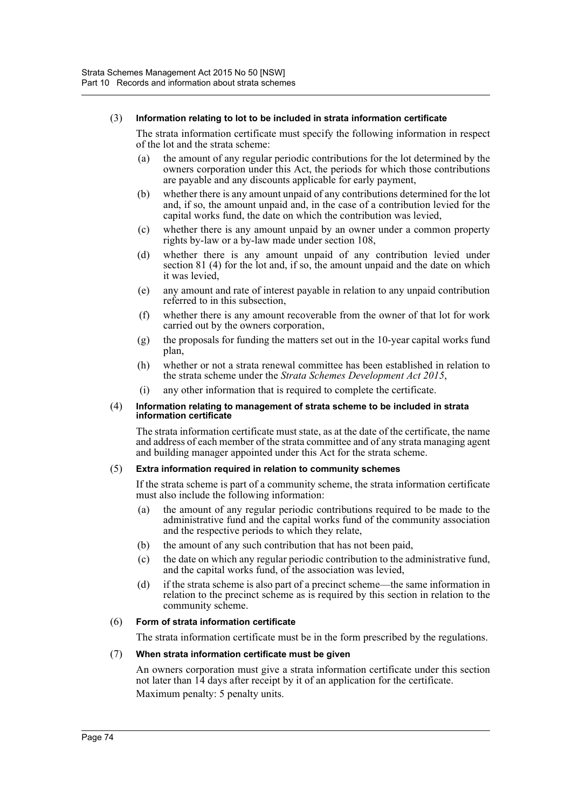#### (3) **Information relating to lot to be included in strata information certificate**

The strata information certificate must specify the following information in respect of the lot and the strata scheme:

- (a) the amount of any regular periodic contributions for the lot determined by the owners corporation under this Act, the periods for which those contributions are payable and any discounts applicable for early payment,
- (b) whether there is any amount unpaid of any contributions determined for the lot and, if so, the amount unpaid and, in the case of a contribution levied for the capital works fund, the date on which the contribution was levied,
- (c) whether there is any amount unpaid by an owner under a common property rights by-law or a by-law made under section 108,
- (d) whether there is any amount unpaid of any contribution levied under section 81 (4) for the lot and, if so, the amount unpaid and the date on which it was levied,
- (e) any amount and rate of interest payable in relation to any unpaid contribution referred to in this subsection,
- (f) whether there is any amount recoverable from the owner of that lot for work carried out by the owners corporation,
- (g) the proposals for funding the matters set out in the 10-year capital works fund plan,
- (h) whether or not a strata renewal committee has been established in relation to the strata scheme under the *Strata Schemes Development Act 2015*,
- (i) any other information that is required to complete the certificate.

#### (4) **Information relating to management of strata scheme to be included in strata information certificate**

The strata information certificate must state, as at the date of the certificate, the name and address of each member of the strata committee and of any strata managing agent and building manager appointed under this Act for the strata scheme.

# (5) **Extra information required in relation to community schemes**

If the strata scheme is part of a community scheme, the strata information certificate must also include the following information:

- (a) the amount of any regular periodic contributions required to be made to the administrative fund and the capital works fund of the community association and the respective periods to which they relate,
- (b) the amount of any such contribution that has not been paid,
- (c) the date on which any regular periodic contribution to the administrative fund, and the capital works fund, of the association was levied,
- (d) if the strata scheme is also part of a precinct scheme—the same information in relation to the precinct scheme as is required by this section in relation to the community scheme.

# (6) **Form of strata information certificate**

The strata information certificate must be in the form prescribed by the regulations.

# (7) **When strata information certificate must be given**

An owners corporation must give a strata information certificate under this section not later than 14 days after receipt by it of an application for the certificate. Maximum penalty: 5 penalty units.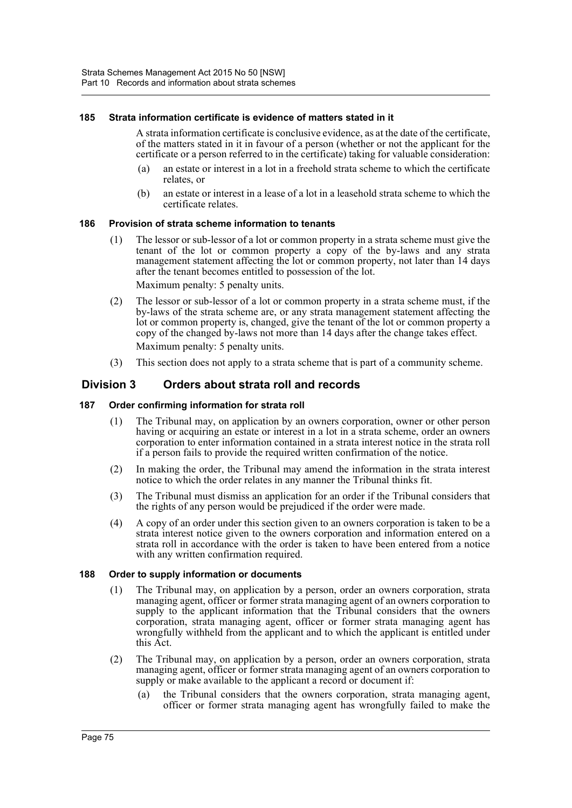# **185 Strata information certificate is evidence of matters stated in it**

A strata information certificate is conclusive evidence, as at the date of the certificate, of the matters stated in it in favour of a person (whether or not the applicant for the certificate or a person referred to in the certificate) taking for valuable consideration:

- (a) an estate or interest in a lot in a freehold strata scheme to which the certificate relates, or
- (b) an estate or interest in a lease of a lot in a leasehold strata scheme to which the certificate relates.

#### **186 Provision of strata scheme information to tenants**

(1) The lessor or sub-lessor of a lot or common property in a strata scheme must give the tenant of the lot or common property a copy of the by-laws and any strata management statement affecting the lot or common property, not later than 14 days after the tenant becomes entitled to possession of the lot.

Maximum penalty: 5 penalty units.

- (2) The lessor or sub-lessor of a lot or common property in a strata scheme must, if the by-laws of the strata scheme are, or any strata management statement affecting the lot or common property is, changed, give the tenant of the lot or common property a copy of the changed by-laws not more than 14 days after the change takes effect. Maximum penalty: 5 penalty units.
- (3) This section does not apply to a strata scheme that is part of a community scheme.

# **Division 3 Orders about strata roll and records**

#### **187 Order confirming information for strata roll**

- (1) The Tribunal may, on application by an owners corporation, owner or other person having or acquiring an estate or interest in a lot in a strata scheme, order an owners corporation to enter information contained in a strata interest notice in the strata roll if a person fails to provide the required written confirmation of the notice.
- (2) In making the order, the Tribunal may amend the information in the strata interest notice to which the order relates in any manner the Tribunal thinks fit.
- (3) The Tribunal must dismiss an application for an order if the Tribunal considers that the rights of any person would be prejudiced if the order were made.
- (4) A copy of an order under this section given to an owners corporation is taken to be a strata interest notice given to the owners corporation and information entered on a strata roll in accordance with the order is taken to have been entered from a notice with any written confirmation required.

#### **188 Order to supply information or documents**

- (1) The Tribunal may, on application by a person, order an owners corporation, strata managing agent, officer or former strata managing agent of an owners corporation to supply to the applicant information that the Tribunal considers that the owners corporation, strata managing agent, officer or former strata managing agent has wrongfully withheld from the applicant and to which the applicant is entitled under this Act.
- (2) The Tribunal may, on application by a person, order an owners corporation, strata managing agent, officer or former strata managing agent of an owners corporation to supply or make available to the applicant a record or document if:
	- (a) the Tribunal considers that the owners corporation, strata managing agent, officer or former strata managing agent has wrongfully failed to make the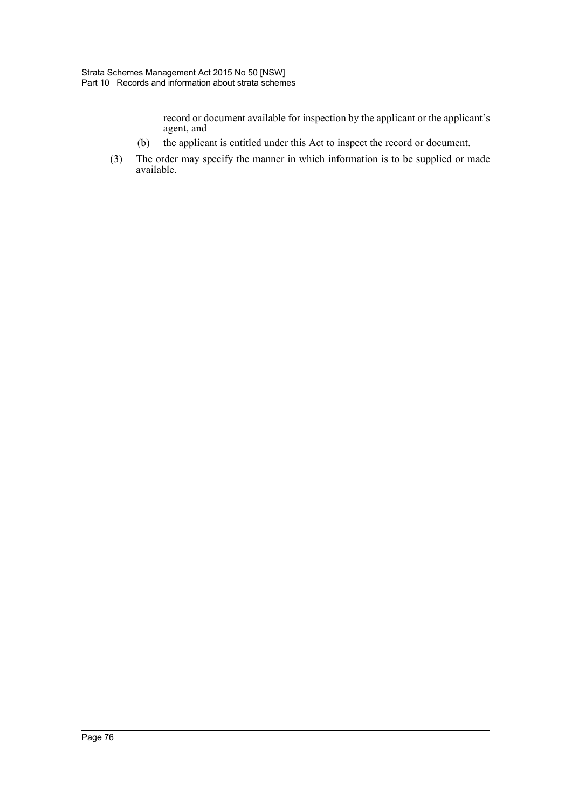record or document available for inspection by the applicant or the applicant's agent, and

- (b) the applicant is entitled under this Act to inspect the record or document.
- (3) The order may specify the manner in which information is to be supplied or made available.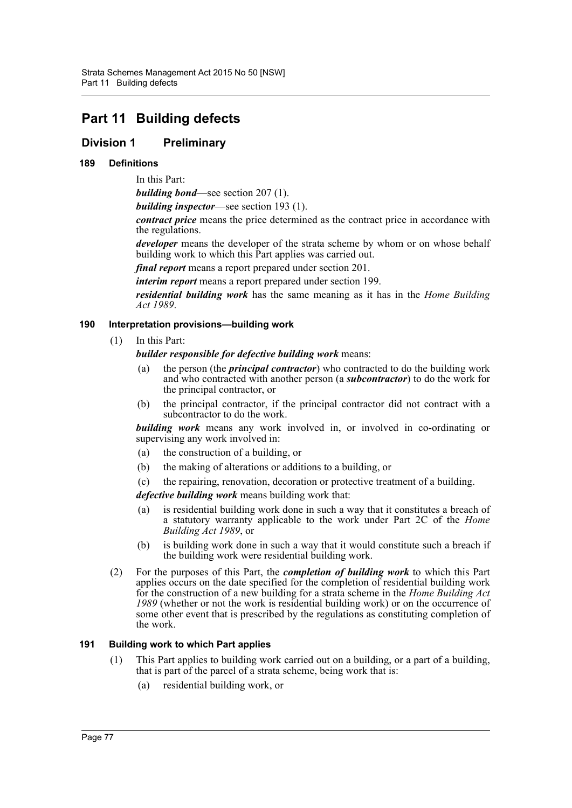# **Part 11 Building defects**

# **Division 1 Preliminary**

# **189 Definitions**

In this Part:

*building bond*—see section 207 (1).

*building inspector*—see section 193 (1).

*contract price* means the price determined as the contract price in accordance with the regulations.

*developer* means the developer of the strata scheme by whom or on whose behalf building work to which this Part applies was carried out.

*final report* means a report prepared under section 201.

*interim report* means a report prepared under section 199.

*residential building work* has the same meaning as it has in the *Home Building Act 1989*.

# **190 Interpretation provisions—building work**

(1) In this Part:

*builder responsible for defective building work* means:

- (a) the person (the *principal contractor*) who contracted to do the building work and who contracted with another person (a *subcontractor*) to do the work for the principal contractor, or
- (b) the principal contractor, if the principal contractor did not contract with a subcontractor to do the work.

*building work* means any work involved in, or involved in co-ordinating or supervising any work involved in:

- (a) the construction of a building, or
- (b) the making of alterations or additions to a building, or
- (c) the repairing, renovation, decoration or protective treatment of a building.

*defective building work* means building work that:

- (a) is residential building work done in such a way that it constitutes a breach of a statutory warranty applicable to the work under Part 2C of the *Home Building Act 1989*, or
- (b) is building work done in such a way that it would constitute such a breach if the building work were residential building work.
- (2) For the purposes of this Part, the *completion of building work* to which this Part applies occurs on the date specified for the completion of residential building work for the construction of a new building for a strata scheme in the *Home Building Act 1989* (whether or not the work is residential building work) or on the occurrence of some other event that is prescribed by the regulations as constituting completion of the work.

# **191 Building work to which Part applies**

- (1) This Part applies to building work carried out on a building, or a part of a building, that is part of the parcel of a strata scheme, being work that is:
	- (a) residential building work, or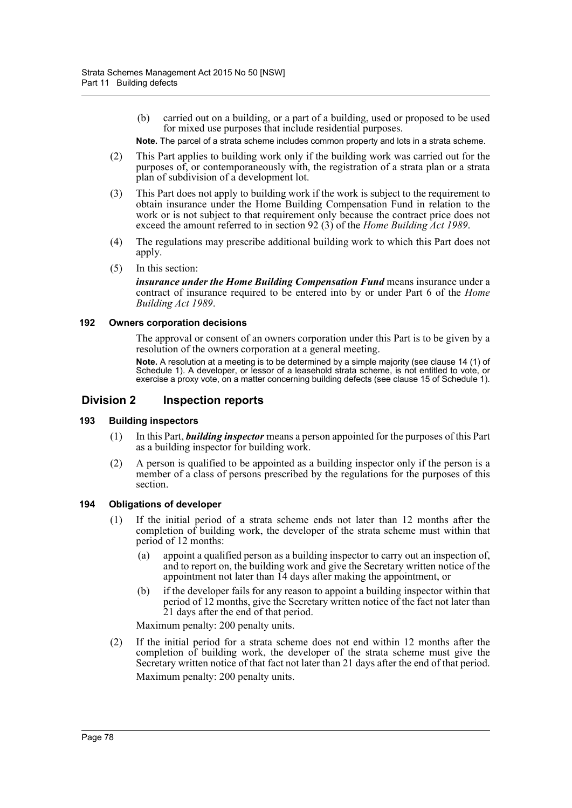(b) carried out on a building, or a part of a building, used or proposed to be used for mixed use purposes that include residential purposes.

**Note.** The parcel of a strata scheme includes common property and lots in a strata scheme.

- (2) This Part applies to building work only if the building work was carried out for the purposes of, or contemporaneously with, the registration of a strata plan or a strata plan of subdivision of a development lot.
- (3) This Part does not apply to building work if the work is subject to the requirement to obtain insurance under the Home Building Compensation Fund in relation to the work or is not subject to that requirement only because the contract price does not exceed the amount referred to in section 92 (3) of the *Home Building Act 1989*.
- (4) The regulations may prescribe additional building work to which this Part does not apply.
- (5) In this section:

*insurance under the Home Building Compensation Fund* means insurance under a contract of insurance required to be entered into by or under Part 6 of the *Home Building Act 1989*.

#### **192 Owners corporation decisions**

The approval or consent of an owners corporation under this Part is to be given by a resolution of the owners corporation at a general meeting.

**Note.** A resolution at a meeting is to be determined by a simple majority (see clause 14 (1) of Schedule 1). A developer, or lessor of a leasehold strata scheme, is not entitled to vote, or exercise a proxy vote, on a matter concerning building defects (see clause 15 of Schedule 1).

# **Division 2 Inspection reports**

# **193 Building inspectors**

- (1) In this Part, *building inspector* means a person appointed for the purposes of this Part as a building inspector for building work.
- (2) A person is qualified to be appointed as a building inspector only if the person is a member of a class of persons prescribed by the regulations for the purposes of this section.

#### **194 Obligations of developer**

- (1) If the initial period of a strata scheme ends not later than 12 months after the completion of building work, the developer of the strata scheme must within that period of 12 months:
	- (a) appoint a qualified person as a building inspector to carry out an inspection of, and to report on, the building work and give the Secretary written notice of the appointment not later than 14 days after making the appointment, or
	- (b) if the developer fails for any reason to appoint a building inspector within that period of 12 months, give the Secretary written notice of the fact not later than 21 days after the end of that period.

Maximum penalty: 200 penalty units.

(2) If the initial period for a strata scheme does not end within 12 months after the completion of building work, the developer of the strata scheme must give the Secretary written notice of that fact not later than 21 days after the end of that period. Maximum penalty: 200 penalty units.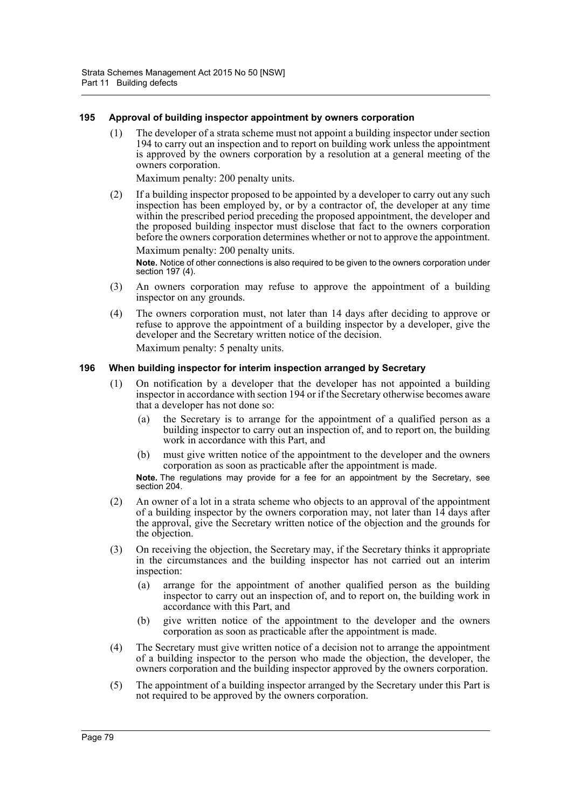#### **195 Approval of building inspector appointment by owners corporation**

(1) The developer of a strata scheme must not appoint a building inspector under section 194 to carry out an inspection and to report on building work unless the appointment is approved by the owners corporation by a resolution at a general meeting of the owners corporation.

Maximum penalty: 200 penalty units.

(2) If a building inspector proposed to be appointed by a developer to carry out any such inspection has been employed by, or by a contractor of, the developer at any time within the prescribed period preceding the proposed appointment, the developer and the proposed building inspector must disclose that fact to the owners corporation before the owners corporation determines whether or not to approve the appointment. Maximum penalty: 200 penalty units.

**Note.** Notice of other connections is also required to be given to the owners corporation under section 197 (4).

- (3) An owners corporation may refuse to approve the appointment of a building inspector on any grounds.
- (4) The owners corporation must, not later than 14 days after deciding to approve or refuse to approve the appointment of a building inspector by a developer, give the developer and the Secretary written notice of the decision.

Maximum penalty: 5 penalty units.

#### **196 When building inspector for interim inspection arranged by Secretary**

- (1) On notification by a developer that the developer has not appointed a building inspector in accordance with section 194 or if the Secretary otherwise becomes aware that a developer has not done so:
	- (a) the Secretary is to arrange for the appointment of a qualified person as a building inspector to carry out an inspection of, and to report on, the building work in accordance with this Part, and
	- (b) must give written notice of the appointment to the developer and the owners corporation as soon as practicable after the appointment is made.

**Note.** The regulations may provide for a fee for an appointment by the Secretary, see section 204.

- (2) An owner of a lot in a strata scheme who objects to an approval of the appointment of a building inspector by the owners corporation may, not later than  $14$  days after the approval, give the Secretary written notice of the objection and the grounds for the objection.
- (3) On receiving the objection, the Secretary may, if the Secretary thinks it appropriate in the circumstances and the building inspector has not carried out an interim inspection:
	- (a) arrange for the appointment of another qualified person as the building inspector to carry out an inspection of, and to report on, the building work in accordance with this Part, and
	- (b) give written notice of the appointment to the developer and the owners corporation as soon as practicable after the appointment is made.
- (4) The Secretary must give written notice of a decision not to arrange the appointment of a building inspector to the person who made the objection, the developer, the owners corporation and the building inspector approved by the owners corporation.
- (5) The appointment of a building inspector arranged by the Secretary under this Part is not required to be approved by the owners corporation.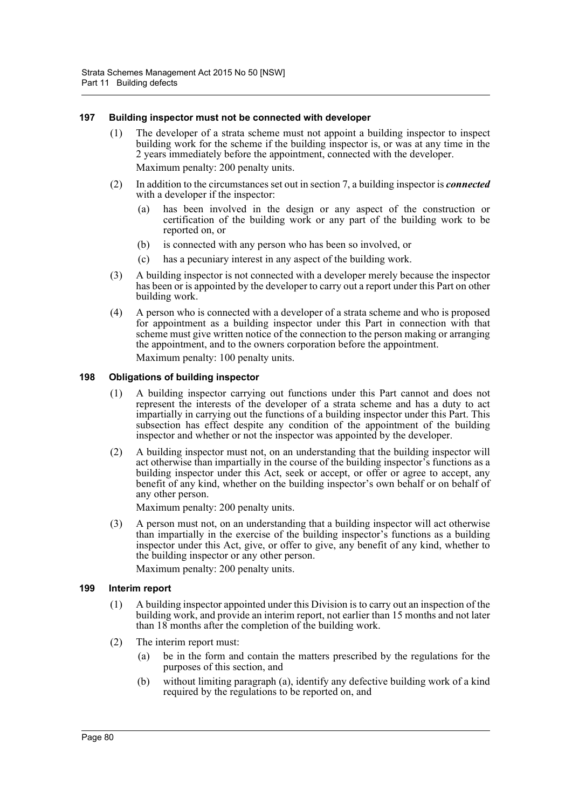#### **197 Building inspector must not be connected with developer**

- (1) The developer of a strata scheme must not appoint a building inspector to inspect building work for the scheme if the building inspector is, or was at any time in the 2 years immediately before the appointment, connected with the developer. Maximum penalty: 200 penalty units.
- (2) In addition to the circumstances set out in section 7, a building inspector is *connected* with a developer if the inspector:
	- (a) has been involved in the design or any aspect of the construction or certification of the building work or any part of the building work to be reported on, or
	- (b) is connected with any person who has been so involved, or
	- (c) has a pecuniary interest in any aspect of the building work.
- (3) A building inspector is not connected with a developer merely because the inspector has been or is appointed by the developer to carry out a report under this Part on other building work.
- (4) A person who is connected with a developer of a strata scheme and who is proposed for appointment as a building inspector under this Part in connection with that scheme must give written notice of the connection to the person making or arranging the appointment, and to the owners corporation before the appointment. Maximum penalty: 100 penalty units.

#### **198 Obligations of building inspector**

- (1) A building inspector carrying out functions under this Part cannot and does not represent the interests of the developer of a strata scheme and has a duty to act impartially in carrying out the functions of a building inspector under this Part. This subsection has effect despite any condition of the appointment of the building inspector and whether or not the inspector was appointed by the developer.
- (2) A building inspector must not, on an understanding that the building inspector will act otherwise than impartially in the course of the building inspector's functions as a building inspector under this Act, seek or accept, or offer or agree to accept, any benefit of any kind, whether on the building inspector's own behalf or on behalf of any other person.

Maximum penalty: 200 penalty units.

(3) A person must not, on an understanding that a building inspector will act otherwise than impartially in the exercise of the building inspector's functions as a building inspector under this Act, give, or offer to give, any benefit of any kind, whether to the building inspector or any other person.

Maximum penalty: 200 penalty units.

#### **199 Interim report**

- (1) A building inspector appointed under this Division is to carry out an inspection of the building work, and provide an interim report, not earlier than 15 months and not later than 18 months after the completion of the building work.
- (2) The interim report must:
	- (a) be in the form and contain the matters prescribed by the regulations for the purposes of this section, and
	- (b) without limiting paragraph (a), identify any defective building work of a kind required by the regulations to be reported on, and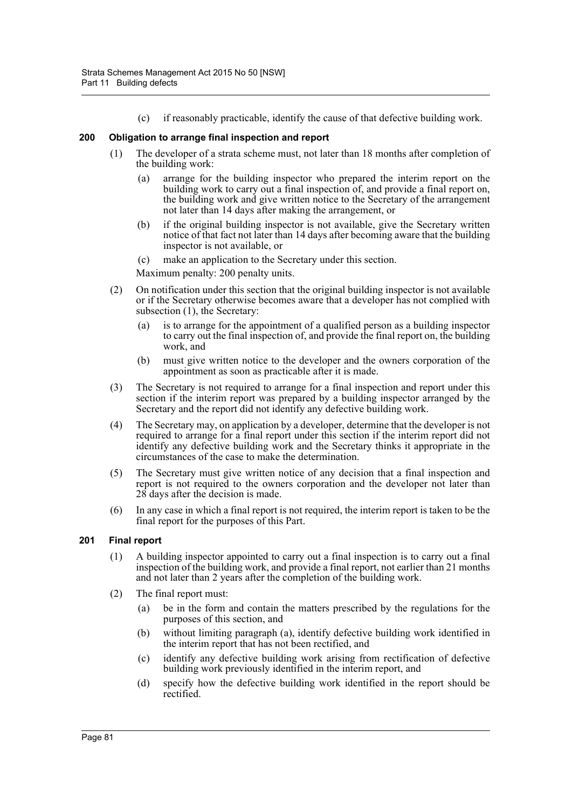(c) if reasonably practicable, identify the cause of that defective building work.

# **200 Obligation to arrange final inspection and report**

- (1) The developer of a strata scheme must, not later than 18 months after completion of the building work:
	- (a) arrange for the building inspector who prepared the interim report on the building work to carry out a final inspection of, and provide a final report on, the building work and give written notice to the Secretary of the arrangement not later than 14 days after making the arrangement, or
	- (b) if the original building inspector is not available, give the Secretary written notice of that fact not later than 14 days after becoming aware that the building inspector is not available, or
	- (c) make an application to the Secretary under this section.

Maximum penalty: 200 penalty units.

- (2) On notification under this section that the original building inspector is not available or if the Secretary otherwise becomes aware that a developer has not complied with subsection (1), the Secretary:
	- (a) is to arrange for the appointment of a qualified person as a building inspector to carry out the final inspection of, and provide the final report on, the building work, and
	- (b) must give written notice to the developer and the owners corporation of the appointment as soon as practicable after it is made.
- (3) The Secretary is not required to arrange for a final inspection and report under this section if the interim report was prepared by a building inspector arranged by the Secretary and the report did not identify any defective building work.
- (4) The Secretary may, on application by a developer, determine that the developer is not required to arrange for a final report under this section if the interim report did not identify any defective building work and the Secretary thinks it appropriate in the circumstances of the case to make the determination.
- (5) The Secretary must give written notice of any decision that a final inspection and report is not required to the owners corporation and the developer not later than 28 days after the decision is made.
- (6) In any case in which a final report is not required, the interim report is taken to be the final report for the purposes of this Part.

# **201 Final report**

- (1) A building inspector appointed to carry out a final inspection is to carry out a final inspection of the building work, and provide a final report, not earlier than 21 months and not later than 2 years after the completion of the building work.
- (2) The final report must:
	- (a) be in the form and contain the matters prescribed by the regulations for the purposes of this section, and
	- (b) without limiting paragraph (a), identify defective building work identified in the interim report that has not been rectified, and
	- (c) identify any defective building work arising from rectification of defective building work previously identified in the interim report, and
	- (d) specify how the defective building work identified in the report should be rectified.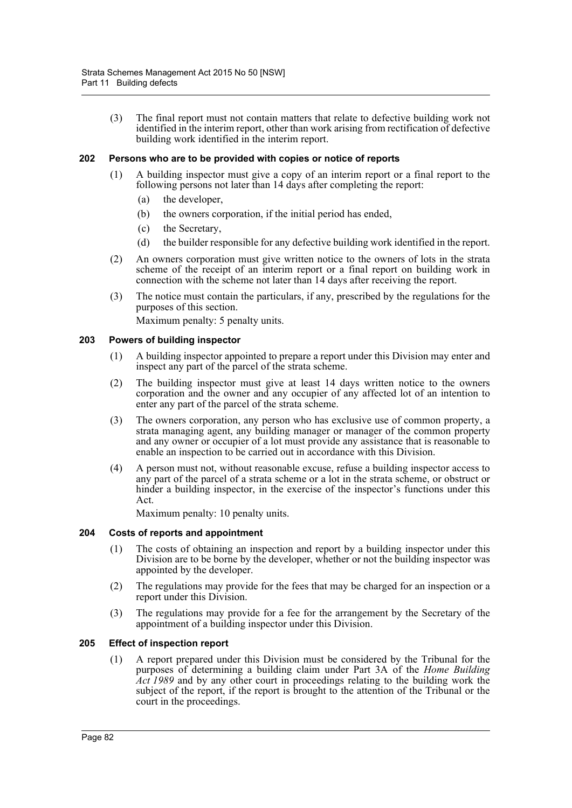(3) The final report must not contain matters that relate to defective building work not identified in the interim report, other than work arising from rectification of defective building work identified in the interim report.

# **202 Persons who are to be provided with copies or notice of reports**

- (1) A building inspector must give a copy of an interim report or a final report to the following persons not later than 14 days after completing the report:
	- (a) the developer,
	- (b) the owners corporation, if the initial period has ended,
	- (c) the Secretary,
	- (d) the builder responsible for any defective building work identified in the report.
- (2) An owners corporation must give written notice to the owners of lots in the strata scheme of the receipt of an interim report or a final report on building work in connection with the scheme not later than 14 days after receiving the report.
- (3) The notice must contain the particulars, if any, prescribed by the regulations for the purposes of this section.

Maximum penalty: 5 penalty units.

#### **203 Powers of building inspector**

- (1) A building inspector appointed to prepare a report under this Division may enter and inspect any part of the parcel of the strata scheme.
- (2) The building inspector must give at least 14 days written notice to the owners corporation and the owner and any occupier of any affected lot of an intention to enter any part of the parcel of the strata scheme.
- (3) The owners corporation, any person who has exclusive use of common property, a strata managing agent, any building manager or manager of the common property and any owner or occupier of a lot must provide any assistance that is reasonable to enable an inspection to be carried out in accordance with this Division.
- (4) A person must not, without reasonable excuse, refuse a building inspector access to any part of the parcel of a strata scheme or a lot in the strata scheme, or obstruct or hinder a building inspector, in the exercise of the inspector's functions under this Act.

Maximum penalty: 10 penalty units.

# **204 Costs of reports and appointment**

- (1) The costs of obtaining an inspection and report by a building inspector under this Division are to be borne by the developer, whether or not the building inspector was appointed by the developer.
- (2) The regulations may provide for the fees that may be charged for an inspection or a report under this Division.
- (3) The regulations may provide for a fee for the arrangement by the Secretary of the appointment of a building inspector under this Division.

# **205 Effect of inspection report**

(1) A report prepared under this Division must be considered by the Tribunal for the purposes of determining a building claim under Part 3A of the *Home Building Act 1989* and by any other court in proceedings relating to the building work the subject of the report, if the report is brought to the attention of the Tribunal or the court in the proceedings.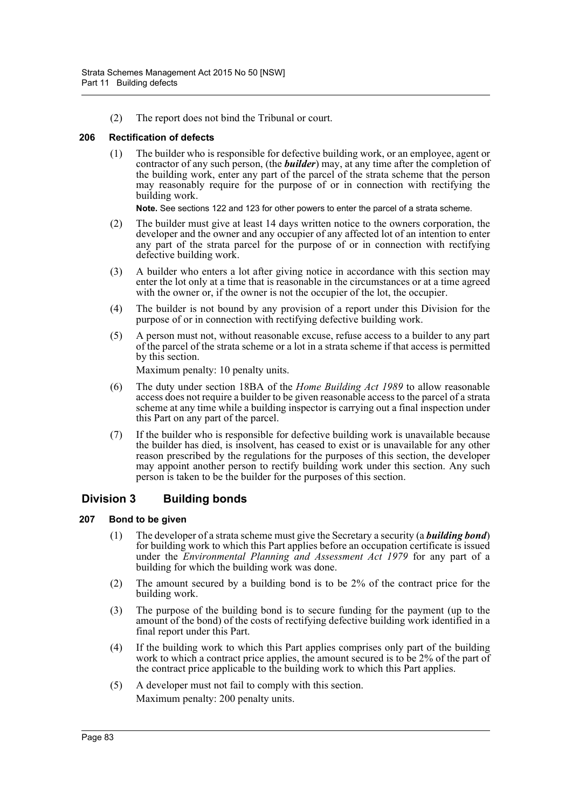(2) The report does not bind the Tribunal or court.

# **206 Rectification of defects**

(1) The builder who is responsible for defective building work, or an employee, agent or contractor of any such person, (the *builder*) may, at any time after the completion of the building work, enter any part of the parcel of the strata scheme that the person may reasonably require for the purpose of or in connection with rectifying the building work.

**Note.** See sections 122 and 123 for other powers to enter the parcel of a strata scheme.

- (2) The builder must give at least 14 days written notice to the owners corporation, the developer and the owner and any occupier of any affected lot of an intention to enter any part of the strata parcel for the purpose of or in connection with rectifying defective building work.
- (3) A builder who enters a lot after giving notice in accordance with this section may enter the lot only at a time that is reasonable in the circumstances or at a time agreed with the owner or, if the owner is not the occupier of the lot, the occupier.
- (4) The builder is not bound by any provision of a report under this Division for the purpose of or in connection with rectifying defective building work.
- (5) A person must not, without reasonable excuse, refuse access to a builder to any part of the parcel of the strata scheme or a lot in a strata scheme if that access is permitted by this section.

Maximum penalty: 10 penalty units.

- (6) The duty under section 18BA of the *Home Building Act 1989* to allow reasonable access does not require a builder to be given reasonable access to the parcel of a strata scheme at any time while a building inspector is carrying out a final inspection under this Part on any part of the parcel.
- (7) If the builder who is responsible for defective building work is unavailable because the builder has died, is insolvent, has ceased to exist or is unavailable for any other reason prescribed by the regulations for the purposes of this section, the developer may appoint another person to rectify building work under this section. Any such person is taken to be the builder for the purposes of this section.

# **Division 3 Building bonds**

# **207 Bond to be given**

- (1) The developer of a strata scheme must give the Secretary a security (a *building bond*) for building work to which this Part applies before an occupation certificate is issued under the *Environmental Planning and Assessment Act 1979* for any part of a building for which the building work was done.
- (2) The amount secured by a building bond is to be 2% of the contract price for the building work.
- (3) The purpose of the building bond is to secure funding for the payment (up to the amount of the bond) of the costs of rectifying defective building work identified in a final report under this Part.
- (4) If the building work to which this Part applies comprises only part of the building work to which a contract price applies, the amount secured is to be 2% of the part of the contract price applicable to the building work to which this Part applies.
- (5) A developer must not fail to comply with this section. Maximum penalty: 200 penalty units.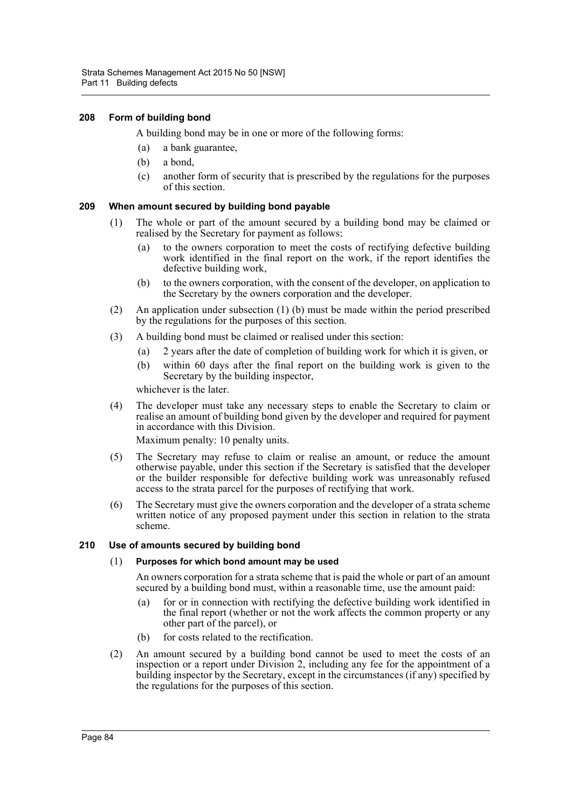# **208 Form of building bond**

A building bond may be in one or more of the following forms:

- (a) a bank guarantee,
- (b) a bond,
- (c) another form of security that is prescribed by the regulations for the purposes of this section.

# **209 When amount secured by building bond payable**

- (1) The whole or part of the amount secured by a building bond may be claimed or realised by the Secretary for payment as follows:
	- (a) to the owners corporation to meet the costs of rectifying defective building work identified in the final report on the work, if the report identifies the defective building work,
	- (b) to the owners corporation, with the consent of the developer, on application to the Secretary by the owners corporation and the developer.
- (2) An application under subsection (1) (b) must be made within the period prescribed by the regulations for the purposes of this section.
- (3) A building bond must be claimed or realised under this section:
	- (a) 2 years after the date of completion of building work for which it is given, or
	- (b) within 60 days after the final report on the building work is given to the Secretary by the building inspector,

whichever is the later.

(4) The developer must take any necessary steps to enable the Secretary to claim or realise an amount of building bond given by the developer and required for payment in accordance with this Division.

Maximum penalty: 10 penalty units.

- (5) The Secretary may refuse to claim or realise an amount, or reduce the amount otherwise payable, under this section if the Secretary is satisfied that the developer or the builder responsible for defective building work was unreasonably refused access to the strata parcel for the purposes of rectifying that work.
- (6) The Secretary must give the owners corporation and the developer of a strata scheme written notice of any proposed payment under this section in relation to the strata scheme.

# **210 Use of amounts secured by building bond**

# (1) **Purposes for which bond amount may be used**

An owners corporation for a strata scheme that is paid the whole or part of an amount secured by a building bond must, within a reasonable time, use the amount paid:

- (a) for or in connection with rectifying the defective building work identified in the final report (whether or not the work affects the common property or any other part of the parcel), or
- (b) for costs related to the rectification.
- (2) An amount secured by a building bond cannot be used to meet the costs of an inspection or a report under Division 2, including any fee for the appointment of a building inspector by the Secretary, except in the circumstances (if any) specified by the regulations for the purposes of this section.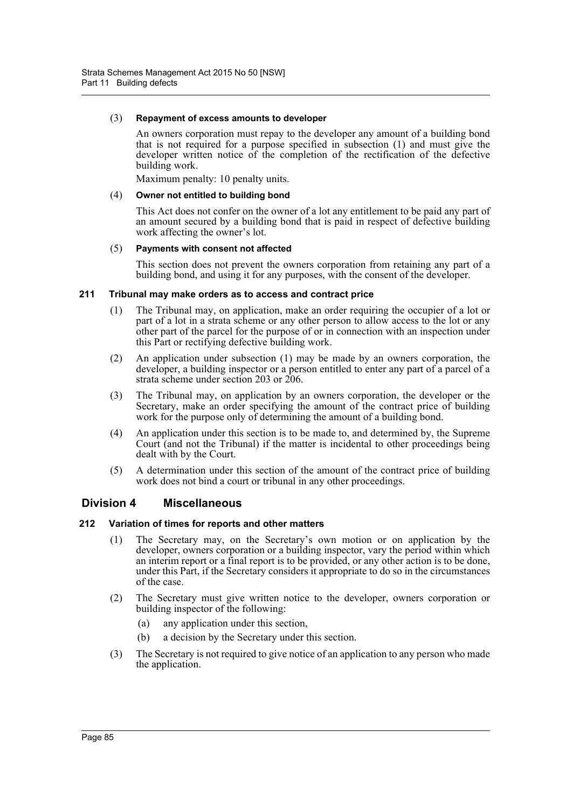#### (3) **Repayment of excess amounts to developer**

An owners corporation must repay to the developer any amount of a building bond that is not required for a purpose specified in subsection (1) and must give the developer written notice of the completion of the rectification of the defective building work.

Maximum penalty: 10 penalty units.

#### (4) **Owner not entitled to building bond**

This Act does not confer on the owner of a lot any entitlement to be paid any part of an amount secured by a building bond that is paid in respect of defective building work affecting the owner's lot.

#### (5) **Payments with consent not affected**

This section does not prevent the owners corporation from retaining any part of a building bond, and using it for any purposes, with the consent of the developer.

#### **211 Tribunal may make orders as to access and contract price**

- (1) The Tribunal may, on application, make an order requiring the occupier of a lot or part of a lot in a strata scheme or any other person to allow access to the lot or any other part of the parcel for the purpose of or in connection with an inspection under this Part or rectifying defective building work.
- (2) An application under subsection (1) may be made by an owners corporation, the developer, a building inspector or a person entitled to enter any part of a parcel of a strata scheme under section 203 or 206.
- (3) The Tribunal may, on application by an owners corporation, the developer or the Secretary, make an order specifying the amount of the contract price of building work for the purpose only of determining the amount of a building bond.
- (4) An application under this section is to be made to, and determined by, the Supreme Court (and not the Tribunal) if the matter is incidental to other proceedings being dealt with by the Court.
- (5) A determination under this section of the amount of the contract price of building work does not bind a court or tribunal in any other proceedings.

# **Division 4 Miscellaneous**

# **212 Variation of times for reports and other matters**

- (1) The Secretary may, on the Secretary's own motion or on application by the developer, owners corporation or a building inspector, vary the period within which an interim report or a final report is to be provided, or any other action is to be done, under this Part, if the Secretary considers it appropriate to do so in the circumstances of the case.
- (2) The Secretary must give written notice to the developer, owners corporation or building inspector of the following:
	- (a) any application under this section,
	- (b) a decision by the Secretary under this section.
- (3) The Secretary is not required to give notice of an application to any person who made the application.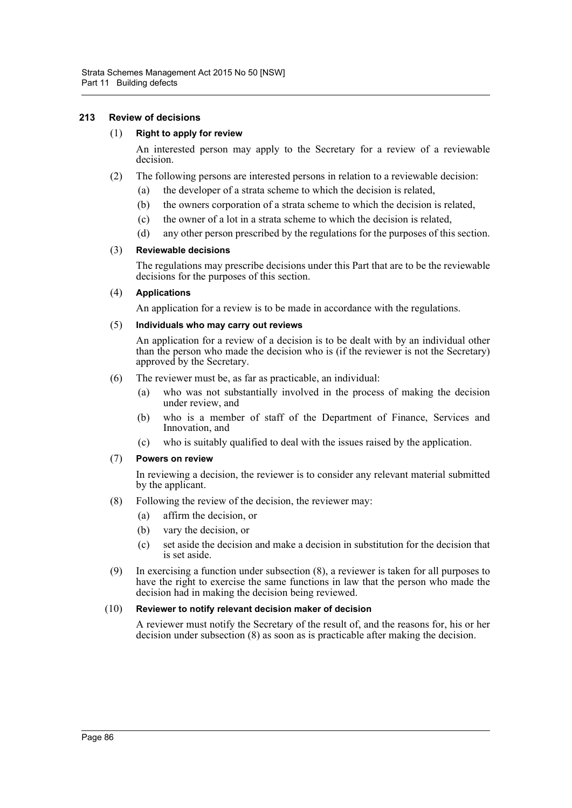# **213 Review of decisions**

#### (1) **Right to apply for review**

An interested person may apply to the Secretary for a review of a reviewable decision.

- (2) The following persons are interested persons in relation to a reviewable decision:
	- (a) the developer of a strata scheme to which the decision is related,
	- (b) the owners corporation of a strata scheme to which the decision is related,
	- (c) the owner of a lot in a strata scheme to which the decision is related,
	- (d) any other person prescribed by the regulations for the purposes of this section.

#### (3) **Reviewable decisions**

The regulations may prescribe decisions under this Part that are to be the reviewable decisions for the purposes of this section.

#### (4) **Applications**

An application for a review is to be made in accordance with the regulations.

#### (5) **Individuals who may carry out reviews**

An application for a review of a decision is to be dealt with by an individual other than the person who made the decision who is (if the reviewer is not the Secretary) approved by the Secretary.

- (6) The reviewer must be, as far as practicable, an individual:
	- (a) who was not substantially involved in the process of making the decision under review, and
	- (b) who is a member of staff of the Department of Finance, Services and Innovation, and
	- (c) who is suitably qualified to deal with the issues raised by the application.

#### (7) **Powers on review**

In reviewing a decision, the reviewer is to consider any relevant material submitted by the applicant.

- (8) Following the review of the decision, the reviewer may:
	- (a) affirm the decision, or
	- (b) vary the decision, or
	- (c) set aside the decision and make a decision in substitution for the decision that is set aside.
- (9) In exercising a function under subsection (8), a reviewer is taken for all purposes to have the right to exercise the same functions in law that the person who made the decision had in making the decision being reviewed.

#### (10) **Reviewer to notify relevant decision maker of decision**

A reviewer must notify the Secretary of the result of, and the reasons for, his or her decision under subsection (8) as soon as is practicable after making the decision.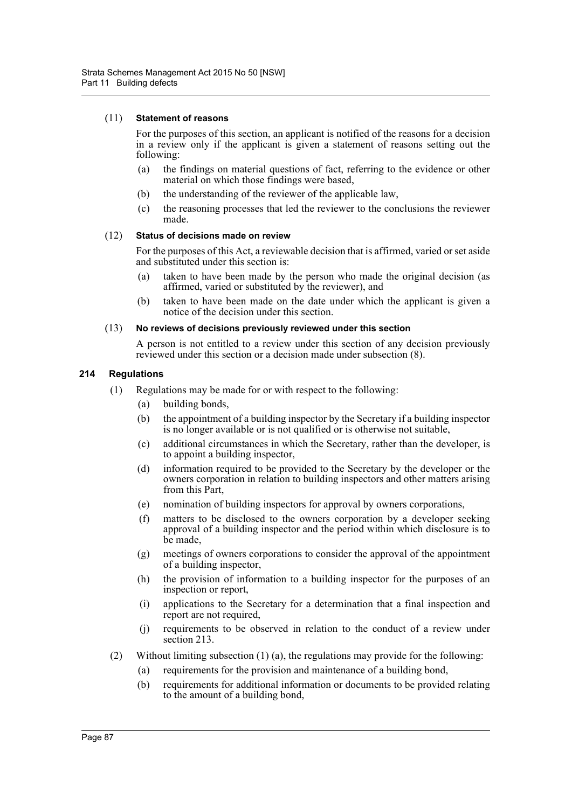#### (11) **Statement of reasons**

For the purposes of this section, an applicant is notified of the reasons for a decision in a review only if the applicant is given a statement of reasons setting out the following:

- (a) the findings on material questions of fact, referring to the evidence or other material on which those findings were based,
- (b) the understanding of the reviewer of the applicable law,
- (c) the reasoning processes that led the reviewer to the conclusions the reviewer made.

#### (12) **Status of decisions made on review**

For the purposes of this Act, a reviewable decision that is affirmed, varied or set aside and substituted under this section is:

- (a) taken to have been made by the person who made the original decision (as affirmed, varied or substituted by the reviewer), and
- (b) taken to have been made on the date under which the applicant is given a notice of the decision under this section.

#### (13) **No reviews of decisions previously reviewed under this section**

A person is not entitled to a review under this section of any decision previously reviewed under this section or a decision made under subsection (8).

# **214 Regulations**

- (1) Regulations may be made for or with respect to the following:
	- (a) building bonds,
	- (b) the appointment of a building inspector by the Secretary if a building inspector is no longer available or is not qualified or is otherwise not suitable,
	- (c) additional circumstances in which the Secretary, rather than the developer, is to appoint a building inspector,
	- (d) information required to be provided to the Secretary by the developer or the owners corporation in relation to building inspectors and other matters arising from this Part,
	- (e) nomination of building inspectors for approval by owners corporations,
	- (f) matters to be disclosed to the owners corporation by a developer seeking approval of a building inspector and the period within which disclosure is to be made,
	- (g) meetings of owners corporations to consider the approval of the appointment of a building inspector,
	- (h) the provision of information to a building inspector for the purposes of an inspection or report,
	- (i) applications to the Secretary for a determination that a final inspection and report are not required,
	- (j) requirements to be observed in relation to the conduct of a review under section 213.
- (2) Without limiting subsection (1) (a), the regulations may provide for the following:
	- (a) requirements for the provision and maintenance of a building bond,
	- (b) requirements for additional information or documents to be provided relating to the amount of a building bond,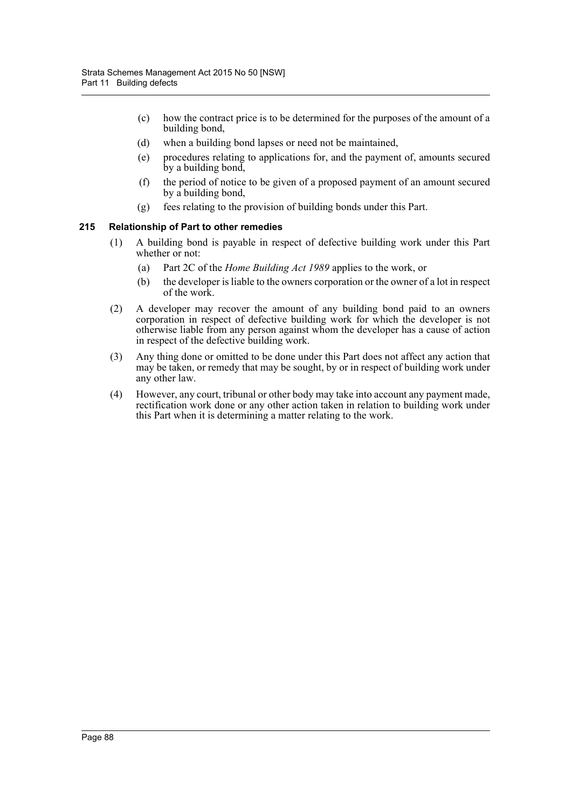- (c) how the contract price is to be determined for the purposes of the amount of a building bond,
- (d) when a building bond lapses or need not be maintained,
- (e) procedures relating to applications for, and the payment of, amounts secured by a building bond,
- (f) the period of notice to be given of a proposed payment of an amount secured by a building bond,
- (g) fees relating to the provision of building bonds under this Part.

# **215 Relationship of Part to other remedies**

- (1) A building bond is payable in respect of defective building work under this Part whether or not:
	- (a) Part 2C of the *Home Building Act 1989* applies to the work, or
	- (b) the developer is liable to the owners corporation or the owner of a lot in respect of the work.
- (2) A developer may recover the amount of any building bond paid to an owners corporation in respect of defective building work for which the developer is not otherwise liable from any person against whom the developer has a cause of action in respect of the defective building work.
- (3) Any thing done or omitted to be done under this Part does not affect any action that may be taken, or remedy that may be sought, by or in respect of building work under any other law.
- (4) However, any court, tribunal or other body may take into account any payment made, rectification work done or any other action taken in relation to building work under this Part when it is determining a matter relating to the work.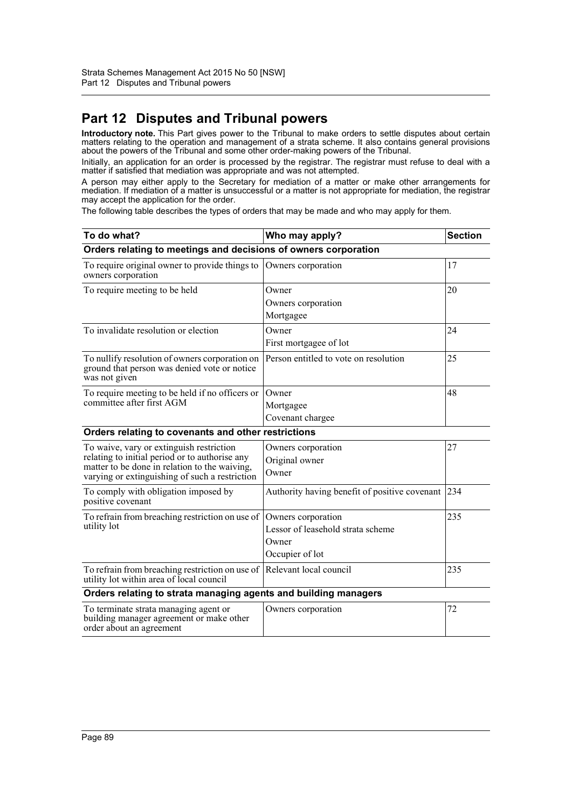# **Part 12 Disputes and Tribunal powers**

**Introductory note.** This Part gives power to the Tribunal to make orders to settle disputes about certain matters relating to the operation and management of a strata scheme. It also contains general provisions about the powers of the Tribunal and some other order-making powers of the Tribunal.

Initially, an application for an order is processed by the registrar. The registrar must refuse to deal with a matter if satisfied that mediation was appropriate and was not attempted.

A person may either apply to the Secretary for mediation of a matter or make other arrangements for mediation. If mediation of a matter is unsuccessful or a matter is not appropriate for mediation, the registrar may accept the application for the order.

The following table describes the types of orders that may be made and who may apply for them.

| To do what?                                                                                                                                                                                   | Who may apply?                                                                      | <b>Section</b> |  |  |
|-----------------------------------------------------------------------------------------------------------------------------------------------------------------------------------------------|-------------------------------------------------------------------------------------|----------------|--|--|
| Orders relating to meetings and decisions of owners corporation                                                                                                                               |                                                                                     |                |  |  |
| To require original owner to provide things to<br>owners corporation                                                                                                                          | Owners corporation                                                                  | 17             |  |  |
| To require meeting to be held                                                                                                                                                                 | Owner<br>Owners corporation<br>Mortgagee                                            | 20             |  |  |
| To invalidate resolution or election                                                                                                                                                          | Owner<br>First mortgagee of lot                                                     | 24             |  |  |
| To nullify resolution of owners corporation on<br>ground that person was denied vote or notice<br>was not given                                                                               | Person entitled to vote on resolution                                               | 25             |  |  |
| To require meeting to be held if no officers or<br>committee after first AGM                                                                                                                  | Owner<br>Mortgagee<br>Covenant chargee                                              | 48             |  |  |
| Orders relating to covenants and other restrictions                                                                                                                                           |                                                                                     |                |  |  |
| To waive, vary or extinguish restriction<br>relating to initial period or to authorise any<br>matter to be done in relation to the waiving,<br>varying or extinguishing of such a restriction | Owners corporation<br>Original owner<br>Owner                                       | 27             |  |  |
| To comply with obligation imposed by<br>positive covenant                                                                                                                                     | Authority having benefit of positive covenant                                       | 234            |  |  |
| To refrain from breaching restriction on use of<br>utility lot                                                                                                                                | Owners corporation<br>Lessor of leasehold strata scheme<br>Owner<br>Occupier of lot | 235            |  |  |
| To refrain from breaching restriction on use of<br>utility lot within area of local council                                                                                                   | Relevant local council                                                              | 235            |  |  |
| Orders relating to strata managing agents and building managers                                                                                                                               |                                                                                     |                |  |  |
| To terminate strata managing agent or<br>building manager agreement or make other<br>order about an agreement                                                                                 | Owners corporation                                                                  | 72             |  |  |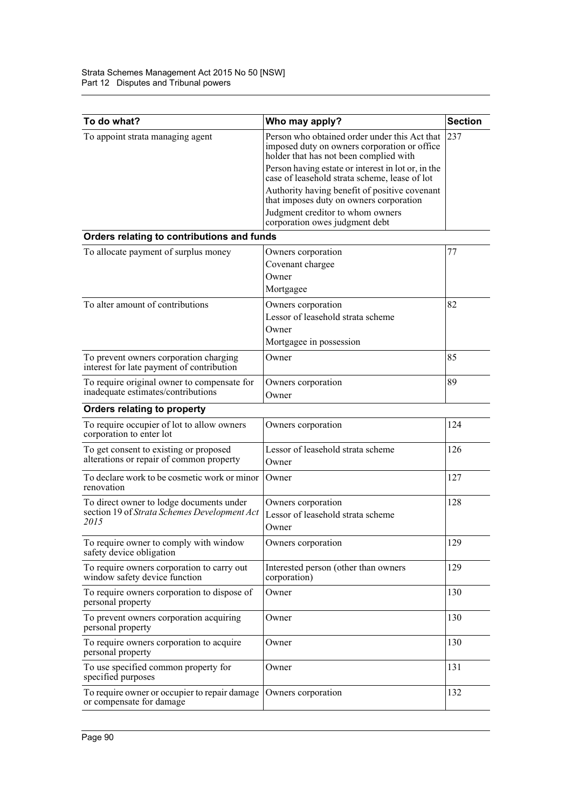| To do what?                                                                                      | Who may apply?                                                                                                                                                                                  | <b>Section</b> |
|--------------------------------------------------------------------------------------------------|-------------------------------------------------------------------------------------------------------------------------------------------------------------------------------------------------|----------------|
| To appoint strata managing agent                                                                 | Person who obtained order under this Act that<br>imposed duty on owners corporation or office<br>holder that has not been complied with                                                         | 237            |
|                                                                                                  | Person having estate or interest in lot or, in the<br>case of leasehold strata scheme, lease of lot<br>Authority having benefit of positive covenant<br>that imposes duty on owners corporation |                |
|                                                                                                  | Judgment creditor to whom owners<br>corporation owes judgment debt                                                                                                                              |                |
| Orders relating to contributions and funds                                                       |                                                                                                                                                                                                 |                |
| To allocate payment of surplus money                                                             | Owners corporation<br>Covenant chargee<br>Owner<br>Mortgagee                                                                                                                                    | 77             |
| To alter amount of contributions                                                                 | Owners corporation<br>Lessor of leasehold strata scheme<br>Owner<br>Mortgagee in possession                                                                                                     | 82             |
| To prevent owners corporation charging<br>interest for late payment of contribution              | Owner                                                                                                                                                                                           | 85             |
| To require original owner to compensate for<br>inadequate estimates/contributions                | Owners corporation<br>Owner                                                                                                                                                                     | 89             |
| Orders relating to property                                                                      |                                                                                                                                                                                                 |                |
| To require occupier of lot to allow owners<br>corporation to enter lot                           | Owners corporation                                                                                                                                                                              | 124            |
| To get consent to existing or proposed<br>alterations or repair of common property               | Lessor of leasehold strata scheme<br>Owner                                                                                                                                                      | 126            |
| To declare work to be cosmetic work or minor<br>renovation                                       | Owner                                                                                                                                                                                           | 127            |
| To direct owner to lodge documents under<br>section 19 of Strata Schemes Development Act<br>2015 | Owners corporation<br>Lessor of leasehold strata scheme<br>Owner                                                                                                                                | 128            |
| To require owner to comply with window<br>safety device obligation                               | Owners corporation                                                                                                                                                                              | 129            |
| To require owners corporation to carry out<br>window safety device function                      | Interested person (other than owners<br>corporation)                                                                                                                                            | 129            |
| To require owners corporation to dispose of<br>personal property                                 | Owner                                                                                                                                                                                           | 130            |
| To prevent owners corporation acquiring<br>personal property                                     | Owner                                                                                                                                                                                           | 130            |
| To require owners corporation to acquire<br>personal property                                    | Owner                                                                                                                                                                                           | 130            |
| To use specified common property for<br>specified purposes                                       | Owner                                                                                                                                                                                           | 131            |
| To require owner or occupier to repair damage<br>or compensate for damage                        | Owners corporation                                                                                                                                                                              | 132            |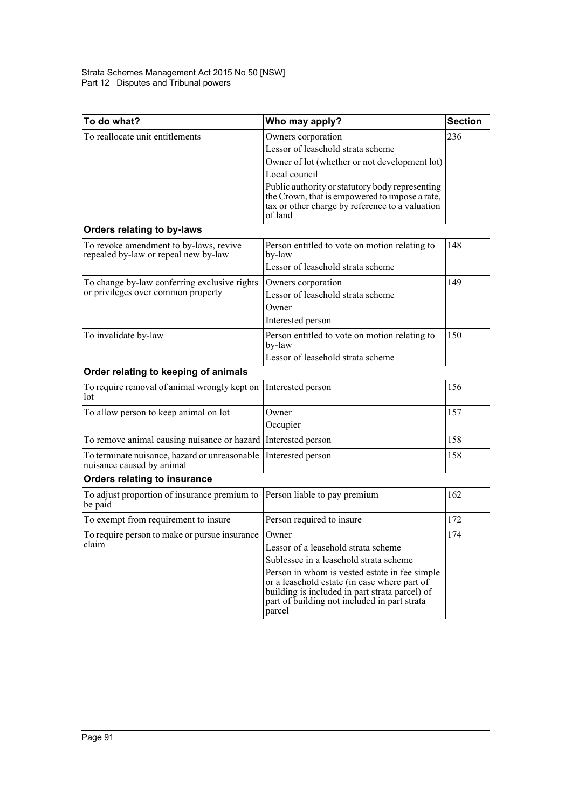| To do what?                                                                        | Who may apply?                                                                                                                                                                                            | <b>Section</b> |
|------------------------------------------------------------------------------------|-----------------------------------------------------------------------------------------------------------------------------------------------------------------------------------------------------------|----------------|
| To reallocate unit entitlements                                                    | Owners corporation                                                                                                                                                                                        | 236            |
|                                                                                    | Lessor of leasehold strata scheme                                                                                                                                                                         |                |
|                                                                                    | Owner of lot (whether or not development lot)                                                                                                                                                             |                |
|                                                                                    | Local council                                                                                                                                                                                             |                |
|                                                                                    | Public authority or statutory body representing<br>the Crown, that is empowered to impose a rate,<br>tax or other charge by reference to a valuation<br>of land                                           |                |
| Orders relating to by-laws                                                         |                                                                                                                                                                                                           |                |
| To revoke amendment to by-laws, revive<br>repealed by-law or repeal new by-law     | Person entitled to vote on motion relating to<br>by-law                                                                                                                                                   | 148            |
|                                                                                    | Lessor of leasehold strata scheme                                                                                                                                                                         |                |
| To change by-law conferring exclusive rights<br>or privileges over common property | Owners corporation                                                                                                                                                                                        | 149            |
|                                                                                    | Lessor of leasehold strata scheme                                                                                                                                                                         |                |
|                                                                                    | Owner                                                                                                                                                                                                     |                |
|                                                                                    | Interested person                                                                                                                                                                                         |                |
| To invalidate by-law                                                               | Person entitled to vote on motion relating to<br>by-law                                                                                                                                                   | 150            |
|                                                                                    | Lessor of leasehold strata scheme                                                                                                                                                                         |                |
| Order relating to keeping of animals                                               |                                                                                                                                                                                                           |                |
| To require removal of animal wrongly kept on<br>lot                                | Interested person                                                                                                                                                                                         | 156            |
| To allow person to keep animal on lot                                              | Owner                                                                                                                                                                                                     | 157            |
|                                                                                    | Occupier                                                                                                                                                                                                  |                |
| To remove animal causing nuisance or hazard                                        | Interested person                                                                                                                                                                                         | 158            |
| To terminate nuisance, hazard or unreasonable<br>nuisance caused by animal         | Interested person                                                                                                                                                                                         | 158            |
| Orders relating to insurance                                                       |                                                                                                                                                                                                           |                |
| To adjust proportion of insurance premium to<br>be paid                            | Person liable to pay premium                                                                                                                                                                              | 162            |
| To exempt from requirement to insure                                               | Person required to insure                                                                                                                                                                                 | 172            |
| To require person to make or pursue insurance<br>claim                             | Owner                                                                                                                                                                                                     | 174            |
|                                                                                    | Lessor of a leasehold strata scheme                                                                                                                                                                       |                |
|                                                                                    | Sublessee in a leasehold strata scheme                                                                                                                                                                    |                |
|                                                                                    | Person in whom is vested estate in fee simple<br>or a leasehold estate (in case where part of<br>building is included in part strata parcel) of<br>part of building not included in part strata<br>parcel |                |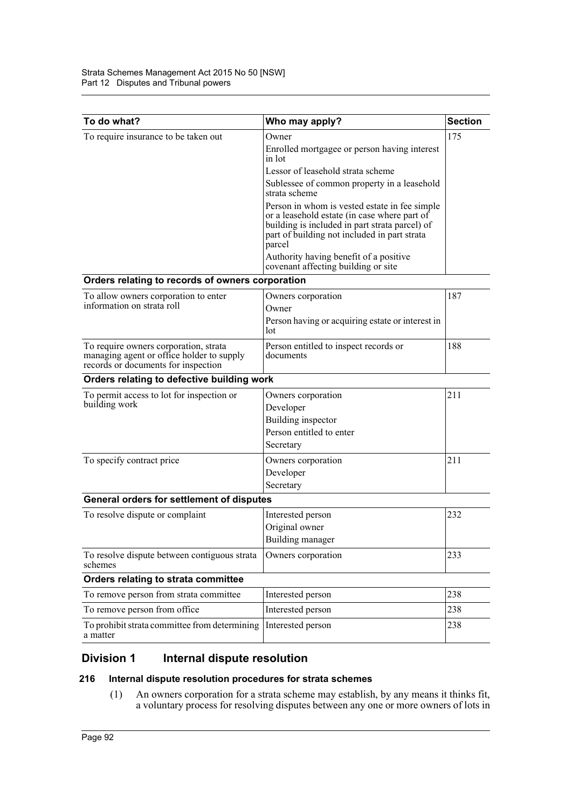| 175<br>To require insurance to be taken out<br>Owner<br>Enrolled mortgagee or person having interest<br>in lot<br>Lessor of leasehold strata scheme<br>Sublessee of common property in a leasehold<br>strata scheme<br>Person in whom is vested estate in fee simple<br>or a leasehold estate (in case where part of<br>building is included in part strata parcel) of<br>part of building not included in part strata<br>parcel<br>Authority having benefit of a positive<br>covenant affecting building or site<br>Orders relating to records of owners corporation<br>187<br>To allow owners corporation to enter<br>Owners corporation<br>information on strata roll<br>Owner<br>Person having or acquiring estate or interest in<br>lot<br>188<br>To require owners corporation, strata<br>Person entitled to inspect records or<br>managing agent or office holder to supply<br>documents<br>records or documents for inspection<br>Orders relating to defective building work<br>211<br>To permit access to lot for inspection or<br>Owners corporation<br>building work<br>Developer<br>Building inspector<br>Person entitled to enter<br>Secretary<br>211<br>To specify contract price<br>Owners corporation<br>Developer<br>Secretary<br>General orders for settlement of disputes<br>232<br>To resolve dispute or complaint<br>Interested person<br>Original owner<br>Building manager<br>To resolve dispute between contiguous strata<br>Owners corporation<br>233<br>schemes<br>Orders relating to strata committee<br>To remove person from strata committee<br>238<br>Interested person<br>To remove person from office<br>Interested person<br>238 | To do what? | Who may apply? | <b>Section</b> |  |  |  |
|--------------------------------------------------------------------------------------------------------------------------------------------------------------------------------------------------------------------------------------------------------------------------------------------------------------------------------------------------------------------------------------------------------------------------------------------------------------------------------------------------------------------------------------------------------------------------------------------------------------------------------------------------------------------------------------------------------------------------------------------------------------------------------------------------------------------------------------------------------------------------------------------------------------------------------------------------------------------------------------------------------------------------------------------------------------------------------------------------------------------------------------------------------------------------------------------------------------------------------------------------------------------------------------------------------------------------------------------------------------------------------------------------------------------------------------------------------------------------------------------------------------------------------------------------------------------------------------------------------------------------------------------------------------------|-------------|----------------|----------------|--|--|--|
|                                                                                                                                                                                                                                                                                                                                                                                                                                                                                                                                                                                                                                                                                                                                                                                                                                                                                                                                                                                                                                                                                                                                                                                                                                                                                                                                                                                                                                                                                                                                                                                                                                                                    |             |                |                |  |  |  |
|                                                                                                                                                                                                                                                                                                                                                                                                                                                                                                                                                                                                                                                                                                                                                                                                                                                                                                                                                                                                                                                                                                                                                                                                                                                                                                                                                                                                                                                                                                                                                                                                                                                                    |             |                |                |  |  |  |
|                                                                                                                                                                                                                                                                                                                                                                                                                                                                                                                                                                                                                                                                                                                                                                                                                                                                                                                                                                                                                                                                                                                                                                                                                                                                                                                                                                                                                                                                                                                                                                                                                                                                    |             |                |                |  |  |  |
|                                                                                                                                                                                                                                                                                                                                                                                                                                                                                                                                                                                                                                                                                                                                                                                                                                                                                                                                                                                                                                                                                                                                                                                                                                                                                                                                                                                                                                                                                                                                                                                                                                                                    |             |                |                |  |  |  |
|                                                                                                                                                                                                                                                                                                                                                                                                                                                                                                                                                                                                                                                                                                                                                                                                                                                                                                                                                                                                                                                                                                                                                                                                                                                                                                                                                                                                                                                                                                                                                                                                                                                                    |             |                |                |  |  |  |
|                                                                                                                                                                                                                                                                                                                                                                                                                                                                                                                                                                                                                                                                                                                                                                                                                                                                                                                                                                                                                                                                                                                                                                                                                                                                                                                                                                                                                                                                                                                                                                                                                                                                    |             |                |                |  |  |  |
|                                                                                                                                                                                                                                                                                                                                                                                                                                                                                                                                                                                                                                                                                                                                                                                                                                                                                                                                                                                                                                                                                                                                                                                                                                                                                                                                                                                                                                                                                                                                                                                                                                                                    |             |                |                |  |  |  |
|                                                                                                                                                                                                                                                                                                                                                                                                                                                                                                                                                                                                                                                                                                                                                                                                                                                                                                                                                                                                                                                                                                                                                                                                                                                                                                                                                                                                                                                                                                                                                                                                                                                                    |             |                |                |  |  |  |
|                                                                                                                                                                                                                                                                                                                                                                                                                                                                                                                                                                                                                                                                                                                                                                                                                                                                                                                                                                                                                                                                                                                                                                                                                                                                                                                                                                                                                                                                                                                                                                                                                                                                    |             |                |                |  |  |  |
|                                                                                                                                                                                                                                                                                                                                                                                                                                                                                                                                                                                                                                                                                                                                                                                                                                                                                                                                                                                                                                                                                                                                                                                                                                                                                                                                                                                                                                                                                                                                                                                                                                                                    |             |                |                |  |  |  |
|                                                                                                                                                                                                                                                                                                                                                                                                                                                                                                                                                                                                                                                                                                                                                                                                                                                                                                                                                                                                                                                                                                                                                                                                                                                                                                                                                                                                                                                                                                                                                                                                                                                                    |             |                |                |  |  |  |
|                                                                                                                                                                                                                                                                                                                                                                                                                                                                                                                                                                                                                                                                                                                                                                                                                                                                                                                                                                                                                                                                                                                                                                                                                                                                                                                                                                                                                                                                                                                                                                                                                                                                    |             |                |                |  |  |  |
|                                                                                                                                                                                                                                                                                                                                                                                                                                                                                                                                                                                                                                                                                                                                                                                                                                                                                                                                                                                                                                                                                                                                                                                                                                                                                                                                                                                                                                                                                                                                                                                                                                                                    |             |                |                |  |  |  |
|                                                                                                                                                                                                                                                                                                                                                                                                                                                                                                                                                                                                                                                                                                                                                                                                                                                                                                                                                                                                                                                                                                                                                                                                                                                                                                                                                                                                                                                                                                                                                                                                                                                                    |             |                |                |  |  |  |
|                                                                                                                                                                                                                                                                                                                                                                                                                                                                                                                                                                                                                                                                                                                                                                                                                                                                                                                                                                                                                                                                                                                                                                                                                                                                                                                                                                                                                                                                                                                                                                                                                                                                    |             |                |                |  |  |  |
|                                                                                                                                                                                                                                                                                                                                                                                                                                                                                                                                                                                                                                                                                                                                                                                                                                                                                                                                                                                                                                                                                                                                                                                                                                                                                                                                                                                                                                                                                                                                                                                                                                                                    |             |                |                |  |  |  |
|                                                                                                                                                                                                                                                                                                                                                                                                                                                                                                                                                                                                                                                                                                                                                                                                                                                                                                                                                                                                                                                                                                                                                                                                                                                                                                                                                                                                                                                                                                                                                                                                                                                                    |             |                |                |  |  |  |
|                                                                                                                                                                                                                                                                                                                                                                                                                                                                                                                                                                                                                                                                                                                                                                                                                                                                                                                                                                                                                                                                                                                                                                                                                                                                                                                                                                                                                                                                                                                                                                                                                                                                    |             |                |                |  |  |  |
|                                                                                                                                                                                                                                                                                                                                                                                                                                                                                                                                                                                                                                                                                                                                                                                                                                                                                                                                                                                                                                                                                                                                                                                                                                                                                                                                                                                                                                                                                                                                                                                                                                                                    |             |                |                |  |  |  |
|                                                                                                                                                                                                                                                                                                                                                                                                                                                                                                                                                                                                                                                                                                                                                                                                                                                                                                                                                                                                                                                                                                                                                                                                                                                                                                                                                                                                                                                                                                                                                                                                                                                                    |             |                |                |  |  |  |
|                                                                                                                                                                                                                                                                                                                                                                                                                                                                                                                                                                                                                                                                                                                                                                                                                                                                                                                                                                                                                                                                                                                                                                                                                                                                                                                                                                                                                                                                                                                                                                                                                                                                    |             |                |                |  |  |  |
|                                                                                                                                                                                                                                                                                                                                                                                                                                                                                                                                                                                                                                                                                                                                                                                                                                                                                                                                                                                                                                                                                                                                                                                                                                                                                                                                                                                                                                                                                                                                                                                                                                                                    |             |                |                |  |  |  |
|                                                                                                                                                                                                                                                                                                                                                                                                                                                                                                                                                                                                                                                                                                                                                                                                                                                                                                                                                                                                                                                                                                                                                                                                                                                                                                                                                                                                                                                                                                                                                                                                                                                                    |             |                |                |  |  |  |
|                                                                                                                                                                                                                                                                                                                                                                                                                                                                                                                                                                                                                                                                                                                                                                                                                                                                                                                                                                                                                                                                                                                                                                                                                                                                                                                                                                                                                                                                                                                                                                                                                                                                    |             |                |                |  |  |  |
|                                                                                                                                                                                                                                                                                                                                                                                                                                                                                                                                                                                                                                                                                                                                                                                                                                                                                                                                                                                                                                                                                                                                                                                                                                                                                                                                                                                                                                                                                                                                                                                                                                                                    |             |                |                |  |  |  |
|                                                                                                                                                                                                                                                                                                                                                                                                                                                                                                                                                                                                                                                                                                                                                                                                                                                                                                                                                                                                                                                                                                                                                                                                                                                                                                                                                                                                                                                                                                                                                                                                                                                                    |             |                |                |  |  |  |
|                                                                                                                                                                                                                                                                                                                                                                                                                                                                                                                                                                                                                                                                                                                                                                                                                                                                                                                                                                                                                                                                                                                                                                                                                                                                                                                                                                                                                                                                                                                                                                                                                                                                    |             |                |                |  |  |  |
|                                                                                                                                                                                                                                                                                                                                                                                                                                                                                                                                                                                                                                                                                                                                                                                                                                                                                                                                                                                                                                                                                                                                                                                                                                                                                                                                                                                                                                                                                                                                                                                                                                                                    |             |                |                |  |  |  |
| To prohibit strata committee from determining<br>Interested person<br>238<br>a matter                                                                                                                                                                                                                                                                                                                                                                                                                                                                                                                                                                                                                                                                                                                                                                                                                                                                                                                                                                                                                                                                                                                                                                                                                                                                                                                                                                                                                                                                                                                                                                              |             |                |                |  |  |  |

# **Division 1 Internal dispute resolution**

# **216 Internal dispute resolution procedures for strata schemes**

(1) An owners corporation for a strata scheme may establish, by any means it thinks fit, a voluntary process for resolving disputes between any one or more owners of lots in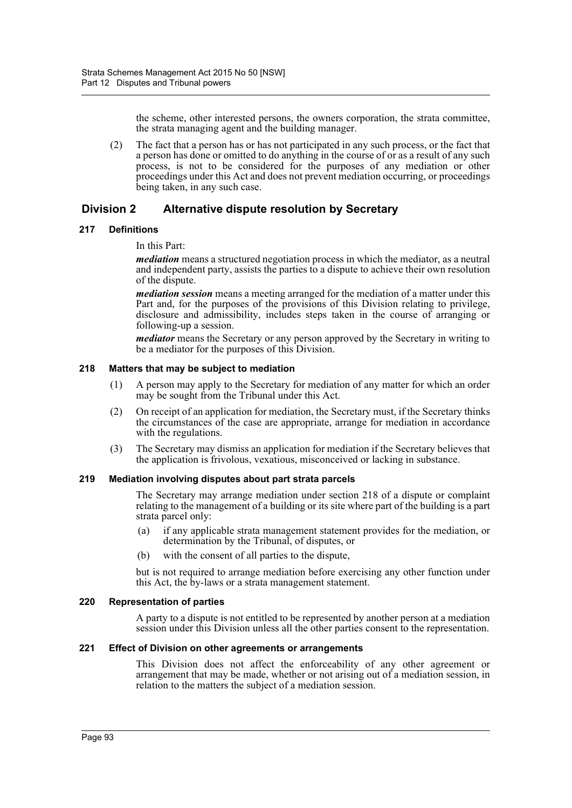the scheme, other interested persons, the owners corporation, the strata committee, the strata managing agent and the building manager.

(2) The fact that a person has or has not participated in any such process, or the fact that a person has done or omitted to do anything in the course of or as a result of any such process, is not to be considered for the purposes of any mediation or other proceedings under this Act and does not prevent mediation occurring, or proceedings being taken, in any such case.

# **Division 2 Alternative dispute resolution by Secretary**

# **217 Definitions**

In this Part:

*mediation* means a structured negotiation process in which the mediator, as a neutral and independent party, assists the parties to a dispute to achieve their own resolution of the dispute.

*mediation session* means a meeting arranged for the mediation of a matter under this Part and, for the purposes of the provisions of this Division relating to privilege, disclosure and admissibility, includes steps taken in the course of arranging or following-up a session.

*mediator* means the Secretary or any person approved by the Secretary in writing to be a mediator for the purposes of this Division.

# **218 Matters that may be subject to mediation**

- (1) A person may apply to the Secretary for mediation of any matter for which an order may be sought from the Tribunal under this Act.
- (2) On receipt of an application for mediation, the Secretary must, if the Secretary thinks the circumstances of the case are appropriate, arrange for mediation in accordance with the regulations.
- (3) The Secretary may dismiss an application for mediation if the Secretary believes that the application is frivolous, vexatious, misconceived or lacking in substance.

# **219 Mediation involving disputes about part strata parcels**

The Secretary may arrange mediation under section 218 of a dispute or complaint relating to the management of a building or its site where part of the building is a part strata parcel only:

- (a) if any applicable strata management statement provides for the mediation, or determination by the Tribunal, of disputes, or
- (b) with the consent of all parties to the dispute,

but is not required to arrange mediation before exercising any other function under this Act, the by-laws or a strata management statement.

# **220 Representation of parties**

A party to a dispute is not entitled to be represented by another person at a mediation session under this Division unless all the other parties consent to the representation.

# **221 Effect of Division on other agreements or arrangements**

This Division does not affect the enforceability of any other agreement or arrangement that may be made, whether or not arising out of a mediation session, in relation to the matters the subject of a mediation session.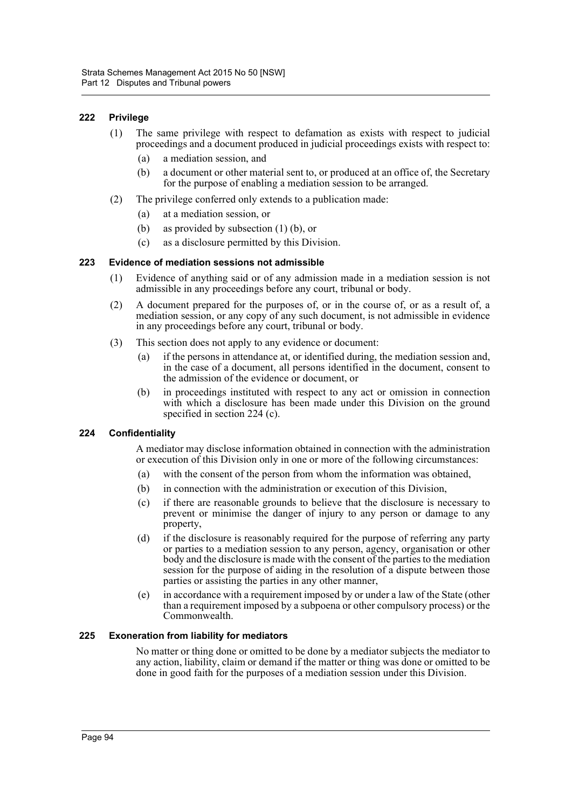# **222 Privilege**

- (1) The same privilege with respect to defamation as exists with respect to judicial proceedings and a document produced in judicial proceedings exists with respect to:
	- (a) a mediation session, and
	- (b) a document or other material sent to, or produced at an office of, the Secretary for the purpose of enabling a mediation session to be arranged.
- (2) The privilege conferred only extends to a publication made:
	- (a) at a mediation session, or
	- (b) as provided by subsection (1) (b), or
	- (c) as a disclosure permitted by this Division.

#### **223 Evidence of mediation sessions not admissible**

- (1) Evidence of anything said or of any admission made in a mediation session is not admissible in any proceedings before any court, tribunal or body.
- (2) A document prepared for the purposes of, or in the course of, or as a result of, a mediation session, or any copy of any such document, is not admissible in evidence in any proceedings before any court, tribunal or body.
- (3) This section does not apply to any evidence or document:
	- (a) if the persons in attendance at, or identified during, the mediation session and, in the case of a document, all persons identified in the document, consent to the admission of the evidence or document, or
	- (b) in proceedings instituted with respect to any act or omission in connection with which a disclosure has been made under this Division on the ground specified in section 224 (c).

# **224 Confidentiality**

A mediator may disclose information obtained in connection with the administration or execution of this Division only in one or more of the following circumstances:

- (a) with the consent of the person from whom the information was obtained,
- (b) in connection with the administration or execution of this Division,
- (c) if there are reasonable grounds to believe that the disclosure is necessary to prevent or minimise the danger of injury to any person or damage to any property,
- (d) if the disclosure is reasonably required for the purpose of referring any party or parties to a mediation session to any person, agency, organisation or other body and the disclosure is made with the consent of the parties to the mediation session for the purpose of aiding in the resolution of a dispute between those parties or assisting the parties in any other manner,
- (e) in accordance with a requirement imposed by or under a law of the State (other than a requirement imposed by a subpoena or other compulsory process) or the Commonwealth.

# **225 Exoneration from liability for mediators**

No matter or thing done or omitted to be done by a mediator subjects the mediator to any action, liability, claim or demand if the matter or thing was done or omitted to be done in good faith for the purposes of a mediation session under this Division.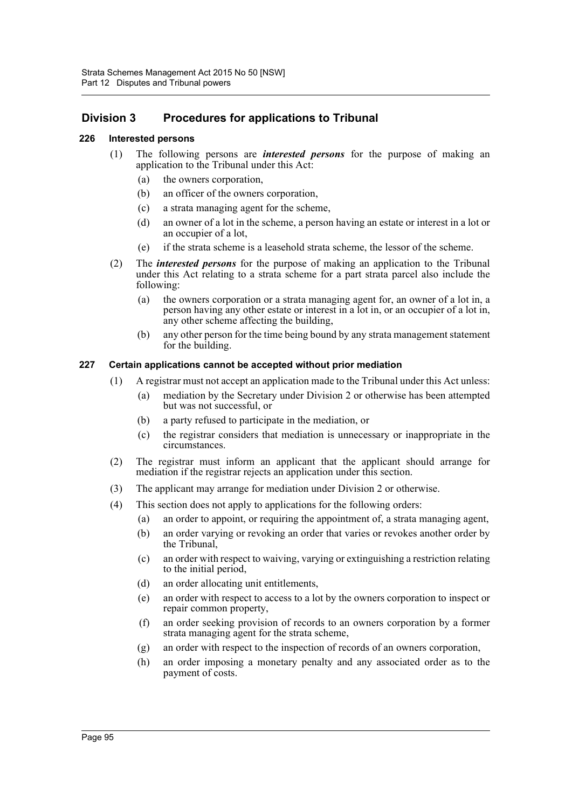# **Division 3 Procedures for applications to Tribunal**

# **226 Interested persons**

- (1) The following persons are *interested persons* for the purpose of making an application to the Tribunal under this Act:
	- (a) the owners corporation,
	- (b) an officer of the owners corporation,
	- (c) a strata managing agent for the scheme,
	- (d) an owner of a lot in the scheme, a person having an estate or interest in a lot or an occupier of a lot,
	- (e) if the strata scheme is a leasehold strata scheme, the lessor of the scheme.
- (2) The *interested persons* for the purpose of making an application to the Tribunal under this Act relating to a strata scheme for a part strata parcel also include the following:
	- (a) the owners corporation or a strata managing agent for, an owner of a lot in, a person having any other estate or interest in a lot in, or an occupier of a lot in, any other scheme affecting the building,
	- (b) any other person for the time being bound by any strata management statement for the building.

# **227 Certain applications cannot be accepted without prior mediation**

- (1) A registrar must not accept an application made to the Tribunal under this Act unless:
	- (a) mediation by the Secretary under Division 2 or otherwise has been attempted but was not successful, or
	- (b) a party refused to participate in the mediation, or
	- (c) the registrar considers that mediation is unnecessary or inappropriate in the circumstances.
- (2) The registrar must inform an applicant that the applicant should arrange for mediation if the registrar rejects an application under this section.
- (3) The applicant may arrange for mediation under Division 2 or otherwise.
- (4) This section does not apply to applications for the following orders:
	- (a) an order to appoint, or requiring the appointment of, a strata managing agent,
	- (b) an order varying or revoking an order that varies or revokes another order by the Tribunal,
	- (c) an order with respect to waiving, varying or extinguishing a restriction relating to the initial period,
	- (d) an order allocating unit entitlements,
	- (e) an order with respect to access to a lot by the owners corporation to inspect or repair common property,
	- (f) an order seeking provision of records to an owners corporation by a former strata managing agent for the strata scheme,
	- (g) an order with respect to the inspection of records of an owners corporation,
	- (h) an order imposing a monetary penalty and any associated order as to the payment of costs.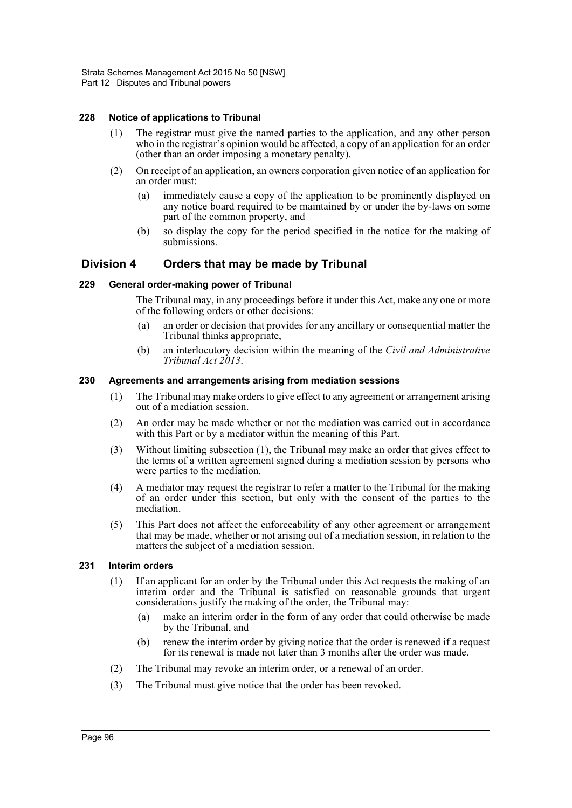# **228 Notice of applications to Tribunal**

- (1) The registrar must give the named parties to the application, and any other person who in the registrar's opinion would be affected, a copy of an application for an order (other than an order imposing a monetary penalty).
- (2) On receipt of an application, an owners corporation given notice of an application for an order must:
	- (a) immediately cause a copy of the application to be prominently displayed on any notice board required to be maintained by or under the by-laws on some part of the common property, and
	- (b) so display the copy for the period specified in the notice for the making of submissions.

# **Division 4 Orders that may be made by Tribunal**

#### **229 General order-making power of Tribunal**

The Tribunal may, in any proceedings before it under this Act, make any one or more of the following orders or other decisions:

- (a) an order or decision that provides for any ancillary or consequential matter the Tribunal thinks appropriate,
- (b) an interlocutory decision within the meaning of the *Civil and Administrative Tribunal Act 2013*.

#### **230 Agreements and arrangements arising from mediation sessions**

- (1) The Tribunal may make orders to give effect to any agreement or arrangement arising out of a mediation session.
- (2) An order may be made whether or not the mediation was carried out in accordance with this Part or by a mediator within the meaning of this Part.
- (3) Without limiting subsection (1), the Tribunal may make an order that gives effect to the terms of a written agreement signed during a mediation session by persons who were parties to the mediation.
- (4) A mediator may request the registrar to refer a matter to the Tribunal for the making of an order under this section, but only with the consent of the parties to the mediation.
- (5) This Part does not affect the enforceability of any other agreement or arrangement that may be made, whether or not arising out of a mediation session, in relation to the matters the subject of a mediation session.

# **231 Interim orders**

- (1) If an applicant for an order by the Tribunal under this Act requests the making of an interim order and the Tribunal is satisfied on reasonable grounds that urgent considerations justify the making of the order, the Tribunal may:
	- (a) make an interim order in the form of any order that could otherwise be made by the Tribunal, and
	- (b) renew the interim order by giving notice that the order is renewed if a request for its renewal is made not later than 3 months after the order was made.
- (2) The Tribunal may revoke an interim order, or a renewal of an order.
- (3) The Tribunal must give notice that the order has been revoked.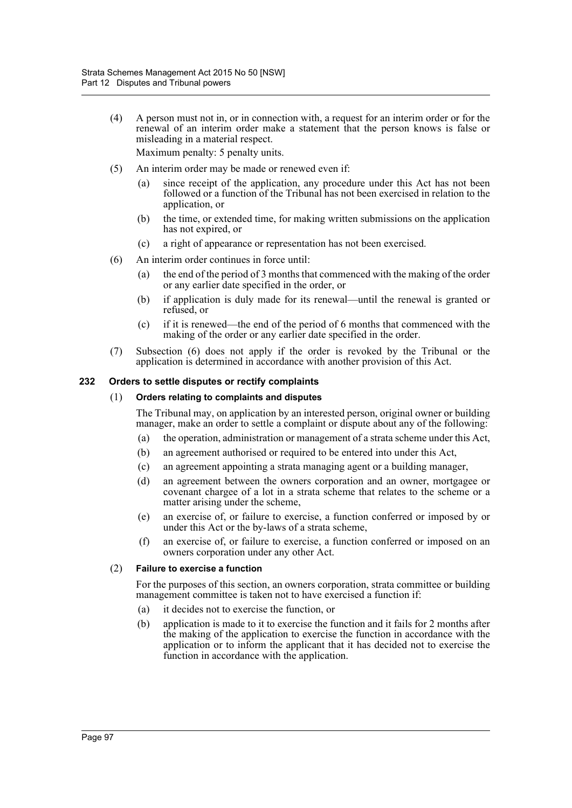(4) A person must not in, or in connection with, a request for an interim order or for the renewal of an interim order make a statement that the person knows is false or misleading in a material respect.

Maximum penalty: 5 penalty units.

- (5) An interim order may be made or renewed even if:
	- (a) since receipt of the application, any procedure under this Act has not been followed or a function of the Tribunal has not been exercised in relation to the application, or
	- (b) the time, or extended time, for making written submissions on the application has not expired, or
	- (c) a right of appearance or representation has not been exercised.
- (6) An interim order continues in force until:
	- (a) the end of the period of 3 months that commenced with the making of the order or any earlier date specified in the order, or
	- (b) if application is duly made for its renewal—until the renewal is granted or refused, or
	- (c) if it is renewed—the end of the period of 6 months that commenced with the making of the order or any earlier date specified in the order.
- (7) Subsection (6) does not apply if the order is revoked by the Tribunal or the application is determined in accordance with another provision of this Act.

# **232 Orders to settle disputes or rectify complaints**

# (1) **Orders relating to complaints and disputes**

The Tribunal may, on application by an interested person, original owner or building manager, make an order to settle a complaint or dispute about any of the following:

- (a) the operation, administration or management of a strata scheme under this Act,
- (b) an agreement authorised or required to be entered into under this Act,
- (c) an agreement appointing a strata managing agent or a building manager,
- (d) an agreement between the owners corporation and an owner, mortgagee or covenant chargee of a lot in a strata scheme that relates to the scheme or a matter arising under the scheme,
- (e) an exercise of, or failure to exercise, a function conferred or imposed by or under this Act or the by-laws of a strata scheme,
- (f) an exercise of, or failure to exercise, a function conferred or imposed on an owners corporation under any other Act.

# (2) **Failure to exercise a function**

For the purposes of this section, an owners corporation, strata committee or building management committee is taken not to have exercised a function if:

- (a) it decides not to exercise the function, or
- (b) application is made to it to exercise the function and it fails for 2 months after the making of the application to exercise the function in accordance with the application or to inform the applicant that it has decided not to exercise the function in accordance with the application.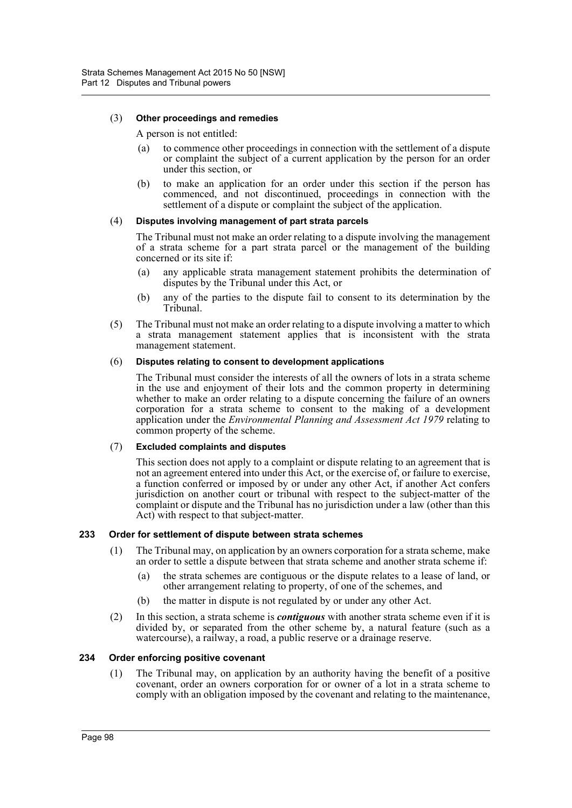# (3) **Other proceedings and remedies**

A person is not entitled:

- (a) to commence other proceedings in connection with the settlement of a dispute or complaint the subject of a current application by the person for an order under this section, or
- (b) to make an application for an order under this section if the person has commenced, and not discontinued, proceedings in connection with the settlement of a dispute or complaint the subject of the application.

# (4) **Disputes involving management of part strata parcels**

The Tribunal must not make an order relating to a dispute involving the management of a strata scheme for a part strata parcel or the management of the building concerned or its site if:

- (a) any applicable strata management statement prohibits the determination of disputes by the Tribunal under this Act, or
- (b) any of the parties to the dispute fail to consent to its determination by the Tribunal.
- (5) The Tribunal must not make an order relating to a dispute involving a matter to which a strata management statement applies that is inconsistent with the strata management statement.

# (6) **Disputes relating to consent to development applications**

The Tribunal must consider the interests of all the owners of lots in a strata scheme in the use and enjoyment of their lots and the common property in determining whether to make an order relating to a dispute concerning the failure of an owners corporation for a strata scheme to consent to the making of a development application under the *Environmental Planning and Assessment Act 1979* relating to common property of the scheme.

# (7) **Excluded complaints and disputes**

This section does not apply to a complaint or dispute relating to an agreement that is not an agreement entered into under this Act, or the exercise of, or failure to exercise, a function conferred or imposed by or under any other Act, if another Act confers jurisdiction on another court or tribunal with respect to the subject-matter of the complaint or dispute and the Tribunal has no jurisdiction under a law (other than this Act) with respect to that subject-matter.

# **233 Order for settlement of dispute between strata schemes**

- (1) The Tribunal may, on application by an owners corporation for a strata scheme, make an order to settle a dispute between that strata scheme and another strata scheme if:
	- (a) the strata schemes are contiguous or the dispute relates to a lease of land, or other arrangement relating to property, of one of the schemes, and
	- (b) the matter in dispute is not regulated by or under any other Act.
- (2) In this section, a strata scheme is *contiguous* with another strata scheme even if it is divided by, or separated from the other scheme by, a natural feature (such as a watercourse), a railway, a road, a public reserve or a drainage reserve.

#### **234 Order enforcing positive covenant**

(1) The Tribunal may, on application by an authority having the benefit of a positive covenant, order an owners corporation for or owner of a lot in a strata scheme to comply with an obligation imposed by the covenant and relating to the maintenance,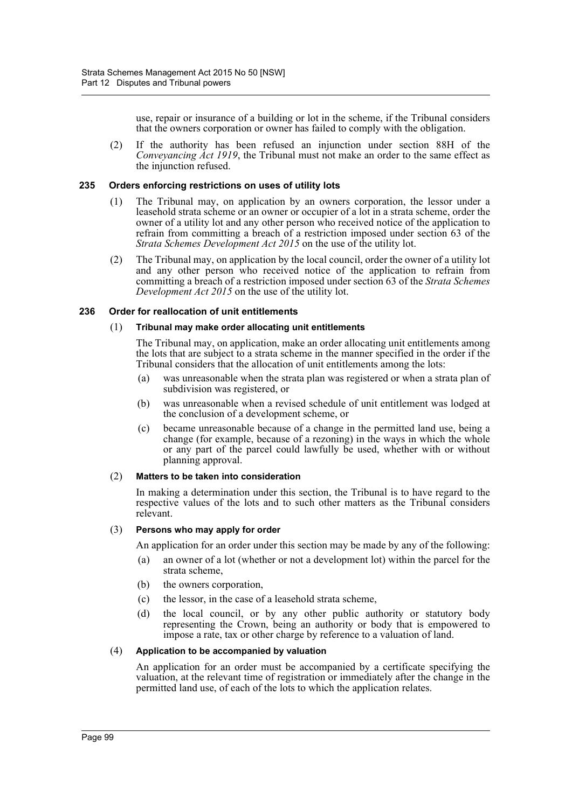use, repair or insurance of a building or lot in the scheme, if the Tribunal considers that the owners corporation or owner has failed to comply with the obligation.

(2) If the authority has been refused an injunction under section 88H of the *Conveyancing Act 1919*, the Tribunal must not make an order to the same effect as the injunction refused.

#### **235 Orders enforcing restrictions on uses of utility lots**

- (1) The Tribunal may, on application by an owners corporation, the lessor under a leasehold strata scheme or an owner or occupier of a lot in a strata scheme, order the owner of a utility lot and any other person who received notice of the application to refrain from committing a breach of a restriction imposed under section 63 of the *Strata Schemes Development Act 2015* on the use of the utility lot.
- (2) The Tribunal may, on application by the local council, order the owner of a utility lot and any other person who received notice of the application to refrain from committing a breach of a restriction imposed under section 63 of the *Strata Schemes Development Act 2015* on the use of the utility lot.

#### **236 Order for reallocation of unit entitlements**

#### (1) **Tribunal may make order allocating unit entitlements**

The Tribunal may, on application, make an order allocating unit entitlements among the lots that are subject to a strata scheme in the manner specified in the order if the Tribunal considers that the allocation of unit entitlements among the lots:

- (a) was unreasonable when the strata plan was registered or when a strata plan of subdivision was registered, or
- (b) was unreasonable when a revised schedule of unit entitlement was lodged at the conclusion of a development scheme, or
- (c) became unreasonable because of a change in the permitted land use, being a change (for example, because of a rezoning) in the ways in which the whole or any part of the parcel could lawfully be used, whether with or without planning approval.

#### (2) **Matters to be taken into consideration**

In making a determination under this section, the Tribunal is to have regard to the respective values of the lots and to such other matters as the Tribunal considers relevant.

## (3) **Persons who may apply for order**

An application for an order under this section may be made by any of the following:

- (a) an owner of a lot (whether or not a development lot) within the parcel for the strata scheme,
- (b) the owners corporation,
- (c) the lessor, in the case of a leasehold strata scheme,
- (d) the local council, or by any other public authority or statutory body representing the Crown, being an authority or body that is empowered to impose a rate, tax or other charge by reference to a valuation of land.

## (4) **Application to be accompanied by valuation**

An application for an order must be accompanied by a certificate specifying the valuation, at the relevant time of registration or immediately after the change in the permitted land use, of each of the lots to which the application relates.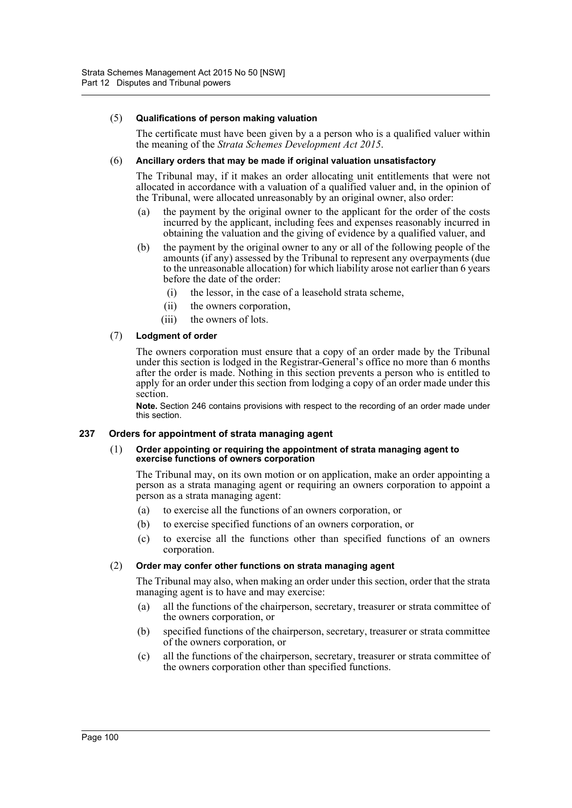#### (5) **Qualifications of person making valuation**

The certificate must have been given by a a person who is a qualified valuer within the meaning of the *Strata Schemes Development Act 2015*.

#### (6) **Ancillary orders that may be made if original valuation unsatisfactory**

The Tribunal may, if it makes an order allocating unit entitlements that were not allocated in accordance with a valuation of a qualified valuer and, in the opinion of the Tribunal, were allocated unreasonably by an original owner, also order:

- (a) the payment by the original owner to the applicant for the order of the costs incurred by the applicant, including fees and expenses reasonably incurred in obtaining the valuation and the giving of evidence by a qualified valuer, and
- (b) the payment by the original owner to any or all of the following people of the amounts (if any) assessed by the Tribunal to represent any overpayments (due to the unreasonable allocation) for which liability arose not earlier than 6 years before the date of the order:
	- (i) the lessor, in the case of a leasehold strata scheme,
	- (ii) the owners corporation,
	- (iii) the owners of lots.

#### (7) **Lodgment of order**

The owners corporation must ensure that a copy of an order made by the Tribunal under this section is lodged in the Registrar-General's office no more than 6 months after the order is made. Nothing in this section prevents a person who is entitled to apply for an order under this section from lodging a copy of an order made under this section.

**Note.** Section 246 contains provisions with respect to the recording of an order made under this section.

## **237 Orders for appointment of strata managing agent**

#### (1) **Order appointing or requiring the appointment of strata managing agent to exercise functions of owners corporation**

The Tribunal may, on its own motion or on application, make an order appointing a person as a strata managing agent or requiring an owners corporation to appoint a person as a strata managing agent:

- (a) to exercise all the functions of an owners corporation, or
- (b) to exercise specified functions of an owners corporation, or
- (c) to exercise all the functions other than specified functions of an owners corporation.

#### (2) **Order may confer other functions on strata managing agent**

The Tribunal may also, when making an order under this section, order that the strata managing agent is to have and may exercise:

- (a) all the functions of the chairperson, secretary, treasurer or strata committee of the owners corporation, or
- (b) specified functions of the chairperson, secretary, treasurer or strata committee of the owners corporation, or
- (c) all the functions of the chairperson, secretary, treasurer or strata committee of the owners corporation other than specified functions.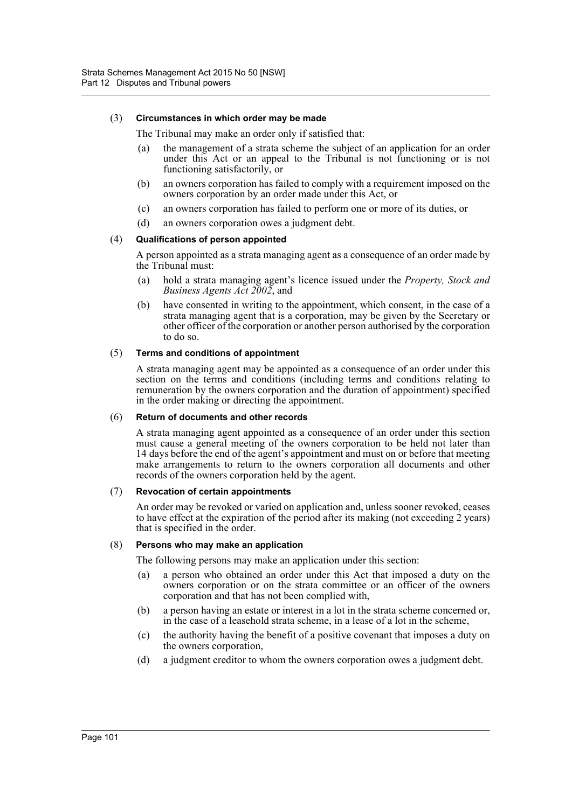#### (3) **Circumstances in which order may be made**

The Tribunal may make an order only if satisfied that:

- (a) the management of a strata scheme the subject of an application for an order under this Act or an appeal to the Tribunal is not functioning or is not functioning satisfactorily, or
- (b) an owners corporation has failed to comply with a requirement imposed on the owners corporation by an order made under this Act, or
- (c) an owners corporation has failed to perform one or more of its duties, or
- (d) an owners corporation owes a judgment debt.

#### (4) **Qualifications of person appointed**

A person appointed as a strata managing agent as a consequence of an order made by the Tribunal must:

- (a) hold a strata managing agent's licence issued under the *Property, Stock and Business Agents Act 2002*, and
- (b) have consented in writing to the appointment, which consent, in the case of a strata managing agent that is a corporation, may be given by the Secretary or other officer of the corporation or another person authorised by the corporation to do so.

#### (5) **Terms and conditions of appointment**

A strata managing agent may be appointed as a consequence of an order under this section on the terms and conditions (including terms and conditions relating to remuneration by the owners corporation and the duration of appointment) specified in the order making or directing the appointment.

#### (6) **Return of documents and other records**

A strata managing agent appointed as a consequence of an order under this section must cause a general meeting of the owners corporation to be held not later than 14 days before the end of the agent's appointment and must on or before that meeting make arrangements to return to the owners corporation all documents and other records of the owners corporation held by the agent.

#### (7) **Revocation of certain appointments**

An order may be revoked or varied on application and, unless sooner revoked, ceases to have effect at the expiration of the period after its making (not exceeding 2 years) that is specified in the order.

## (8) **Persons who may make an application**

The following persons may make an application under this section:

- (a) a person who obtained an order under this Act that imposed a duty on the owners corporation or on the strata committee or an officer of the owners corporation and that has not been complied with,
- (b) a person having an estate or interest in a lot in the strata scheme concerned or, in the case of a leasehold strata scheme, in a lease of a lot in the scheme,
- (c) the authority having the benefit of a positive covenant that imposes a duty on the owners corporation,
- (d) a judgment creditor to whom the owners corporation owes a judgment debt.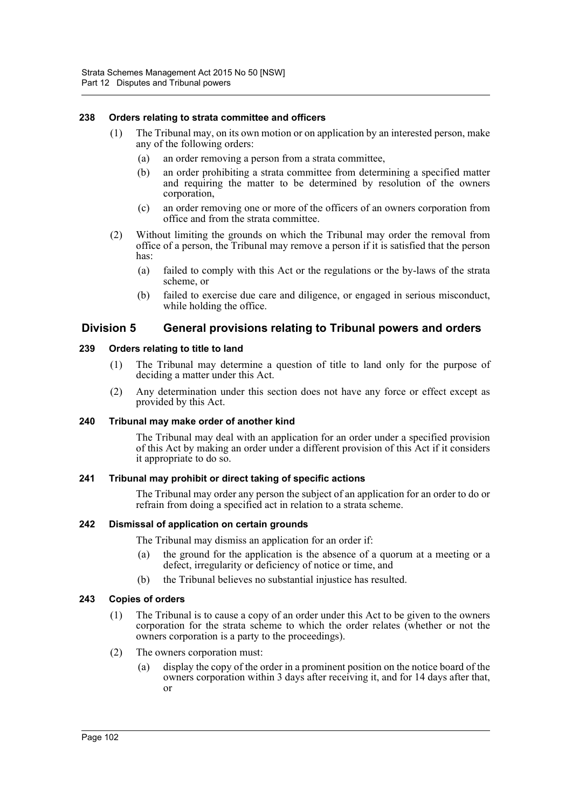## **238 Orders relating to strata committee and officers**

- (1) The Tribunal may, on its own motion or on application by an interested person, make any of the following orders:
	- (a) an order removing a person from a strata committee,
	- (b) an order prohibiting a strata committee from determining a specified matter and requiring the matter to be determined by resolution of the owners corporation,
	- (c) an order removing one or more of the officers of an owners corporation from office and from the strata committee.
- (2) Without limiting the grounds on which the Tribunal may order the removal from office of a person, the Tribunal may remove a person if it is satisfied that the person has:
	- (a) failed to comply with this Act or the regulations or the by-laws of the strata scheme, or
	- (b) failed to exercise due care and diligence, or engaged in serious misconduct, while holding the office.

# **Division 5 General provisions relating to Tribunal powers and orders**

#### **239 Orders relating to title to land**

- (1) The Tribunal may determine a question of title to land only for the purpose of deciding a matter under this Act.
- (2) Any determination under this section does not have any force or effect except as provided by this Act.

#### **240 Tribunal may make order of another kind**

The Tribunal may deal with an application for an order under a specified provision of this Act by making an order under a different provision of this Act if it considers it appropriate to do so.

#### **241 Tribunal may prohibit or direct taking of specific actions**

The Tribunal may order any person the subject of an application for an order to do or refrain from doing a specified act in relation to a strata scheme.

#### **242 Dismissal of application on certain grounds**

The Tribunal may dismiss an application for an order if:

- (a) the ground for the application is the absence of a quorum at a meeting or a defect, irregularity or deficiency of notice or time, and
- (b) the Tribunal believes no substantial injustice has resulted.

#### **243 Copies of orders**

- (1) The Tribunal is to cause a copy of an order under this Act to be given to the owners corporation for the strata scheme to which the order relates (whether or not the owners corporation is a party to the proceedings).
- (2) The owners corporation must:
	- display the copy of the order in a prominent position on the notice board of the owners corporation within 3 days after receiving it, and for 14 days after that, or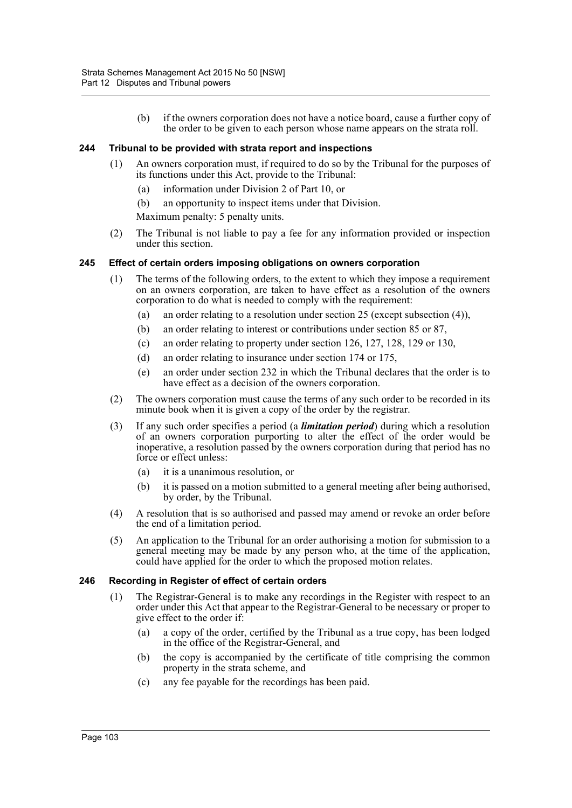(b) if the owners corporation does not have a notice board, cause a further copy of the order to be given to each person whose name appears on the strata roll.

## **244 Tribunal to be provided with strata report and inspections**

- (1) An owners corporation must, if required to do so by the Tribunal for the purposes of its functions under this Act, provide to the Tribunal:
	- (a) information under Division 2 of Part 10, or
	- (b) an opportunity to inspect items under that Division.
	- Maximum penalty: 5 penalty units.
- (2) The Tribunal is not liable to pay a fee for any information provided or inspection under this section.

## **245 Effect of certain orders imposing obligations on owners corporation**

- (1) The terms of the following orders, to the extent to which they impose a requirement on an owners corporation, are taken to have effect as a resolution of the owners corporation to do what is needed to comply with the requirement:
	- (a) an order relating to a resolution under section 25 (except subsection (4)),
	- (b) an order relating to interest or contributions under section 85 or 87,
	- (c) an order relating to property under section 126, 127, 128, 129 or 130,
	- (d) an order relating to insurance under section 174 or 175,
	- (e) an order under section 232 in which the Tribunal declares that the order is to have effect as a decision of the owners corporation.
- (2) The owners corporation must cause the terms of any such order to be recorded in its minute book when it is given a copy of the order by the registrar.
- (3) If any such order specifies a period (a *limitation period*) during which a resolution of an owners corporation purporting to alter the effect of the order would be inoperative, a resolution passed by the owners corporation during that period has no force or effect unless:
	- (a) it is a unanimous resolution, or
	- (b) it is passed on a motion submitted to a general meeting after being authorised, by order, by the Tribunal.
- (4) A resolution that is so authorised and passed may amend or revoke an order before the end of a limitation period.
- (5) An application to the Tribunal for an order authorising a motion for submission to a general meeting may be made by any person who, at the time of the application, could have applied for the order to which the proposed motion relates.

## **246 Recording in Register of effect of certain orders**

- (1) The Registrar-General is to make any recordings in the Register with respect to an order under this Act that appear to the Registrar-General to be necessary or proper to give effect to the order if:
	- (a) a copy of the order, certified by the Tribunal as a true copy, has been lodged in the office of the Registrar-General, and
	- (b) the copy is accompanied by the certificate of title comprising the common property in the strata scheme, and
	- (c) any fee payable for the recordings has been paid.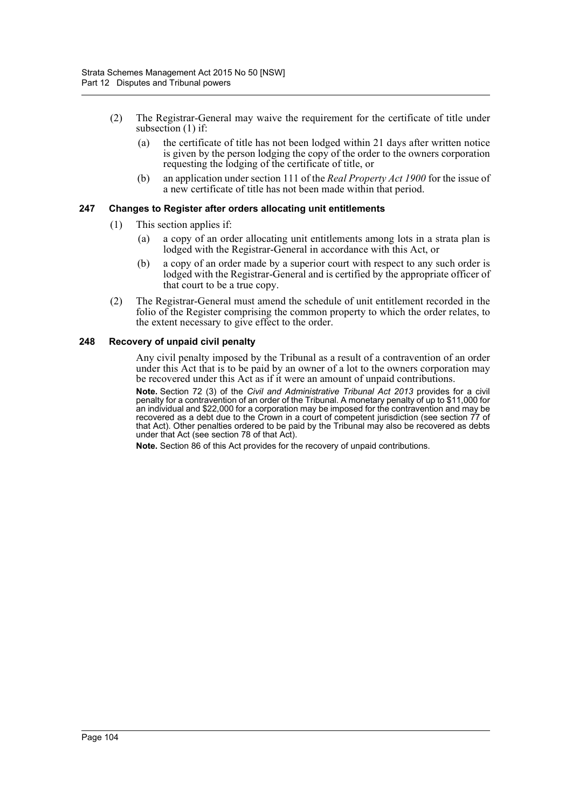- (2) The Registrar-General may waive the requirement for the certificate of title under subsection (1) if:
	- (a) the certificate of title has not been lodged within 21 days after written notice is given by the person lodging the copy of the order to the owners corporation requesting the lodging of the certificate of title, or
	- (b) an application under section 111 of the *Real Property Act 1900* for the issue of a new certificate of title has not been made within that period.

## **247 Changes to Register after orders allocating unit entitlements**

- (1) This section applies if:
	- (a) a copy of an order allocating unit entitlements among lots in a strata plan is lodged with the Registrar-General in accordance with this Act, or
	- (b) a copy of an order made by a superior court with respect to any such order is lodged with the Registrar-General and is certified by the appropriate officer of that court to be a true copy.
- (2) The Registrar-General must amend the schedule of unit entitlement recorded in the folio of the Register comprising the common property to which the order relates, to the extent necessary to give effect to the order.

#### **248 Recovery of unpaid civil penalty**

Any civil penalty imposed by the Tribunal as a result of a contravention of an order under this Act that is to be paid by an owner of a lot to the owners corporation may be recovered under this Act as if it were an amount of unpaid contributions.

**Note.** Section 72 (3) of the *Civil and Administrative Tribunal Act 2013* provides for a civil penalty for a contravention of an order of the Tribunal. A monetary penalty of up to \$11,000 for an individual and \$22,000 for a corporation may be imposed for the contravention and may be recovered as a debt due to the Crown in a court of competent jurisdiction (see section 77 of that Act). Other penalties ordered to be paid by the Tribunal may also be recovered as debts under that Act (see section 78 of that Act).

**Note.** Section 86 of this Act provides for the recovery of unpaid contributions.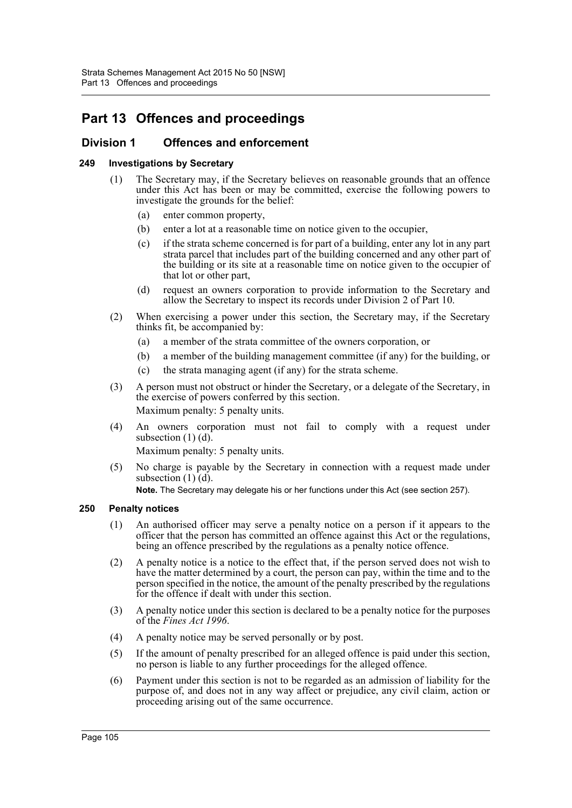# **Part 13 Offences and proceedings**

# **Division 1 Offences and enforcement**

# **249 Investigations by Secretary**

- (1) The Secretary may, if the Secretary believes on reasonable grounds that an offence under this Act has been or may be committed, exercise the following powers to investigate the grounds for the belief:
	- (a) enter common property,
	- (b) enter a lot at a reasonable time on notice given to the occupier,
	- (c) if the strata scheme concerned is for part of a building, enter any lot in any part strata parcel that includes part of the building concerned and any other part of the building or its site at a reasonable time on notice given to the occupier of that lot or other part,
	- (d) request an owners corporation to provide information to the Secretary and allow the Secretary to inspect its records under Division 2 of Part 10.
- (2) When exercising a power under this section, the Secretary may, if the Secretary thinks fit, be accompanied by:
	- (a) a member of the strata committee of the owners corporation, or
	- (b) a member of the building management committee (if any) for the building, or
	- (c) the strata managing agent (if any) for the strata scheme.
- (3) A person must not obstruct or hinder the Secretary, or a delegate of the Secretary, in the exercise of powers conferred by this section. Maximum penalty: 5 penalty units.
- (4) An owners corporation must not fail to comply with a request under subsection  $(1)$   $(d)$ .

Maximum penalty: 5 penalty units.

(5) No charge is payable by the Secretary in connection with a request made under subsection  $(1)$  $(d)$ .

**Note.** The Secretary may delegate his or her functions under this Act (see section 257).

# **250 Penalty notices**

- (1) An authorised officer may serve a penalty notice on a person if it appears to the officer that the person has committed an offence against this Act or the regulations, being an offence prescribed by the regulations as a penalty notice offence.
- (2) A penalty notice is a notice to the effect that, if the person served does not wish to have the matter determined by a court, the person can pay, within the time and to the person specified in the notice, the amount of the penalty prescribed by the regulations for the offence if dealt with under this section.
- (3) A penalty notice under this section is declared to be a penalty notice for the purposes of the *Fines Act 1996*.
- (4) A penalty notice may be served personally or by post.
- (5) If the amount of penalty prescribed for an alleged offence is paid under this section, no person is liable to any further proceedings for the alleged offence.
- (6) Payment under this section is not to be regarded as an admission of liability for the purpose of, and does not in any way affect or prejudice, any civil claim, action or proceeding arising out of the same occurrence.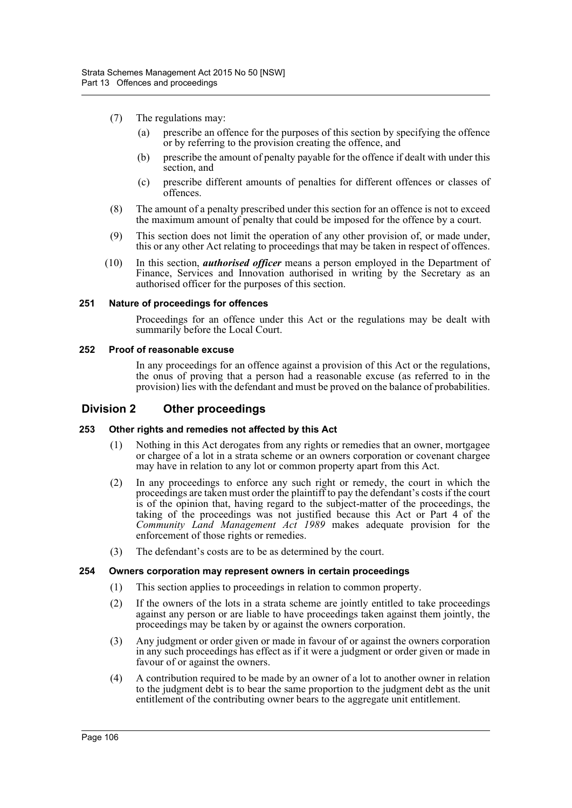- (7) The regulations may:
	- (a) prescribe an offence for the purposes of this section by specifying the offence or by referring to the provision creating the offence, and
	- (b) prescribe the amount of penalty payable for the offence if dealt with under this section, and
	- (c) prescribe different amounts of penalties for different offences or classes of offences.
- (8) The amount of a penalty prescribed under this section for an offence is not to exceed the maximum amount of penalty that could be imposed for the offence by a court.
- (9) This section does not limit the operation of any other provision of, or made under, this or any other Act relating to proceedings that may be taken in respect of offences.
- (10) In this section, *authorised officer* means a person employed in the Department of Finance, Services and Innovation authorised in writing by the Secretary as an authorised officer for the purposes of this section.

#### **251 Nature of proceedings for offences**

Proceedings for an offence under this Act or the regulations may be dealt with summarily before the Local Court.

#### **252 Proof of reasonable excuse**

In any proceedings for an offence against a provision of this Act or the regulations, the onus of proving that a person had a reasonable excuse (as referred to in the provision) lies with the defendant and must be proved on the balance of probabilities.

# **Division 2 Other proceedings**

## **253 Other rights and remedies not affected by this Act**

- (1) Nothing in this Act derogates from any rights or remedies that an owner, mortgagee or chargee of a lot in a strata scheme or an owners corporation or covenant chargee may have in relation to any lot or common property apart from this Act.
- (2) In any proceedings to enforce any such right or remedy, the court in which the proceedings are taken must order the plaintiff to pay the defendant's costs if the court is of the opinion that, having regard to the subject-matter of the proceedings, the taking of the proceedings was not justified because this Act or Part 4 of the *Community Land Management Act 1989* makes adequate provision for the enforcement of those rights or remedies.
- (3) The defendant's costs are to be as determined by the court.

#### **254 Owners corporation may represent owners in certain proceedings**

- (1) This section applies to proceedings in relation to common property.
- (2) If the owners of the lots in a strata scheme are jointly entitled to take proceedings against any person or are liable to have proceedings taken against them jointly, the proceedings may be taken by or against the owners corporation.
- (3) Any judgment or order given or made in favour of or against the owners corporation in any such proceedings has effect as if it were a judgment or order given or made in favour of or against the owners.
- (4) A contribution required to be made by an owner of a lot to another owner in relation to the judgment debt is to bear the same proportion to the judgment debt as the unit entitlement of the contributing owner bears to the aggregate unit entitlement.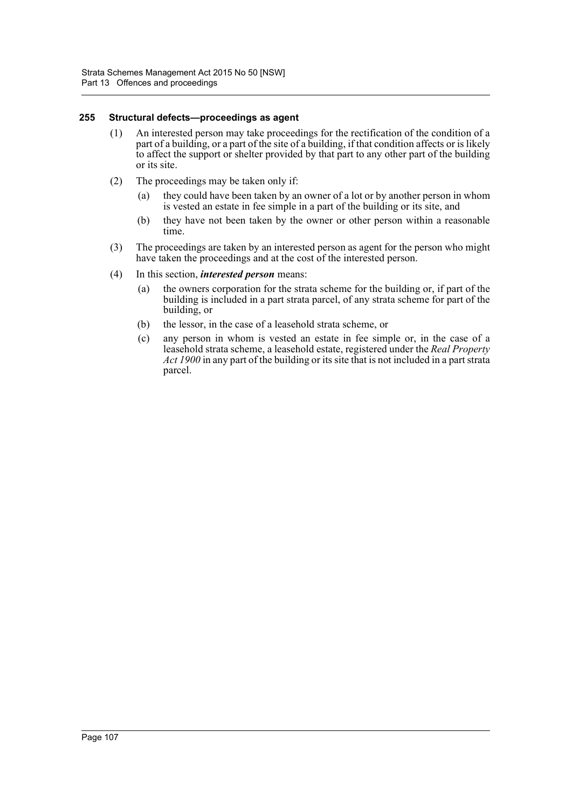#### **255 Structural defects—proceedings as agent**

- (1) An interested person may take proceedings for the rectification of the condition of a part of a building, or a part of the site of a building, if that condition affects or is likely to affect the support or shelter provided by that part to any other part of the building or its site.
- (2) The proceedings may be taken only if:
	- (a) they could have been taken by an owner of a lot or by another person in whom is vested an estate in fee simple in a part of the building or its site, and
	- (b) they have not been taken by the owner or other person within a reasonable time.
- (3) The proceedings are taken by an interested person as agent for the person who might have taken the proceedings and at the cost of the interested person.
- (4) In this section, *interested person* means:
	- (a) the owners corporation for the strata scheme for the building or, if part of the building is included in a part strata parcel, of any strata scheme for part of the building, or
	- (b) the lessor, in the case of a leasehold strata scheme, or
	- (c) any person in whom is vested an estate in fee simple or, in the case of a leasehold strata scheme, a leasehold estate, registered under the *Real Property Act 1900* in any part of the building or its site that is not included in a part strata parcel.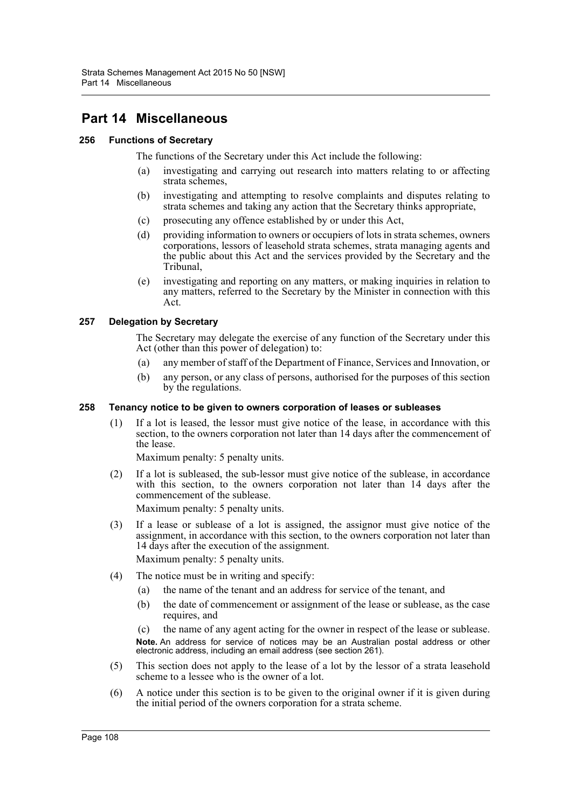# **Part 14 Miscellaneous**

# **256 Functions of Secretary**

The functions of the Secretary under this Act include the following:

- (a) investigating and carrying out research into matters relating to or affecting strata schemes,
- (b) investigating and attempting to resolve complaints and disputes relating to strata schemes and taking any action that the Secretary thinks appropriate,
- (c) prosecuting any offence established by or under this Act,
- (d) providing information to owners or occupiers of lots in strata schemes, owners corporations, lessors of leasehold strata schemes, strata managing agents and the public about this Act and the services provided by the Secretary and the Tribunal,
- (e) investigating and reporting on any matters, or making inquiries in relation to any matters, referred to the Secretary by the Minister in connection with this Act.

## **257 Delegation by Secretary**

The Secretary may delegate the exercise of any function of the Secretary under this Act (other than this power of delegation) to:

- (a) any member of staff of the Department of Finance, Services and Innovation, or
- (b) any person, or any class of persons, authorised for the purposes of this section by the regulations.

## **258 Tenancy notice to be given to owners corporation of leases or subleases**

(1) If a lot is leased, the lessor must give notice of the lease, in accordance with this section, to the owners corporation not later than 14 days after the commencement of the lease.

Maximum penalty: 5 penalty units.

(2) If a lot is subleased, the sub-lessor must give notice of the sublease, in accordance with this section, to the owners corporation not later than 14 days after the commencement of the sublease.

Maximum penalty: 5 penalty units.

- (3) If a lease or sublease of a lot is assigned, the assignor must give notice of the assignment, in accordance with this section, to the owners corporation not later than 14 days after the execution of the assignment. Maximum penalty: 5 penalty units.
- (4) The notice must be in writing and specify:
	- (a) the name of the tenant and an address for service of the tenant, and
	- (b) the date of commencement or assignment of the lease or sublease, as the case requires, and

(c) the name of any agent acting for the owner in respect of the lease or sublease. **Note.** An address for service of notices may be an Australian postal address or other electronic address, including an email address (see section 261).

- (5) This section does not apply to the lease of a lot by the lessor of a strata leasehold scheme to a lessee who is the owner of a lot.
- (6) A notice under this section is to be given to the original owner if it is given during the initial period of the owners corporation for a strata scheme.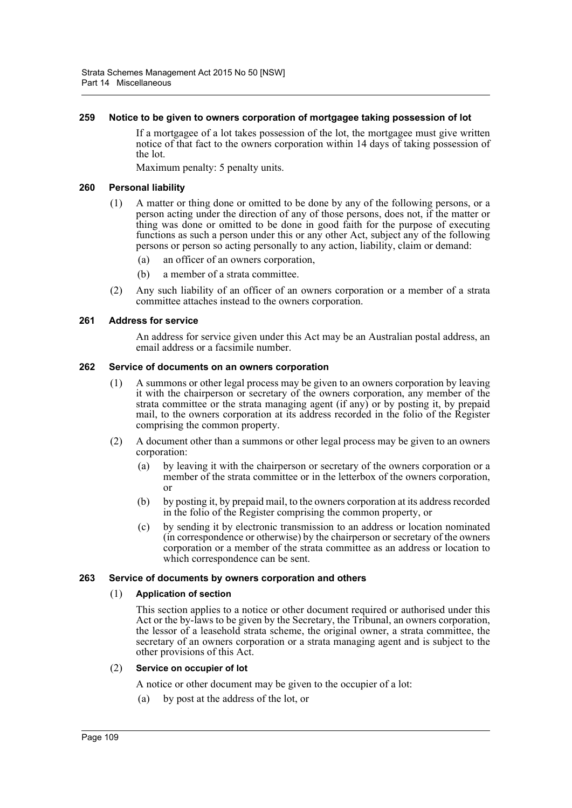#### **259 Notice to be given to owners corporation of mortgagee taking possession of lot**

If a mortgagee of a lot takes possession of the lot, the mortgagee must give written notice of that fact to the owners corporation within 14 days of taking possession of the lot.

Maximum penalty: 5 penalty units.

## **260 Personal liability**

- (1) A matter or thing done or omitted to be done by any of the following persons, or a person acting under the direction of any of those persons, does not, if the matter or thing was done or omitted to be done in good faith for the purpose of executing functions as such a person under this or any other Act, subject any of the following persons or person so acting personally to any action, liability, claim or demand:
	- (a) an officer of an owners corporation,
	- (b) a member of a strata committee.
- (2) Any such liability of an officer of an owners corporation or a member of a strata committee attaches instead to the owners corporation.

#### **261 Address for service**

An address for service given under this Act may be an Australian postal address, an email address or a facsimile number.

#### **262 Service of documents on an owners corporation**

- (1) A summons or other legal process may be given to an owners corporation by leaving it with the chairperson or secretary of the owners corporation, any member of the strata committee or the strata managing agent (if any) or by posting it, by prepaid mail, to the owners corporation at its address recorded in the folio of the Register comprising the common property.
- (2) A document other than a summons or other legal process may be given to an owners corporation:
	- (a) by leaving it with the chairperson or secretary of the owners corporation or a member of the strata committee or in the letterbox of the owners corporation, or
	- (b) by posting it, by prepaid mail, to the owners corporation at its address recorded in the folio of the Register comprising the common property, or
	- (c) by sending it by electronic transmission to an address or location nominated (in correspondence or otherwise) by the chairperson or secretary of the owners corporation or a member of the strata committee as an address or location to which correspondence can be sent.

## **263 Service of documents by owners corporation and others**

## (1) **Application of section**

This section applies to a notice or other document required or authorised under this Act or the by-laws to be given by the Secretary, the Tribunal, an owners corporation, the lessor of a leasehold strata scheme, the original owner, a strata committee, the secretary of an owners corporation or a strata managing agent and is subject to the other provisions of this Act.

#### (2) **Service on occupier of lot**

A notice or other document may be given to the occupier of a lot:

(a) by post at the address of the lot, or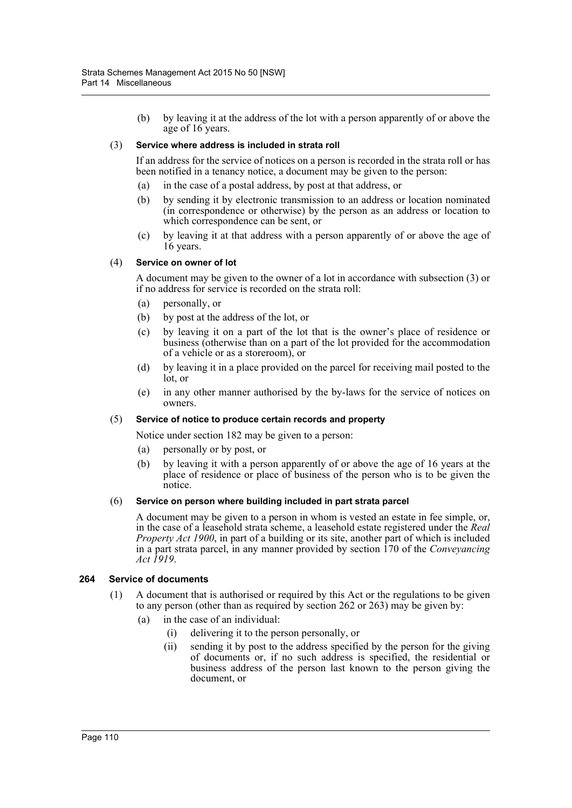(b) by leaving it at the address of the lot with a person apparently of or above the age of 16 years.

#### (3) **Service where address is included in strata roll**

If an address for the service of notices on a person is recorded in the strata roll or has been notified in a tenancy notice, a document may be given to the person:

- (a) in the case of a postal address, by post at that address, or
- (b) by sending it by electronic transmission to an address or location nominated (in correspondence or otherwise) by the person as an address or location to which correspondence can be sent, or
- (c) by leaving it at that address with a person apparently of or above the age of 16 years.

#### (4) **Service on owner of lot**

A document may be given to the owner of a lot in accordance with subsection (3) or if no address for service is recorded on the strata roll:

- (a) personally, or
- (b) by post at the address of the lot, or
- (c) by leaving it on a part of the lot that is the owner's place of residence or business (otherwise than on a part of the lot provided for the accommodation of a vehicle or as a storeroom), or
- (d) by leaving it in a place provided on the parcel for receiving mail posted to the lot, or
- (e) in any other manner authorised by the by-laws for the service of notices on owners.

## (5) **Service of notice to produce certain records and property**

Notice under section 182 may be given to a person:

- (a) personally or by post, or
- (b) by leaving it with a person apparently of or above the age of 16 years at the place of residence or place of business of the person who is to be given the notice.

## (6) **Service on person where building included in part strata parcel**

A document may be given to a person in whom is vested an estate in fee simple, or, in the case of a leasehold strata scheme, a leasehold estate registered under the *Real Property Act 1900*, in part of a building or its site, another part of which is included in a part strata parcel, in any manner provided by section 170 of the *Conveyancing Act 1919*.

#### **264 Service of documents**

- (1) A document that is authorised or required by this Act or the regulations to be given to any person (other than as required by section 262 or 263) may be given by:
	- (a) in the case of an individual:
		- (i) delivering it to the person personally, or
		- (ii) sending it by post to the address specified by the person for the giving of documents or, if no such address is specified, the residential or business address of the person last known to the person giving the document, or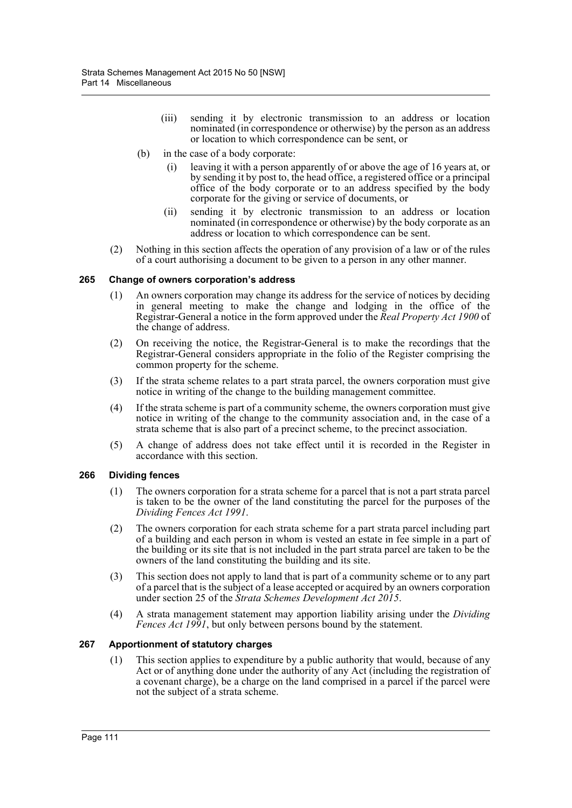- (iii) sending it by electronic transmission to an address or location nominated (in correspondence or otherwise) by the person as an address or location to which correspondence can be sent, or
- (b) in the case of a body corporate:
	- (i) leaving it with a person apparently of or above the age of 16 years at, or by sending it by post to, the head office, a registered office or a principal office of the body corporate or to an address specified by the body corporate for the giving or service of documents, or
	- (ii) sending it by electronic transmission to an address or location nominated (in correspondence or otherwise) by the body corporate as an address or location to which correspondence can be sent.
- (2) Nothing in this section affects the operation of any provision of a law or of the rules of a court authorising a document to be given to a person in any other manner.

## **265 Change of owners corporation's address**

- (1) An owners corporation may change its address for the service of notices by deciding in general meeting to make the change and lodging in the office of the Registrar-General a notice in the form approved under the *Real Property Act 1900* of the change of address.
- (2) On receiving the notice, the Registrar-General is to make the recordings that the Registrar-General considers appropriate in the folio of the Register comprising the common property for the scheme.
- (3) If the strata scheme relates to a part strata parcel, the owners corporation must give notice in writing of the change to the building management committee.
- (4) If the strata scheme is part of a community scheme, the owners corporation must give notice in writing of the change to the community association and, in the case of a strata scheme that is also part of a precinct scheme, to the precinct association.
- (5) A change of address does not take effect until it is recorded in the Register in accordance with this section.

## **266 Dividing fences**

- (1) The owners corporation for a strata scheme for a parcel that is not a part strata parcel is taken to be the owner of the land constituting the parcel for the purposes of the *Dividing Fences Act 1991*.
- (2) The owners corporation for each strata scheme for a part strata parcel including part of a building and each person in whom is vested an estate in fee simple in a part of the building or its site that is not included in the part strata parcel are taken to be the owners of the land constituting the building and its site.
- (3) This section does not apply to land that is part of a community scheme or to any part of a parcel that is the subject of a lease accepted or acquired by an owners corporation under section 25 of the *Strata Schemes Development Act 2015*.
- (4) A strata management statement may apportion liability arising under the *Dividing Fences Act 1991*, but only between persons bound by the statement.

## **267 Apportionment of statutory charges**

(1) This section applies to expenditure by a public authority that would, because of any Act or of anything done under the authority of any Act (including the registration of a covenant charge), be a charge on the land comprised in a parcel if the parcel were not the subject of a strata scheme.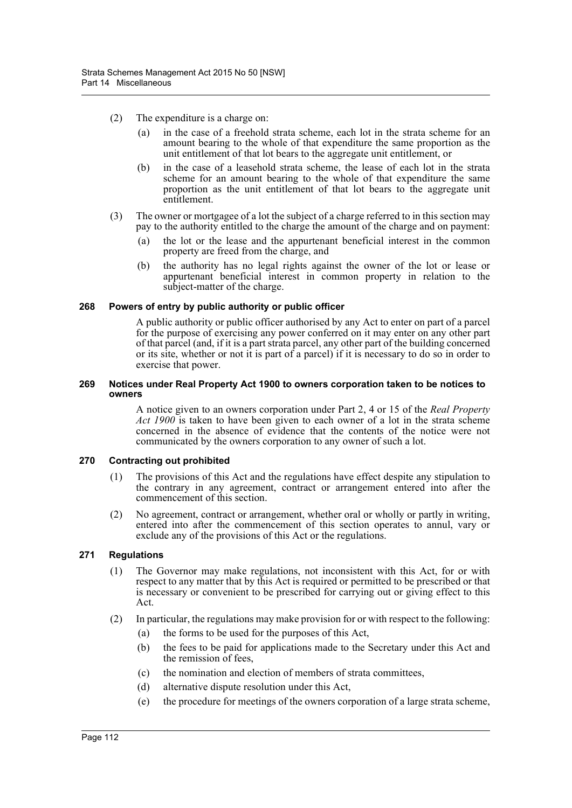- (2) The expenditure is a charge on:
	- (a) in the case of a freehold strata scheme, each lot in the strata scheme for an amount bearing to the whole of that expenditure the same proportion as the unit entitlement of that lot bears to the aggregate unit entitlement, or
	- (b) in the case of a leasehold strata scheme, the lease of each lot in the strata scheme for an amount bearing to the whole of that expenditure the same proportion as the unit entitlement of that lot bears to the aggregate unit entitlement.
- (3) The owner or mortgagee of a lot the subject of a charge referred to in this section may pay to the authority entitled to the charge the amount of the charge and on payment:
	- (a) the lot or the lease and the appurtenant beneficial interest in the common property are freed from the charge, and
	- (b) the authority has no legal rights against the owner of the lot or lease or appurtenant beneficial interest in common property in relation to the subject-matter of the charge.

#### **268 Powers of entry by public authority or public officer**

A public authority or public officer authorised by any Act to enter on part of a parcel for the purpose of exercising any power conferred on it may enter on any other part of that parcel (and, if it is a part strata parcel, any other part of the building concerned or its site, whether or not it is part of a parcel) if it is necessary to do so in order to exercise that power.

#### **269 Notices under Real Property Act 1900 to owners corporation taken to be notices to owners**

A notice given to an owners corporation under Part 2, 4 or 15 of the *Real Property Act 1900* is taken to have been given to each owner of a lot in the strata scheme concerned in the absence of evidence that the contents of the notice were not communicated by the owners corporation to any owner of such a lot.

## **270 Contracting out prohibited**

- (1) The provisions of this Act and the regulations have effect despite any stipulation to the contrary in any agreement, contract or arrangement entered into after the commencement of this section.
- (2) No agreement, contract or arrangement, whether oral or wholly or partly in writing, entered into after the commencement of this section operates to annul, vary or exclude any of the provisions of this Act or the regulations.

## **271 Regulations**

- (1) The Governor may make regulations, not inconsistent with this Act, for or with respect to any matter that by this Act is required or permitted to be prescribed or that is necessary or convenient to be prescribed for carrying out or giving effect to this Act.
- (2) In particular, the regulations may make provision for or with respect to the following:
	- (a) the forms to be used for the purposes of this Act,
	- (b) the fees to be paid for applications made to the Secretary under this Act and the remission of fees,
	- (c) the nomination and election of members of strata committees,
	- (d) alternative dispute resolution under this Act,
	- (e) the procedure for meetings of the owners corporation of a large strata scheme,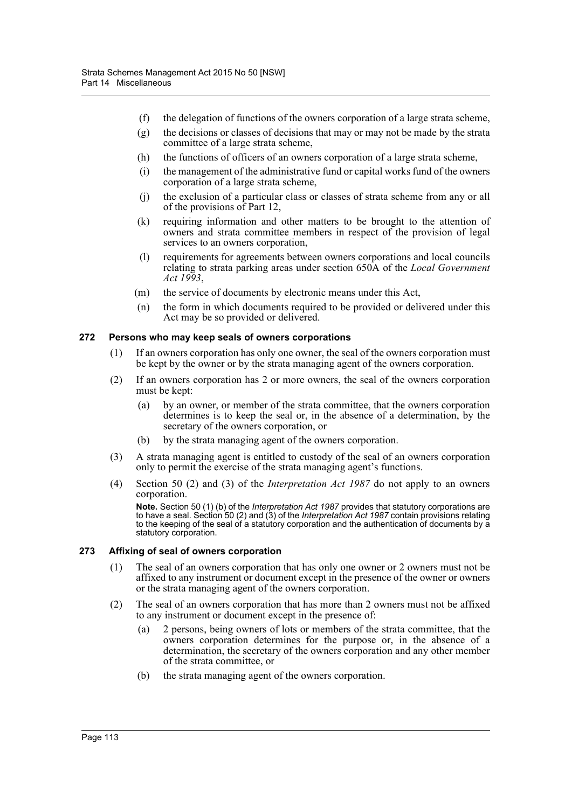- (f) the delegation of functions of the owners corporation of a large strata scheme,
- (g) the decisions or classes of decisions that may or may not be made by the strata committee of a large strata scheme,
- (h) the functions of officers of an owners corporation of a large strata scheme,
- (i) the management of the administrative fund or capital works fund of the owners corporation of a large strata scheme,
- (j) the exclusion of a particular class or classes of strata scheme from any or all of the provisions of Part 12,
- (k) requiring information and other matters to be brought to the attention of owners and strata committee members in respect of the provision of legal services to an owners corporation,
- (l) requirements for agreements between owners corporations and local councils relating to strata parking areas under section 650A of the *Local Government Act 1993*,
- (m) the service of documents by electronic means under this Act,
- (n) the form in which documents required to be provided or delivered under this Act may be so provided or delivered.

#### **272 Persons who may keep seals of owners corporations**

- (1) If an owners corporation has only one owner, the seal of the owners corporation must be kept by the owner or by the strata managing agent of the owners corporation.
- (2) If an owners corporation has 2 or more owners, the seal of the owners corporation must be kept:
	- (a) by an owner, or member of the strata committee, that the owners corporation determines is to keep the seal or, in the absence of a determination, by the secretary of the owners corporation, or
	- (b) by the strata managing agent of the owners corporation.
- (3) A strata managing agent is entitled to custody of the seal of an owners corporation only to permit the exercise of the strata managing agent's functions.
- (4) Section 50 (2) and (3) of the *Interpretation Act 1987* do not apply to an owners corporation.

**Note.** Section 50 (1) (b) of the *Interpretation Act 1987* provides that statutory corporations are to have a seal. Section 50 (2) and (3) of the *Interpretation Act 1987* contain provisions relating to the keeping of the seal of a statutory corporation and the authentication of documents by a statutory corporation.

## **273 Affixing of seal of owners corporation**

- (1) The seal of an owners corporation that has only one owner or 2 owners must not be affixed to any instrument or document except in the presence of the owner or owners or the strata managing agent of the owners corporation.
- (2) The seal of an owners corporation that has more than 2 owners must not be affixed to any instrument or document except in the presence of:
	- (a) 2 persons, being owners of lots or members of the strata committee, that the owners corporation determines for the purpose or, in the absence of a determination, the secretary of the owners corporation and any other member of the strata committee, or
	- (b) the strata managing agent of the owners corporation.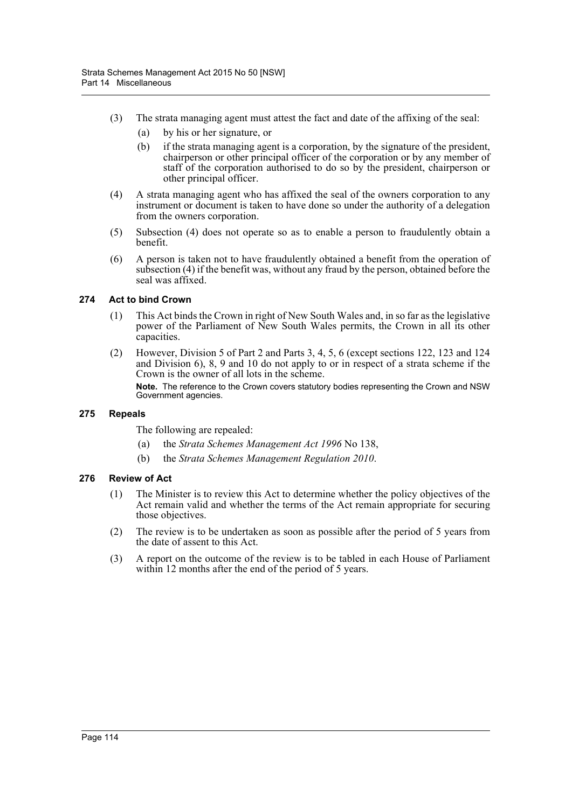- (3) The strata managing agent must attest the fact and date of the affixing of the seal:
	- (a) by his or her signature, or
	- (b) if the strata managing agent is a corporation, by the signature of the president, chairperson or other principal officer of the corporation or by any member of staff of the corporation authorised to do so by the president, chairperson or other principal officer.
- (4) A strata managing agent who has affixed the seal of the owners corporation to any instrument or document is taken to have done so under the authority of a delegation from the owners corporation.
- (5) Subsection (4) does not operate so as to enable a person to fraudulently obtain a benefit.
- (6) A person is taken not to have fraudulently obtained a benefit from the operation of subsection (4) if the benefit was, without any fraud by the person, obtained before the seal was affixed.

# **274 Act to bind Crown**

- (1) This Act binds the Crown in right of New South Wales and, in so far as the legislative power of the Parliament of New South Wales permits, the Crown in all its other capacities.
- (2) However, Division 5 of Part 2 and Parts 3, 4, 5, 6 (except sections 122, 123 and 124 and Division 6), 8, 9 and 10 do not apply to or in respect of a strata scheme if the Crown is the owner of all lots in the scheme.

**Note.** The reference to the Crown covers statutory bodies representing the Crown and NSW Government agencies.

## **275 Repeals**

The following are repealed:

- (a) the *Strata Schemes Management Act 1996* No 138,
- (b) the *Strata Schemes Management Regulation 2010*.

## **276 Review of Act**

- (1) The Minister is to review this Act to determine whether the policy objectives of the Act remain valid and whether the terms of the Act remain appropriate for securing those objectives.
- (2) The review is to be undertaken as soon as possible after the period of 5 years from the date of assent to this Act.
- (3) A report on the outcome of the review is to be tabled in each House of Parliament within 12 months after the end of the period of 5 years.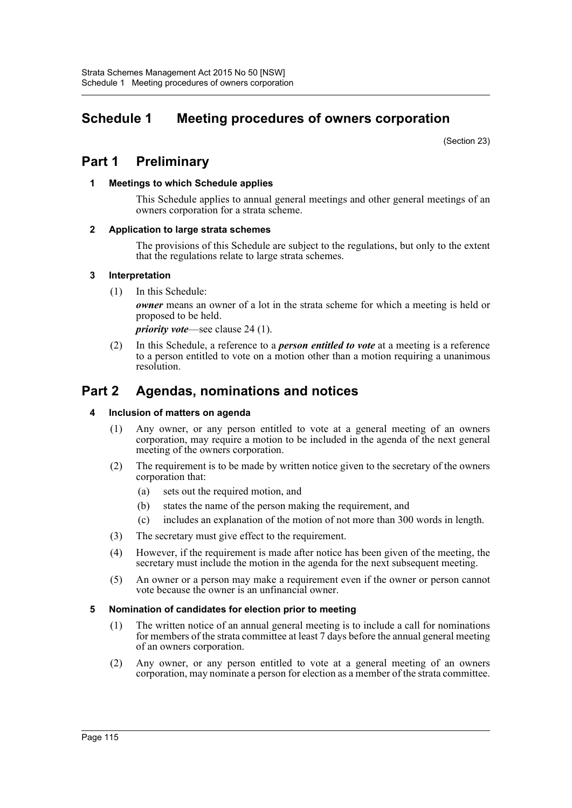# **Schedule 1 Meeting procedures of owners corporation**

(Section 23)

# **Part 1 Preliminary**

# **1 Meetings to which Schedule applies**

This Schedule applies to annual general meetings and other general meetings of an owners corporation for a strata scheme.

# **2 Application to large strata schemes**

The provisions of this Schedule are subject to the regulations, but only to the extent that the regulations relate to large strata schemes.

# **3 Interpretation**

(1) In this Schedule:

*owner* means an owner of a lot in the strata scheme for which a meeting is held or proposed to be held.

*priority vote*—see clause 24 (1).

(2) In this Schedule, a reference to a *person entitled to vote* at a meeting is a reference to a person entitled to vote on a motion other than a motion requiring a unanimous resolution.

# **Part 2 Agendas, nominations and notices**

## **4 Inclusion of matters on agenda**

- (1) Any owner, or any person entitled to vote at a general meeting of an owners corporation, may require a motion to be included in the agenda of the next general meeting of the owners corporation.
- (2) The requirement is to be made by written notice given to the secretary of the owners corporation that:
	- (a) sets out the required motion, and
	- (b) states the name of the person making the requirement, and
	- (c) includes an explanation of the motion of not more than 300 words in length.
- (3) The secretary must give effect to the requirement.
- (4) However, if the requirement is made after notice has been given of the meeting, the secretary must include the motion in the agenda for the next subsequent meeting.
- (5) An owner or a person may make a requirement even if the owner or person cannot vote because the owner is an unfinancial owner.

# **5 Nomination of candidates for election prior to meeting**

- (1) The written notice of an annual general meeting is to include a call for nominations for members of the strata committee at least 7 days before the annual general meeting of an owners corporation.
- (2) Any owner, or any person entitled to vote at a general meeting of an owners corporation, may nominate a person for election as a member of the strata committee.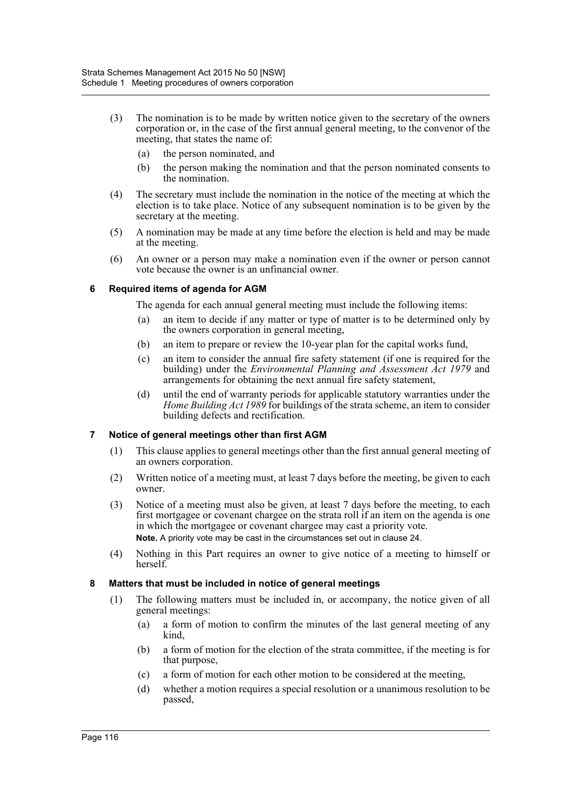- (3) The nomination is to be made by written notice given to the secretary of the owners corporation or, in the case of the first annual general meeting, to the convenor of the meeting, that states the name of:
	- (a) the person nominated, and
	- (b) the person making the nomination and that the person nominated consents to the nomination.
- (4) The secretary must include the nomination in the notice of the meeting at which the election is to take place. Notice of any subsequent nomination is to be given by the secretary at the meeting.
- (5) A nomination may be made at any time before the election is held and may be made at the meeting.
- (6) An owner or a person may make a nomination even if the owner or person cannot vote because the owner is an unfinancial owner.

# **6 Required items of agenda for AGM**

The agenda for each annual general meeting must include the following items:

- (a) an item to decide if any matter or type of matter is to be determined only by the owners corporation in general meeting,
- (b) an item to prepare or review the 10-year plan for the capital works fund,
- (c) an item to consider the annual fire safety statement (if one is required for the building) under the *Environmental Planning and Assessment Act 1979* and arrangements for obtaining the next annual fire safety statement,
- (d) until the end of warranty periods for applicable statutory warranties under the *Home Building Act 1989* for buildings of the strata scheme, an item to consider building defects and rectification.

# **7 Notice of general meetings other than first AGM**

- (1) This clause applies to general meetings other than the first annual general meeting of an owners corporation.
- (2) Written notice of a meeting must, at least 7 days before the meeting, be given to each owner.
- (3) Notice of a meeting must also be given, at least 7 days before the meeting, to each first mortgagee or covenant chargee on the strata roll if an item on the agenda is one in which the mortgagee or covenant chargee may cast a priority vote. **Note.** A priority vote may be cast in the circumstances set out in clause 24.
- (4) Nothing in this Part requires an owner to give notice of a meeting to himself or herself.

## **8 Matters that must be included in notice of general meetings**

- (1) The following matters must be included in, or accompany, the notice given of all general meetings:
	- (a) a form of motion to confirm the minutes of the last general meeting of any kind,
	- (b) a form of motion for the election of the strata committee, if the meeting is for that purpose,
	- (c) a form of motion for each other motion to be considered at the meeting,
	- (d) whether a motion requires a special resolution or a unanimous resolution to be passed,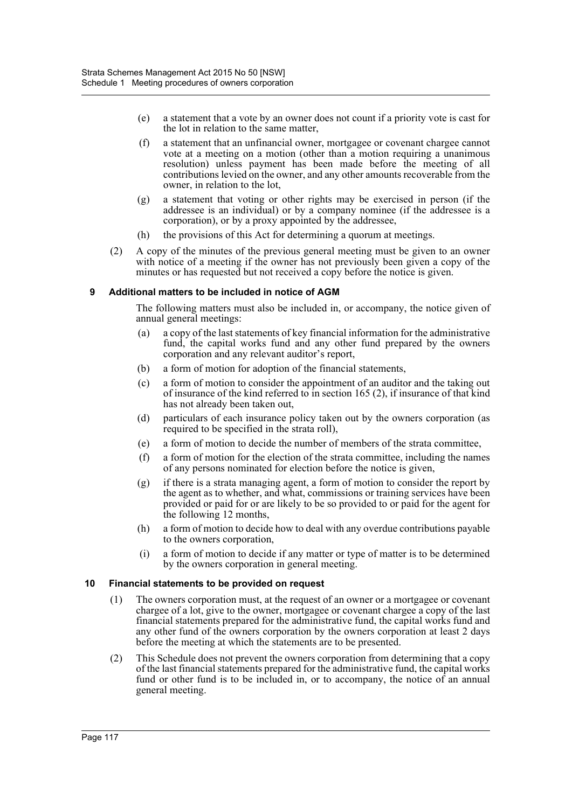- (e) a statement that a vote by an owner does not count if a priority vote is cast for the lot in relation to the same matter,
- (f) a statement that an unfinancial owner, mortgagee or covenant chargee cannot vote at a meeting on a motion (other than a motion requiring a unanimous resolution) unless payment has been made before the meeting of all contributions levied on the owner, and any other amounts recoverable from the owner, in relation to the lot,
- (g) a statement that voting or other rights may be exercised in person (if the addressee is an individual) or by a company nominee (if the addressee is a corporation), or by a proxy appointed by the addressee,
- (h) the provisions of this Act for determining a quorum at meetings.
- (2) A copy of the minutes of the previous general meeting must be given to an owner with notice of a meeting if the owner has not previously been given a copy of the minutes or has requested but not received a copy before the notice is given.

# **9 Additional matters to be included in notice of AGM**

The following matters must also be included in, or accompany, the notice given of annual general meetings:

- (a) a copy of the last statements of key financial information for the administrative fund, the capital works fund and any other fund prepared by the owners corporation and any relevant auditor's report,
- (b) a form of motion for adoption of the financial statements,
- (c) a form of motion to consider the appointment of an auditor and the taking out of insurance of the kind referred to in section 165 (2), if insurance of that kind has not already been taken out,
- (d) particulars of each insurance policy taken out by the owners corporation (as required to be specified in the strata roll),
- (e) a form of motion to decide the number of members of the strata committee,
- (f) a form of motion for the election of the strata committee, including the names of any persons nominated for election before the notice is given,
- (g) if there is a strata managing agent, a form of motion to consider the report by the agent as to whether, and what, commissions or training services have been provided or paid for or are likely to be so provided to or paid for the agent for the following 12 months,
- (h) a form of motion to decide how to deal with any overdue contributions payable to the owners corporation,
- (i) a form of motion to decide if any matter or type of matter is to be determined by the owners corporation in general meeting.

## **10 Financial statements to be provided on request**

- (1) The owners corporation must, at the request of an owner or a mortgagee or covenant chargee of a lot, give to the owner, mortgagee or covenant chargee a copy of the last financial statements prepared for the administrative fund, the capital works fund and any other fund of the owners corporation by the owners corporation at least 2 days before the meeting at which the statements are to be presented.
- (2) This Schedule does not prevent the owners corporation from determining that a copy of the last financial statements prepared for the administrative fund, the capital works fund or other fund is to be included in, or to accompany, the notice of an annual general meeting.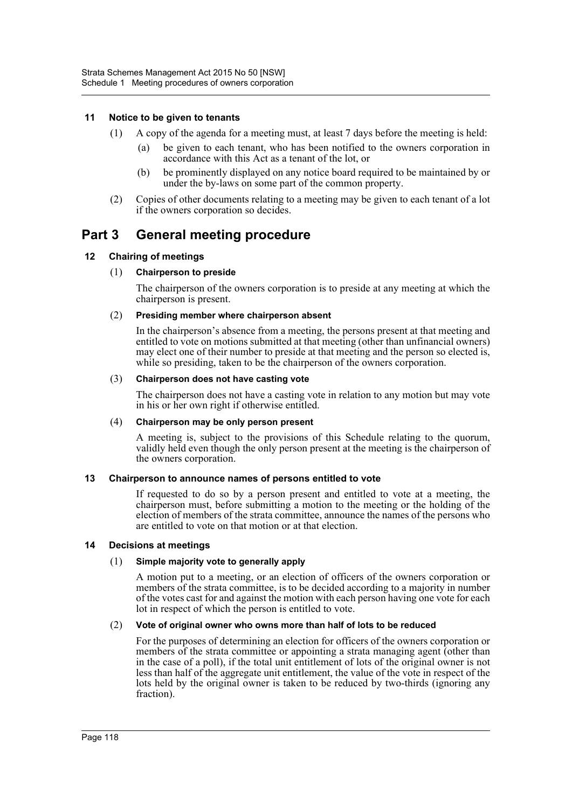## **11 Notice to be given to tenants**

- (1) A copy of the agenda for a meeting must, at least 7 days before the meeting is held:
	- (a) be given to each tenant, who has been notified to the owners corporation in accordance with this Act as a tenant of the lot, or
	- (b) be prominently displayed on any notice board required to be maintained by or under the by-laws on some part of the common property.
- (2) Copies of other documents relating to a meeting may be given to each tenant of a lot if the owners corporation so decides.

# **Part 3 General meeting procedure**

# **12 Chairing of meetings**

# (1) **Chairperson to preside**

The chairperson of the owners corporation is to preside at any meeting at which the chairperson is present.

## (2) **Presiding member where chairperson absent**

In the chairperson's absence from a meeting, the persons present at that meeting and entitled to vote on motions submitted at that meeting (other than unfinancial owners) may elect one of their number to preside at that meeting and the person so elected is, while so presiding, taken to be the chairperson of the owners corporation.

#### (3) **Chairperson does not have casting vote**

The chairperson does not have a casting vote in relation to any motion but may vote in his or her own right if otherwise entitled.

## (4) **Chairperson may be only person present**

A meeting is, subject to the provisions of this Schedule relating to the quorum, validly held even though the only person present at the meeting is the chairperson of the owners corporation.

## **13 Chairperson to announce names of persons entitled to vote**

If requested to do so by a person present and entitled to vote at a meeting, the chairperson must, before submitting a motion to the meeting or the holding of the election of members of the strata committee, announce the names of the persons who are entitled to vote on that motion or at that election.

## **14 Decisions at meetings**

## (1) **Simple majority vote to generally apply**

A motion put to a meeting, or an election of officers of the owners corporation or members of the strata committee, is to be decided according to a majority in number of the votes cast for and against the motion with each person having one vote for each lot in respect of which the person is entitled to vote.

## (2) **Vote of original owner who owns more than half of lots to be reduced**

For the purposes of determining an election for officers of the owners corporation or members of the strata committee or appointing a strata managing agent (other than in the case of a poll), if the total unit entitlement of lots of the original owner is not less than half of the aggregate unit entitlement, the value of the vote in respect of the lots held by the original owner is taken to be reduced by two-thirds (ignoring any fraction).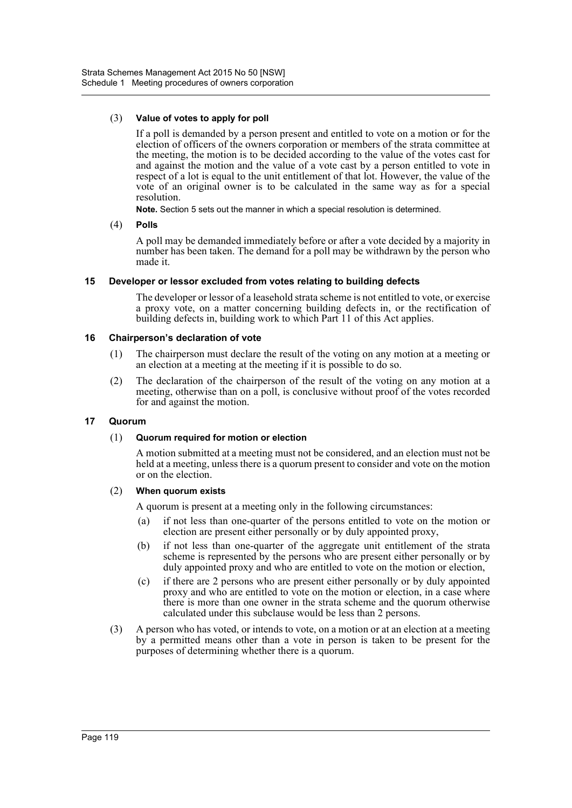## (3) **Value of votes to apply for poll**

If a poll is demanded by a person present and entitled to vote on a motion or for the election of officers of the owners corporation or members of the strata committee at the meeting, the motion is to be decided according to the value of the votes cast for and against the motion and the value of a vote cast by a person entitled to vote in respect of a lot is equal to the unit entitlement of that lot. However, the value of the vote of an original owner is to be calculated in the same way as for a special resolution.

**Note.** Section 5 sets out the manner in which a special resolution is determined.

(4) **Polls**

A poll may be demanded immediately before or after a vote decided by a majority in number has been taken. The demand for a poll may be withdrawn by the person who made it.

## **15 Developer or lessor excluded from votes relating to building defects**

The developer or lessor of a leasehold strata scheme is not entitled to vote, or exercise a proxy vote, on a matter concerning building defects in, or the rectification of building defects in, building work to which Part 11 of this Act applies.

## **16 Chairperson's declaration of vote**

- (1) The chairperson must declare the result of the voting on any motion at a meeting or an election at a meeting at the meeting if it is possible to do so.
- (2) The declaration of the chairperson of the result of the voting on any motion at a meeting, otherwise than on a poll, is conclusive without proof of the votes recorded for and against the motion.

## **17 Quorum**

## (1) **Quorum required for motion or election**

A motion submitted at a meeting must not be considered, and an election must not be held at a meeting, unless there is a quorum present to consider and vote on the motion or on the election.

## (2) **When quorum exists**

A quorum is present at a meeting only in the following circumstances:

- (a) if not less than one-quarter of the persons entitled to vote on the motion or election are present either personally or by duly appointed proxy,
- (b) if not less than one-quarter of the aggregate unit entitlement of the strata scheme is represented by the persons who are present either personally or by duly appointed proxy and who are entitled to vote on the motion or election,
- (c) if there are 2 persons who are present either personally or by duly appointed proxy and who are entitled to vote on the motion or election, in a case where there is more than one owner in the strata scheme and the quorum otherwise calculated under this subclause would be less than 2 persons.
- (3) A person who has voted, or intends to vote, on a motion or at an election at a meeting by a permitted means other than a vote in person is taken to be present for the purposes of determining whether there is a quorum.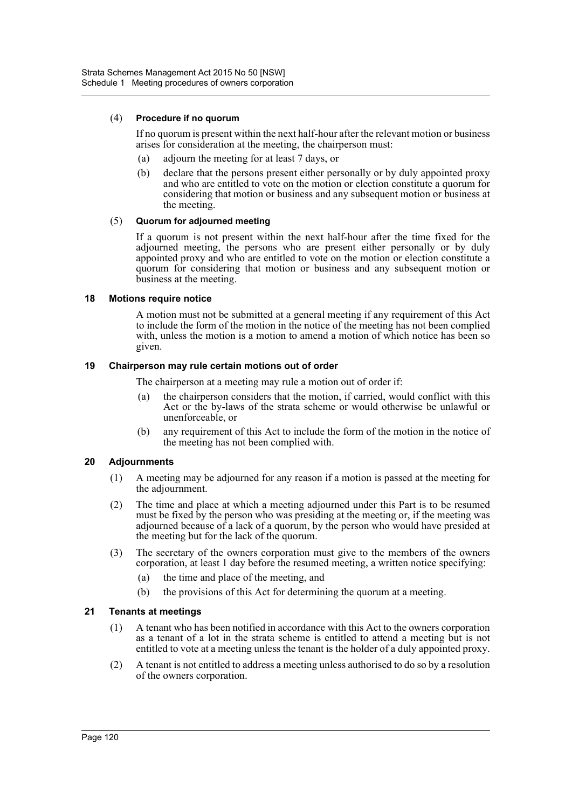## (4) **Procedure if no quorum**

If no quorum is present within the next half-hour after the relevant motion or business arises for consideration at the meeting, the chairperson must:

- (a) adjourn the meeting for at least 7 days, or
- (b) declare that the persons present either personally or by duly appointed proxy and who are entitled to vote on the motion or election constitute a quorum for considering that motion or business and any subsequent motion or business at the meeting.

#### (5) **Quorum for adjourned meeting**

If a quorum is not present within the next half-hour after the time fixed for the adjourned meeting, the persons who are present either personally or by duly appointed proxy and who are entitled to vote on the motion or election constitute a quorum for considering that motion or business and any subsequent motion or business at the meeting.

## **18 Motions require notice**

A motion must not be submitted at a general meeting if any requirement of this Act to include the form of the motion in the notice of the meeting has not been complied with, unless the motion is a motion to amend a motion of which notice has been so given.

#### **19 Chairperson may rule certain motions out of order**

The chairperson at a meeting may rule a motion out of order if:

- (a) the chairperson considers that the motion, if carried, would conflict with this Act or the by-laws of the strata scheme or would otherwise be unlawful or unenforceable, or
- (b) any requirement of this Act to include the form of the motion in the notice of the meeting has not been complied with.

## **20 Adjournments**

- (1) A meeting may be adjourned for any reason if a motion is passed at the meeting for the adjournment.
- (2) The time and place at which a meeting adjourned under this Part is to be resumed must be fixed by the person who was presiding at the meeting or, if the meeting was adjourned because of a lack of a quorum, by the person who would have presided at the meeting but for the lack of the quorum.
- (3) The secretary of the owners corporation must give to the members of the owners corporation, at least 1 day before the resumed meeting, a written notice specifying:
	- (a) the time and place of the meeting, and
	- (b) the provisions of this Act for determining the quorum at a meeting.

## **21 Tenants at meetings**

- (1) A tenant who has been notified in accordance with this Act to the owners corporation as a tenant of a lot in the strata scheme is entitled to attend a meeting but is not entitled to vote at a meeting unless the tenant is the holder of a duly appointed proxy.
- (2) A tenant is not entitled to address a meeting unless authorised to do so by a resolution of the owners corporation.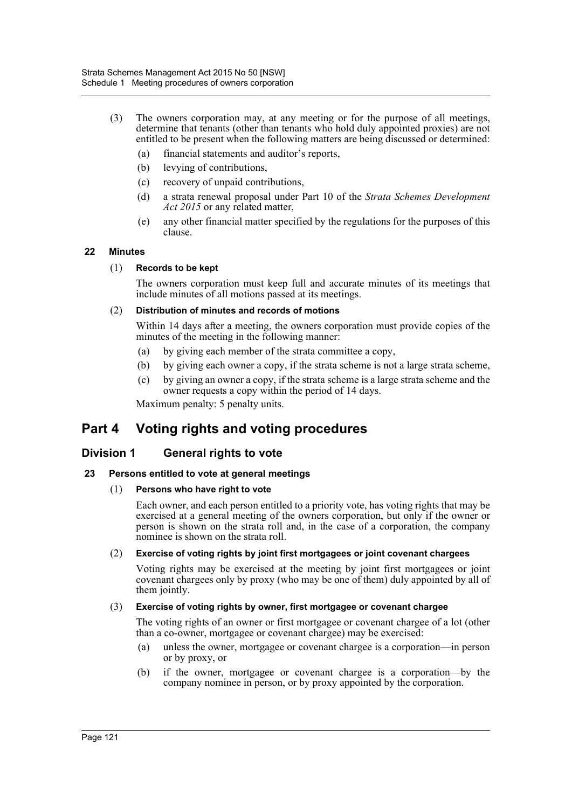- (3) The owners corporation may, at any meeting or for the purpose of all meetings, determine that tenants (other than tenants who hold duly appointed proxies) are not entitled to be present when the following matters are being discussed or determined:
	- (a) financial statements and auditor's reports,
	- (b) levying of contributions,
	- (c) recovery of unpaid contributions,
	- (d) a strata renewal proposal under Part 10 of the *Strata Schemes Development Act 2015* or any related matter,
	- (e) any other financial matter specified by the regulations for the purposes of this clause.

# **22 Minutes**

## (1) **Records to be kept**

The owners corporation must keep full and accurate minutes of its meetings that include minutes of all motions passed at its meetings.

## (2) **Distribution of minutes and records of motions**

Within 14 days after a meeting, the owners corporation must provide copies of the minutes of the meeting in the following manner:

- (a) by giving each member of the strata committee a copy,
- (b) by giving each owner a copy, if the strata scheme is not a large strata scheme,
- (c) by giving an owner a copy, if the strata scheme is a large strata scheme and the owner requests a copy within the period of 14 days.

Maximum penalty: 5 penalty units.

# **Part 4 Voting rights and voting procedures**

# **Division 1 General rights to vote**

## **23 Persons entitled to vote at general meetings**

## (1) **Persons who have right to vote**

Each owner, and each person entitled to a priority vote, has voting rights that may be exercised at a general meeting of the owners corporation, but only if the owner or person is shown on the strata roll and, in the case of a corporation, the company nominee is shown on the strata roll.

## (2) **Exercise of voting rights by joint first mortgagees or joint covenant chargees**

Voting rights may be exercised at the meeting by joint first mortgagees or joint covenant chargees only by proxy (who may be one of them) duly appointed by all of them jointly.

## (3) **Exercise of voting rights by owner, first mortgagee or covenant chargee**

The voting rights of an owner or first mortgagee or covenant chargee of a lot (other than a co-owner, mortgagee or covenant chargee) may be exercised:

- (a) unless the owner, mortgagee or covenant chargee is a corporation—in person or by proxy, or
- (b) if the owner, mortgagee or covenant chargee is a corporation—by the company nominee in person, or by proxy appointed by the corporation.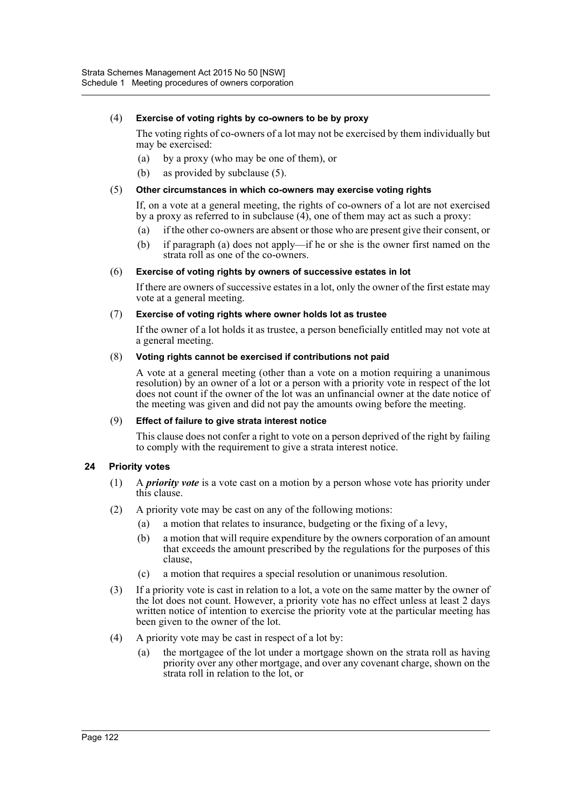## (4) **Exercise of voting rights by co-owners to be by proxy**

The voting rights of co-owners of a lot may not be exercised by them individually but may be exercised:

- (a) by a proxy (who may be one of them), or
- (b) as provided by subclause (5).

#### (5) **Other circumstances in which co-owners may exercise voting rights**

If, on a vote at a general meeting, the rights of co-owners of a lot are not exercised by a proxy as referred to in subclause  $(4)$ , one of them may act as such a proxy:

- (a) if the other co-owners are absent or those who are present give their consent, or
- (b) if paragraph (a) does not apply—if he or she is the owner first named on the strata roll as one of the co-owners.

## (6) **Exercise of voting rights by owners of successive estates in lot**

If there are owners of successive estates in a lot, only the owner of the first estate may vote at a general meeting.

#### (7) **Exercise of voting rights where owner holds lot as trustee**

If the owner of a lot holds it as trustee, a person beneficially entitled may not vote at a general meeting.

#### (8) **Voting rights cannot be exercised if contributions not paid**

A vote at a general meeting (other than a vote on a motion requiring a unanimous resolution) by an owner of a lot or a person with a priority vote in respect of the lot does not count if the owner of the lot was an unfinancial owner at the date notice of the meeting was given and did not pay the amounts owing before the meeting.

#### (9) **Effect of failure to give strata interest notice**

This clause does not confer a right to vote on a person deprived of the right by failing to comply with the requirement to give a strata interest notice.

## **24 Priority votes**

- (1) A *priority vote* is a vote cast on a motion by a person whose vote has priority under this clause.
- (2) A priority vote may be cast on any of the following motions:
	- (a) a motion that relates to insurance, budgeting or the fixing of a levy,
	- (b) a motion that will require expenditure by the owners corporation of an amount that exceeds the amount prescribed by the regulations for the purposes of this clause,
	- (c) a motion that requires a special resolution or unanimous resolution.
- (3) If a priority vote is cast in relation to a lot, a vote on the same matter by the owner of the lot does not count. However, a priority vote has no effect unless at least 2 days written notice of intention to exercise the priority vote at the particular meeting has been given to the owner of the lot.
- (4) A priority vote may be cast in respect of a lot by:
	- (a) the mortgagee of the lot under a mortgage shown on the strata roll as having priority over any other mortgage, and over any covenant charge, shown on the strata roll in relation to the lot, or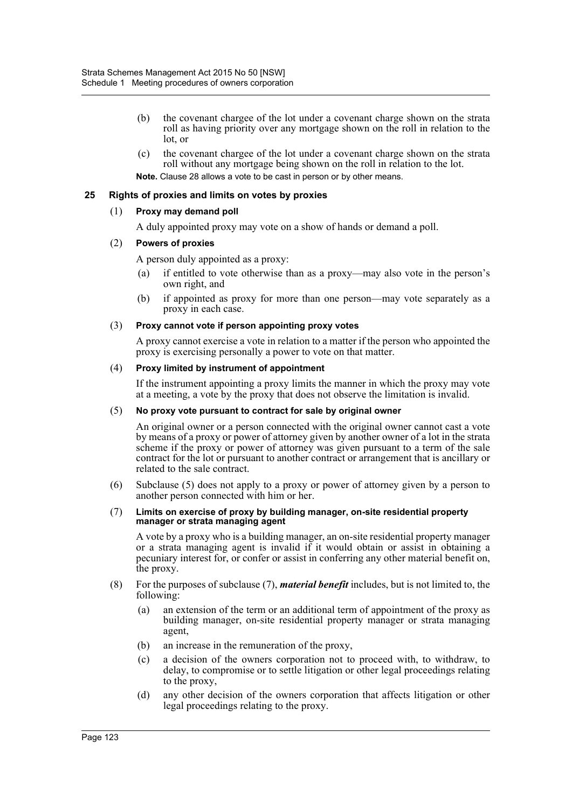- (b) the covenant chargee of the lot under a covenant charge shown on the strata roll as having priority over any mortgage shown on the roll in relation to the lot, or
- (c) the covenant chargee of the lot under a covenant charge shown on the strata roll without any mortgage being shown on the roll in relation to the lot. **Note.** Clause 28 allows a vote to be cast in person or by other means.

# **25 Rights of proxies and limits on votes by proxies**

## (1) **Proxy may demand poll**

A duly appointed proxy may vote on a show of hands or demand a poll.

#### (2) **Powers of proxies**

A person duly appointed as a proxy:

- (a) if entitled to vote otherwise than as a proxy—may also vote in the person's own right, and
- (b) if appointed as proxy for more than one person—may vote separately as a proxy in each case.

#### (3) **Proxy cannot vote if person appointing proxy votes**

A proxy cannot exercise a vote in relation to a matter if the person who appointed the proxy is exercising personally a power to vote on that matter.

#### (4) **Proxy limited by instrument of appointment**

If the instrument appointing a proxy limits the manner in which the proxy may vote at a meeting, a vote by the proxy that does not observe the limitation is invalid.

#### (5) **No proxy vote pursuant to contract for sale by original owner**

An original owner or a person connected with the original owner cannot cast a vote by means of a proxy or power of attorney given by another owner of a lot in the strata scheme if the proxy or power of attorney was given pursuant to a term of the sale contract for the lot or pursuant to another contract or arrangement that is ancillary or related to the sale contract.

(6) Subclause (5) does not apply to a proxy or power of attorney given by a person to another person connected with him or her.

#### (7) **Limits on exercise of proxy by building manager, on-site residential property manager or strata managing agent**

A vote by a proxy who is a building manager, an on-site residential property manager or a strata managing agent is invalid if it would obtain or assist in obtaining a pecuniary interest for, or confer or assist in conferring any other material benefit on, the proxy.

- (8) For the purposes of subclause (7), *material benefit* includes, but is not limited to, the following:
	- (a) an extension of the term or an additional term of appointment of the proxy as building manager, on-site residential property manager or strata managing agent,
	- (b) an increase in the remuneration of the proxy,
	- (c) a decision of the owners corporation not to proceed with, to withdraw, to delay, to compromise or to settle litigation or other legal proceedings relating to the proxy,
	- (d) any other decision of the owners corporation that affects litigation or other legal proceedings relating to the proxy.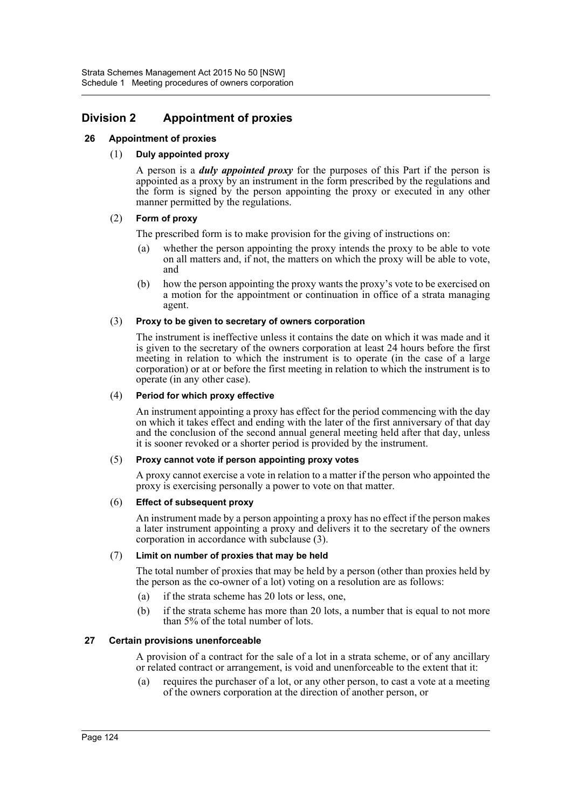# **Division 2 Appointment of proxies**

# **26 Appointment of proxies**

# (1) **Duly appointed proxy**

A person is a *duly appointed proxy* for the purposes of this Part if the person is appointed as a proxy by an instrument in the form prescribed by the regulations and the form is signed by the person appointing the proxy or executed in any other manner permitted by the regulations.

# (2) **Form of proxy**

The prescribed form is to make provision for the giving of instructions on:

- (a) whether the person appointing the proxy intends the proxy to be able to vote on all matters and, if not, the matters on which the proxy will be able to vote, and
- (b) how the person appointing the proxy wants the proxy's vote to be exercised on a motion for the appointment or continuation in office of a strata managing agent.

## (3) **Proxy to be given to secretary of owners corporation**

The instrument is ineffective unless it contains the date on which it was made and it is given to the secretary of the owners corporation at least 24 hours before the first meeting in relation to which the instrument is to operate (in the case of a large corporation) or at or before the first meeting in relation to which the instrument is to operate (in any other case).

# (4) **Period for which proxy effective**

An instrument appointing a proxy has effect for the period commencing with the day on which it takes effect and ending with the later of the first anniversary of that day and the conclusion of the second annual general meeting held after that day, unless it is sooner revoked or a shorter period is provided by the instrument.

## (5) **Proxy cannot vote if person appointing proxy votes**

A proxy cannot exercise a vote in relation to a matter if the person who appointed the proxy is exercising personally a power to vote on that matter.

## (6) **Effect of subsequent proxy**

An instrument made by a person appointing a proxy has no effect if the person makes a later instrument appointing a proxy and delivers it to the secretary of the owners corporation in accordance with subclause (3).

## (7) **Limit on number of proxies that may be held**

The total number of proxies that may be held by a person (other than proxies held by the person as the co-owner of a lot) voting on a resolution are as follows:

- (a) if the strata scheme has 20 lots or less, one,
- (b) if the strata scheme has more than 20 lots, a number that is equal to not more than 5% of the total number of lots.

## **27 Certain provisions unenforceable**

A provision of a contract for the sale of a lot in a strata scheme, or of any ancillary or related contract or arrangement, is void and unenforceable to the extent that it:

(a) requires the purchaser of a lot, or any other person, to cast a vote at a meeting of the owners corporation at the direction of another person, or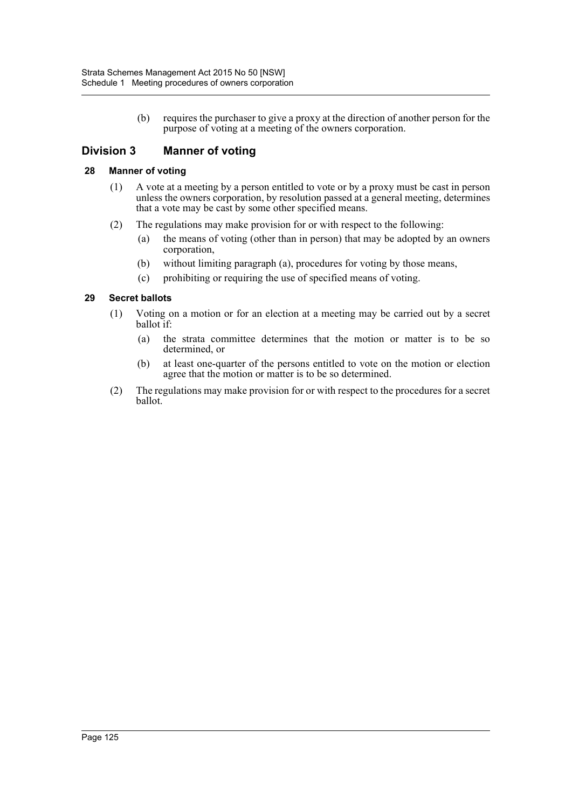(b) requires the purchaser to give a proxy at the direction of another person for the purpose of voting at a meeting of the owners corporation.

# **Division 3 Manner of voting**

# **28 Manner of voting**

- (1) A vote at a meeting by a person entitled to vote or by a proxy must be cast in person unless the owners corporation, by resolution passed at a general meeting, determines that a vote may be cast by some other specified means.
- (2) The regulations may make provision for or with respect to the following:
	- (a) the means of voting (other than in person) that may be adopted by an owners corporation,
	- (b) without limiting paragraph (a), procedures for voting by those means,
	- (c) prohibiting or requiring the use of specified means of voting.

# **29 Secret ballots**

- (1) Voting on a motion or for an election at a meeting may be carried out by a secret ballot if:
	- (a) the strata committee determines that the motion or matter is to be so determined, or
	- (b) at least one-quarter of the persons entitled to vote on the motion or election agree that the motion or matter is to be so determined.
- (2) The regulations may make provision for or with respect to the procedures for a secret ballot.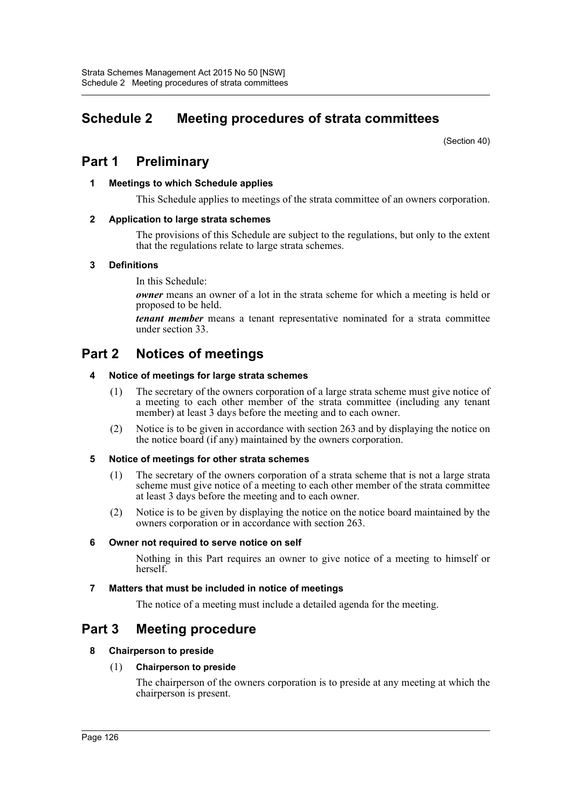# **Schedule 2 Meeting procedures of strata committees**

(Section 40)

# **Part 1 Preliminary**

# **1 Meetings to which Schedule applies**

This Schedule applies to meetings of the strata committee of an owners corporation.

# **2 Application to large strata schemes**

The provisions of this Schedule are subject to the regulations, but only to the extent that the regulations relate to large strata schemes.

# **3 Definitions**

In this Schedule:

*owner* means an owner of a lot in the strata scheme for which a meeting is held or proposed to be held.

*tenant member* means a tenant representative nominated for a strata committee under section 33.

# **Part 2 Notices of meetings**

# **4 Notice of meetings for large strata schemes**

- (1) The secretary of the owners corporation of a large strata scheme must give notice of a meeting to each other member of the strata committee (including any tenant member) at least 3 days before the meeting and to each owner.
- (2) Notice is to be given in accordance with section 263 and by displaying the notice on the notice board (if any) maintained by the owners corporation.

## **5 Notice of meetings for other strata schemes**

- (1) The secretary of the owners corporation of a strata scheme that is not a large strata scheme must give notice of a meeting to each other member of the strata committee at least 3 days before the meeting and to each owner.
- (2) Notice is to be given by displaying the notice on the notice board maintained by the owners corporation or in accordance with section 263.

## **6 Owner not required to serve notice on self**

Nothing in this Part requires an owner to give notice of a meeting to himself or herself.

# **7 Matters that must be included in notice of meetings**

The notice of a meeting must include a detailed agenda for the meeting.

# **Part 3 Meeting procedure**

## **8 Chairperson to preside**

## (1) **Chairperson to preside**

The chairperson of the owners corporation is to preside at any meeting at which the chairperson is present.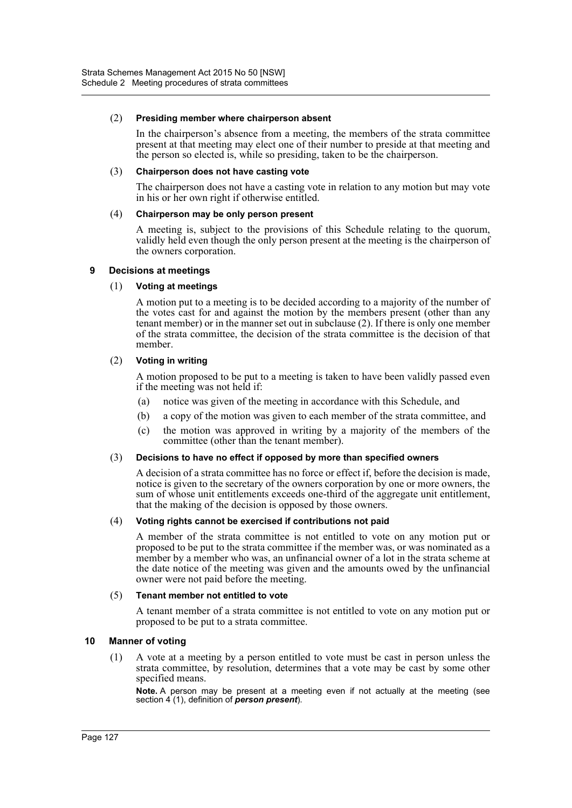#### (2) **Presiding member where chairperson absent**

In the chairperson's absence from a meeting, the members of the strata committee present at that meeting may elect one of their number to preside at that meeting and the person so elected is, while so presiding, taken to be the chairperson.

#### (3) **Chairperson does not have casting vote**

The chairperson does not have a casting vote in relation to any motion but may vote in his or her own right if otherwise entitled.

## (4) **Chairperson may be only person present**

A meeting is, subject to the provisions of this Schedule relating to the quorum, validly held even though the only person present at the meeting is the chairperson of the owners corporation.

#### **9 Decisions at meetings**

#### (1) **Voting at meetings**

A motion put to a meeting is to be decided according to a majority of the number of the votes cast for and against the motion by the members present (other than any tenant member) or in the manner set out in subclause (2). If there is only one member of the strata committee, the decision of the strata committee is the decision of that member.

#### (2) **Voting in writing**

A motion proposed to be put to a meeting is taken to have been validly passed even if the meeting was not held if:

- (a) notice was given of the meeting in accordance with this Schedule, and
- (b) a copy of the motion was given to each member of the strata committee, and
- (c) the motion was approved in writing by a majority of the members of the committee (other than the tenant member).

#### (3) **Decisions to have no effect if opposed by more than specified owners**

A decision of a strata committee has no force or effect if, before the decision is made, notice is given to the secretary of the owners corporation by one or more owners, the sum of whose unit entitlements exceeds one-third of the aggregate unit entitlement, that the making of the decision is opposed by those owners.

#### (4) **Voting rights cannot be exercised if contributions not paid**

A member of the strata committee is not entitled to vote on any motion put or proposed to be put to the strata committee if the member was, or was nominated as a member by a member who was, an unfinancial owner of a lot in the strata scheme at the date notice of the meeting was given and the amounts owed by the unfinancial owner were not paid before the meeting.

#### (5) **Tenant member not entitled to vote**

A tenant member of a strata committee is not entitled to vote on any motion put or proposed to be put to a strata committee.

## **10 Manner of voting**

(1) A vote at a meeting by a person entitled to vote must be cast in person unless the strata committee, by resolution, determines that a vote may be cast by some other specified means.

**Note.** A person may be present at a meeting even if not actually at the meeting (see section 4 (1), definition of *person present*).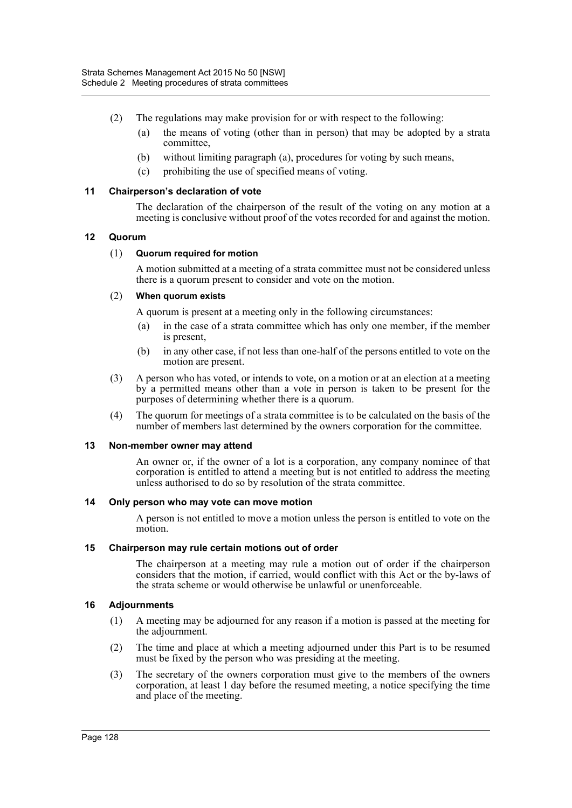- (2) The regulations may make provision for or with respect to the following:
	- (a) the means of voting (other than in person) that may be adopted by a strata committee,
	- (b) without limiting paragraph (a), procedures for voting by such means,
	- (c) prohibiting the use of specified means of voting.

## **11 Chairperson's declaration of vote**

The declaration of the chairperson of the result of the voting on any motion at a meeting is conclusive without proof of the votes recorded for and against the motion.

## **12 Quorum**

## (1) **Quorum required for motion**

A motion submitted at a meeting of a strata committee must not be considered unless there is a quorum present to consider and vote on the motion.

## (2) **When quorum exists**

A quorum is present at a meeting only in the following circumstances:

- (a) in the case of a strata committee which has only one member, if the member is present,
- (b) in any other case, if not less than one-half of the persons entitled to vote on the motion are present.
- (3) A person who has voted, or intends to vote, on a motion or at an election at a meeting by a permitted means other than a vote in person is taken to be present for the purposes of determining whether there is a quorum.
- (4) The quorum for meetings of a strata committee is to be calculated on the basis of the number of members last determined by the owners corporation for the committee.

## **13 Non-member owner may attend**

An owner or, if the owner of a lot is a corporation, any company nominee of that corporation is entitled to attend a meeting but is not entitled to address the meeting unless authorised to do so by resolution of the strata committee.

## **14 Only person who may vote can move motion**

A person is not entitled to move a motion unless the person is entitled to vote on the motion.

## **15 Chairperson may rule certain motions out of order**

The chairperson at a meeting may rule a motion out of order if the chairperson considers that the motion, if carried, would conflict with this Act or the by-laws of the strata scheme or would otherwise be unlawful or unenforceable.

## **16 Adjournments**

- (1) A meeting may be adjourned for any reason if a motion is passed at the meeting for the adjournment.
- (2) The time and place at which a meeting adjourned under this Part is to be resumed must be fixed by the person who was presiding at the meeting.
- (3) The secretary of the owners corporation must give to the members of the owners corporation, at least 1 day before the resumed meeting, a notice specifying the time and place of the meeting.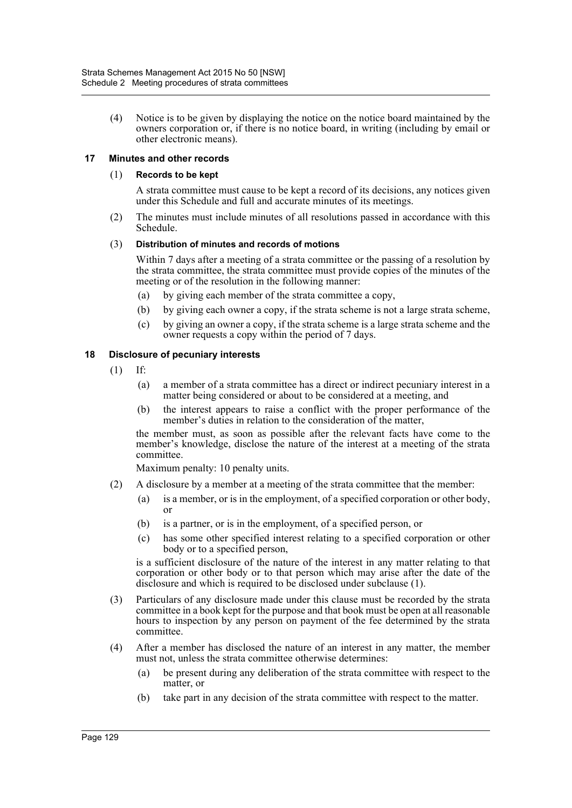(4) Notice is to be given by displaying the notice on the notice board maintained by the owners corporation or, if there is no notice board, in writing (including by email or other electronic means).

## **17 Minutes and other records**

#### (1) **Records to be kept**

A strata committee must cause to be kept a record of its decisions, any notices given under this Schedule and full and accurate minutes of its meetings.

(2) The minutes must include minutes of all resolutions passed in accordance with this Schedule.

#### (3) **Distribution of minutes and records of motions**

Within 7 days after a meeting of a strata committee or the passing of a resolution by the strata committee, the strata committee must provide copies of the minutes of the meeting or of the resolution in the following manner:

- (a) by giving each member of the strata committee a copy,
- (b) by giving each owner a copy, if the strata scheme is not a large strata scheme,
- (c) by giving an owner a copy, if the strata scheme is a large strata scheme and the owner requests a copy within the period of 7 days.

## **18 Disclosure of pecuniary interests**

- (1) If:
	- (a) a member of a strata committee has a direct or indirect pecuniary interest in a matter being considered or about to be considered at a meeting, and
	- (b) the interest appears to raise a conflict with the proper performance of the member's duties in relation to the consideration of the matter,

the member must, as soon as possible after the relevant facts have come to the member's knowledge, disclose the nature of the interest at a meeting of the strata committee.

Maximum penalty: 10 penalty units.

- (2) A disclosure by a member at a meeting of the strata committee that the member:
	- (a) is a member, or is in the employment, of a specified corporation or other body, or
	- (b) is a partner, or is in the employment, of a specified person, or
	- (c) has some other specified interest relating to a specified corporation or other body or to a specified person,

is a sufficient disclosure of the nature of the interest in any matter relating to that corporation or other body or to that person which may arise after the date of the disclosure and which is required to be disclosed under subclause (1).

- (3) Particulars of any disclosure made under this clause must be recorded by the strata committee in a book kept for the purpose and that book must be open at all reasonable hours to inspection by any person on payment of the fee determined by the strata committee.
- (4) After a member has disclosed the nature of an interest in any matter, the member must not, unless the strata committee otherwise determines:
	- (a) be present during any deliberation of the strata committee with respect to the matter, or
	- (b) take part in any decision of the strata committee with respect to the matter.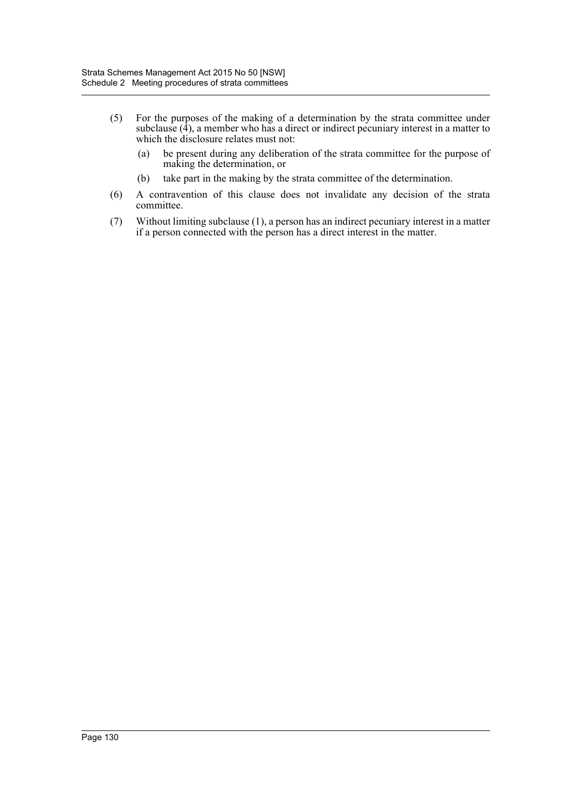- (5) For the purposes of the making of a determination by the strata committee under subclause  $(\overline{4})$ , a member who has a direct or indirect pecuniary interest in a matter to which the disclosure relates must not:
	- (a) be present during any deliberation of the strata committee for the purpose of making the determination, or
	- (b) take part in the making by the strata committee of the determination.
- (6) A contravention of this clause does not invalidate any decision of the strata committee.
- (7) Without limiting subclause (1), a person has an indirect pecuniary interest in a matter if a person connected with the person has a direct interest in the matter.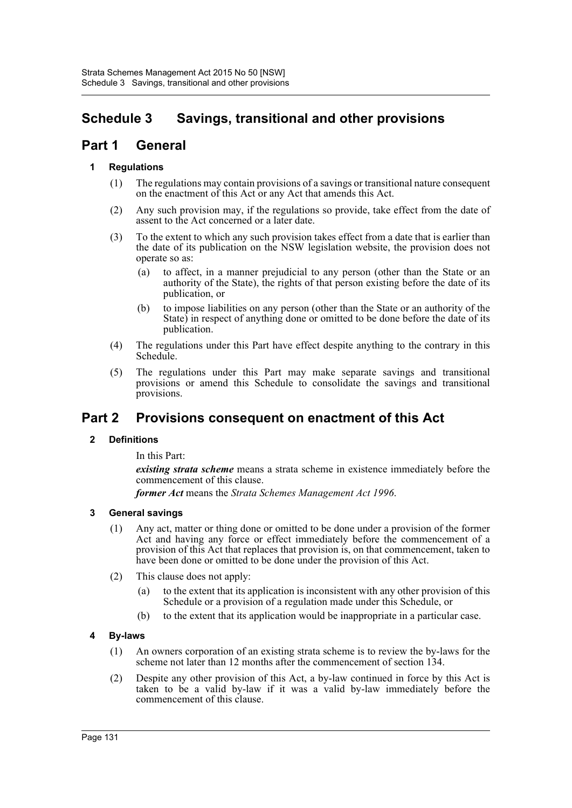# **Schedule 3 Savings, transitional and other provisions**

# **Part 1 General**

# **1 Regulations**

- (1) The regulations may contain provisions of a savings or transitional nature consequent on the enactment of this Act or any Act that amends this Act.
- (2) Any such provision may, if the regulations so provide, take effect from the date of assent to the Act concerned or a later date.
- (3) To the extent to which any such provision takes effect from a date that is earlier than the date of its publication on the NSW legislation website, the provision does not operate so as:
	- (a) to affect, in a manner prejudicial to any person (other than the State or an authority of the State), the rights of that person existing before the date of its publication, or
	- (b) to impose liabilities on any person (other than the State or an authority of the State) in respect of anything done or omitted to be done before the date of its publication.
- (4) The regulations under this Part have effect despite anything to the contrary in this Schedule.
- (5) The regulations under this Part may make separate savings and transitional provisions or amend this Schedule to consolidate the savings and transitional provisions.

# **Part 2 Provisions consequent on enactment of this Act**

# **2 Definitions**

In this Part:

*existing strata scheme* means a strata scheme in existence immediately before the commencement of this clause.

*former Act* means the *Strata Schemes Management Act 1996*.

# **3 General savings**

- (1) Any act, matter or thing done or omitted to be done under a provision of the former Act and having any force or effect immediately before the commencement of a provision of this Act that replaces that provision is, on that commencement, taken to have been done or omitted to be done under the provision of this Act.
- (2) This clause does not apply:
	- (a) to the extent that its application is inconsistent with any other provision of this Schedule or a provision of a regulation made under this Schedule, or
	- (b) to the extent that its application would be inappropriate in a particular case.

# **4 By-laws**

- (1) An owners corporation of an existing strata scheme is to review the by-laws for the scheme not later than 12 months after the commencement of section 134.
- (2) Despite any other provision of this Act, a by-law continued in force by this Act is taken to be a valid by-law if it was a valid by-law immediately before the commencement of this clause.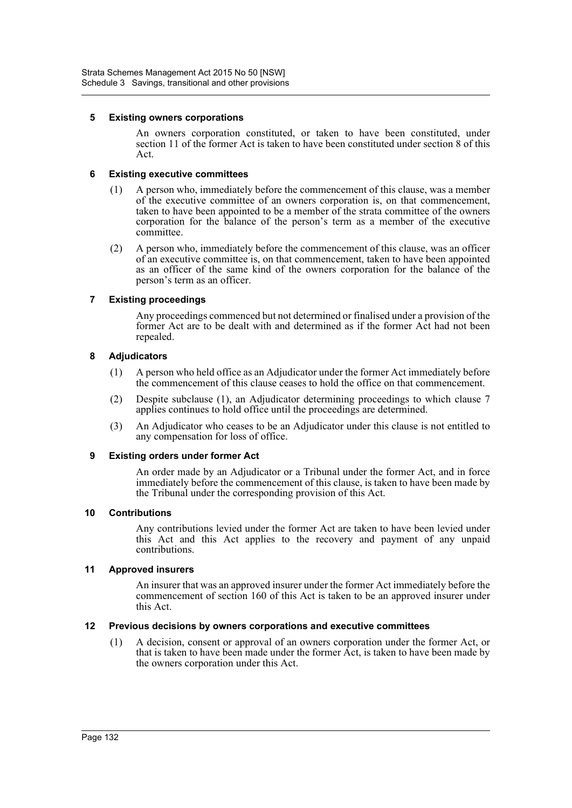## **5 Existing owners corporations**

An owners corporation constituted, or taken to have been constituted, under section 11 of the former Act is taken to have been constituted under section 8 of this Act.

# **6 Existing executive committees**

- (1) A person who, immediately before the commencement of this clause, was a member of the executive committee of an owners corporation is, on that commencement, taken to have been appointed to be a member of the strata committee of the owners corporation for the balance of the person's term as a member of the executive committee.
- (2) A person who, immediately before the commencement of this clause, was an officer of an executive committee is, on that commencement, taken to have been appointed as an officer of the same kind of the owners corporation for the balance of the person's term as an officer.

# **7 Existing proceedings**

Any proceedings commenced but not determined or finalised under a provision of the former Act are to be dealt with and determined as if the former Act had not been repealed.

# **8 Adjudicators**

- (1) A person who held office as an Adjudicator under the former Act immediately before the commencement of this clause ceases to hold the office on that commencement.
- (2) Despite subclause (1), an Adjudicator determining proceedings to which clause 7 applies continues to hold office until the proceedings are determined.
- (3) An Adjudicator who ceases to be an Adjudicator under this clause is not entitled to any compensation for loss of office.

## **9 Existing orders under former Act**

An order made by an Adjudicator or a Tribunal under the former Act, and in force immediately before the commencement of this clause, is taken to have been made by the Tribunal under the corresponding provision of this Act.

## **10 Contributions**

Any contributions levied under the former Act are taken to have been levied under this Act and this Act applies to the recovery and payment of any unpaid contributions.

## **11 Approved insurers**

An insurer that was an approved insurer under the former Act immediately before the commencement of section 160 of this Act is taken to be an approved insurer under this Act.

## **12 Previous decisions by owners corporations and executive committees**

(1) A decision, consent or approval of an owners corporation under the former Act, or that is taken to have been made under the former Act, is taken to have been made by the owners corporation under this Act.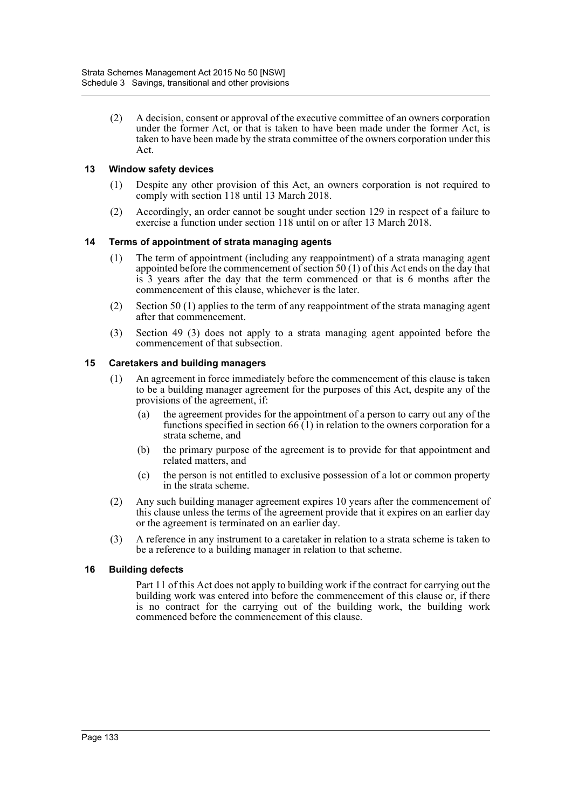(2) A decision, consent or approval of the executive committee of an owners corporation under the former Act, or that is taken to have been made under the former Act, is taken to have been made by the strata committee of the owners corporation under this Act.

## **13 Window safety devices**

- (1) Despite any other provision of this Act, an owners corporation is not required to comply with section 118 until 13 March 2018.
- (2) Accordingly, an order cannot be sought under section 129 in respect of a failure to exercise a function under section 118 until on or after 13 March 2018.

# **14 Terms of appointment of strata managing agents**

- (1) The term of appointment (including any reappointment) of a strata managing agent appointed before the commencement of section 50 (1) of this Act ends on the day that is 3 years after the day that the term commenced or that is 6 months after the commencement of this clause, whichever is the later.
- (2) Section 50 (1) applies to the term of any reappointment of the strata managing agent after that commencement.
- (3) Section 49 (3) does not apply to a strata managing agent appointed before the commencement of that subsection.

# **15 Caretakers and building managers**

- (1) An agreement in force immediately before the commencement of this clause is taken to be a building manager agreement for the purposes of this Act, despite any of the provisions of the agreement, if:
	- (a) the agreement provides for the appointment of a person to carry out any of the functions specified in section  $66(1)$  in relation to the owners corporation for a strata scheme, and
	- (b) the primary purpose of the agreement is to provide for that appointment and related matters, and
	- (c) the person is not entitled to exclusive possession of a lot or common property in the strata scheme.
- (2) Any such building manager agreement expires 10 years after the commencement of this clause unless the terms of the agreement provide that it expires on an earlier day or the agreement is terminated on an earlier day.
- (3) A reference in any instrument to a caretaker in relation to a strata scheme is taken to be a reference to a building manager in relation to that scheme.

## **16 Building defects**

Part 11 of this Act does not apply to building work if the contract for carrying out the building work was entered into before the commencement of this clause or, if there is no contract for the carrying out of the building work, the building work commenced before the commencement of this clause.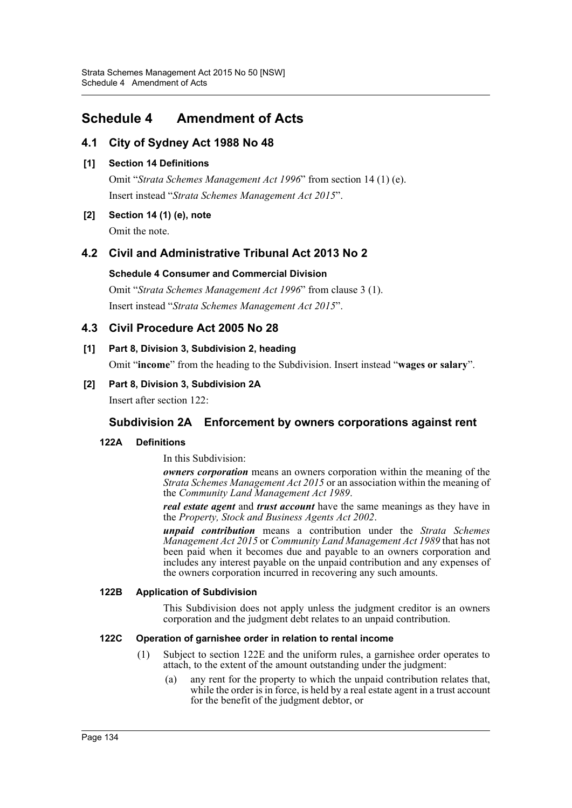# **Schedule 4 Amendment of Acts**

# **4.1 City of Sydney Act 1988 No 48**

# **[1] Section 14 Definitions**

Omit "*Strata Schemes Management Act 1996*" from section 14 (1) (e). Insert instead "*Strata Schemes Management Act 2015*".

# **[2] Section 14 (1) (e), note** Omit the note.

# **4.2 Civil and Administrative Tribunal Act 2013 No 2**

# **Schedule 4 Consumer and Commercial Division**

Omit "*Strata Schemes Management Act 1996*" from clause 3 (1). Insert instead "*Strata Schemes Management Act 2015*".

# **4.3 Civil Procedure Act 2005 No 28**

# **[1] Part 8, Division 3, Subdivision 2, heading**

Omit "**income**" from the heading to the Subdivision. Insert instead "**wages or salary**".

**[2] Part 8, Division 3, Subdivision 2A** Insert after section 122:

# **Subdivision 2A Enforcement by owners corporations against rent**

# **122A Definitions**

In this Subdivision:

*owners corporation* means an owners corporation within the meaning of the *Strata Schemes Management Act 2015* or an association within the meaning of the *Community Land Management Act 1989*.

*real estate agent* and *trust account* have the same meanings as they have in the *Property, Stock and Business Agents Act 2002*.

*unpaid contribution* means a contribution under the *Strata Schemes Management Act 2015* or *Community Land Management Act 1989* that has not been paid when it becomes due and payable to an owners corporation and includes any interest payable on the unpaid contribution and any expenses of the owners corporation incurred in recovering any such amounts.

## **122B Application of Subdivision**

This Subdivision does not apply unless the judgment creditor is an owners corporation and the judgment debt relates to an unpaid contribution.

# **122C Operation of garnishee order in relation to rental income**

- (1) Subject to section 122E and the uniform rules, a garnishee order operates to attach, to the extent of the amount outstanding under the judgment:
	- (a) any rent for the property to which the unpaid contribution relates that, while the order is in force, is held by a real estate agent in a trust account for the benefit of the judgment debtor, or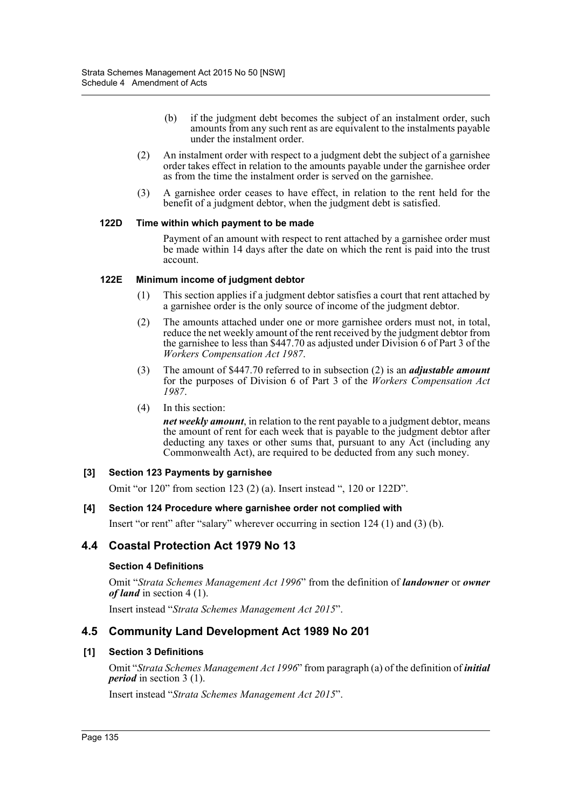- (b) if the judgment debt becomes the subject of an instalment order, such amounts from any such rent as are equivalent to the instalments payable under the instalment order.
- (2) An instalment order with respect to a judgment debt the subject of a garnishee order takes effect in relation to the amounts payable under the garnishee order as from the time the instalment order is served on the garnishee.
- (3) A garnishee order ceases to have effect, in relation to the rent held for the benefit of a judgment debtor, when the judgment debt is satisfied.

#### **122D Time within which payment to be made**

Payment of an amount with respect to rent attached by a garnishee order must be made within 14 days after the date on which the rent is paid into the trust account.

#### **122E Minimum income of judgment debtor**

- (1) This section applies if a judgment debtor satisfies a court that rent attached by a garnishee order is the only source of income of the judgment debtor.
- (2) The amounts attached under one or more garnishee orders must not, in total, reduce the net weekly amount of the rent received by the judgment debtor from the garnishee to less than \$447.70 as adjusted under Division 6 of Part 3 of the *Workers Compensation Act 1987*.
- (3) The amount of \$447.70 referred to in subsection (2) is an *adjustable amount* for the purposes of Division 6 of Part 3 of the *Workers Compensation Act 1987*.
- (4) In this section:

*net weekly amount*, in relation to the rent payable to a judgment debtor, means the amount of rent for each week that is payable to the judgment debtor after deducting any taxes or other sums that, pursuant to any Act (including any Commonwealth Act), are required to be deducted from any such money.

#### **[3] Section 123 Payments by garnishee**

Omit "or 120" from section 123 (2) (a). Insert instead ", 120 or 122D".

#### **[4] Section 124 Procedure where garnishee order not complied with**

Insert "or rent" after "salary" wherever occurring in section 124 (1) and (3) (b).

# **4.4 Coastal Protection Act 1979 No 13**

#### **Section 4 Definitions**

Omit "*Strata Schemes Management Act 1996*" from the definition of *landowner* or *owner of land* in section 4 (1).

Insert instead "*Strata Schemes Management Act 2015*".

## **4.5 Community Land Development Act 1989 No 201**

#### **[1] Section 3 Definitions**

Omit "*Strata Schemes Management Act 1996*" from paragraph (a) of the definition of *initial period* in section 3 (1).

Insert instead "*Strata Schemes Management Act 2015*".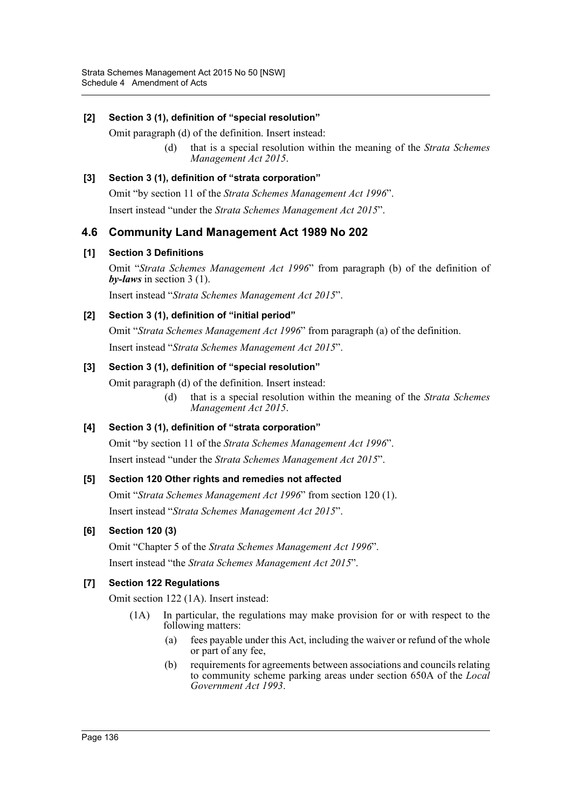## **[2] Section 3 (1), definition of "special resolution"**

Omit paragraph (d) of the definition. Insert instead:

(d) that is a special resolution within the meaning of the *Strata Schemes Management Act 2015*.

## **[3] Section 3 (1), definition of "strata corporation"**

Omit "by section 11 of the *Strata Schemes Management Act 1996*".

Insert instead "under the *Strata Schemes Management Act 2015*".

# **4.6 Community Land Management Act 1989 No 202**

## **[1] Section 3 Definitions**

Omit "*Strata Schemes Management Act 1996*" from paragraph (b) of the definition of *by-laws* in section 3 (1).

Insert instead "*Strata Schemes Management Act 2015*".

## **[2] Section 3 (1), definition of "initial period"**

Omit "*Strata Schemes Management Act 1996*" from paragraph (a) of the definition. Insert instead "*Strata Schemes Management Act 2015*".

## **[3] Section 3 (1), definition of "special resolution"**

Omit paragraph (d) of the definition. Insert instead:

(d) that is a special resolution within the meaning of the *Strata Schemes Management Act 2015*.

## **[4] Section 3 (1), definition of "strata corporation"**

Omit "by section 11 of the *Strata Schemes Management Act 1996*". Insert instead "under the *Strata Schemes Management Act 2015*".

## **[5] Section 120 Other rights and remedies not affected**

Omit "*Strata Schemes Management Act 1996*" from section 120 (1). Insert instead "*Strata Schemes Management Act 2015*".

## **[6] Section 120 (3)**

Omit "Chapter 5 of the *Strata Schemes Management Act 1996*".

Insert instead "the *Strata Schemes Management Act 2015*".

## **[7] Section 122 Regulations**

Omit section 122 (1A). Insert instead:

- (1A) In particular, the regulations may make provision for or with respect to the following matters:
	- (a) fees payable under this Act, including the waiver or refund of the whole or part of any fee,
	- (b) requirements for agreements between associations and councils relating to community scheme parking areas under section 650A of the *Local Government Act 1993*.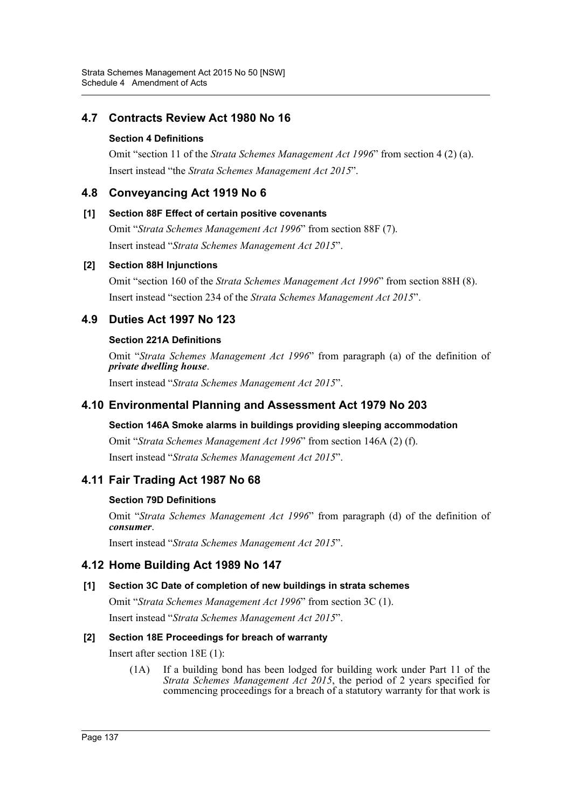# **4.7 Contracts Review Act 1980 No 16**

## **Section 4 Definitions**

Omit "section 11 of the *Strata Schemes Management Act 1996*" from section 4 (2) (a). Insert instead "the *Strata Schemes Management Act 2015*".

# **4.8 Conveyancing Act 1919 No 6**

## **[1] Section 88F Effect of certain positive covenants**

Omit "*Strata Schemes Management Act 1996*" from section 88F (7). Insert instead "*Strata Schemes Management Act 2015*".

## **[2] Section 88H Injunctions**

Omit "section 160 of the *Strata Schemes Management Act 1996*" from section 88H (8). Insert instead "section 234 of the *Strata Schemes Management Act 2015*".

# **4.9 Duties Act 1997 No 123**

## **Section 221A Definitions**

Omit "*Strata Schemes Management Act 1996*" from paragraph (a) of the definition of *private dwelling house*.

Insert instead "*Strata Schemes Management Act 2015*".

# **4.10 Environmental Planning and Assessment Act 1979 No 203**

## **Section 146A Smoke alarms in buildings providing sleeping accommodation**

Omit "*Strata Schemes Management Act 1996*" from section 146A (2) (f). Insert instead "*Strata Schemes Management Act 2015*".

# **4.11 Fair Trading Act 1987 No 68**

## **Section 79D Definitions**

Omit "*Strata Schemes Management Act 1996*" from paragraph (d) of the definition of *consumer*.

Insert instead "*Strata Schemes Management Act 2015*".

# **4.12 Home Building Act 1989 No 147**

## **[1] Section 3C Date of completion of new buildings in strata schemes**

Omit "*Strata Schemes Management Act 1996*" from section 3C (1).

Insert instead "*Strata Schemes Management Act 2015*".

# **[2] Section 18E Proceedings for breach of warranty**

Insert after section 18E (1):

(1A) If a building bond has been lodged for building work under Part 11 of the *Strata Schemes Management Act 2015*, the period of 2 years specified for commencing proceedings for a breach of a statutory warranty for that work is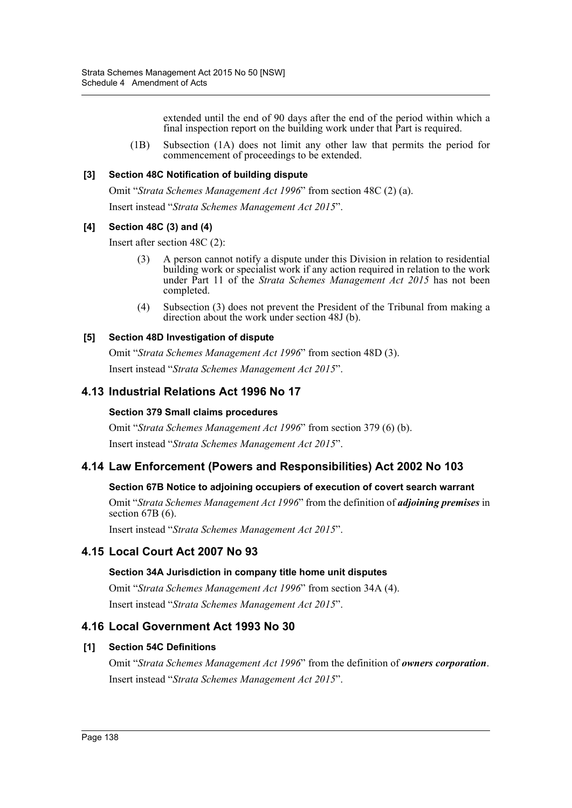extended until the end of 90 days after the end of the period within which a final inspection report on the building work under that Part is required.

(1B) Subsection (1A) does not limit any other law that permits the period for commencement of proceedings to be extended.

### **[3] Section 48C Notification of building dispute**

Omit "*Strata Schemes Management Act 1996*" from section 48C (2) (a).

Insert instead "*Strata Schemes Management Act 2015*".

### **[4] Section 48C (3) and (4)**

Insert after section 48C (2):

- (3) A person cannot notify a dispute under this Division in relation to residential building work or specialist work if any action required in relation to the work under Part 11 of the *Strata Schemes Management Act 2015* has not been completed.
- (4) Subsection (3) does not prevent the President of the Tribunal from making a direction about the work under section 48J (b).

### **[5] Section 48D Investigation of dispute**

Omit "*Strata Schemes Management Act 1996*" from section 48D (3). Insert instead "*Strata Schemes Management Act 2015*".

## **4.13 Industrial Relations Act 1996 No 17**

#### **Section 379 Small claims procedures**

Omit "*Strata Schemes Management Act 1996*" from section 379 (6) (b). Insert instead "*Strata Schemes Management Act 2015*".

# **4.14 Law Enforcement (Powers and Responsibilities) Act 2002 No 103**

#### **Section 67B Notice to adjoining occupiers of execution of covert search warrant**

Omit "*Strata Schemes Management Act 1996*" from the definition of *adjoining premises* in section 67B (6).

Insert instead "*Strata Schemes Management Act 2015*".

# **4.15 Local Court Act 2007 No 93**

#### **Section 34A Jurisdiction in company title home unit disputes**

Omit "*Strata Schemes Management Act 1996*" from section 34A (4). Insert instead "*Strata Schemes Management Act 2015*".

## **4.16 Local Government Act 1993 No 30**

## **[1] Section 54C Definitions**

Omit "*Strata Schemes Management Act 1996*" from the definition of *owners corporation*. Insert instead "*Strata Schemes Management Act 2015*".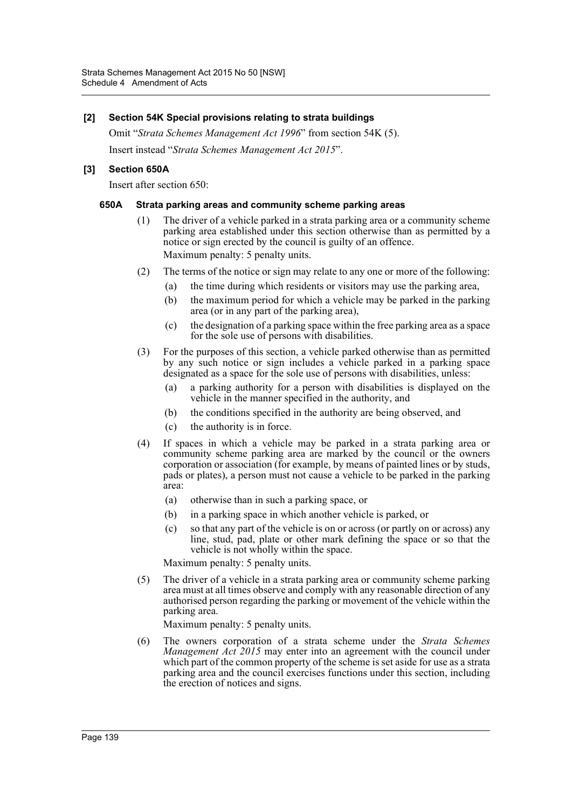#### **[2] Section 54K Special provisions relating to strata buildings**

Omit "*Strata Schemes Management Act 1996*" from section 54K (5). Insert instead "*Strata Schemes Management Act 2015*".

### **[3] Section 650A**

Insert after section 650:

#### **650A Strata parking areas and community scheme parking areas**

- (1) The driver of a vehicle parked in a strata parking area or a community scheme parking area established under this section otherwise than as permitted by a notice or sign erected by the council is guilty of an offence. Maximum penalty: 5 penalty units.
- (2) The terms of the notice or sign may relate to any one or more of the following:
	- (a) the time during which residents or visitors may use the parking area,
	- (b) the maximum period for which a vehicle may be parked in the parking area (or in any part of the parking area),
	- (c) the designation of a parking space within the free parking area as a space for the sole use of persons with disabilities.
- (3) For the purposes of this section, a vehicle parked otherwise than as permitted by any such notice or sign includes a vehicle parked in a parking space designated as a space for the sole use of persons with disabilities, unless:
	- (a) a parking authority for a person with disabilities is displayed on the vehicle in the manner specified in the authority, and
	- (b) the conditions specified in the authority are being observed, and
	- (c) the authority is in force.
- (4) If spaces in which a vehicle may be parked in a strata parking area or community scheme parking area are marked by the council or the owners corporation or association (for example, by means of painted lines or by studs, pads or plates), a person must not cause a vehicle to be parked in the parking area:
	- (a) otherwise than in such a parking space, or
	- (b) in a parking space in which another vehicle is parked, or
	- (c) so that any part of the vehicle is on or across (or partly on or across) any line, stud, pad, plate or other mark defining the space or so that the vehicle is not wholly within the space.

Maximum penalty: 5 penalty units.

(5) The driver of a vehicle in a strata parking area or community scheme parking area must at all times observe and comply with any reasonable direction of any authorised person regarding the parking or movement of the vehicle within the parking area.

Maximum penalty: 5 penalty units.

(6) The owners corporation of a strata scheme under the *Strata Schemes Management Act 2015* may enter into an agreement with the council under which part of the common property of the scheme is set aside for use as a strata parking area and the council exercises functions under this section, including the erection of notices and signs.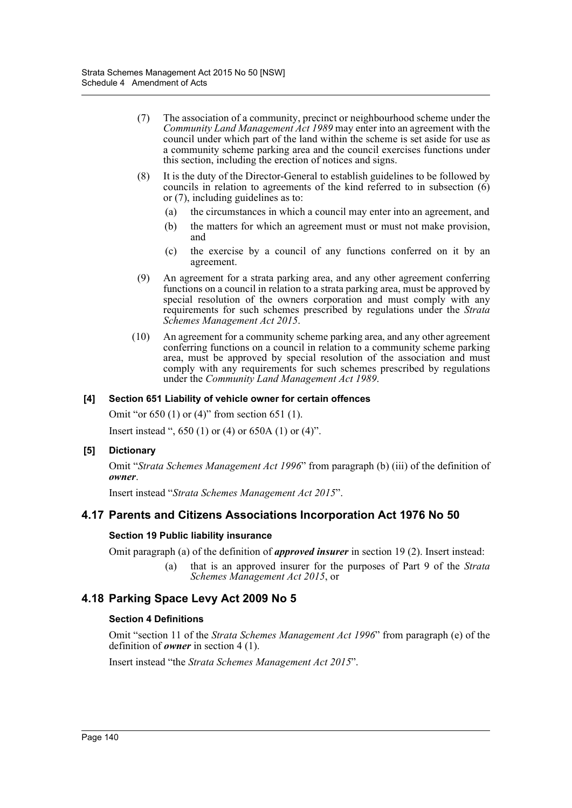- (7) The association of a community, precinct or neighbourhood scheme under the *Community Land Management Act 1989* may enter into an agreement with the council under which part of the land within the scheme is set aside for use as a community scheme parking area and the council exercises functions under this section, including the erection of notices and signs.
- (8) It is the duty of the Director-General to establish guidelines to be followed by councils in relation to agreements of the kind referred to in subsection (6) or (7), including guidelines as to:
	- (a) the circumstances in which a council may enter into an agreement, and
	- (b) the matters for which an agreement must or must not make provision, and
	- (c) the exercise by a council of any functions conferred on it by an agreement.
- (9) An agreement for a strata parking area, and any other agreement conferring functions on a council in relation to a strata parking area, must be approved by special resolution of the owners corporation and must comply with any requirements for such schemes prescribed by regulations under the *Strata Schemes Management Act 2015*.
- (10) An agreement for a community scheme parking area, and any other agreement conferring functions on a council in relation to a community scheme parking area, must be approved by special resolution of the association and must comply with any requirements for such schemes prescribed by regulations under the *Community Land Management Act 1989*.

### **[4] Section 651 Liability of vehicle owner for certain offences**

Omit "or 650 (1) or (4)" from section 651 (1).

Insert instead ", 650 (1) or (4) or 650A (1) or (4)".

#### **[5] Dictionary**

Omit "*Strata Schemes Management Act 1996*" from paragraph (b) (iii) of the definition of *owner*.

Insert instead "*Strata Schemes Management Act 2015*".

# **4.17 Parents and Citizens Associations Incorporation Act 1976 No 50**

#### **Section 19 Public liability insurance**

Omit paragraph (a) of the definition of *approved insurer* in section 19 (2). Insert instead:

(a) that is an approved insurer for the purposes of Part 9 of the *Strata Schemes Management Act 2015*, or

# **4.18 Parking Space Levy Act 2009 No 5**

#### **Section 4 Definitions**

Omit "section 11 of the *Strata Schemes Management Act 1996*" from paragraph (e) of the definition of *owner* in section 4 (1).

Insert instead "the *Strata Schemes Management Act 2015*".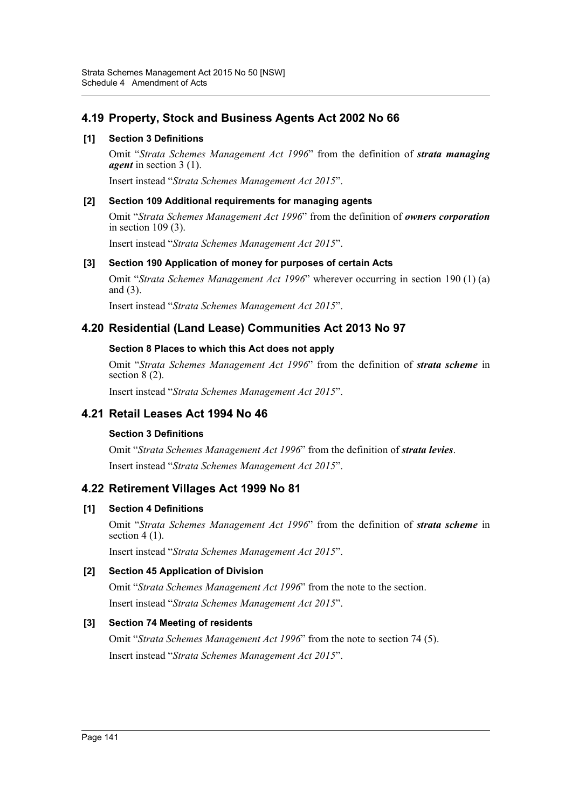# **4.19 Property, Stock and Business Agents Act 2002 No 66**

## **[1] Section 3 Definitions**

Omit "*Strata Schemes Management Act 1996*" from the definition of *strata managing agent* in section 3 (1).

Insert instead "*Strata Schemes Management Act 2015*".

### **[2] Section 109 Additional requirements for managing agents**

Omit "*Strata Schemes Management Act 1996*" from the definition of *owners corporation* in section 109 (3).

Insert instead "*Strata Schemes Management Act 2015*".

### **[3] Section 190 Application of money for purposes of certain Acts**

Omit "*Strata Schemes Management Act 1996*" wherever occurring in section 190 (1) (a) and (3).

Insert instead "*Strata Schemes Management Act 2015*".

# **4.20 Residential (Land Lease) Communities Act 2013 No 97**

### **Section 8 Places to which this Act does not apply**

Omit "*Strata Schemes Management Act 1996*" from the definition of *strata scheme* in section 8 (2).

Insert instead "*Strata Schemes Management Act 2015*".

# **4.21 Retail Leases Act 1994 No 46**

#### **Section 3 Definitions**

Omit "*Strata Schemes Management Act 1996*" from the definition of *strata levies*. Insert instead "*Strata Schemes Management Act 2015*".

# **4.22 Retirement Villages Act 1999 No 81**

#### **[1] Section 4 Definitions**

Omit "*Strata Schemes Management Act 1996*" from the definition of *strata scheme* in section  $4(1)$ .

Insert instead "*Strata Schemes Management Act 2015*".

### **[2] Section 45 Application of Division**

Omit "*Strata Schemes Management Act 1996*" from the note to the section. Insert instead "*Strata Schemes Management Act 2015*".

#### **[3] Section 74 Meeting of residents**

Omit "*Strata Schemes Management Act 1996*" from the note to section 74 (5). Insert instead "*Strata Schemes Management Act 2015*".